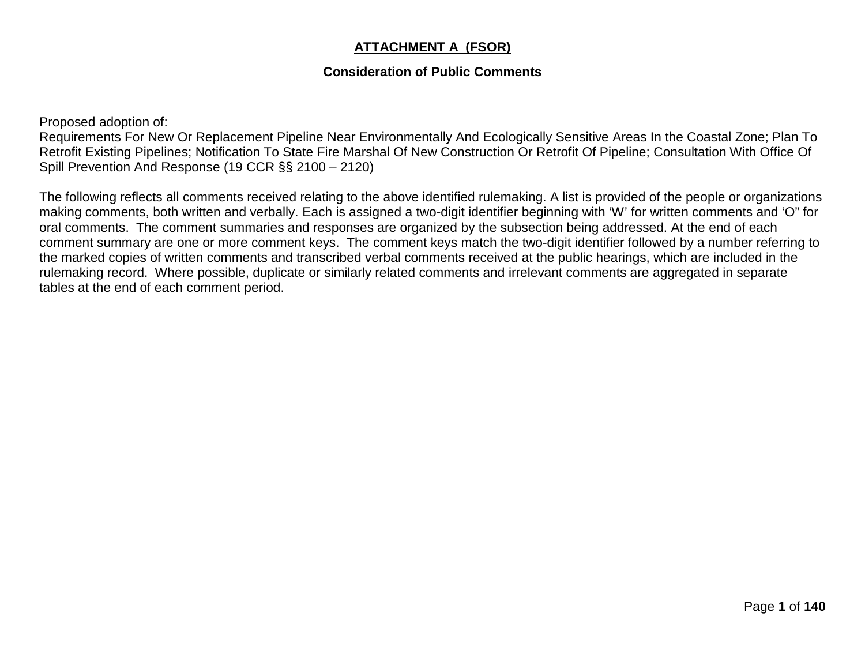## **ATTACHMENT A (FSOR)**

## **Consideration of Public Comments**

Proposed adoption of:

Requirements For New Or Replacement Pipeline Near Environmentally And Ecologically Sensitive Areas In the Coastal Zone; Plan To Retrofit Existing Pipelines; Notification To State Fire Marshal Of New Construction Or Retrofit Of Pipeline; Consultation With Office Of Spill Prevention And Response (19 CCR §§ 2100 – 2120)

The following reflects all comments received relating to the above identified rulemaking. A list is provided of the people or organizations making comments, both written and verbally. Each is assigned a two-digit identifier beginning with 'W' for written comments and 'O" for oral comments. The comment summaries and responses are organized by the subsection being addressed. At the end of each comment summary are one or more comment keys. The comment keys match the two-digit identifier followed by a number referring to the marked copies of written comments and transcribed verbal comments received at the public hearings, which are included in the rulemaking record. Where possible, duplicate or similarly related comments and irrelevant comments are aggregated in separate tables at the end of each comment period.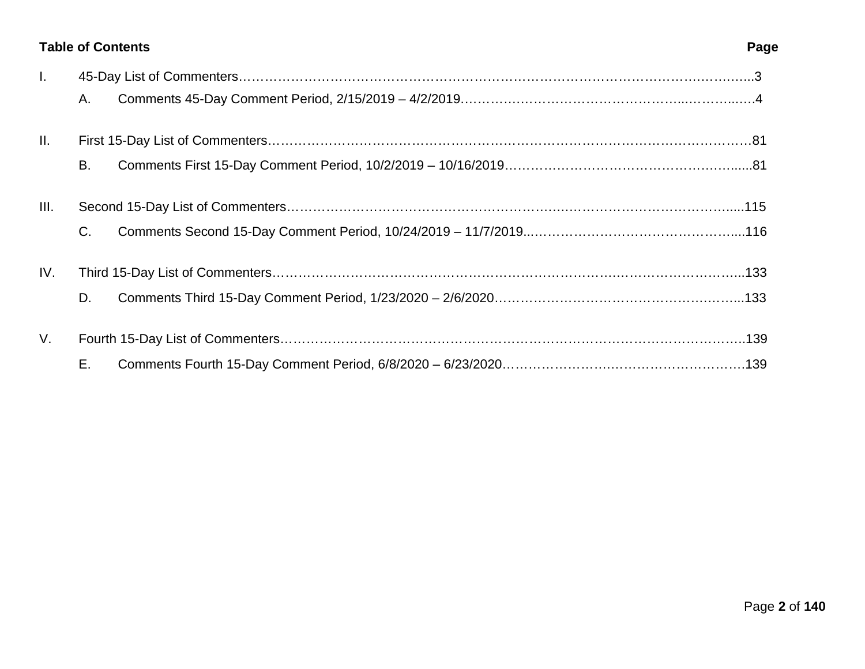## **Table of Contents Page**

| $\mathbf{L}$ |           |  |  |
|--------------|-----------|--|--|
|              | Α.        |  |  |
| II.          |           |  |  |
|              | <b>B.</b> |  |  |
| III.         |           |  |  |
|              | C.        |  |  |
| IV.          |           |  |  |
|              | D.        |  |  |
| V.           |           |  |  |
|              | Е.        |  |  |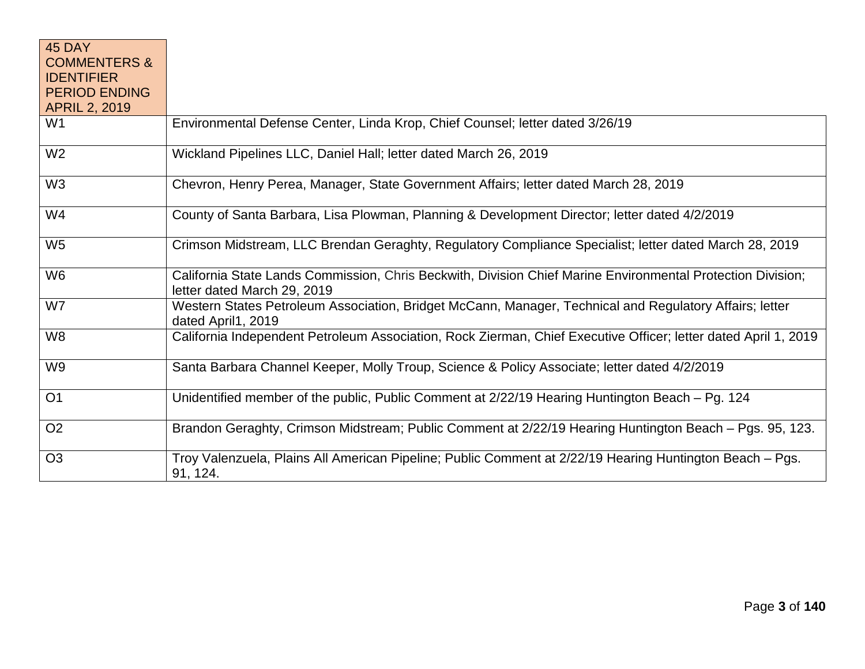| 45 DAY<br><b>COMMENTERS &amp;</b><br><b>IDENTIFIER</b><br><b>PERIOD ENDING</b> |                                                                                                                                            |
|--------------------------------------------------------------------------------|--------------------------------------------------------------------------------------------------------------------------------------------|
| <b>APRIL 2, 2019</b>                                                           |                                                                                                                                            |
| W1                                                                             | Environmental Defense Center, Linda Krop, Chief Counsel; letter dated 3/26/19                                                              |
| W <sub>2</sub>                                                                 | Wickland Pipelines LLC, Daniel Hall; letter dated March 26, 2019                                                                           |
| W <sub>3</sub>                                                                 | Chevron, Henry Perea, Manager, State Government Affairs; letter dated March 28, 2019                                                       |
| W4                                                                             | County of Santa Barbara, Lisa Plowman, Planning & Development Director; letter dated 4/2/2019                                              |
| W <sub>5</sub>                                                                 | Crimson Midstream, LLC Brendan Geraghty, Regulatory Compliance Specialist; letter dated March 28, 2019                                     |
| W <sub>6</sub>                                                                 | California State Lands Commission, Chris Beckwith, Division Chief Marine Environmental Protection Division;<br>letter dated March 29, 2019 |
| W7                                                                             | Western States Petroleum Association, Bridget McCann, Manager, Technical and Regulatory Affairs; letter<br>dated April1, 2019              |
| W8                                                                             | California Independent Petroleum Association, Rock Zierman, Chief Executive Officer; letter dated April 1, 2019                            |
| W9                                                                             | Santa Barbara Channel Keeper, Molly Troup, Science & Policy Associate; letter dated 4/2/2019                                               |
| O <sub>1</sub>                                                                 | Unidentified member of the public, Public Comment at 2/22/19 Hearing Huntington Beach - Pg. 124                                            |
| O <sub>2</sub>                                                                 | Brandon Geraghty, Crimson Midstream; Public Comment at 2/22/19 Hearing Huntington Beach – Pgs. 95, 123.                                    |
| O <sub>3</sub>                                                                 | Troy Valenzuela, Plains All American Pipeline; Public Comment at 2/22/19 Hearing Huntington Beach - Pgs.<br>91, 124.                       |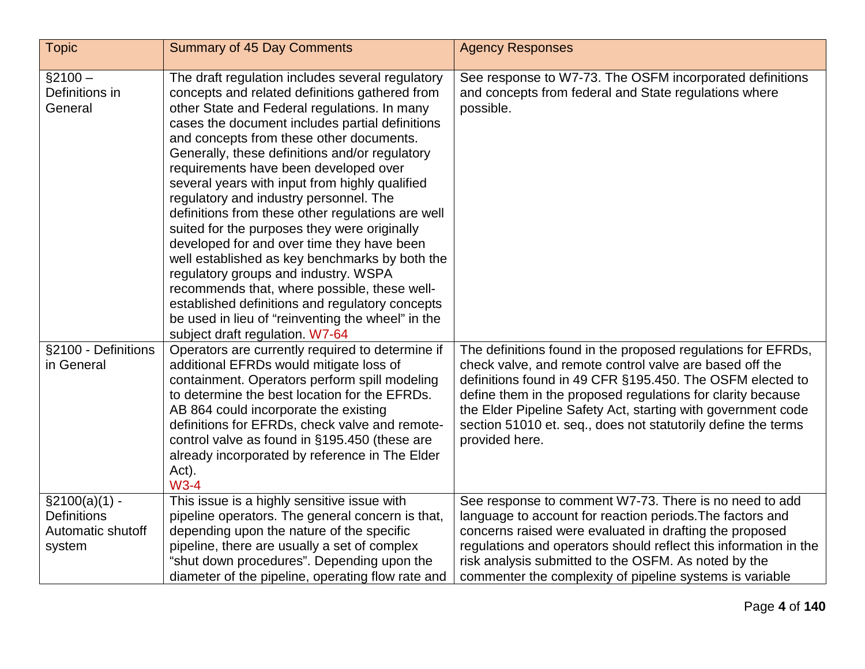| <b>Topic</b>                                                          | <b>Summary of 45 Day Comments</b>                                                                                                                                                                                                                                                                                                                                                                                                                                                                                                                                                                                                                                                                                                                                                                                                                                                | <b>Agency Responses</b>                                                                                                                                                                                                                                                                                                                                                                                |
|-----------------------------------------------------------------------|----------------------------------------------------------------------------------------------------------------------------------------------------------------------------------------------------------------------------------------------------------------------------------------------------------------------------------------------------------------------------------------------------------------------------------------------------------------------------------------------------------------------------------------------------------------------------------------------------------------------------------------------------------------------------------------------------------------------------------------------------------------------------------------------------------------------------------------------------------------------------------|--------------------------------------------------------------------------------------------------------------------------------------------------------------------------------------------------------------------------------------------------------------------------------------------------------------------------------------------------------------------------------------------------------|
| $$2100 -$<br>Definitions in<br>General                                | The draft regulation includes several regulatory<br>concepts and related definitions gathered from<br>other State and Federal regulations. In many<br>cases the document includes partial definitions<br>and concepts from these other documents.<br>Generally, these definitions and/or regulatory<br>requirements have been developed over<br>several years with input from highly qualified<br>regulatory and industry personnel. The<br>definitions from these other regulations are well<br>suited for the purposes they were originally<br>developed for and over time they have been<br>well established as key benchmarks by both the<br>regulatory groups and industry. WSPA<br>recommends that, where possible, these well-<br>established definitions and regulatory concepts<br>be used in lieu of "reinventing the wheel" in the<br>subject draft regulation. W7-64 | See response to W7-73. The OSFM incorporated definitions<br>and concepts from federal and State regulations where<br>possible.                                                                                                                                                                                                                                                                         |
| §2100 - Definitions<br>in General                                     | Operators are currently required to determine if<br>additional EFRDs would mitigate loss of<br>containment. Operators perform spill modeling<br>to determine the best location for the EFRDs.<br>AB 864 could incorporate the existing<br>definitions for EFRDs, check valve and remote-<br>control valve as found in §195.450 (these are<br>already incorporated by reference in The Elder<br>Act).<br>$W3-4$                                                                                                                                                                                                                                                                                                                                                                                                                                                                   | The definitions found in the proposed regulations for EFRDs,<br>check valve, and remote control valve are based off the<br>definitions found in 49 CFR §195.450. The OSFM elected to<br>define them in the proposed regulations for clarity because<br>the Elder Pipeline Safety Act, starting with government code<br>section 51010 et. seq., does not statutorily define the terms<br>provided here. |
| $\S2100(a)(1)$ -<br><b>Definitions</b><br>Automatic shutoff<br>system | This issue is a highly sensitive issue with<br>pipeline operators. The general concern is that,<br>depending upon the nature of the specific<br>pipeline, there are usually a set of complex<br>"shut down procedures". Depending upon the<br>diameter of the pipeline, operating flow rate and                                                                                                                                                                                                                                                                                                                                                                                                                                                                                                                                                                                  | See response to comment W7-73. There is no need to add<br>language to account for reaction periods. The factors and<br>concerns raised were evaluated in drafting the proposed<br>regulations and operators should reflect this information in the<br>risk analysis submitted to the OSFM. As noted by the<br>commenter the complexity of pipeline systems is variable                                 |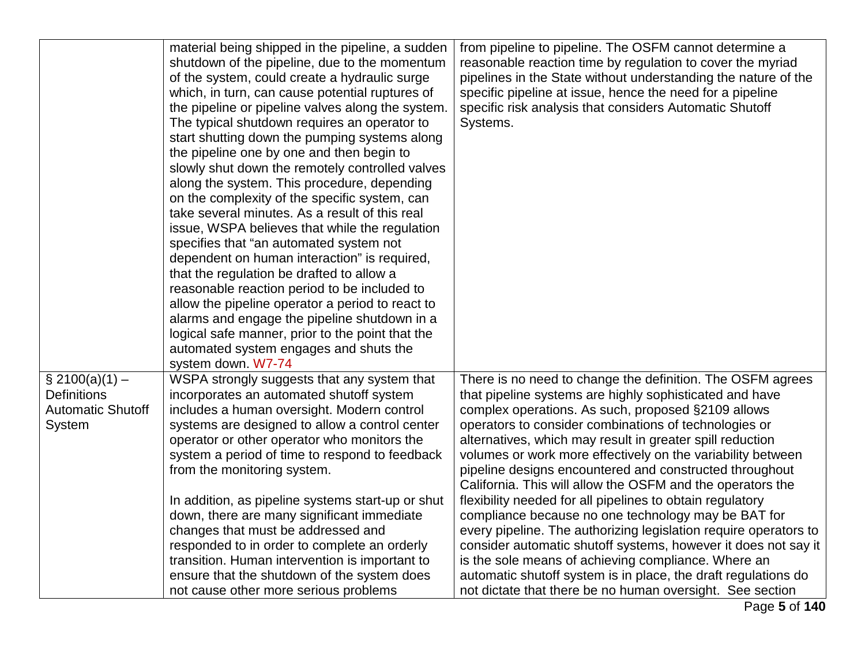|                                                                               | material being shipped in the pipeline, a sudden<br>shutdown of the pipeline, due to the momentum<br>of the system, could create a hydraulic surge<br>which, in turn, can cause potential ruptures of<br>the pipeline or pipeline valves along the system.<br>The typical shutdown requires an operator to<br>start shutting down the pumping systems along<br>the pipeline one by one and then begin to<br>slowly shut down the remotely controlled valves<br>along the system. This procedure, depending<br>on the complexity of the specific system, can<br>take several minutes. As a result of this real<br>issue, WSPA believes that while the regulation<br>specifies that "an automated system not<br>dependent on human interaction" is required,<br>that the regulation be drafted to allow a<br>reasonable reaction period to be included to<br>allow the pipeline operator a period to react to<br>alarms and engage the pipeline shutdown in a<br>logical safe manner, prior to the point that the<br>automated system engages and shuts the<br>system down. W7-74 | from pipeline to pipeline. The OSFM cannot determine a<br>reasonable reaction time by regulation to cover the myriad<br>pipelines in the State without understanding the nature of the<br>specific pipeline at issue, hence the need for a pipeline<br>specific risk analysis that considers Automatic Shutoff<br>Systems.                                                                                                                                                                                                                                                                                                                                                                                                                                                                                                                                                                                                                |
|-------------------------------------------------------------------------------|---------------------------------------------------------------------------------------------------------------------------------------------------------------------------------------------------------------------------------------------------------------------------------------------------------------------------------------------------------------------------------------------------------------------------------------------------------------------------------------------------------------------------------------------------------------------------------------------------------------------------------------------------------------------------------------------------------------------------------------------------------------------------------------------------------------------------------------------------------------------------------------------------------------------------------------------------------------------------------------------------------------------------------------------------------------------------------|-------------------------------------------------------------------------------------------------------------------------------------------------------------------------------------------------------------------------------------------------------------------------------------------------------------------------------------------------------------------------------------------------------------------------------------------------------------------------------------------------------------------------------------------------------------------------------------------------------------------------------------------------------------------------------------------------------------------------------------------------------------------------------------------------------------------------------------------------------------------------------------------------------------------------------------------|
| $\S$ 2100(a)(1) –<br><b>Definitions</b><br><b>Automatic Shutoff</b><br>System | WSPA strongly suggests that any system that<br>incorporates an automated shutoff system<br>includes a human oversight. Modern control<br>systems are designed to allow a control center<br>operator or other operator who monitors the<br>system a period of time to respond to feedback<br>from the monitoring system.<br>In addition, as pipeline systems start-up or shut<br>down, there are many significant immediate<br>changes that must be addressed and<br>responded to in order to complete an orderly<br>transition. Human intervention is important to<br>ensure that the shutdown of the system does<br>not cause other more serious problems                                                                                                                                                                                                                                                                                                                                                                                                                      | There is no need to change the definition. The OSFM agrees<br>that pipeline systems are highly sophisticated and have<br>complex operations. As such, proposed §2109 allows<br>operators to consider combinations of technologies or<br>alternatives, which may result in greater spill reduction<br>volumes or work more effectively on the variability between<br>pipeline designs encountered and constructed throughout<br>California. This will allow the OSFM and the operators the<br>flexibility needed for all pipelines to obtain regulatory<br>compliance because no one technology may be BAT for<br>every pipeline. The authorizing legislation require operators to<br>consider automatic shutoff systems, however it does not say it<br>is the sole means of achieving compliance. Where an<br>automatic shutoff system is in place, the draft regulations do<br>not dictate that there be no human oversight. See section |

Page **5** of **140**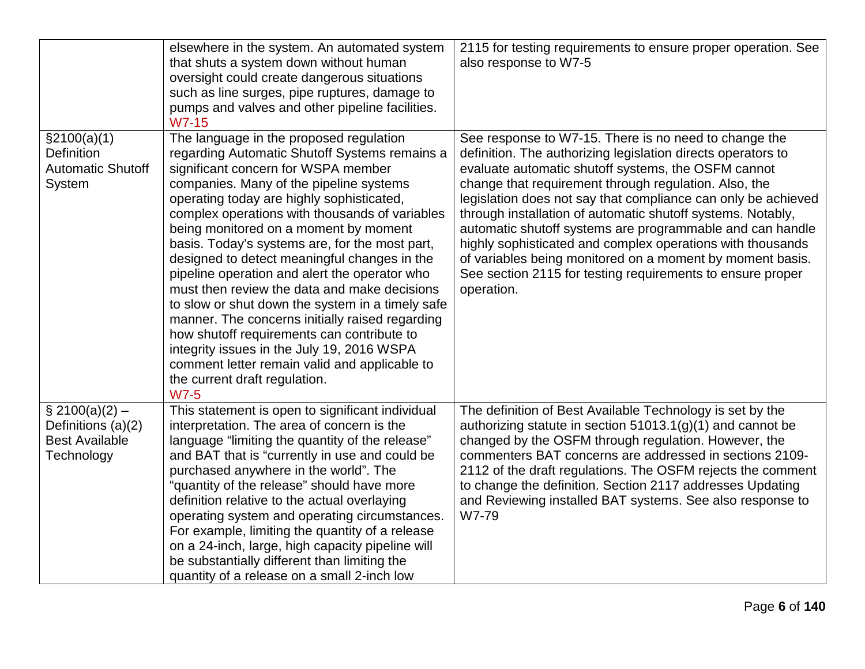|                                                                                | elsewhere in the system. An automated system<br>that shuts a system down without human<br>oversight could create dangerous situations<br>such as line surges, pipe ruptures, damage to<br>pumps and valves and other pipeline facilities.<br>W7-15                                                                                                                                                                                                                                                                                                                                                                                                                                                                                                                                                                        | 2115 for testing requirements to ensure proper operation. See<br>also response to W7-5                                                                                                                                                                                                                                                                                                                                                                                                                                                                                                                                                    |
|--------------------------------------------------------------------------------|---------------------------------------------------------------------------------------------------------------------------------------------------------------------------------------------------------------------------------------------------------------------------------------------------------------------------------------------------------------------------------------------------------------------------------------------------------------------------------------------------------------------------------------------------------------------------------------------------------------------------------------------------------------------------------------------------------------------------------------------------------------------------------------------------------------------------|-------------------------------------------------------------------------------------------------------------------------------------------------------------------------------------------------------------------------------------------------------------------------------------------------------------------------------------------------------------------------------------------------------------------------------------------------------------------------------------------------------------------------------------------------------------------------------------------------------------------------------------------|
| \$2100(a)(1)<br><b>Definition</b><br><b>Automatic Shutoff</b><br>System        | The language in the proposed regulation<br>regarding Automatic Shutoff Systems remains a<br>significant concern for WSPA member<br>companies. Many of the pipeline systems<br>operating today are highly sophisticated,<br>complex operations with thousands of variables<br>being monitored on a moment by moment<br>basis. Today's systems are, for the most part,<br>designed to detect meaningful changes in the<br>pipeline operation and alert the operator who<br>must then review the data and make decisions<br>to slow or shut down the system in a timely safe<br>manner. The concerns initially raised regarding<br>how shutoff requirements can contribute to<br>integrity issues in the July 19, 2016 WSPA<br>comment letter remain valid and applicable to<br>the current draft regulation.<br><b>W7-5</b> | See response to W7-15. There is no need to change the<br>definition. The authorizing legislation directs operators to<br>evaluate automatic shutoff systems, the OSFM cannot<br>change that requirement through regulation. Also, the<br>legislation does not say that compliance can only be achieved<br>through installation of automatic shutoff systems. Notably,<br>automatic shutoff systems are programmable and can handle<br>highly sophisticated and complex operations with thousands<br>of variables being monitored on a moment by moment basis.<br>See section 2115 for testing requirements to ensure proper<br>operation. |
| $\S 2100(a)(2) -$<br>Definitions (a)(2)<br><b>Best Available</b><br>Technology | This statement is open to significant individual<br>interpretation. The area of concern is the<br>language "limiting the quantity of the release"<br>and BAT that is "currently in use and could be<br>purchased anywhere in the world". The<br>"quantity of the release" should have more<br>definition relative to the actual overlaying<br>operating system and operating circumstances.<br>For example, limiting the quantity of a release<br>on a 24-inch, large, high capacity pipeline will<br>be substantially different than limiting the<br>quantity of a release on a small 2-inch low                                                                                                                                                                                                                         | The definition of Best Available Technology is set by the<br>authorizing statute in section $51013.1(g)(1)$ and cannot be<br>changed by the OSFM through regulation. However, the<br>commenters BAT concerns are addressed in sections 2109-<br>2112 of the draft regulations. The OSFM rejects the comment<br>to change the definition. Section 2117 addresses Updating<br>and Reviewing installed BAT systems. See also response to<br>W7-79                                                                                                                                                                                            |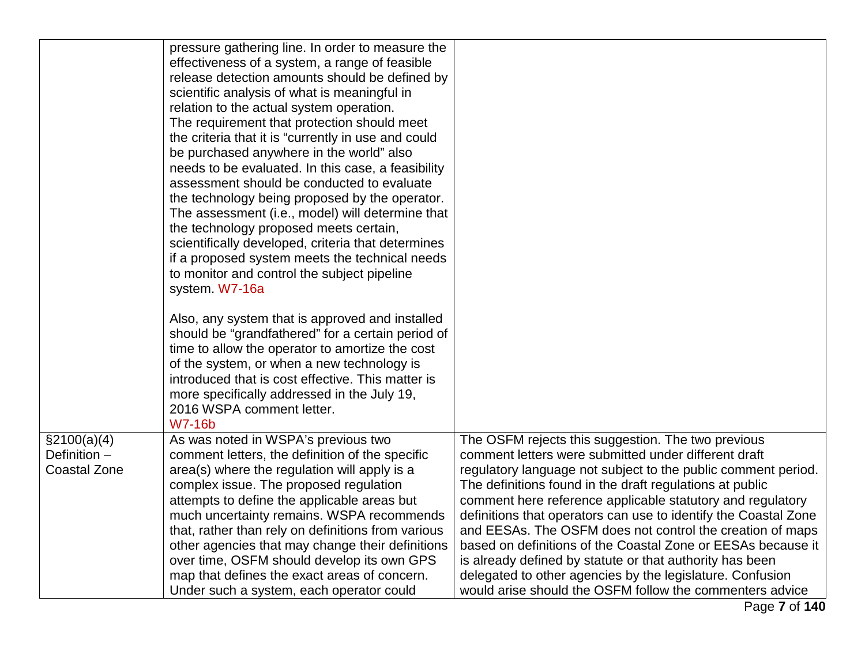|                                                     | pressure gathering line. In order to measure the<br>effectiveness of a system, a range of feasible<br>release detection amounts should be defined by<br>scientific analysis of what is meaningful in<br>relation to the actual system operation.<br>The requirement that protection should meet<br>the criteria that it is "currently in use and could<br>be purchased anywhere in the world" also<br>needs to be evaluated. In this case, a feasibility<br>assessment should be conducted to evaluate<br>the technology being proposed by the operator.<br>The assessment (i.e., model) will determine that<br>the technology proposed meets certain,<br>scientifically developed, criteria that determines<br>if a proposed system meets the technical needs<br>to monitor and control the subject pipeline<br>system. W7-16a<br>Also, any system that is approved and installed<br>should be "grandfathered" for a certain period of<br>time to allow the operator to amortize the cost<br>of the system, or when a new technology is<br>introduced that is cost effective. This matter is<br>more specifically addressed in the July 19,<br>2016 WSPA comment letter.<br><b>W7-16b</b> |                                                                                                                                                                                                                                                                                                                                                                                                                                                                                                                                                                                                                                                                                            |
|-----------------------------------------------------|--------------------------------------------------------------------------------------------------------------------------------------------------------------------------------------------------------------------------------------------------------------------------------------------------------------------------------------------------------------------------------------------------------------------------------------------------------------------------------------------------------------------------------------------------------------------------------------------------------------------------------------------------------------------------------------------------------------------------------------------------------------------------------------------------------------------------------------------------------------------------------------------------------------------------------------------------------------------------------------------------------------------------------------------------------------------------------------------------------------------------------------------------------------------------------------------|--------------------------------------------------------------------------------------------------------------------------------------------------------------------------------------------------------------------------------------------------------------------------------------------------------------------------------------------------------------------------------------------------------------------------------------------------------------------------------------------------------------------------------------------------------------------------------------------------------------------------------------------------------------------------------------------|
| \$2100(a)(4)<br>Definition -<br><b>Coastal Zone</b> | As was noted in WSPA's previous two<br>comment letters, the definition of the specific<br>area(s) where the regulation will apply is a<br>complex issue. The proposed regulation<br>attempts to define the applicable areas but<br>much uncertainty remains. WSPA recommends<br>that, rather than rely on definitions from various<br>other agencies that may change their definitions<br>over time, OSFM should develop its own GPS<br>map that defines the exact areas of concern.<br>Under such a system, each operator could                                                                                                                                                                                                                                                                                                                                                                                                                                                                                                                                                                                                                                                           | The OSFM rejects this suggestion. The two previous<br>comment letters were submitted under different draft<br>regulatory language not subject to the public comment period.<br>The definitions found in the draft regulations at public<br>comment here reference applicable statutory and regulatory<br>definitions that operators can use to identify the Coastal Zone<br>and EESAs. The OSFM does not control the creation of maps<br>based on definitions of the Coastal Zone or EESAs because it<br>is already defined by statute or that authority has been<br>delegated to other agencies by the legislature. Confusion<br>would arise should the OSFM follow the commenters advice |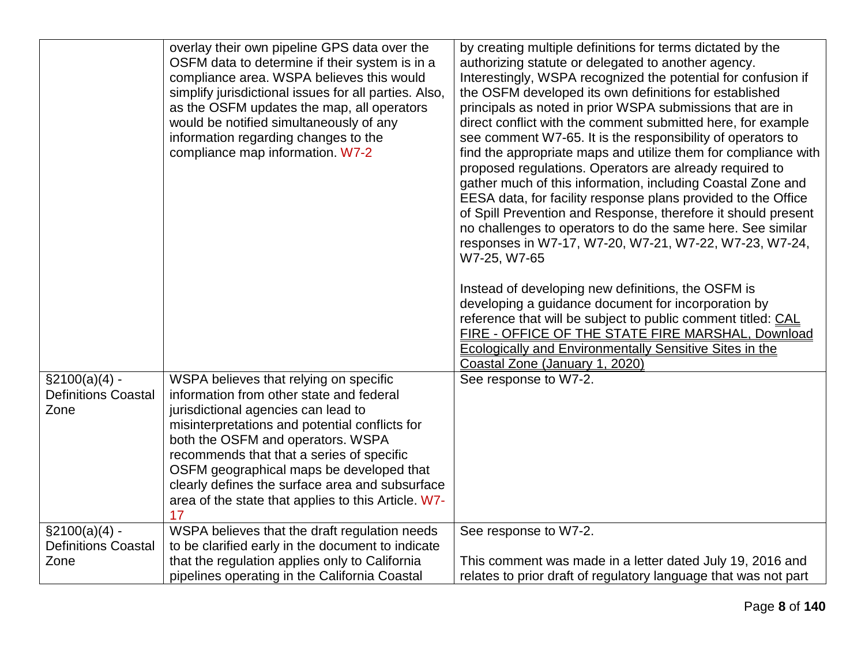|                            | overlay their own pipeline GPS data over the          | by creating multiple definitions for terms dictated by the      |
|----------------------------|-------------------------------------------------------|-----------------------------------------------------------------|
|                            | OSFM data to determine if their system is in a        | authorizing statute or delegated to another agency.             |
|                            | compliance area. WSPA believes this would             | Interestingly, WSPA recognized the potential for confusion if   |
|                            | simplify jurisdictional issues for all parties. Also, | the OSFM developed its own definitions for established          |
|                            | as the OSFM updates the map, all operators            | principals as noted in prior WSPA submissions that are in       |
|                            | would be notified simultaneously of any               | direct conflict with the comment submitted here, for example    |
|                            | information regarding changes to the                  | see comment W7-65. It is the responsibility of operators to     |
|                            | compliance map information. W7-2                      | find the appropriate maps and utilize them for compliance with  |
|                            |                                                       | proposed regulations. Operators are already required to         |
|                            |                                                       | gather much of this information, including Coastal Zone and     |
|                            |                                                       | EESA data, for facility response plans provided to the Office   |
|                            |                                                       | of Spill Prevention and Response, therefore it should present   |
|                            |                                                       | no challenges to operators to do the same here. See similar     |
|                            |                                                       | responses in W7-17, W7-20, W7-21, W7-22, W7-23, W7-24,          |
|                            |                                                       | W7-25, W7-65                                                    |
|                            |                                                       |                                                                 |
|                            |                                                       | Instead of developing new definitions, the OSFM is              |
|                            |                                                       | developing a guidance document for incorporation by             |
|                            |                                                       | reference that will be subject to public comment titled: CAL    |
|                            |                                                       | FIRE - OFFICE OF THE STATE FIRE MARSHAL, Download               |
|                            |                                                       | <b>Ecologically and Environmentally Sensitive Sites in the</b>  |
|                            |                                                       | Coastal Zone (January 1, 2020)                                  |
| $\S2100(a)(4) -$           | WSPA believes that relying on specific                | See response to W7-2.                                           |
| <b>Definitions Coastal</b> | information from other state and federal              |                                                                 |
| Zone                       | jurisdictional agencies can lead to                   |                                                                 |
|                            | misinterpretations and potential conflicts for        |                                                                 |
|                            | both the OSFM and operators. WSPA                     |                                                                 |
|                            | recommends that that a series of specific             |                                                                 |
|                            | OSFM geographical maps be developed that              |                                                                 |
|                            | clearly defines the surface area and subsurface       |                                                                 |
|                            | area of the state that applies to this Article. W7-   |                                                                 |
|                            |                                                       |                                                                 |
| $\S2100(a)(4)$ -           | WSPA believes that the draft regulation needs         | See response to W7-2.                                           |
| <b>Definitions Coastal</b> | to be clarified early in the document to indicate     |                                                                 |
| Zone                       | that the regulation applies only to California        | This comment was made in a letter dated July 19, 2016 and       |
|                            | pipelines operating in the California Coastal         | relates to prior draft of regulatory language that was not part |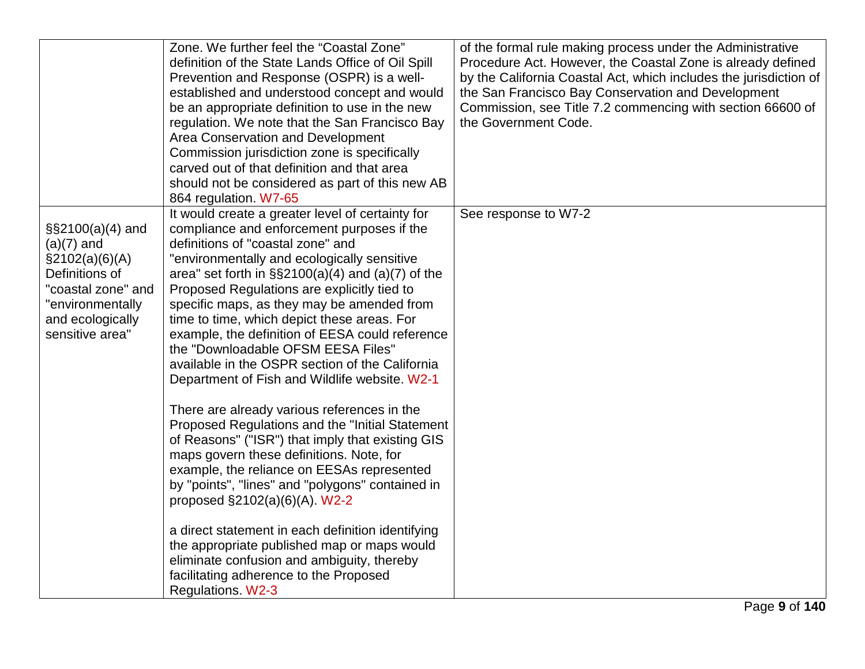|                                                                                                                                                               | Zone. We further feel the "Coastal Zone"<br>definition of the State Lands Office of Oil Spill<br>Prevention and Response (OSPR) is a well-<br>established and understood concept and would<br>be an appropriate definition to use in the new<br>regulation. We note that the San Francisco Bay<br>Area Conservation and Development<br>Commission jurisdiction zone is specifically<br>carved out of that definition and that area<br>should not be considered as part of this new AB<br>864 regulation. W7-65                                                                                                                                                                                                                                                                                                                                                                                                                                                                                                                                                                                                                               | of the formal rule making process under the Administrative<br>Procedure Act. However, the Coastal Zone is already defined<br>by the California Coastal Act, which includes the jurisdiction of<br>the San Francisco Bay Conservation and Development<br>Commission, see Title 7.2 commencing with section 66600 of<br>the Government Code. |
|---------------------------------------------------------------------------------------------------------------------------------------------------------------|----------------------------------------------------------------------------------------------------------------------------------------------------------------------------------------------------------------------------------------------------------------------------------------------------------------------------------------------------------------------------------------------------------------------------------------------------------------------------------------------------------------------------------------------------------------------------------------------------------------------------------------------------------------------------------------------------------------------------------------------------------------------------------------------------------------------------------------------------------------------------------------------------------------------------------------------------------------------------------------------------------------------------------------------------------------------------------------------------------------------------------------------|--------------------------------------------------------------------------------------------------------------------------------------------------------------------------------------------------------------------------------------------------------------------------------------------------------------------------------------------|
| $\S$ \$2100(a)(4) and<br>$(a)(7)$ and<br>$\S2102(a)(6)(A)$<br>Definitions of<br>"coastal zone" and<br>"environmentally<br>and ecologically<br>sensitive area" | It would create a greater level of certainty for<br>compliance and enforcement purposes if the<br>definitions of "coastal zone" and<br>"environmentally and ecologically sensitive<br>area" set forth in $\S$ \$2100(a)(4) and (a)(7) of the<br>Proposed Regulations are explicitly tied to<br>specific maps, as they may be amended from<br>time to time, which depict these areas. For<br>example, the definition of EESA could reference<br>the "Downloadable OFSM EESA Files"<br>available in the OSPR section of the California<br>Department of Fish and Wildlife website. W2-1<br>There are already various references in the<br>Proposed Regulations and the "Initial Statement"<br>of Reasons" ("ISR") that imply that existing GIS<br>maps govern these definitions. Note, for<br>example, the reliance on EESAs represented<br>by "points", "lines" and "polygons" contained in<br>proposed §2102(a)(6)(A). W2-2<br>a direct statement in each definition identifying<br>the appropriate published map or maps would<br>eliminate confusion and ambiguity, thereby<br>facilitating adherence to the Proposed<br>Regulations. W2-3 | See response to W7-2                                                                                                                                                                                                                                                                                                                       |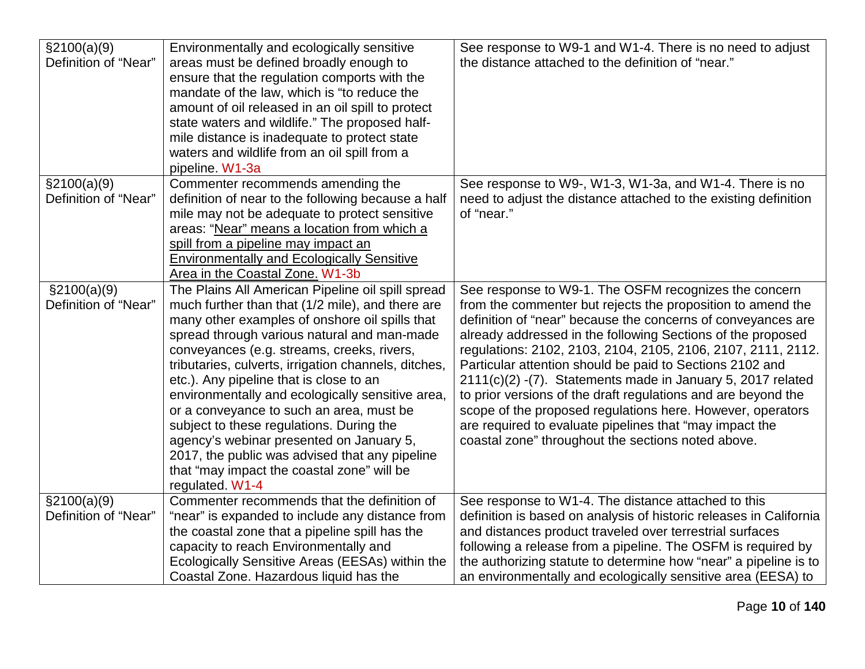| \$2100(a)(9)<br>Definition of "Near" | Environmentally and ecologically sensitive<br>areas must be defined broadly enough to<br>ensure that the regulation comports with the<br>mandate of the law, which is "to reduce the<br>amount of oil released in an oil spill to protect<br>state waters and wildlife." The proposed half-<br>mile distance is inadequate to protect state<br>waters and wildlife from an oil spill from a                                                                                                                                                                                                                                                                        | See response to W9-1 and W1-4. There is no need to adjust<br>the distance attached to the definition of "near."                                                                                                                                                                                                                                                                                                                                                                                                                                                                                                                                                                                |
|--------------------------------------|--------------------------------------------------------------------------------------------------------------------------------------------------------------------------------------------------------------------------------------------------------------------------------------------------------------------------------------------------------------------------------------------------------------------------------------------------------------------------------------------------------------------------------------------------------------------------------------------------------------------------------------------------------------------|------------------------------------------------------------------------------------------------------------------------------------------------------------------------------------------------------------------------------------------------------------------------------------------------------------------------------------------------------------------------------------------------------------------------------------------------------------------------------------------------------------------------------------------------------------------------------------------------------------------------------------------------------------------------------------------------|
|                                      | pipeline. W1-3a                                                                                                                                                                                                                                                                                                                                                                                                                                                                                                                                                                                                                                                    |                                                                                                                                                                                                                                                                                                                                                                                                                                                                                                                                                                                                                                                                                                |
| \$2100(a)(9)<br>Definition of "Near" | Commenter recommends amending the<br>definition of near to the following because a half<br>mile may not be adequate to protect sensitive<br>areas: "Near" means a location from which a<br>spill from a pipeline may impact an<br><b>Environmentally and Ecologically Sensitive</b><br>Area in the Coastal Zone. W1-3b                                                                                                                                                                                                                                                                                                                                             | See response to W9-, W1-3, W1-3a, and W1-4. There is no<br>need to adjust the distance attached to the existing definition<br>of "near."                                                                                                                                                                                                                                                                                                                                                                                                                                                                                                                                                       |
| \$2100(a)(9)<br>Definition of "Near" | The Plains All American Pipeline oil spill spread<br>much further than that (1/2 mile), and there are<br>many other examples of onshore oil spills that<br>spread through various natural and man-made<br>conveyances (e.g. streams, creeks, rivers,<br>tributaries, culverts, irrigation channels, ditches,<br>etc.). Any pipeline that is close to an<br>environmentally and ecologically sensitive area,<br>or a conveyance to such an area, must be<br>subject to these regulations. During the<br>agency's webinar presented on January 5,<br>2017, the public was advised that any pipeline<br>that "may impact the coastal zone" will be<br>regulated. W1-4 | See response to W9-1. The OSFM recognizes the concern<br>from the commenter but rejects the proposition to amend the<br>definition of "near" because the concerns of conveyances are<br>already addressed in the following Sections of the proposed<br>regulations: 2102, 2103, 2104, 2105, 2106, 2107, 2111, 2112.<br>Particular attention should be paid to Sections 2102 and<br>2111(c)(2) -(7). Statements made in January 5, 2017 related<br>to prior versions of the draft regulations and are beyond the<br>scope of the proposed regulations here. However, operators<br>are required to evaluate pipelines that "may impact the<br>coastal zone" throughout the sections noted above. |
| \$2100(a)(9)<br>Definition of "Near" | Commenter recommends that the definition of<br>"near" is expanded to include any distance from<br>the coastal zone that a pipeline spill has the<br>capacity to reach Environmentally and<br>Ecologically Sensitive Areas (EESAs) within the<br>Coastal Zone. Hazardous liquid has the                                                                                                                                                                                                                                                                                                                                                                             | See response to W1-4. The distance attached to this<br>definition is based on analysis of historic releases in California<br>and distances product traveled over terrestrial surfaces<br>following a release from a pipeline. The OSFM is required by<br>the authorizing statute to determine how "near" a pipeline is to<br>an environmentally and ecologically sensitive area (EESA) to                                                                                                                                                                                                                                                                                                      |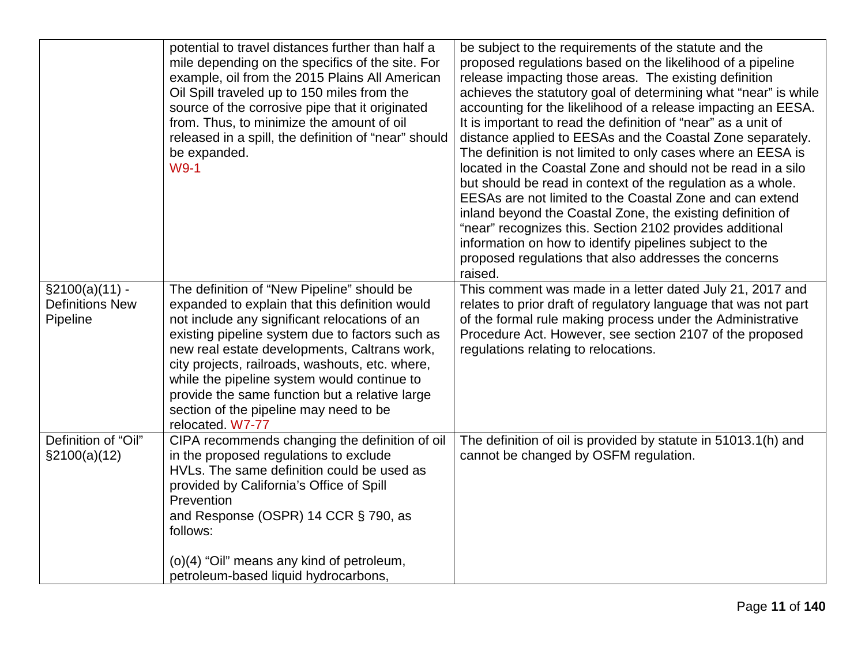|                                                         | potential to travel distances further than half a<br>mile depending on the specifics of the site. For<br>example, oil from the 2015 Plains All American<br>Oil Spill traveled up to 150 miles from the<br>source of the corrosive pipe that it originated<br>from. Thus, to minimize the amount of oil<br>released in a spill, the definition of "near" should<br>be expanded.<br>W9-1                                                                             | be subject to the requirements of the statute and the<br>proposed regulations based on the likelihood of a pipeline<br>release impacting those areas. The existing definition<br>achieves the statutory goal of determining what "near" is while<br>accounting for the likelihood of a release impacting an EESA.<br>It is important to read the definition of "near" as a unit of<br>distance applied to EESAs and the Coastal Zone separately.<br>The definition is not limited to only cases where an EESA is<br>located in the Coastal Zone and should not be read in a silo<br>but should be read in context of the regulation as a whole.<br>EESAs are not limited to the Coastal Zone and can extend<br>inland beyond the Coastal Zone, the existing definition of<br>"near" recognizes this. Section 2102 provides additional<br>information on how to identify pipelines subject to the<br>proposed regulations that also addresses the concerns<br>raised. |
|---------------------------------------------------------|--------------------------------------------------------------------------------------------------------------------------------------------------------------------------------------------------------------------------------------------------------------------------------------------------------------------------------------------------------------------------------------------------------------------------------------------------------------------|----------------------------------------------------------------------------------------------------------------------------------------------------------------------------------------------------------------------------------------------------------------------------------------------------------------------------------------------------------------------------------------------------------------------------------------------------------------------------------------------------------------------------------------------------------------------------------------------------------------------------------------------------------------------------------------------------------------------------------------------------------------------------------------------------------------------------------------------------------------------------------------------------------------------------------------------------------------------|
| $\S2100(a)(11) -$<br><b>Definitions New</b><br>Pipeline | The definition of "New Pipeline" should be<br>expanded to explain that this definition would<br>not include any significant relocations of an<br>existing pipeline system due to factors such as<br>new real estate developments, Caltrans work,<br>city projects, railroads, washouts, etc. where,<br>while the pipeline system would continue to<br>provide the same function but a relative large<br>section of the pipeline may need to be<br>relocated. W7-77 | This comment was made in a letter dated July 21, 2017 and<br>relates to prior draft of regulatory language that was not part<br>of the formal rule making process under the Administrative<br>Procedure Act. However, see section 2107 of the proposed<br>regulations relating to relocations.                                                                                                                                                                                                                                                                                                                                                                                                                                                                                                                                                                                                                                                                       |
| Definition of "Oil"<br>$\S2100(a)(12)$                  | CIPA recommends changing the definition of oil<br>in the proposed regulations to exclude<br>HVLs. The same definition could be used as<br>provided by California's Office of Spill<br>Prevention<br>and Response (OSPR) 14 CCR § 790, as<br>follows:<br>(o)(4) "Oil" means any kind of petroleum,<br>petroleum-based liquid hydrocarbons,                                                                                                                          | The definition of oil is provided by statute in 51013.1(h) and<br>cannot be changed by OSFM regulation.                                                                                                                                                                                                                                                                                                                                                                                                                                                                                                                                                                                                                                                                                                                                                                                                                                                              |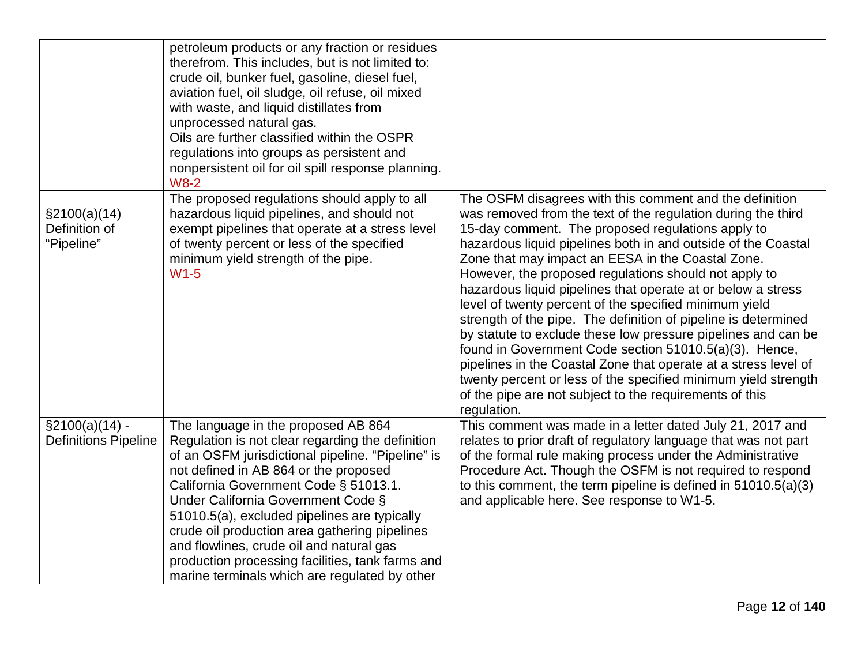|                                              | petroleum products or any fraction or residues<br>therefrom. This includes, but is not limited to:<br>crude oil, bunker fuel, gasoline, diesel fuel,<br>aviation fuel, oil sludge, oil refuse, oil mixed<br>with waste, and liquid distillates from<br>unprocessed natural gas.<br>Oils are further classified within the OSPR<br>regulations into groups as persistent and<br>nonpersistent oil for oil spill response planning.<br>$W8-2$                                     |                                                                                                                                                                                                                                                                                                                                                                                                                                                                                                                                                                                                                                                                                                                                                                                                                                                                                                   |
|----------------------------------------------|---------------------------------------------------------------------------------------------------------------------------------------------------------------------------------------------------------------------------------------------------------------------------------------------------------------------------------------------------------------------------------------------------------------------------------------------------------------------------------|---------------------------------------------------------------------------------------------------------------------------------------------------------------------------------------------------------------------------------------------------------------------------------------------------------------------------------------------------------------------------------------------------------------------------------------------------------------------------------------------------------------------------------------------------------------------------------------------------------------------------------------------------------------------------------------------------------------------------------------------------------------------------------------------------------------------------------------------------------------------------------------------------|
| \$2100(a)(14)<br>Definition of<br>"Pipeline" | The proposed regulations should apply to all<br>hazardous liquid pipelines, and should not<br>exempt pipelines that operate at a stress level<br>of twenty percent or less of the specified<br>minimum yield strength of the pipe.<br>$W1-5$                                                                                                                                                                                                                                    | The OSFM disagrees with this comment and the definition<br>was removed from the text of the regulation during the third<br>15-day comment. The proposed regulations apply to<br>hazardous liquid pipelines both in and outside of the Coastal<br>Zone that may impact an EESA in the Coastal Zone.<br>However, the proposed regulations should not apply to<br>hazardous liquid pipelines that operate at or below a stress<br>level of twenty percent of the specified minimum yield<br>strength of the pipe. The definition of pipeline is determined<br>by statute to exclude these low pressure pipelines and can be<br>found in Government Code section 51010.5(a)(3). Hence,<br>pipelines in the Coastal Zone that operate at a stress level of<br>twenty percent or less of the specified minimum yield strength<br>of the pipe are not subject to the requirements of this<br>regulation. |
| $\S2100(a)(14) -$                            | The language in the proposed AB 864                                                                                                                                                                                                                                                                                                                                                                                                                                             | This comment was made in a letter dated July 21, 2017 and                                                                                                                                                                                                                                                                                                                                                                                                                                                                                                                                                                                                                                                                                                                                                                                                                                         |
| <b>Definitions Pipeline</b>                  | Regulation is not clear regarding the definition<br>of an OSFM jurisdictional pipeline. "Pipeline" is<br>not defined in AB 864 or the proposed<br>California Government Code § 51013.1.<br>Under California Government Code §<br>51010.5(a), excluded pipelines are typically<br>crude oil production area gathering pipelines<br>and flowlines, crude oil and natural gas<br>production processing facilities, tank farms and<br>marine terminals which are regulated by other | relates to prior draft of regulatory language that was not part<br>of the formal rule making process under the Administrative<br>Procedure Act. Though the OSFM is not required to respond<br>to this comment, the term pipeline is defined in $51010.5(a)(3)$<br>and applicable here. See response to W1-5.                                                                                                                                                                                                                                                                                                                                                                                                                                                                                                                                                                                      |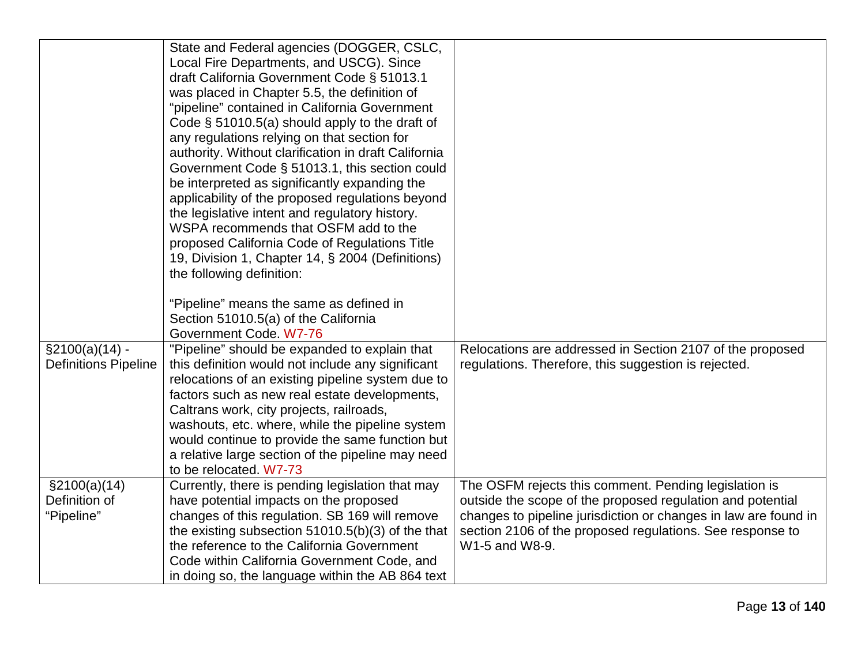|                             | State and Federal agencies (DOGGER, CSLC,            |                                                                 |
|-----------------------------|------------------------------------------------------|-----------------------------------------------------------------|
|                             | Local Fire Departments, and USCG). Since             |                                                                 |
|                             | draft California Government Code § 51013.1           |                                                                 |
|                             | was placed in Chapter 5.5, the definition of         |                                                                 |
|                             | "pipeline" contained in California Government        |                                                                 |
|                             | Code $\S$ 51010.5(a) should apply to the draft of    |                                                                 |
|                             | any regulations relying on that section for          |                                                                 |
|                             | authority. Without clarification in draft California |                                                                 |
|                             | Government Code § 51013.1, this section could        |                                                                 |
|                             | be interpreted as significantly expanding the        |                                                                 |
|                             | applicability of the proposed regulations beyond     |                                                                 |
|                             | the legislative intent and regulatory history.       |                                                                 |
|                             | WSPA recommends that OSFM add to the                 |                                                                 |
|                             | proposed California Code of Regulations Title        |                                                                 |
|                             | 19, Division 1, Chapter 14, § 2004 (Definitions)     |                                                                 |
|                             | the following definition:                            |                                                                 |
|                             |                                                      |                                                                 |
|                             | "Pipeline" means the same as defined in              |                                                                 |
|                             | Section 51010.5(a) of the California                 |                                                                 |
|                             | Government Code. W7-76                               |                                                                 |
| $\S2100(a)(14) -$           | "Pipeline" should be expanded to explain that        | Relocations are addressed in Section 2107 of the proposed       |
| <b>Definitions Pipeline</b> | this definition would not include any significant    | regulations. Therefore, this suggestion is rejected.            |
|                             | relocations of an existing pipeline system due to    |                                                                 |
|                             | factors such as new real estate developments,        |                                                                 |
|                             | Caltrans work, city projects, railroads,             |                                                                 |
|                             | washouts, etc. where, while the pipeline system      |                                                                 |
|                             | would continue to provide the same function but      |                                                                 |
|                             | a relative large section of the pipeline may need    |                                                                 |
|                             | to be relocated. W7-73                               |                                                                 |
| $\S2100(a)(14)$             | Currently, there is pending legislation that may     | The OSFM rejects this comment. Pending legislation is           |
| Definition of               | have potential impacts on the proposed               | outside the scope of the proposed regulation and potential      |
| "Pipeline"                  | changes of this regulation. SB 169 will remove       | changes to pipeline jurisdiction or changes in law are found in |
|                             | the existing subsection $51010.5(b)(3)$ of the that  | section 2106 of the proposed regulations. See response to       |
|                             | the reference to the California Government           | W1-5 and W8-9.                                                  |
|                             | Code within California Government Code, and          |                                                                 |
|                             | in doing so, the language within the AB 864 text     |                                                                 |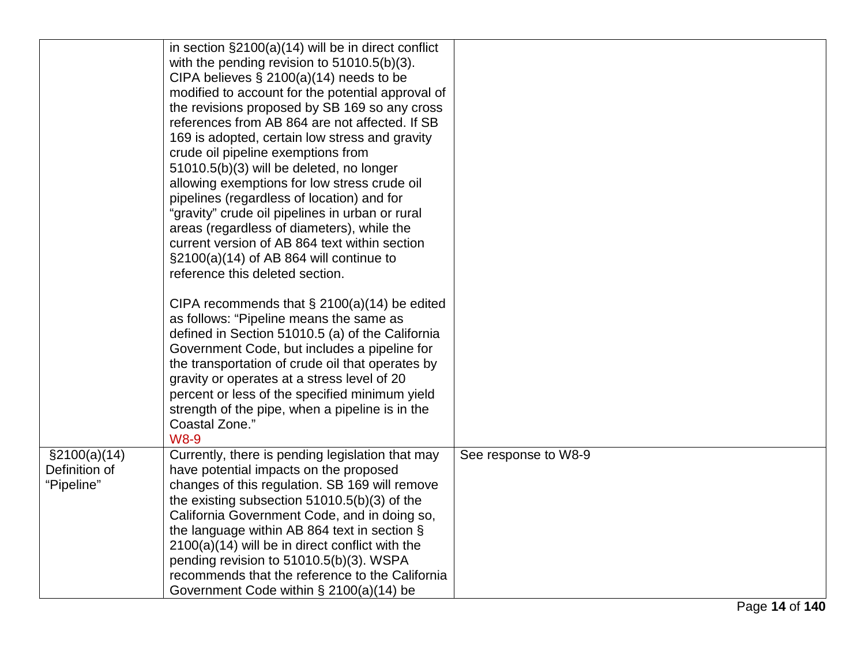|                                                | in section $\S2100(a)(14)$ will be in direct conflict<br>with the pending revision to $51010.5(b)(3)$ .<br>CIPA believes $\S 2100(a)(14)$ needs to be<br>modified to account for the potential approval of<br>the revisions proposed by SB 169 so any cross<br>references from AB 864 are not affected. If SB<br>169 is adopted, certain low stress and gravity<br>crude oil pipeline exemptions from<br>51010.5(b)(3) will be deleted, no longer<br>allowing exemptions for low stress crude oil<br>pipelines (regardless of location) and for<br>"gravity" crude oil pipelines in urban or rural<br>areas (regardless of diameters), while the<br>current version of AB 864 text within section<br>$\S2100(a)(14)$ of AB 864 will continue to<br>reference this deleted section.<br>CIPA recommends that $\S$ 2100(a)(14) be edited<br>as follows: "Pipeline means the same as<br>defined in Section 51010.5 (a) of the California<br>Government Code, but includes a pipeline for<br>the transportation of crude oil that operates by |                      |
|------------------------------------------------|------------------------------------------------------------------------------------------------------------------------------------------------------------------------------------------------------------------------------------------------------------------------------------------------------------------------------------------------------------------------------------------------------------------------------------------------------------------------------------------------------------------------------------------------------------------------------------------------------------------------------------------------------------------------------------------------------------------------------------------------------------------------------------------------------------------------------------------------------------------------------------------------------------------------------------------------------------------------------------------------------------------------------------------|----------------------|
|                                                | gravity or operates at a stress level of 20<br>percent or less of the specified minimum yield<br>strength of the pipe, when a pipeline is in the<br>Coastal Zone."<br><b>W8-9</b>                                                                                                                                                                                                                                                                                                                                                                                                                                                                                                                                                                                                                                                                                                                                                                                                                                                        |                      |
| $\S2100(a)(14)$<br>Definition of<br>"Pipeline" | Currently, there is pending legislation that may<br>have potential impacts on the proposed<br>changes of this regulation. SB 169 will remove<br>the existing subsection $51010.5(b)(3)$ of the<br>California Government Code, and in doing so,<br>the language within AB 864 text in section §<br>$2100(a)(14)$ will be in direct conflict with the<br>pending revision to 51010.5(b)(3). WSPA<br>recommends that the reference to the California<br>Government Code within § 2100(a)(14) be                                                                                                                                                                                                                                                                                                                                                                                                                                                                                                                                             | See response to W8-9 |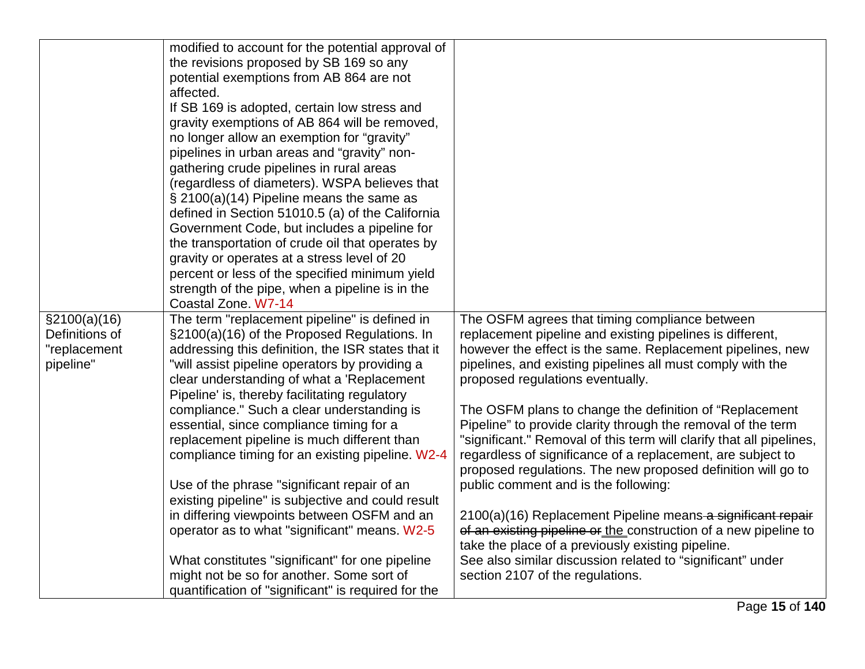|                | modified to account for the potential approval of   |                                                                      |
|----------------|-----------------------------------------------------|----------------------------------------------------------------------|
|                | the revisions proposed by SB 169 so any             |                                                                      |
|                | potential exemptions from AB 864 are not            |                                                                      |
|                |                                                     |                                                                      |
|                | affected.                                           |                                                                      |
|                | If SB 169 is adopted, certain low stress and        |                                                                      |
|                | gravity exemptions of AB 864 will be removed,       |                                                                      |
|                | no longer allow an exemption for "gravity"          |                                                                      |
|                | pipelines in urban areas and "gravity" non-         |                                                                      |
|                | gathering crude pipelines in rural areas            |                                                                      |
|                | (regardless of diameters). WSPA believes that       |                                                                      |
|                | § 2100(a)(14) Pipeline means the same as            |                                                                      |
|                | defined in Section 51010.5 (a) of the California    |                                                                      |
|                | Government Code, but includes a pipeline for        |                                                                      |
|                | the transportation of crude oil that operates by    |                                                                      |
|                | gravity or operates at a stress level of 20         |                                                                      |
|                | percent or less of the specified minimum yield      |                                                                      |
|                | strength of the pipe, when a pipeline is in the     |                                                                      |
|                | Coastal Zone. W7-14                                 |                                                                      |
| \$2100(a)(16)  | The term "replacement pipeline" is defined in       | The OSFM agrees that timing compliance between                       |
| Definitions of | §2100(a)(16) of the Proposed Regulations. In        | replacement pipeline and existing pipelines is different,            |
| "replacement   | addressing this definition, the ISR states that it  | however the effect is the same. Replacement pipelines, new           |
| pipeline"      | "will assist pipeline operators by providing a      | pipelines, and existing pipelines all must comply with the           |
|                | clear understanding of what a 'Replacement          | proposed regulations eventually.                                     |
|                | Pipeline' is, thereby facilitating regulatory       |                                                                      |
|                | compliance." Such a clear understanding is          | The OSFM plans to change the definition of "Replacement"             |
|                | essential, since compliance timing for a            | Pipeline" to provide clarity through the removal of the term         |
|                | replacement pipeline is much different than         | "significant." Removal of this term will clarify that all pipelines, |
|                | compliance timing for an existing pipeline. W2-4    | regardless of significance of a replacement, are subject to          |
|                |                                                     | proposed regulations. The new proposed definition will go to         |
|                | Use of the phrase "significant repair of an         | public comment and is the following:                                 |
|                | existing pipeline" is subjective and could result   |                                                                      |
|                | in differing viewpoints between OSFM and an         | 2100(a)(16) Replacement Pipeline means a significant repair          |
|                | operator as to what "significant" means. W2-5       | of an existing pipeline or the construction of a new pipeline to     |
|                |                                                     | take the place of a previously existing pipeline.                    |
|                | What constitutes "significant" for one pipeline     | See also similar discussion related to "significant" under           |
|                | might not be so for another. Some sort of           | section 2107 of the regulations.                                     |
|                | quantification of "significant" is required for the |                                                                      |
|                |                                                     |                                                                      |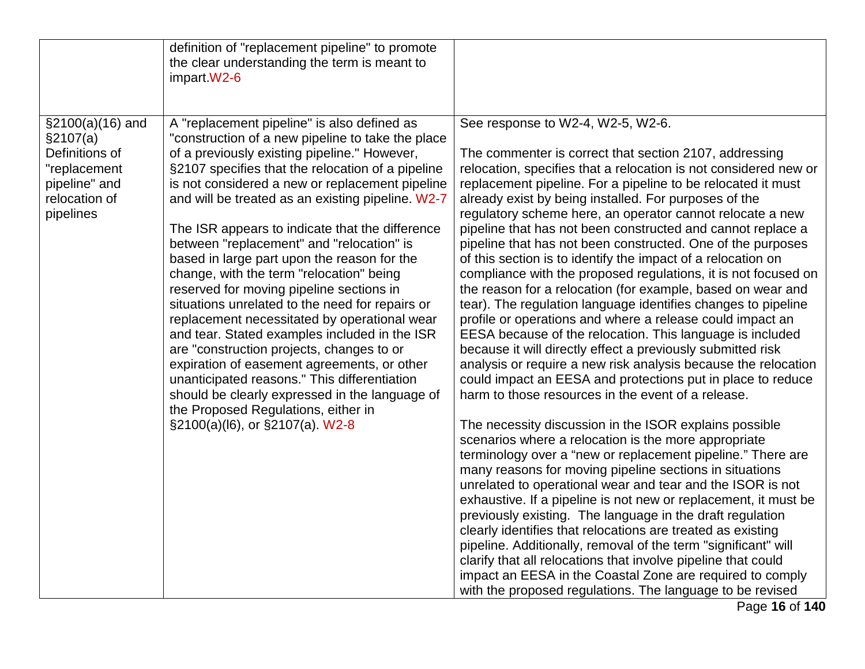|                                                                                                                 | definition of "replacement pipeline" to promote<br>the clear understanding the term is meant to<br>impart.W2-6                                                                                                                                                                                                                                                                                                                                                                                                                                                                                                                                                                                                                                                                                                                                                                                                                                                                   |                                                                                                                                                                                                                                                                                                                                                                                                                                                                                                                                                                                                                                                                                                                                                                                                                                                                                                                                                                                                                                                                                                                                                                                                                                                                                                                                                                                                                                                                                                                                                                                                                                                                                                                                                                                                                                                                                                             |
|-----------------------------------------------------------------------------------------------------------------|----------------------------------------------------------------------------------------------------------------------------------------------------------------------------------------------------------------------------------------------------------------------------------------------------------------------------------------------------------------------------------------------------------------------------------------------------------------------------------------------------------------------------------------------------------------------------------------------------------------------------------------------------------------------------------------------------------------------------------------------------------------------------------------------------------------------------------------------------------------------------------------------------------------------------------------------------------------------------------|-------------------------------------------------------------------------------------------------------------------------------------------------------------------------------------------------------------------------------------------------------------------------------------------------------------------------------------------------------------------------------------------------------------------------------------------------------------------------------------------------------------------------------------------------------------------------------------------------------------------------------------------------------------------------------------------------------------------------------------------------------------------------------------------------------------------------------------------------------------------------------------------------------------------------------------------------------------------------------------------------------------------------------------------------------------------------------------------------------------------------------------------------------------------------------------------------------------------------------------------------------------------------------------------------------------------------------------------------------------------------------------------------------------------------------------------------------------------------------------------------------------------------------------------------------------------------------------------------------------------------------------------------------------------------------------------------------------------------------------------------------------------------------------------------------------------------------------------------------------------------------------------------------------|
| $$2100(a)(16)$ and<br>§2107(a)<br>Definitions of<br>"replacement<br>pipeline" and<br>relocation of<br>pipelines | A "replacement pipeline" is also defined as<br>"construction of a new pipeline to take the place<br>of a previously existing pipeline." However,<br>§2107 specifies that the relocation of a pipeline<br>is not considered a new or replacement pipeline<br>and will be treated as an existing pipeline. W2-7<br>The ISR appears to indicate that the difference<br>between "replacement" and "relocation" is<br>based in large part upon the reason for the<br>change, with the term "relocation" being<br>reserved for moving pipeline sections in<br>situations unrelated to the need for repairs or<br>replacement necessitated by operational wear<br>and tear. Stated examples included in the ISR<br>are "construction projects, changes to or<br>expiration of easement agreements, or other<br>unanticipated reasons." This differentiation<br>should be clearly expressed in the language of<br>the Proposed Regulations, either in<br>§2100(a)(l6), or §2107(a). W2-8 | See response to W2-4, W2-5, W2-6.<br>The commenter is correct that section 2107, addressing<br>relocation, specifies that a relocation is not considered new or<br>replacement pipeline. For a pipeline to be relocated it must<br>already exist by being installed. For purposes of the<br>regulatory scheme here, an operator cannot relocate a new<br>pipeline that has not been constructed and cannot replace a<br>pipeline that has not been constructed. One of the purposes<br>of this section is to identify the impact of a relocation on<br>compliance with the proposed regulations, it is not focused on<br>the reason for a relocation (for example, based on wear and<br>tear). The regulation language identifies changes to pipeline<br>profile or operations and where a release could impact an<br>EESA because of the relocation. This language is included<br>because it will directly effect a previously submitted risk<br>analysis or require a new risk analysis because the relocation<br>could impact an EESA and protections put in place to reduce<br>harm to those resources in the event of a release.<br>The necessity discussion in the ISOR explains possible<br>scenarios where a relocation is the more appropriate<br>terminology over a "new or replacement pipeline." There are<br>many reasons for moving pipeline sections in situations<br>unrelated to operational wear and tear and the ISOR is not<br>exhaustive. If a pipeline is not new or replacement, it must be<br>previously existing. The language in the draft regulation<br>clearly identifies that relocations are treated as existing<br>pipeline. Additionally, removal of the term "significant" will<br>clarify that all relocations that involve pipeline that could<br>impact an EESA in the Coastal Zone are required to comply<br>with the proposed regulations. The language to be revised |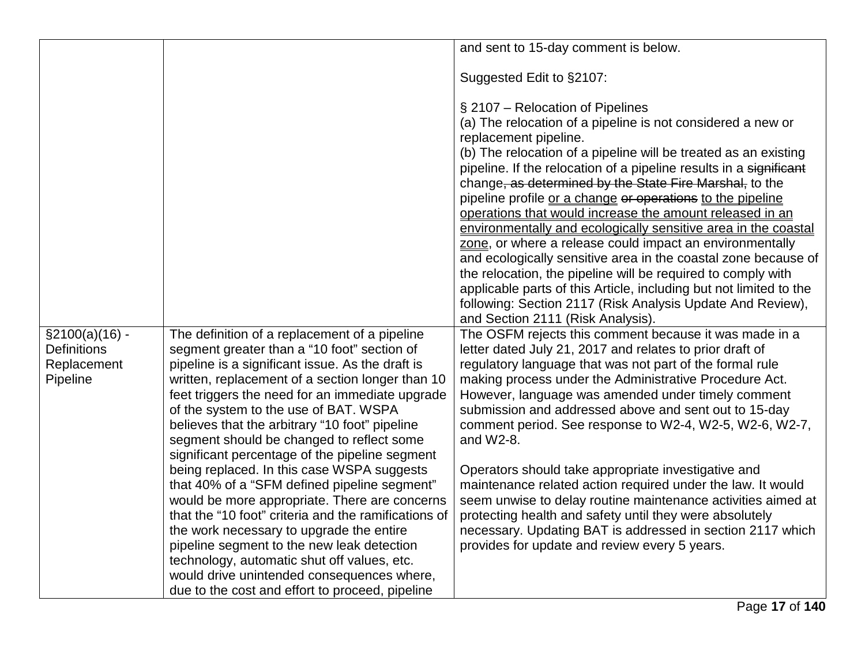|                                                                    |                                                                                                                                                                                                                                                                                                                                                                                                                                                   | and sent to 15-day comment is below.                                                                                                                                                                                                                                                                                                                                                                                                                                                                                                                                                                                                                                                                                                                                                                                                                                                            |
|--------------------------------------------------------------------|---------------------------------------------------------------------------------------------------------------------------------------------------------------------------------------------------------------------------------------------------------------------------------------------------------------------------------------------------------------------------------------------------------------------------------------------------|-------------------------------------------------------------------------------------------------------------------------------------------------------------------------------------------------------------------------------------------------------------------------------------------------------------------------------------------------------------------------------------------------------------------------------------------------------------------------------------------------------------------------------------------------------------------------------------------------------------------------------------------------------------------------------------------------------------------------------------------------------------------------------------------------------------------------------------------------------------------------------------------------|
|                                                                    |                                                                                                                                                                                                                                                                                                                                                                                                                                                   | Suggested Edit to §2107:                                                                                                                                                                                                                                                                                                                                                                                                                                                                                                                                                                                                                                                                                                                                                                                                                                                                        |
|                                                                    |                                                                                                                                                                                                                                                                                                                                                                                                                                                   | § 2107 – Relocation of Pipelines<br>(a) The relocation of a pipeline is not considered a new or<br>replacement pipeline.<br>(b) The relocation of a pipeline will be treated as an existing<br>pipeline. If the relocation of a pipeline results in a significant<br>change, as determined by the State Fire Marshal, to the<br>pipeline profile or a change or operations to the pipeline<br>operations that would increase the amount released in an<br>environmentally and ecologically sensitive area in the coastal<br>zone, or where a release could impact an environmentally<br>and ecologically sensitive area in the coastal zone because of<br>the relocation, the pipeline will be required to comply with<br>applicable parts of this Article, including but not limited to the<br>following: Section 2117 (Risk Analysis Update And Review),<br>and Section 2111 (Risk Analysis). |
| $\S2100(a)(16) -$<br><b>Definitions</b><br>Replacement<br>Pipeline | The definition of a replacement of a pipeline<br>segment greater than a "10 foot" section of<br>pipeline is a significant issue. As the draft is<br>written, replacement of a section longer than 10<br>feet triggers the need for an immediate upgrade<br>of the system to the use of BAT. WSPA<br>believes that the arbitrary "10 foot" pipeline<br>segment should be changed to reflect some<br>significant percentage of the pipeline segment | The OSFM rejects this comment because it was made in a<br>letter dated July 21, 2017 and relates to prior draft of<br>regulatory language that was not part of the formal rule<br>making process under the Administrative Procedure Act.<br>However, language was amended under timely comment<br>submission and addressed above and sent out to 15-day<br>comment period. See response to W2-4, W2-5, W2-6, W2-7,<br>and $W2-8$ .                                                                                                                                                                                                                                                                                                                                                                                                                                                              |
|                                                                    | being replaced. In this case WSPA suggests<br>that 40% of a "SFM defined pipeline segment"<br>would be more appropriate. There are concerns<br>that the "10 foot" criteria and the ramifications of<br>the work necessary to upgrade the entire<br>pipeline segment to the new leak detection<br>technology, automatic shut off values, etc.<br>would drive unintended consequences where,<br>due to the cost and effort to proceed, pipeline     | Operators should take appropriate investigative and<br>maintenance related action required under the law. It would<br>seem unwise to delay routine maintenance activities aimed at<br>protecting health and safety until they were absolutely<br>necessary. Updating BAT is addressed in section 2117 which<br>provides for update and review every 5 years.                                                                                                                                                                                                                                                                                                                                                                                                                                                                                                                                    |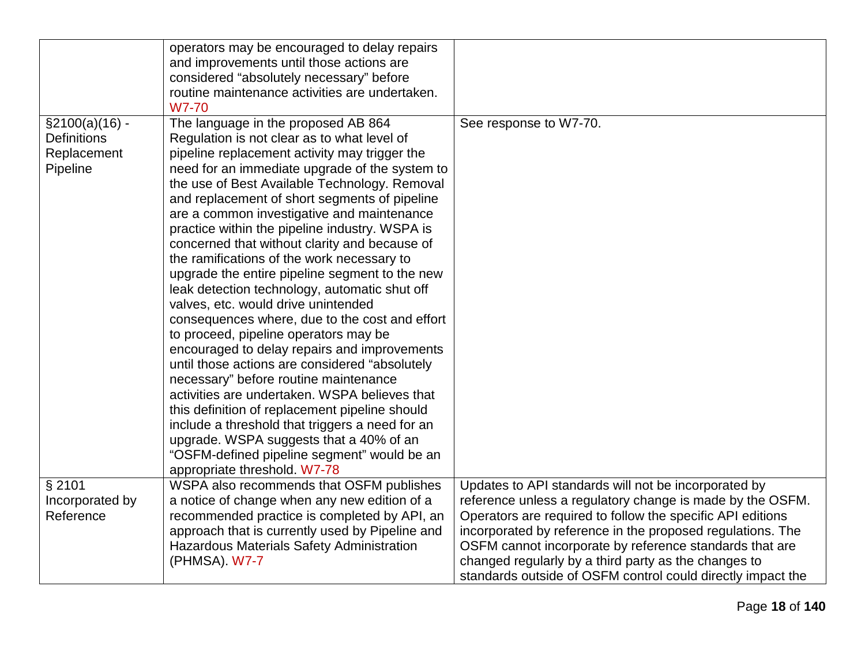|                    | operators may be encouraged to delay repairs     |                                                             |
|--------------------|--------------------------------------------------|-------------------------------------------------------------|
|                    | and improvements until those actions are         |                                                             |
|                    | considered "absolutely necessary" before         |                                                             |
|                    | routine maintenance activities are undertaken.   |                                                             |
|                    | W7-70                                            |                                                             |
| $\S2100(a)(16)$ -  | The language in the proposed AB 864              | See response to W7-70.                                      |
| <b>Definitions</b> | Regulation is not clear as to what level of      |                                                             |
| Replacement        | pipeline replacement activity may trigger the    |                                                             |
| Pipeline           | need for an immediate upgrade of the system to   |                                                             |
|                    | the use of Best Available Technology. Removal    |                                                             |
|                    | and replacement of short segments of pipeline    |                                                             |
|                    | are a common investigative and maintenance       |                                                             |
|                    | practice within the pipeline industry. WSPA is   |                                                             |
|                    | concerned that without clarity and because of    |                                                             |
|                    | the ramifications of the work necessary to       |                                                             |
|                    | upgrade the entire pipeline segment to the new   |                                                             |
|                    | leak detection technology, automatic shut off    |                                                             |
|                    | valves, etc. would drive unintended              |                                                             |
|                    | consequences where, due to the cost and effort   |                                                             |
|                    | to proceed, pipeline operators may be            |                                                             |
|                    | encouraged to delay repairs and improvements     |                                                             |
|                    | until those actions are considered "absolutely   |                                                             |
|                    | necessary" before routine maintenance            |                                                             |
|                    | activities are undertaken. WSPA believes that    |                                                             |
|                    | this definition of replacement pipeline should   |                                                             |
|                    | include a threshold that triggers a need for an  |                                                             |
|                    | upgrade. WSPA suggests that a 40% of an          |                                                             |
|                    | "OSFM-defined pipeline segment" would be an      |                                                             |
|                    | appropriate threshold. W7-78                     |                                                             |
| § 2101             | WSPA also recommends that OSFM publishes         | Updates to API standards will not be incorporated by        |
| Incorporated by    | a notice of change when any new edition of a     | reference unless a regulatory change is made by the OSFM.   |
| Reference          | recommended practice is completed by API, an     | Operators are required to follow the specific API editions  |
|                    | approach that is currently used by Pipeline and  | incorporated by reference in the proposed regulations. The  |
|                    | <b>Hazardous Materials Safety Administration</b> | OSFM cannot incorporate by reference standards that are     |
|                    | (PHMSA). W7-7                                    | changed regularly by a third party as the changes to        |
|                    |                                                  | standards outside of OSFM control could directly impact the |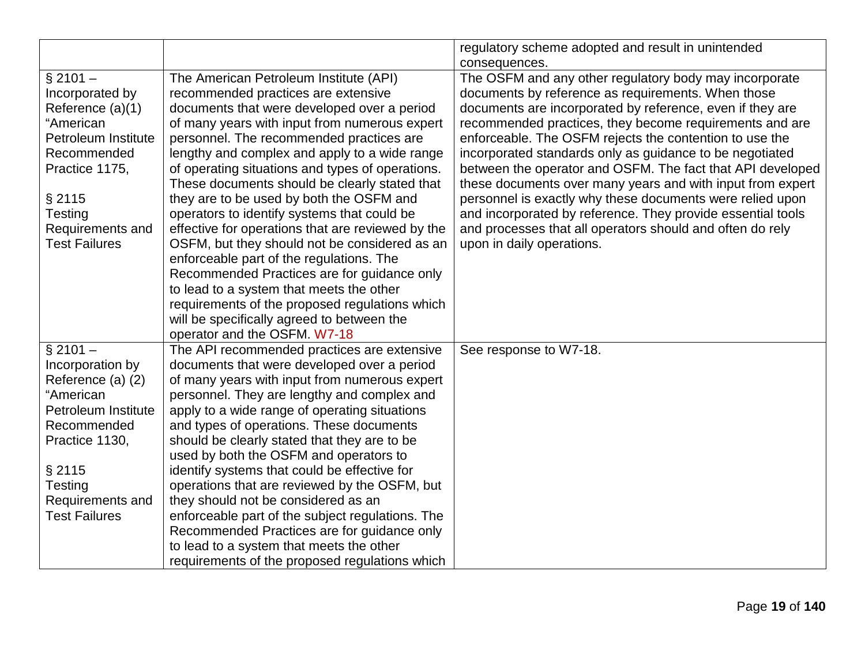|                      |                                                   | regulatory scheme adopted and result in unintended          |
|----------------------|---------------------------------------------------|-------------------------------------------------------------|
|                      |                                                   | consequences.                                               |
| $$2101 -$            | The American Petroleum Institute (API)            | The OSFM and any other regulatory body may incorporate      |
| Incorporated by      | recommended practices are extensive               | documents by reference as requirements. When those          |
| Reference (a)(1)     | documents that were developed over a period       | documents are incorporated by reference, even if they are   |
| "American            | of many years with input from numerous expert     | recommended practices, they become requirements and are     |
| Petroleum Institute  | personnel. The recommended practices are          | enforceable. The OSFM rejects the contention to use the     |
| Recommended          | lengthy and complex and apply to a wide range     | incorporated standards only as guidance to be negotiated    |
| Practice 1175,       | of operating situations and types of operations.  | between the operator and OSFM. The fact that API developed  |
|                      | These documents should be clearly stated that     | these documents over many years and with input from expert  |
| § 2115               | they are to be used by both the OSFM and          | personnel is exactly why these documents were relied upon   |
| Testing              | operators to identify systems that could be       | and incorporated by reference. They provide essential tools |
| Requirements and     | effective for operations that are reviewed by the | and processes that all operators should and often do rely   |
| <b>Test Failures</b> | OSFM, but they should not be considered as an     | upon in daily operations.                                   |
|                      | enforceable part of the regulations. The          |                                                             |
|                      | Recommended Practices are for guidance only       |                                                             |
|                      | to lead to a system that meets the other          |                                                             |
|                      | requirements of the proposed regulations which    |                                                             |
|                      | will be specifically agreed to between the        |                                                             |
|                      | operator and the OSFM. W7-18                      |                                                             |
| $§$ 2101 -           | The API recommended practices are extensive       | See response to W7-18.                                      |
| Incorporation by     | documents that were developed over a period       |                                                             |
| Reference (a) (2)    | of many years with input from numerous expert     |                                                             |
| "American            | personnel. They are lengthy and complex and       |                                                             |
| Petroleum Institute  | apply to a wide range of operating situations     |                                                             |
| Recommended          | and types of operations. These documents          |                                                             |
| Practice 1130,       | should be clearly stated that they are to be      |                                                             |
|                      | used by both the OSFM and operators to            |                                                             |
| § 2115               | identify systems that could be effective for      |                                                             |
| Testing              | operations that are reviewed by the OSFM, but     |                                                             |
| Requirements and     | they should not be considered as an               |                                                             |
| <b>Test Failures</b> | enforceable part of the subject regulations. The  |                                                             |
|                      | Recommended Practices are for guidance only       |                                                             |
|                      | to lead to a system that meets the other          |                                                             |
|                      | requirements of the proposed regulations which    |                                                             |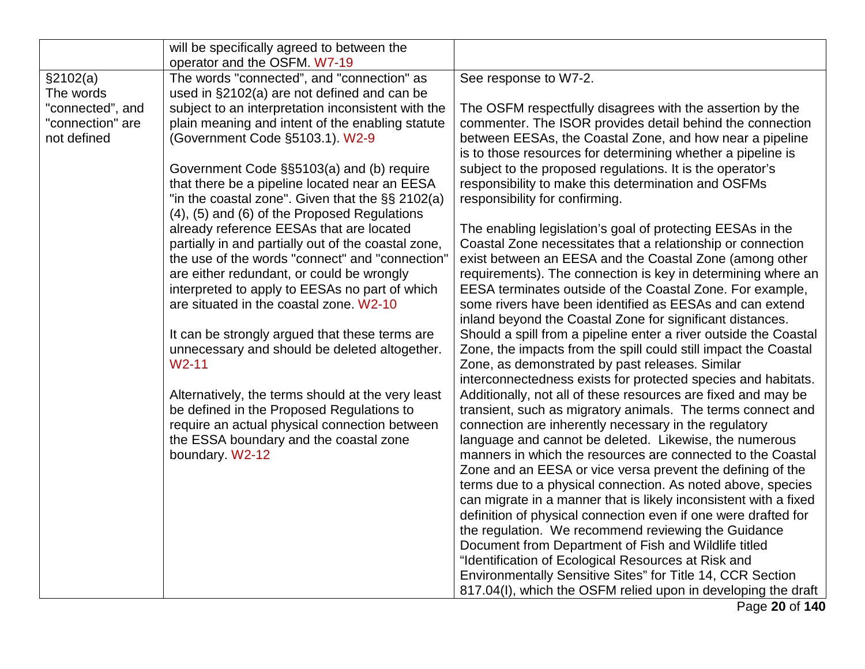|                  | will be specifically agreed to between the                                                           |                                                                                                                                    |
|------------------|------------------------------------------------------------------------------------------------------|------------------------------------------------------------------------------------------------------------------------------------|
|                  | operator and the OSFM. W7-19                                                                         |                                                                                                                                    |
| \$2102(a)        | The words "connected", and "connection" as                                                           | See response to W7-2.                                                                                                              |
| The words        | used in §2102(a) are not defined and can be                                                          |                                                                                                                                    |
| "connected", and | subject to an interpretation inconsistent with the                                                   | The OSFM respectfully disagrees with the assertion by the                                                                          |
| "connection" are | plain meaning and intent of the enabling statute                                                     | commenter. The ISOR provides detail behind the connection                                                                          |
| not defined      | (Government Code §5103.1). W2-9                                                                      | between EESAs, the Coastal Zone, and how near a pipeline                                                                           |
|                  |                                                                                                      | is to those resources for determining whether a pipeline is                                                                        |
|                  | Government Code §§5103(a) and (b) require                                                            | subject to the proposed regulations. It is the operator's                                                                          |
|                  | that there be a pipeline located near an EESA                                                        | responsibility to make this determination and OSFMs                                                                                |
|                  | "in the coastal zone". Given that the $\S$ § 2102(a)<br>(4), (5) and (6) of the Proposed Regulations | responsibility for confirming.                                                                                                     |
|                  | already reference EESAs that are located                                                             | The enabling legislation's goal of protecting EESAs in the                                                                         |
|                  | partially in and partially out of the coastal zone,                                                  | Coastal Zone necessitates that a relationship or connection                                                                        |
|                  | the use of the words "connect" and "connection"                                                      | exist between an EESA and the Coastal Zone (among other                                                                            |
|                  | are either redundant, or could be wrongly                                                            | requirements). The connection is key in determining where an                                                                       |
|                  | interpreted to apply to EESAs no part of which                                                       | EESA terminates outside of the Coastal Zone. For example,                                                                          |
|                  | are situated in the coastal zone. W2-10                                                              | some rivers have been identified as EESAs and can extend                                                                           |
|                  |                                                                                                      | inland beyond the Coastal Zone for significant distances.                                                                          |
|                  | It can be strongly argued that these terms are                                                       | Should a spill from a pipeline enter a river outside the Coastal                                                                   |
|                  | unnecessary and should be deleted altogether.                                                        | Zone, the impacts from the spill could still impact the Coastal                                                                    |
|                  | $W2-11$                                                                                              | Zone, as demonstrated by past releases. Similar                                                                                    |
|                  |                                                                                                      | interconnectedness exists for protected species and habitats.                                                                      |
|                  | Alternatively, the terms should at the very least                                                    | Additionally, not all of these resources are fixed and may be                                                                      |
|                  | be defined in the Proposed Regulations to                                                            | transient, such as migratory animals. The terms connect and                                                                        |
|                  | require an actual physical connection between                                                        | connection are inherently necessary in the regulatory                                                                              |
|                  | the ESSA boundary and the coastal zone                                                               | language and cannot be deleted. Likewise, the numerous                                                                             |
|                  | boundary. W2-12                                                                                      | manners in which the resources are connected to the Coastal                                                                        |
|                  |                                                                                                      | Zone and an EESA or vice versa prevent the defining of the                                                                         |
|                  |                                                                                                      | terms due to a physical connection. As noted above, species                                                                        |
|                  |                                                                                                      | can migrate in a manner that is likely inconsistent with a fixed<br>definition of physical connection even if one were drafted for |
|                  |                                                                                                      | the regulation. We recommend reviewing the Guidance                                                                                |
|                  |                                                                                                      | Document from Department of Fish and Wildlife titled                                                                               |
|                  |                                                                                                      | "Identification of Ecological Resources at Risk and                                                                                |
|                  |                                                                                                      | Environmentally Sensitive Sites" for Title 14, CCR Section                                                                         |
|                  |                                                                                                      | 817.04(I), which the OSFM relied upon in developing the draft                                                                      |
|                  |                                                                                                      | Page 20 of 140                                                                                                                     |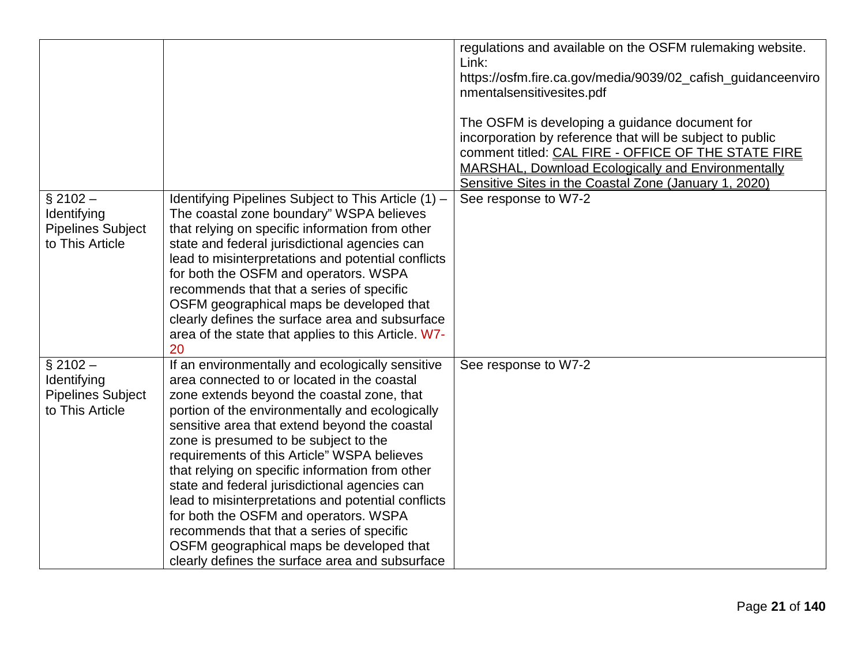|                                                                          |                                                                                                                                                                                                                                                                                                                                                                                                                                                                                                                                                                                                                                                                                          | regulations and available on the OSFM rulemaking website.<br>Link:<br>https://osfm.fire.ca.gov/media/9039/02_cafish_guidanceenviro<br>nmentalsensitivesites.pdf<br>The OSFM is developing a guidance document for<br>incorporation by reference that will be subject to public<br>comment titled: CAL FIRE - OFFICE OF THE STATE FIRE<br><b>MARSHAL, Download Ecologically and Environmentally</b><br>Sensitive Sites in the Coastal Zone (January 1, 2020) |
|--------------------------------------------------------------------------|------------------------------------------------------------------------------------------------------------------------------------------------------------------------------------------------------------------------------------------------------------------------------------------------------------------------------------------------------------------------------------------------------------------------------------------------------------------------------------------------------------------------------------------------------------------------------------------------------------------------------------------------------------------------------------------|-------------------------------------------------------------------------------------------------------------------------------------------------------------------------------------------------------------------------------------------------------------------------------------------------------------------------------------------------------------------------------------------------------------------------------------------------------------|
| $§$ 2102 -<br>Identifying<br><b>Pipelines Subject</b><br>to This Article | Identifying Pipelines Subject to This Article (1) -<br>The coastal zone boundary" WSPA believes<br>that relying on specific information from other<br>state and federal jurisdictional agencies can<br>lead to misinterpretations and potential conflicts<br>for both the OSFM and operators. WSPA<br>recommends that that a series of specific<br>OSFM geographical maps be developed that<br>clearly defines the surface area and subsurface<br>area of the state that applies to this Article. W7-<br>20                                                                                                                                                                              | See response to W7-2                                                                                                                                                                                                                                                                                                                                                                                                                                        |
| $§$ 2102 -<br>Identifying<br><b>Pipelines Subject</b><br>to This Article | If an environmentally and ecologically sensitive<br>area connected to or located in the coastal<br>zone extends beyond the coastal zone, that<br>portion of the environmentally and ecologically<br>sensitive area that extend beyond the coastal<br>zone is presumed to be subject to the<br>requirements of this Article" WSPA believes<br>that relying on specific information from other<br>state and federal jurisdictional agencies can<br>lead to misinterpretations and potential conflicts<br>for both the OSFM and operators. WSPA<br>recommends that that a series of specific<br>OSFM geographical maps be developed that<br>clearly defines the surface area and subsurface | See response to W7-2                                                                                                                                                                                                                                                                                                                                                                                                                                        |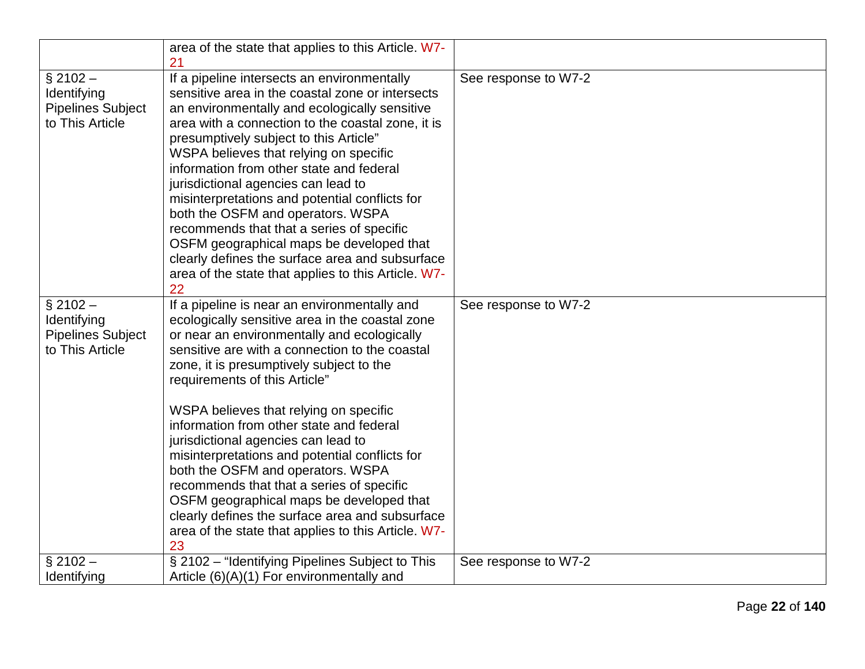|                                                                          | area of the state that applies to this Article. W7-<br>21                                                                                                                                                                                                                                                                                                                                                                                                                                                                                                                                                                                                                                                  |                      |
|--------------------------------------------------------------------------|------------------------------------------------------------------------------------------------------------------------------------------------------------------------------------------------------------------------------------------------------------------------------------------------------------------------------------------------------------------------------------------------------------------------------------------------------------------------------------------------------------------------------------------------------------------------------------------------------------------------------------------------------------------------------------------------------------|----------------------|
| $§$ 2102 -<br>Identifying<br><b>Pipelines Subject</b><br>to This Article | If a pipeline intersects an environmentally<br>sensitive area in the coastal zone or intersects<br>an environmentally and ecologically sensitive<br>area with a connection to the coastal zone, it is<br>presumptively subject to this Article"<br>WSPA believes that relying on specific<br>information from other state and federal<br>jurisdictional agencies can lead to<br>misinterpretations and potential conflicts for<br>both the OSFM and operators. WSPA<br>recommends that that a series of specific<br>OSFM geographical maps be developed that<br>clearly defines the surface area and subsurface<br>area of the state that applies to this Article. W7-<br>22                               | See response to W7-2 |
| $§$ 2102 -<br>Identifying<br><b>Pipelines Subject</b><br>to This Article | If a pipeline is near an environmentally and<br>ecologically sensitive area in the coastal zone<br>or near an environmentally and ecologically<br>sensitive are with a connection to the coastal<br>zone, it is presumptively subject to the<br>requirements of this Article"<br>WSPA believes that relying on specific<br>information from other state and federal<br>jurisdictional agencies can lead to<br>misinterpretations and potential conflicts for<br>both the OSFM and operators. WSPA<br>recommends that that a series of specific<br>OSFM geographical maps be developed that<br>clearly defines the surface area and subsurface<br>area of the state that applies to this Article. W7-<br>23 | See response to W7-2 |
| $§$ 2102 -                                                               | § 2102 - "Identifying Pipelines Subject to This                                                                                                                                                                                                                                                                                                                                                                                                                                                                                                                                                                                                                                                            | See response to W7-2 |
| Identifying                                                              | Article $(6)(A)(1)$ For environmentally and                                                                                                                                                                                                                                                                                                                                                                                                                                                                                                                                                                                                                                                                |                      |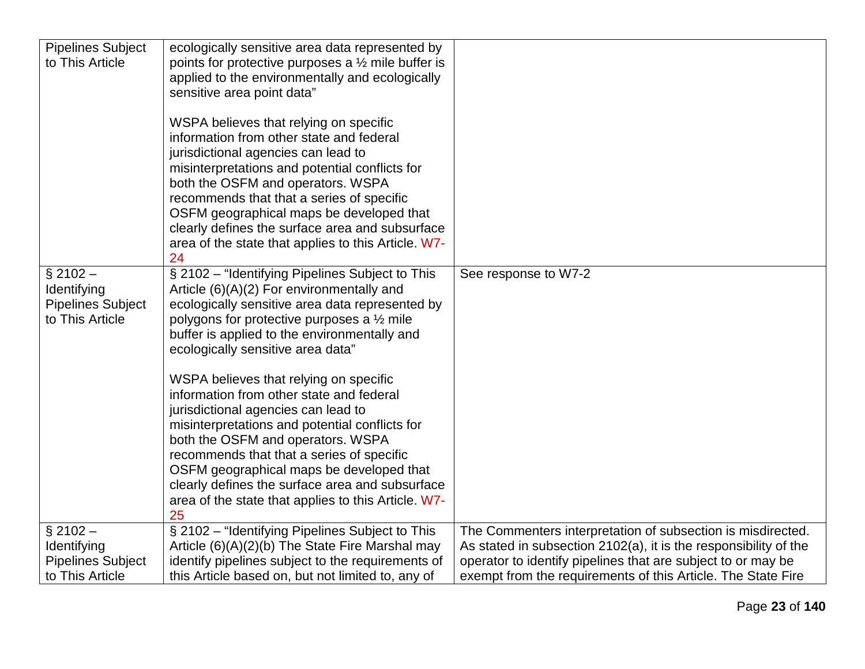| <b>Pipelines Subject</b> | ecologically sensitive area data represented by               |                                                                  |
|--------------------------|---------------------------------------------------------------|------------------------------------------------------------------|
| to This Article          | points for protective purposes a $\frac{1}{2}$ mile buffer is |                                                                  |
|                          | applied to the environmentally and ecologically               |                                                                  |
|                          | sensitive area point data"                                    |                                                                  |
|                          |                                                               |                                                                  |
|                          | WSPA believes that relying on specific                        |                                                                  |
|                          | information from other state and federal                      |                                                                  |
|                          | jurisdictional agencies can lead to                           |                                                                  |
|                          | misinterpretations and potential conflicts for                |                                                                  |
|                          | both the OSFM and operators. WSPA                             |                                                                  |
|                          | recommends that that a series of specific                     |                                                                  |
|                          | OSFM geographical maps be developed that                      |                                                                  |
|                          | clearly defines the surface area and subsurface               |                                                                  |
|                          | area of the state that applies to this Article. W7-<br>24     |                                                                  |
| $§$ 2102 -               | § 2102 - "Identifying Pipelines Subject to This               | See response to W7-2                                             |
| Identifying              | Article $(6)(A)(2)$ For environmentally and                   |                                                                  |
| <b>Pipelines Subject</b> | ecologically sensitive area data represented by               |                                                                  |
| to This Article          | polygons for protective purposes a $\frac{1}{2}$ mile         |                                                                  |
|                          | buffer is applied to the environmentally and                  |                                                                  |
|                          | ecologically sensitive area data"                             |                                                                  |
|                          |                                                               |                                                                  |
|                          | WSPA believes that relying on specific                        |                                                                  |
|                          | information from other state and federal                      |                                                                  |
|                          | jurisdictional agencies can lead to                           |                                                                  |
|                          | misinterpretations and potential conflicts for                |                                                                  |
|                          | both the OSFM and operators. WSPA                             |                                                                  |
|                          | recommends that that a series of specific                     |                                                                  |
|                          | OSFM geographical maps be developed that                      |                                                                  |
|                          | clearly defines the surface area and subsurface               |                                                                  |
|                          | area of the state that applies to this Article. W7-           |                                                                  |
| $§$ 2102 -               | 25<br>§ 2102 - "Identifying Pipelines Subject to This         | The Commenters interpretation of subsection is misdirected.      |
| Identifying              | Article (6)(A)(2)(b) The State Fire Marshal may               | As stated in subsection 2102(a), it is the responsibility of the |
| <b>Pipelines Subject</b> | identify pipelines subject to the requirements of             | operator to identify pipelines that are subject to or may be     |
| to This Article          | this Article based on, but not limited to, any of             | exempt from the requirements of this Article. The State Fire     |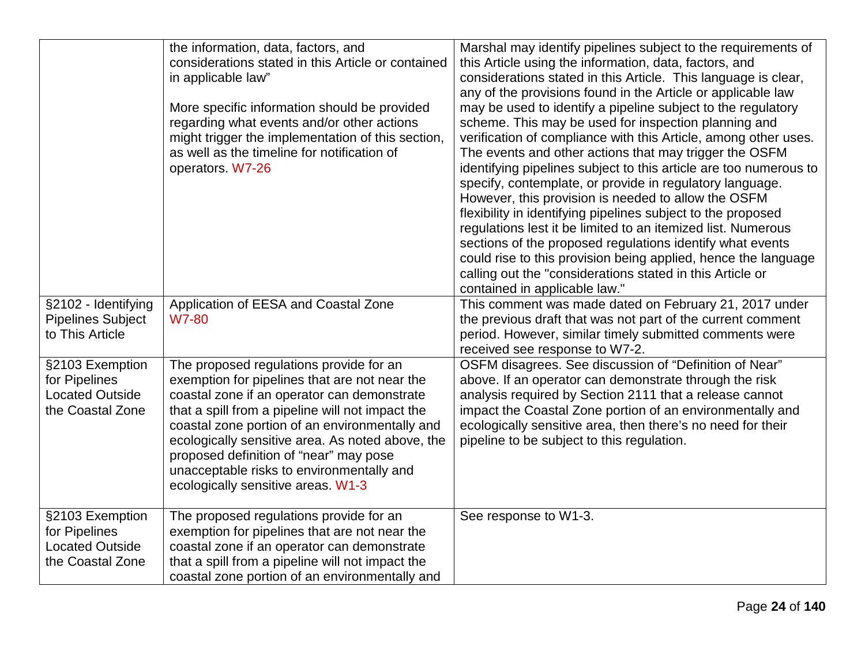| §2102 - Identifying<br><b>Pipelines Subject</b><br>to This Article             | the information, data, factors, and<br>considerations stated in this Article or contained<br>in applicable law"<br>More specific information should be provided<br>regarding what events and/or other actions<br>might trigger the implementation of this section,<br>as well as the timeline for notification of<br>operators. W7-26<br>Application of EESA and Coastal Zone<br><b>W7-80</b>                                  | Marshal may identify pipelines subject to the requirements of<br>this Article using the information, data, factors, and<br>considerations stated in this Article. This language is clear,<br>any of the provisions found in the Article or applicable law<br>may be used to identify a pipeline subject to the regulatory<br>scheme. This may be used for inspection planning and<br>verification of compliance with this Article, among other uses.<br>The events and other actions that may trigger the OSFM<br>identifying pipelines subject to this article are too numerous to<br>specify, contemplate, or provide in regulatory language.<br>However, this provision is needed to allow the OSFM<br>flexibility in identifying pipelines subject to the proposed<br>regulations lest it be limited to an itemized list. Numerous<br>sections of the proposed regulations identify what events<br>could rise to this provision being applied, hence the language<br>calling out the "considerations stated in this Article or<br>contained in applicable law."<br>This comment was made dated on February 21, 2017 under<br>the previous draft that was not part of the current comment<br>period. However, similar timely submitted comments were<br>received see response to W7-2. |
|--------------------------------------------------------------------------------|--------------------------------------------------------------------------------------------------------------------------------------------------------------------------------------------------------------------------------------------------------------------------------------------------------------------------------------------------------------------------------------------------------------------------------|-------------------------------------------------------------------------------------------------------------------------------------------------------------------------------------------------------------------------------------------------------------------------------------------------------------------------------------------------------------------------------------------------------------------------------------------------------------------------------------------------------------------------------------------------------------------------------------------------------------------------------------------------------------------------------------------------------------------------------------------------------------------------------------------------------------------------------------------------------------------------------------------------------------------------------------------------------------------------------------------------------------------------------------------------------------------------------------------------------------------------------------------------------------------------------------------------------------------------------------------------------------------------------------------|
| §2103 Exemption<br>for Pipelines<br><b>Located Outside</b><br>the Coastal Zone | The proposed regulations provide for an<br>exemption for pipelines that are not near the<br>coastal zone if an operator can demonstrate<br>that a spill from a pipeline will not impact the<br>coastal zone portion of an environmentally and<br>ecologically sensitive area. As noted above, the<br>proposed definition of "near" may pose<br>unacceptable risks to environmentally and<br>ecologically sensitive areas. W1-3 | OSFM disagrees. See discussion of "Definition of Near"<br>above. If an operator can demonstrate through the risk<br>analysis required by Section 2111 that a release cannot<br>impact the Coastal Zone portion of an environmentally and<br>ecologically sensitive area, then there's no need for their<br>pipeline to be subject to this regulation.                                                                                                                                                                                                                                                                                                                                                                                                                                                                                                                                                                                                                                                                                                                                                                                                                                                                                                                                     |
| §2103 Exemption<br>for Pipelines<br><b>Located Outside</b><br>the Coastal Zone | The proposed regulations provide for an<br>exemption for pipelines that are not near the<br>coastal zone if an operator can demonstrate<br>that a spill from a pipeline will not impact the<br>coastal zone portion of an environmentally and                                                                                                                                                                                  | See response to W1-3.                                                                                                                                                                                                                                                                                                                                                                                                                                                                                                                                                                                                                                                                                                                                                                                                                                                                                                                                                                                                                                                                                                                                                                                                                                                                     |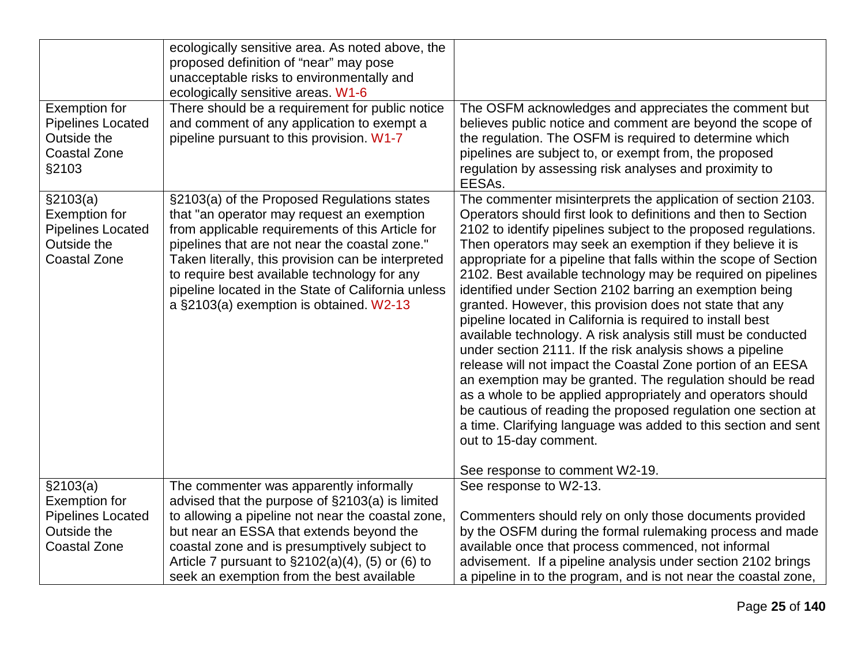|                          | ecologically sensitive area. As noted above, the     |                                                                   |
|--------------------------|------------------------------------------------------|-------------------------------------------------------------------|
|                          | proposed definition of "near" may pose               |                                                                   |
|                          | unacceptable risks to environmentally and            |                                                                   |
|                          | ecologically sensitive areas. W1-6                   |                                                                   |
| <b>Exemption for</b>     | There should be a requirement for public notice      | The OSFM acknowledges and appreciates the comment but             |
| <b>Pipelines Located</b> | and comment of any application to exempt a           | believes public notice and comment are beyond the scope of        |
| Outside the              | pipeline pursuant to this provision. W1-7            | the regulation. The OSFM is required to determine which           |
| <b>Coastal Zone</b>      |                                                      | pipelines are subject to, or exempt from, the proposed            |
| §2103                    |                                                      | regulation by assessing risk analyses and proximity to            |
|                          |                                                      | EESAs.                                                            |
| \$2103(a)                | §2103(a) of the Proposed Regulations states          | The commenter misinterprets the application of section 2103.      |
| <b>Exemption for</b>     | that "an operator may request an exemption           | Operators should first look to definitions and then to Section    |
| <b>Pipelines Located</b> | from applicable requirements of this Article for     | 2102 to identify pipelines subject to the proposed regulations.   |
| Outside the              | pipelines that are not near the coastal zone."       | Then operators may seek an exemption if they believe it is        |
| <b>Coastal Zone</b>      | Taken literally, this provision can be interpreted   | appropriate for a pipeline that falls within the scope of Section |
|                          | to require best available technology for any         | 2102. Best available technology may be required on pipelines      |
|                          | pipeline located in the State of California unless   | identified under Section 2102 barring an exemption being          |
|                          | a §2103(a) exemption is obtained. W2-13              | granted. However, this provision does not state that any          |
|                          |                                                      | pipeline located in California is required to install best        |
|                          |                                                      | available technology. A risk analysis still must be conducted     |
|                          |                                                      | under section 2111. If the risk analysis shows a pipeline         |
|                          |                                                      | release will not impact the Coastal Zone portion of an EESA       |
|                          |                                                      | an exemption may be granted. The regulation should be read        |
|                          |                                                      | as a whole to be applied appropriately and operators should       |
|                          |                                                      | be cautious of reading the proposed regulation one section at     |
|                          |                                                      | a time. Clarifying language was added to this section and sent    |
|                          |                                                      | out to 15-day comment.                                            |
|                          |                                                      |                                                                   |
|                          |                                                      | See response to comment W2-19.                                    |
| \$2103(a)                | The commenter was apparently informally              | See response to W2-13.                                            |
| <b>Exemption for</b>     | advised that the purpose of §2103(a) is limited      |                                                                   |
| <b>Pipelines Located</b> | to allowing a pipeline not near the coastal zone,    | Commenters should rely on only those documents provided           |
| Outside the              | but near an ESSA that extends beyond the             | by the OSFM during the formal rulemaking process and made         |
| <b>Coastal Zone</b>      | coastal zone and is presumptively subject to         | available once that process commenced, not informal               |
|                          | Article 7 pursuant to $\S2102(a)(4)$ , (5) or (6) to | advisement. If a pipeline analysis under section 2102 brings      |
|                          | seek an exemption from the best available            | a pipeline in to the program, and is not near the coastal zone,   |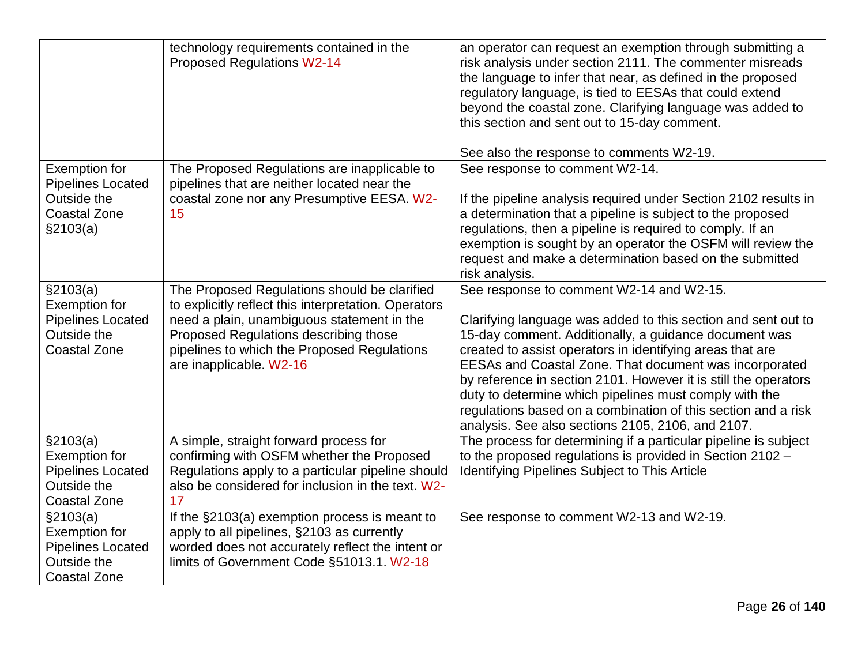|                                                  | technology requirements contained in the<br><b>Proposed Regulations W2-14</b>                 | an operator can request an exemption through submitting a<br>risk analysis under section 2111. The commenter misreads<br>the language to infer that near, as defined in the proposed<br>regulatory language, is tied to EESAs that could extend<br>beyond the coastal zone. Clarifying language was added to<br>this section and sent out to 15-day comment. |
|--------------------------------------------------|-----------------------------------------------------------------------------------------------|--------------------------------------------------------------------------------------------------------------------------------------------------------------------------------------------------------------------------------------------------------------------------------------------------------------------------------------------------------------|
|                                                  |                                                                                               | See also the response to comments W2-19.                                                                                                                                                                                                                                                                                                                     |
| <b>Exemption for</b><br><b>Pipelines Located</b> | The Proposed Regulations are inapplicable to<br>pipelines that are neither located near the   | See response to comment W2-14.                                                                                                                                                                                                                                                                                                                               |
| Outside the                                      | coastal zone nor any Presumptive EESA. W2-                                                    | If the pipeline analysis required under Section 2102 results in                                                                                                                                                                                                                                                                                              |
| <b>Coastal Zone</b>                              | 15                                                                                            | a determination that a pipeline is subject to the proposed                                                                                                                                                                                                                                                                                                   |
| \$2103(a)                                        |                                                                                               | regulations, then a pipeline is required to comply. If an                                                                                                                                                                                                                                                                                                    |
|                                                  |                                                                                               | exemption is sought by an operator the OSFM will review the                                                                                                                                                                                                                                                                                                  |
|                                                  |                                                                                               | request and make a determination based on the submitted<br>risk analysis.                                                                                                                                                                                                                                                                                    |
| §2103(a)                                         | The Proposed Regulations should be clarified                                                  | See response to comment W2-14 and W2-15.                                                                                                                                                                                                                                                                                                                     |
| <b>Exemption for</b>                             | to explicitly reflect this interpretation. Operators                                          |                                                                                                                                                                                                                                                                                                                                                              |
| <b>Pipelines Located</b>                         | need a plain, unambiguous statement in the                                                    | Clarifying language was added to this section and sent out to                                                                                                                                                                                                                                                                                                |
| Outside the                                      | Proposed Regulations describing those                                                         | 15-day comment. Additionally, a guidance document was                                                                                                                                                                                                                                                                                                        |
| <b>Coastal Zone</b>                              | pipelines to which the Proposed Regulations                                                   | created to assist operators in identifying areas that are                                                                                                                                                                                                                                                                                                    |
|                                                  | are inapplicable. W2-16                                                                       | EESAs and Coastal Zone. That document was incorporated                                                                                                                                                                                                                                                                                                       |
|                                                  |                                                                                               | by reference in section 2101. However it is still the operators<br>duty to determine which pipelines must comply with the                                                                                                                                                                                                                                    |
|                                                  |                                                                                               | regulations based on a combination of this section and a risk                                                                                                                                                                                                                                                                                                |
|                                                  |                                                                                               | analysis. See also sections 2105, 2106, and 2107.                                                                                                                                                                                                                                                                                                            |
| \$2103(a)                                        | A simple, straight forward process for                                                        | The process for determining if a particular pipeline is subject                                                                                                                                                                                                                                                                                              |
| <b>Exemption for</b>                             | confirming with OSFM whether the Proposed                                                     | to the proposed regulations is provided in Section 2102 -                                                                                                                                                                                                                                                                                                    |
| <b>Pipelines Located</b>                         | Regulations apply to a particular pipeline should                                             | <b>Identifying Pipelines Subject to This Article</b>                                                                                                                                                                                                                                                                                                         |
| Outside the                                      | also be considered for inclusion in the text. W2-                                             |                                                                                                                                                                                                                                                                                                                                                              |
| <b>Coastal Zone</b>                              | 17                                                                                            |                                                                                                                                                                                                                                                                                                                                                              |
| \$2103(a)                                        | If the §2103(a) exemption process is meant to                                                 | See response to comment W2-13 and W2-19.                                                                                                                                                                                                                                                                                                                     |
| <b>Exemption for</b>                             | apply to all pipelines, §2103 as currently                                                    |                                                                                                                                                                                                                                                                                                                                                              |
| <b>Pipelines Located</b><br>Outside the          | worded does not accurately reflect the intent or<br>limits of Government Code §51013.1. W2-18 |                                                                                                                                                                                                                                                                                                                                                              |
| <b>Coastal Zone</b>                              |                                                                                               |                                                                                                                                                                                                                                                                                                                                                              |
|                                                  |                                                                                               |                                                                                                                                                                                                                                                                                                                                                              |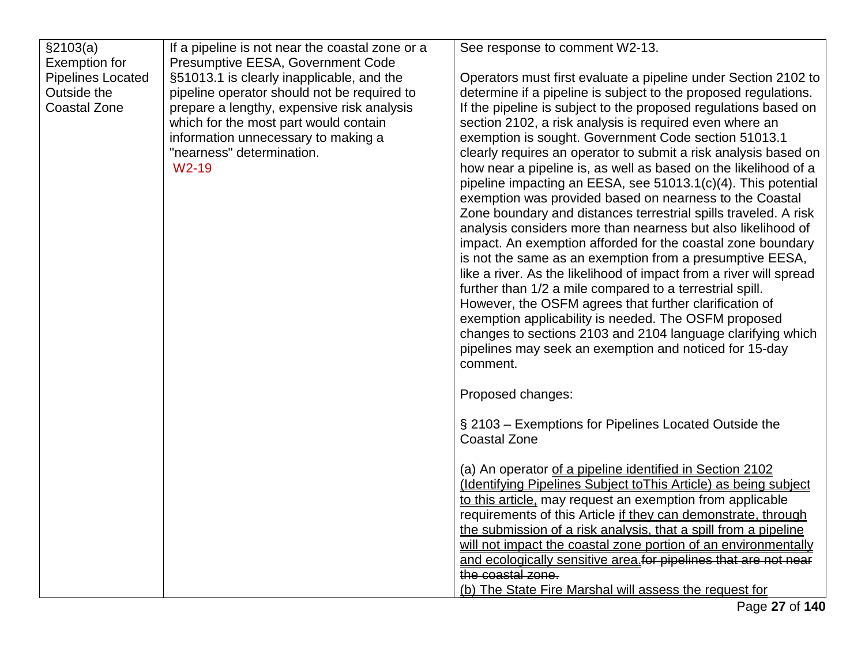| \$2103(a)                | If a pipeline is not near the coastal zone or a | See response to comment W2-13.                                     |
|--------------------------|-------------------------------------------------|--------------------------------------------------------------------|
| <b>Exemption for</b>     | Presumptive EESA, Government Code               |                                                                    |
| <b>Pipelines Located</b> | §51013.1 is clearly inapplicable, and the       | Operators must first evaluate a pipeline under Section 2102 to     |
| Outside the              | pipeline operator should not be required to     | determine if a pipeline is subject to the proposed regulations.    |
| <b>Coastal Zone</b>      | prepare a lengthy, expensive risk analysis      | If the pipeline is subject to the proposed regulations based on    |
|                          | which for the most part would contain           | section 2102, a risk analysis is required even where an            |
|                          | information unnecessary to making a             | exemption is sought. Government Code section 51013.1               |
|                          | "nearness" determination.                       | clearly requires an operator to submit a risk analysis based on    |
|                          | W <sub>2</sub> -19                              | how near a pipeline is, as well as based on the likelihood of a    |
|                          |                                                 | pipeline impacting an EESA, see 51013.1(c)(4). This potential      |
|                          |                                                 | exemption was provided based on nearness to the Coastal            |
|                          |                                                 | Zone boundary and distances terrestrial spills traveled. A risk    |
|                          |                                                 | analysis considers more than nearness but also likelihood of       |
|                          |                                                 | impact. An exemption afforded for the coastal zone boundary        |
|                          |                                                 | is not the same as an exemption from a presumptive EESA,           |
|                          |                                                 | like a river. As the likelihood of impact from a river will spread |
|                          |                                                 | further than 1/2 a mile compared to a terrestrial spill.           |
|                          |                                                 | However, the OSFM agrees that further clarification of             |
|                          |                                                 | exemption applicability is needed. The OSFM proposed               |
|                          |                                                 | changes to sections 2103 and 2104 language clarifying which        |
|                          |                                                 | pipelines may seek an exemption and noticed for 15-day             |
|                          |                                                 | comment.                                                           |
|                          |                                                 | Proposed changes:                                                  |
|                          |                                                 | § 2103 – Exemptions for Pipelines Located Outside the              |
|                          |                                                 | <b>Coastal Zone</b>                                                |
|                          |                                                 |                                                                    |
|                          |                                                 | (a) An operator of a pipeline identified in Section 2102           |
|                          |                                                 | (Identifying Pipelines Subject to This Article) as being subject   |
|                          |                                                 | to this article, may request an exemption from applicable          |
|                          |                                                 | requirements of this Article if they can demonstrate, through      |
|                          |                                                 | the submission of a risk analysis, that a spill from a pipeline    |
|                          |                                                 | will not impact the coastal zone portion of an environmentally     |
|                          |                                                 | and ecologically sensitive area for pipelines that are not near    |
|                          |                                                 | the coastal zone.                                                  |
|                          |                                                 | (b) The State Fire Marshal will assess the request for             |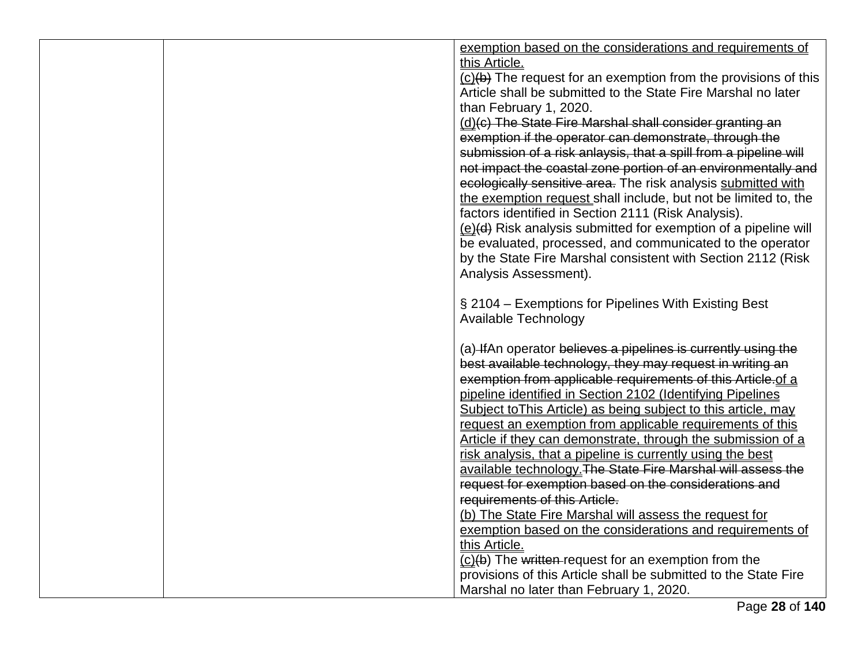|  | exemption based on the considerations and requirements of                                                                   |
|--|-----------------------------------------------------------------------------------------------------------------------------|
|  | this Article.                                                                                                               |
|  | $(c)(b)$ The request for an exemption from the provisions of this                                                           |
|  | Article shall be submitted to the State Fire Marshal no later                                                               |
|  | than February 1, 2020.                                                                                                      |
|  | (d)(c) The State Fire Marshal shall consider granting an                                                                    |
|  | exemption if the operator can demonstrate, through the                                                                      |
|  | submission of a risk anlaysis, that a spill from a pipeline will                                                            |
|  | not impact the coastal zone portion of an environmentally and                                                               |
|  | ecologically sensitive area. The risk analysis submitted with                                                               |
|  | the exemption request shall include, but not be limited to, the                                                             |
|  | factors identified in Section 2111 (Risk Analysis).                                                                         |
|  | (e)(d) Risk analysis submitted for exemption of a pipeline will                                                             |
|  | be evaluated, processed, and communicated to the operator                                                                   |
|  | by the State Fire Marshal consistent with Section 2112 (Risk                                                                |
|  | Analysis Assessment).                                                                                                       |
|  |                                                                                                                             |
|  | § 2104 – Exemptions for Pipelines With Existing Best                                                                        |
|  | <b>Available Technology</b>                                                                                                 |
|  |                                                                                                                             |
|  | (a) If An operator believes a pipelines is currently using the                                                              |
|  | best available technology, they may request in writing an                                                                   |
|  | exemption from applicable requirements of this Article.of a                                                                 |
|  | pipeline identified in Section 2102 (Identifying Pipelines                                                                  |
|  | Subject to This Article) as being subject to this article, may<br>request an exemption from applicable requirements of this |
|  | Article if they can demonstrate, through the submission of a                                                                |
|  | risk analysis, that a pipeline is currently using the best                                                                  |
|  | available technology. The State Fire Marshal will assess the                                                                |
|  | request for exemption based on the considerations and                                                                       |
|  | requirements of this Article.                                                                                               |
|  | (b) The State Fire Marshal will assess the request for                                                                      |
|  | exemption based on the considerations and requirements of                                                                   |
|  | this Article.                                                                                                               |
|  | $(c)(b)$ The written-request for an exemption from the                                                                      |
|  | provisions of this Article shall be submitted to the State Fire                                                             |
|  | Marshal no later than February 1, 2020.                                                                                     |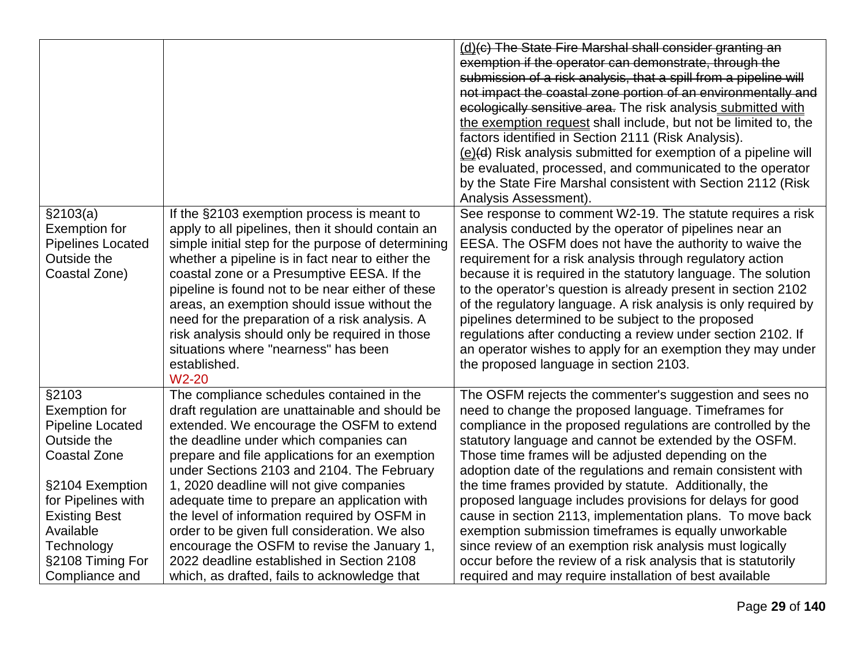|                                                                                                                   |                                                                                                                                                                                                                                                                                                                                                                                                                                                                                                                                    | (d)(c) The State Fire Marshal shall consider granting an<br>exemption if the operator can demonstrate, through the<br>submission of a risk analysis, that a spill from a pipeline will<br>not impact the coastal zone portion of an environmentally and<br>ecologically sensitive area. The risk analysis submitted with<br>the exemption request shall include, but not be limited to, the<br>factors identified in Section 2111 (Risk Analysis).<br>(e)(d) Risk analysis submitted for exemption of a pipeline will<br>be evaluated, processed, and communicated to the operator<br>by the State Fire Marshal consistent with Section 2112 (Risk<br>Analysis Assessment).        |
|-------------------------------------------------------------------------------------------------------------------|------------------------------------------------------------------------------------------------------------------------------------------------------------------------------------------------------------------------------------------------------------------------------------------------------------------------------------------------------------------------------------------------------------------------------------------------------------------------------------------------------------------------------------|------------------------------------------------------------------------------------------------------------------------------------------------------------------------------------------------------------------------------------------------------------------------------------------------------------------------------------------------------------------------------------------------------------------------------------------------------------------------------------------------------------------------------------------------------------------------------------------------------------------------------------------------------------------------------------|
| \$2103(a)<br><b>Exemption for</b><br><b>Pipelines Located</b><br>Outside the<br>Coastal Zone)                     | If the §2103 exemption process is meant to<br>apply to all pipelines, then it should contain an<br>simple initial step for the purpose of determining<br>whether a pipeline is in fact near to either the<br>coastal zone or a Presumptive EESA. If the<br>pipeline is found not to be near either of these<br>areas, an exemption should issue without the<br>need for the preparation of a risk analysis. A<br>risk analysis should only be required in those<br>situations where "nearness" has been<br>established.<br>$W2-20$ | See response to comment W2-19. The statute requires a risk<br>analysis conducted by the operator of pipelines near an<br>EESA. The OSFM does not have the authority to waive the<br>requirement for a risk analysis through regulatory action<br>because it is required in the statutory language. The solution<br>to the operator's question is already present in section 2102<br>of the regulatory language. A risk analysis is only required by<br>pipelines determined to be subject to the proposed<br>regulations after conducting a review under section 2102. If<br>an operator wishes to apply for an exemption they may under<br>the proposed language in section 2103. |
| §2103<br><b>Exemption for</b><br><b>Pipeline Located</b><br>Outside the<br><b>Coastal Zone</b><br>§2104 Exemption | The compliance schedules contained in the<br>draft regulation are unattainable and should be<br>extended. We encourage the OSFM to extend<br>the deadline under which companies can<br>prepare and file applications for an exemption<br>under Sections 2103 and 2104. The February<br>1, 2020 deadline will not give companies                                                                                                                                                                                                    | The OSFM rejects the commenter's suggestion and sees no<br>need to change the proposed language. Timeframes for<br>compliance in the proposed regulations are controlled by the<br>statutory language and cannot be extended by the OSFM.<br>Those time frames will be adjusted depending on the<br>adoption date of the regulations and remain consistent with<br>the time frames provided by statute. Additionally, the                                                                                                                                                                                                                                                          |
| <b>Existing Best</b>                                                                                              | the level of information required by OSFM in                                                                                                                                                                                                                                                                                                                                                                                                                                                                                       | cause in section 2113, implementation plans. To move back                                                                                                                                                                                                                                                                                                                                                                                                                                                                                                                                                                                                                          |
| Technology<br>§2108 Timing For                                                                                    | encourage the OSFM to revise the January 1,<br>2022 deadline established in Section 2108                                                                                                                                                                                                                                                                                                                                                                                                                                           | since review of an exemption risk analysis must logically<br>occur before the review of a risk analysis that is statutorily                                                                                                                                                                                                                                                                                                                                                                                                                                                                                                                                                        |
| for Pipelines with<br>Available<br>Compliance and                                                                 | adequate time to prepare an application with<br>order to be given full consideration. We also<br>which, as drafted, fails to acknowledge that                                                                                                                                                                                                                                                                                                                                                                                      | proposed language includes provisions for delays for good<br>exemption submission timeframes is equally unworkable<br>required and may require installation of best available                                                                                                                                                                                                                                                                                                                                                                                                                                                                                                      |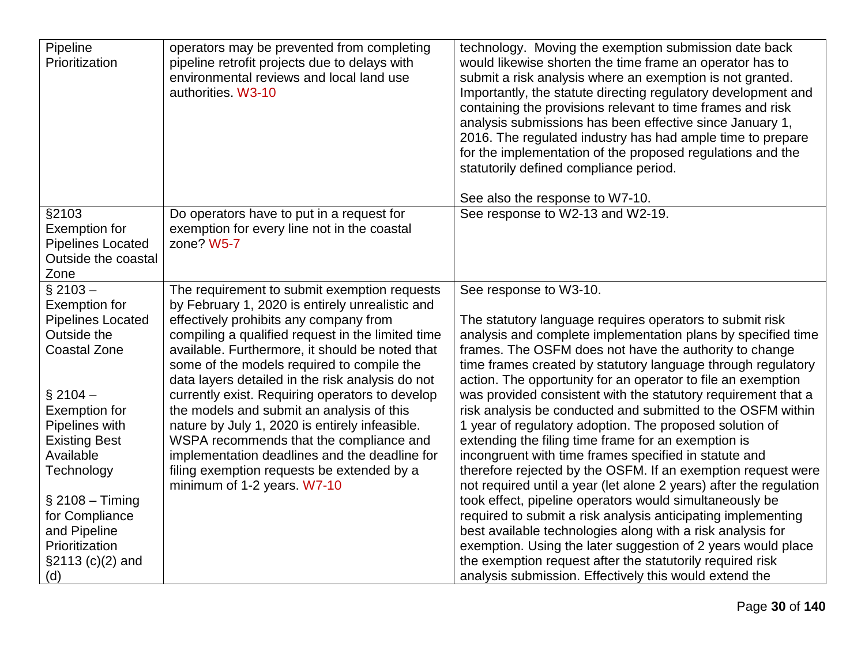| Pipeline<br>Prioritization                                             | operators may be prevented from completing<br>pipeline retrofit projects due to delays with<br>environmental reviews and local land use<br>authorities. W3-10                                                                                    | technology. Moving the exemption submission date back<br>would likewise shorten the time frame an operator has to<br>submit a risk analysis where an exemption is not granted.<br>Importantly, the statute directing regulatory development and<br>containing the provisions relevant to time frames and risk<br>analysis submissions has been effective since January 1,<br>2016. The regulated industry has had ample time to prepare<br>for the implementation of the proposed regulations and the<br>statutorily defined compliance period. |
|------------------------------------------------------------------------|--------------------------------------------------------------------------------------------------------------------------------------------------------------------------------------------------------------------------------------------------|-------------------------------------------------------------------------------------------------------------------------------------------------------------------------------------------------------------------------------------------------------------------------------------------------------------------------------------------------------------------------------------------------------------------------------------------------------------------------------------------------------------------------------------------------|
| §2103<br><b>Exemption for</b>                                          | Do operators have to put in a request for<br>exemption for every line not in the coastal                                                                                                                                                         | See also the response to W7-10.<br>See response to W2-13 and W2-19.                                                                                                                                                                                                                                                                                                                                                                                                                                                                             |
| <b>Pipelines Located</b><br>Outside the coastal<br>Zone                | zone? W5-7                                                                                                                                                                                                                                       |                                                                                                                                                                                                                                                                                                                                                                                                                                                                                                                                                 |
| $§$ 2103 -<br><b>Exemption for</b>                                     | The requirement to submit exemption requests<br>by February 1, 2020 is entirely unrealistic and                                                                                                                                                  | See response to W3-10.                                                                                                                                                                                                                                                                                                                                                                                                                                                                                                                          |
| <b>Pipelines Located</b><br>Outside the<br><b>Coastal Zone</b>         | effectively prohibits any company from<br>compiling a qualified request in the limited time<br>available. Furthermore, it should be noted that<br>some of the models required to compile the<br>data layers detailed in the risk analysis do not | The statutory language requires operators to submit risk<br>analysis and complete implementation plans by specified time<br>frames. The OSFM does not have the authority to change<br>time frames created by statutory language through regulatory<br>action. The opportunity for an operator to file an exemption                                                                                                                                                                                                                              |
| $§$ 2104 -<br><b>Exemption for</b><br>Pipelines with                   | currently exist. Requiring operators to develop<br>the models and submit an analysis of this<br>nature by July 1, 2020 is entirely infeasible.                                                                                                   | was provided consistent with the statutory requirement that a<br>risk analysis be conducted and submitted to the OSFM within<br>1 year of regulatory adoption. The proposed solution of                                                                                                                                                                                                                                                                                                                                                         |
| <b>Existing Best</b><br>Available<br>Technology                        | WSPA recommends that the compliance and<br>implementation deadlines and the deadline for<br>filing exemption requests be extended by a<br>minimum of 1-2 years. W7-10                                                                            | extending the filing time frame for an exemption is<br>incongruent with time frames specified in statute and<br>therefore rejected by the OSFM. If an exemption request were<br>not required until a year (let alone 2 years) after the regulation                                                                                                                                                                                                                                                                                              |
| $\S 2108 -$ Timing<br>for Compliance<br>and Pipeline<br>Prioritization |                                                                                                                                                                                                                                                  | took effect, pipeline operators would simultaneously be<br>required to submit a risk analysis anticipating implementing<br>best available technologies along with a risk analysis for<br>exemption. Using the later suggestion of 2 years would place                                                                                                                                                                                                                                                                                           |
| §2113 (c)(2) and<br>(d)                                                |                                                                                                                                                                                                                                                  | the exemption request after the statutorily required risk<br>analysis submission. Effectively this would extend the                                                                                                                                                                                                                                                                                                                                                                                                                             |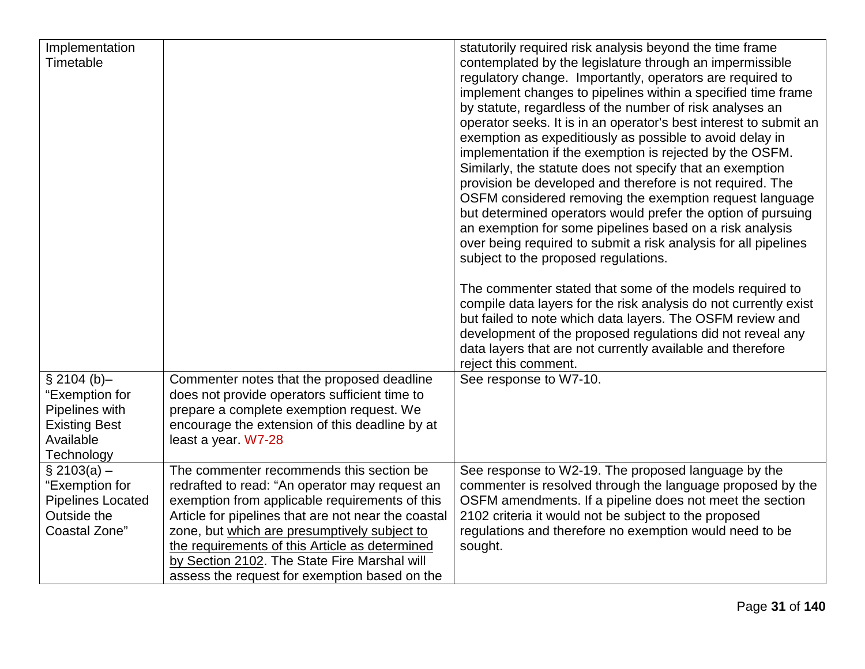| statutorily required risk analysis beyond the time frame<br>Implementation                                                             |  |
|----------------------------------------------------------------------------------------------------------------------------------------|--|
| Timetable<br>contemplated by the legislature through an impermissible                                                                  |  |
| regulatory change. Importantly, operators are required to                                                                              |  |
| implement changes to pipelines within a specified time frame                                                                           |  |
| by statute, regardless of the number of risk analyses an                                                                               |  |
| operator seeks. It is in an operator's best interest to submit an                                                                      |  |
| exemption as expeditiously as possible to avoid delay in                                                                               |  |
|                                                                                                                                        |  |
| implementation if the exemption is rejected by the OSFM.                                                                               |  |
| Similarly, the statute does not specify that an exemption                                                                              |  |
| provision be developed and therefore is not required. The                                                                              |  |
| OSFM considered removing the exemption request language                                                                                |  |
| but determined operators would prefer the option of pursuing                                                                           |  |
| an exemption for some pipelines based on a risk analysis                                                                               |  |
| over being required to submit a risk analysis for all pipelines                                                                        |  |
| subject to the proposed regulations.                                                                                                   |  |
| The commenter stated that some of the models required to                                                                               |  |
| compile data layers for the risk analysis do not currently exist                                                                       |  |
| but failed to note which data layers. The OSFM review and                                                                              |  |
| development of the proposed regulations did not reveal any                                                                             |  |
| data layers that are not currently available and therefore                                                                             |  |
| reject this comment.                                                                                                                   |  |
| \$2104(b)–<br>Commenter notes that the proposed deadline<br>See response to W7-10.                                                     |  |
| "Exemption for<br>does not provide operators sufficient time to                                                                        |  |
| Pipelines with<br>prepare a complete exemption request. We                                                                             |  |
| <b>Existing Best</b><br>encourage the extension of this deadline by at                                                                 |  |
| Available<br>least a year. W7-28                                                                                                       |  |
| Technology                                                                                                                             |  |
| The commenter recommends this section be<br>See response to W2-19. The proposed language by the<br>$\S 2103(a) -$                      |  |
| "Exemption for<br>redrafted to read: "An operator may request an<br>commenter is resolved through the language proposed by the         |  |
| OSFM amendments. If a pipeline does not meet the section<br><b>Pipelines Located</b><br>exemption from applicable requirements of this |  |
| Outside the<br>2102 criteria it would not be subject to the proposed<br>Article for pipelines that are not near the coastal            |  |
| regulations and therefore no exemption would need to be<br><b>Coastal Zone"</b><br>zone, but which are presumptively subject to        |  |
| the requirements of this Article as determined<br>sought.                                                                              |  |
| by Section 2102. The State Fire Marshal will                                                                                           |  |
| assess the request for exemption based on the                                                                                          |  |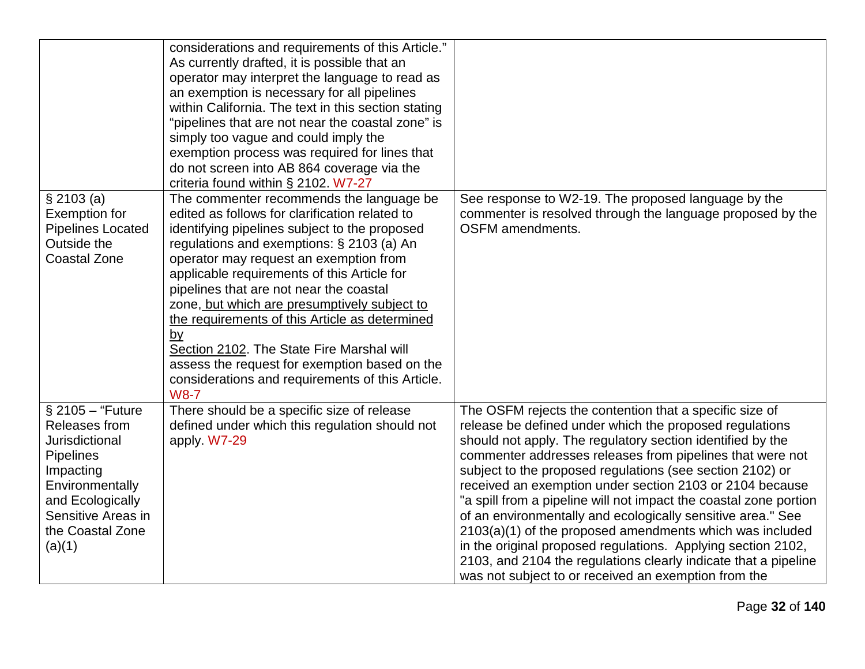|                                                                                                                                                                                   | considerations and requirements of this Article."<br>As currently drafted, it is possible that an<br>operator may interpret the language to read as<br>an exemption is necessary for all pipelines<br>within California. The text in this section stating<br>"pipelines that are not near the coastal zone" is<br>simply too vague and could imply the<br>exemption process was required for lines that<br>do not screen into AB 864 coverage via the<br>criteria found within § 2102. W7-27                                                                                                                    |                                                                                                                                                                                                                                                                                                                                                                                                                                                                                                                                                                                                                                                                                                                                                                   |
|-----------------------------------------------------------------------------------------------------------------------------------------------------------------------------------|-----------------------------------------------------------------------------------------------------------------------------------------------------------------------------------------------------------------------------------------------------------------------------------------------------------------------------------------------------------------------------------------------------------------------------------------------------------------------------------------------------------------------------------------------------------------------------------------------------------------|-------------------------------------------------------------------------------------------------------------------------------------------------------------------------------------------------------------------------------------------------------------------------------------------------------------------------------------------------------------------------------------------------------------------------------------------------------------------------------------------------------------------------------------------------------------------------------------------------------------------------------------------------------------------------------------------------------------------------------------------------------------------|
| \$2103(a)<br><b>Exemption for</b><br><b>Pipelines Located</b><br>Outside the<br><b>Coastal Zone</b>                                                                               | The commenter recommends the language be<br>edited as follows for clarification related to<br>identifying pipelines subject to the proposed<br>regulations and exemptions: $\S$ 2103 (a) An<br>operator may request an exemption from<br>applicable requirements of this Article for<br>pipelines that are not near the coastal<br>zone, but which are presumptively subject to<br>the requirements of this Article as determined<br><u>by</u><br>Section 2102. The State Fire Marshal will<br>assess the request for exemption based on the<br>considerations and requirements of this Article.<br><b>W8-7</b> | See response to W2-19. The proposed language by the<br>commenter is resolved through the language proposed by the<br><b>OSFM</b> amendments.                                                                                                                                                                                                                                                                                                                                                                                                                                                                                                                                                                                                                      |
| $§$ 2105 - "Future<br>Releases from<br>Jurisdictional<br><b>Pipelines</b><br>Impacting<br>Environmentally<br>and Ecologically<br>Sensitive Areas in<br>the Coastal Zone<br>(a)(1) | There should be a specific size of release<br>defined under which this regulation should not<br>apply. W7-29                                                                                                                                                                                                                                                                                                                                                                                                                                                                                                    | The OSFM rejects the contention that a specific size of<br>release be defined under which the proposed regulations<br>should not apply. The regulatory section identified by the<br>commenter addresses releases from pipelines that were not<br>subject to the proposed regulations (see section 2102) or<br>received an exemption under section 2103 or 2104 because<br>"a spill from a pipeline will not impact the coastal zone portion<br>of an environmentally and ecologically sensitive area." See<br>2103(a)(1) of the proposed amendments which was included<br>in the original proposed regulations. Applying section 2102,<br>2103, and 2104 the regulations clearly indicate that a pipeline<br>was not subject to or received an exemption from the |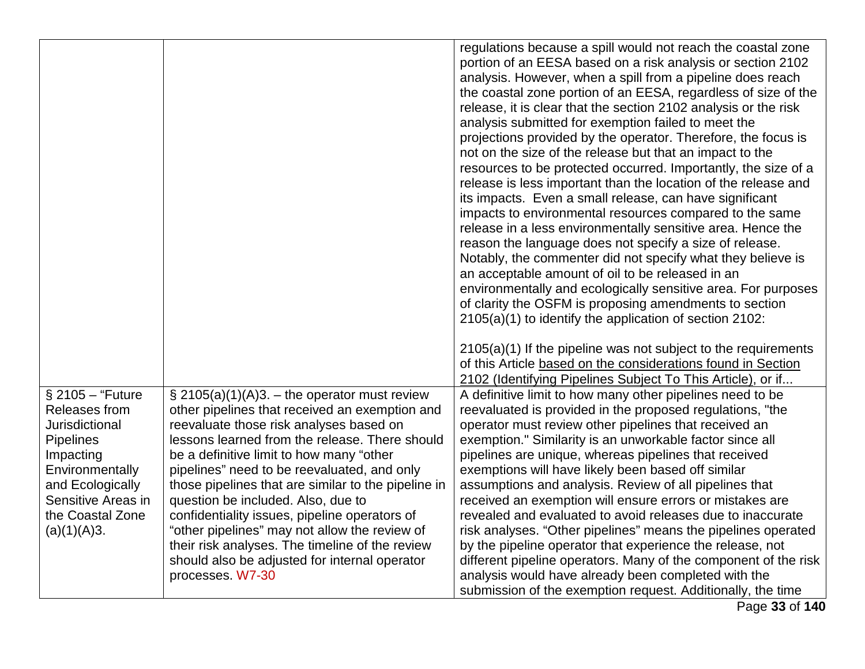|                                                                                                                                                                                      |                                                                                                                                                                                                                                                                                                                                                                                                                                                                                                                                                                                                                  | regulations because a spill would not reach the coastal zone<br>portion of an EESA based on a risk analysis or section 2102<br>analysis. However, when a spill from a pipeline does reach<br>the coastal zone portion of an EESA, regardless of size of the<br>release, it is clear that the section 2102 analysis or the risk<br>analysis submitted for exemption failed to meet the<br>projections provided by the operator. Therefore, the focus is<br>not on the size of the release but that an impact to the<br>resources to be protected occurred. Importantly, the size of a<br>release is less important than the location of the release and<br>its impacts. Even a small release, can have significant<br>impacts to environmental resources compared to the same<br>release in a less environmentally sensitive area. Hence the<br>reason the language does not specify a size of release.<br>Notably, the commenter did not specify what they believe is<br>an acceptable amount of oil to be released in an<br>environmentally and ecologically sensitive area. For purposes<br>of clarity the OSFM is proposing amendments to section<br>2105(a)(1) to identify the application of section 2102: |
|--------------------------------------------------------------------------------------------------------------------------------------------------------------------------------------|------------------------------------------------------------------------------------------------------------------------------------------------------------------------------------------------------------------------------------------------------------------------------------------------------------------------------------------------------------------------------------------------------------------------------------------------------------------------------------------------------------------------------------------------------------------------------------------------------------------|-----------------------------------------------------------------------------------------------------------------------------------------------------------------------------------------------------------------------------------------------------------------------------------------------------------------------------------------------------------------------------------------------------------------------------------------------------------------------------------------------------------------------------------------------------------------------------------------------------------------------------------------------------------------------------------------------------------------------------------------------------------------------------------------------------------------------------------------------------------------------------------------------------------------------------------------------------------------------------------------------------------------------------------------------------------------------------------------------------------------------------------------------------------------------------------------------------------------|
|                                                                                                                                                                                      |                                                                                                                                                                                                                                                                                                                                                                                                                                                                                                                                                                                                                  | $2105(a)(1)$ If the pipeline was not subject to the requirements<br>of this Article based on the considerations found in Section<br>2102 (Identifying Pipelines Subject To This Article), or if                                                                                                                                                                                                                                                                                                                                                                                                                                                                                                                                                                                                                                                                                                                                                                                                                                                                                                                                                                                                                 |
| § 2105 - "Future<br>Releases from<br>Jurisdictional<br><b>Pipelines</b><br>Impacting<br>Environmentally<br>and Ecologically<br>Sensitive Areas in<br>the Coastal Zone<br>(a)(1)(A)3. | $\S$ 2105(a)(1)(A)3. – the operator must review<br>other pipelines that received an exemption and<br>reevaluate those risk analyses based on<br>lessons learned from the release. There should<br>be a definitive limit to how many "other<br>pipelines" need to be reevaluated, and only<br>those pipelines that are similar to the pipeline in<br>question be included. Also, due to<br>confidentiality issues, pipeline operators of<br>"other pipelines" may not allow the review of<br>their risk analyses. The timeline of the review<br>should also be adjusted for internal operator<br>processes. W7-30 | A definitive limit to how many other pipelines need to be<br>reevaluated is provided in the proposed regulations, "the<br>operator must review other pipelines that received an<br>exemption." Similarity is an unworkable factor since all<br>pipelines are unique, whereas pipelines that received<br>exemptions will have likely been based off similar<br>assumptions and analysis. Review of all pipelines that<br>received an exemption will ensure errors or mistakes are<br>revealed and evaluated to avoid releases due to inaccurate<br>risk analyses. "Other pipelines" means the pipelines operated<br>by the pipeline operator that experience the release, not<br>different pipeline operators. Many of the component of the risk<br>analysis would have already been completed with the<br>submission of the exemption request. Additionally, the time                                                                                                                                                                                                                                                                                                                                           |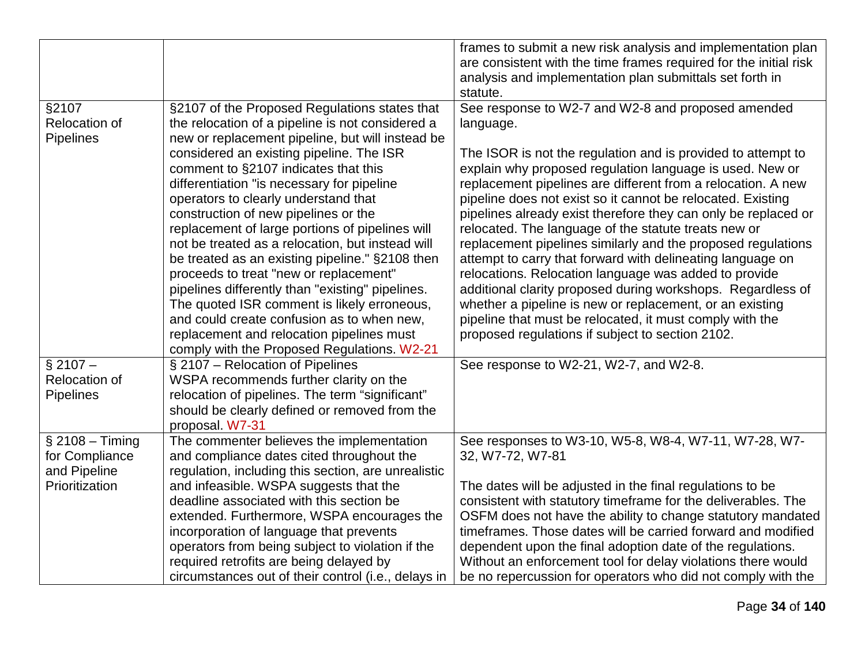|                                                                       |                                                                                                                                                                                                                                                                                                                                                                                                                                                                                                                                                                                                                                                                                                                                                                                                                          | frames to submit a new risk analysis and implementation plan<br>are consistent with the time frames required for the initial risk<br>analysis and implementation plan submittals set forth in<br>statute.                                                                                                                                                                                                                                                                                                                                                                                                                                                                                                                                                                                                                                                                              |
|-----------------------------------------------------------------------|--------------------------------------------------------------------------------------------------------------------------------------------------------------------------------------------------------------------------------------------------------------------------------------------------------------------------------------------------------------------------------------------------------------------------------------------------------------------------------------------------------------------------------------------------------------------------------------------------------------------------------------------------------------------------------------------------------------------------------------------------------------------------------------------------------------------------|----------------------------------------------------------------------------------------------------------------------------------------------------------------------------------------------------------------------------------------------------------------------------------------------------------------------------------------------------------------------------------------------------------------------------------------------------------------------------------------------------------------------------------------------------------------------------------------------------------------------------------------------------------------------------------------------------------------------------------------------------------------------------------------------------------------------------------------------------------------------------------------|
| §2107<br>Relocation of<br><b>Pipelines</b>                            | §2107 of the Proposed Regulations states that<br>the relocation of a pipeline is not considered a<br>new or replacement pipeline, but will instead be<br>considered an existing pipeline. The ISR<br>comment to §2107 indicates that this<br>differentiation "is necessary for pipeline<br>operators to clearly understand that<br>construction of new pipelines or the<br>replacement of large portions of pipelines will<br>not be treated as a relocation, but instead will<br>be treated as an existing pipeline." §2108 then<br>proceeds to treat "new or replacement"<br>pipelines differently than "existing" pipelines.<br>The quoted ISR comment is likely erroneous,<br>and could create confusion as to when new,<br>replacement and relocation pipelines must<br>comply with the Proposed Regulations. W2-21 | See response to W2-7 and W2-8 and proposed amended<br>language.<br>The ISOR is not the regulation and is provided to attempt to<br>explain why proposed regulation language is used. New or<br>replacement pipelines are different from a relocation. A new<br>pipeline does not exist so it cannot be relocated. Existing<br>pipelines already exist therefore they can only be replaced or<br>relocated. The language of the statute treats new or<br>replacement pipelines similarly and the proposed regulations<br>attempt to carry that forward with delineating language on<br>relocations. Relocation language was added to provide<br>additional clarity proposed during workshops. Regardless of<br>whether a pipeline is new or replacement, or an existing<br>pipeline that must be relocated, it must comply with the<br>proposed regulations if subject to section 2102. |
| $§$ 2107 -<br>Relocation of<br><b>Pipelines</b>                       | § 2107 - Relocation of Pipelines<br>WSPA recommends further clarity on the<br>relocation of pipelines. The term "significant"<br>should be clearly defined or removed from the<br>proposal. W7-31                                                                                                                                                                                                                                                                                                                                                                                                                                                                                                                                                                                                                        | See response to W2-21, W2-7, and W2-8.                                                                                                                                                                                                                                                                                                                                                                                                                                                                                                                                                                                                                                                                                                                                                                                                                                                 |
| $§$ 2108 - Timing<br>for Compliance<br>and Pipeline<br>Prioritization | The commenter believes the implementation<br>and compliance dates cited throughout the<br>regulation, including this section, are unrealistic<br>and infeasible. WSPA suggests that the<br>deadline associated with this section be<br>extended. Furthermore, WSPA encourages the<br>incorporation of language that prevents<br>operators from being subject to violation if the<br>required retrofits are being delayed by<br>circumstances out of their control (i.e., delays in                                                                                                                                                                                                                                                                                                                                       | See responses to W3-10, W5-8, W8-4, W7-11, W7-28, W7-<br>32, W7-72, W7-81<br>The dates will be adjusted in the final regulations to be<br>consistent with statutory timeframe for the deliverables. The<br>OSFM does not have the ability to change statutory mandated<br>timeframes. Those dates will be carried forward and modified<br>dependent upon the final adoption date of the regulations.<br>Without an enforcement tool for delay violations there would<br>be no repercussion for operators who did not comply with the                                                                                                                                                                                                                                                                                                                                                   |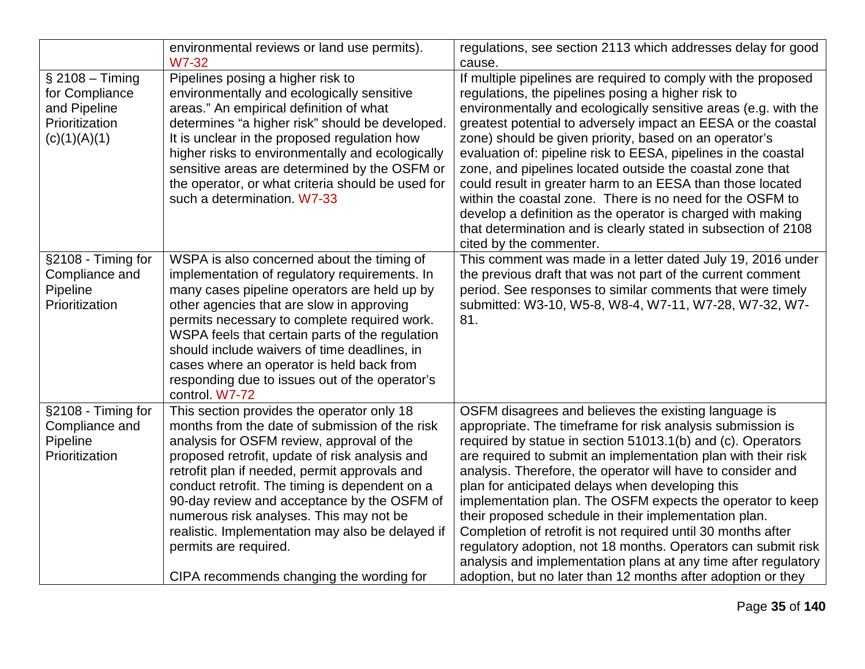|                                                                                       | environmental reviews or land use permits).<br><b>W7-32</b>                                                                                                                                                                                                                                                                                                                                                                                                                                                       | regulations, see section 2113 which addresses delay for good<br>cause.                                                                                                                                                                                                                                                                                                                                                                                                                                                                                                                                                                                                                                                                                          |
|---------------------------------------------------------------------------------------|-------------------------------------------------------------------------------------------------------------------------------------------------------------------------------------------------------------------------------------------------------------------------------------------------------------------------------------------------------------------------------------------------------------------------------------------------------------------------------------------------------------------|-----------------------------------------------------------------------------------------------------------------------------------------------------------------------------------------------------------------------------------------------------------------------------------------------------------------------------------------------------------------------------------------------------------------------------------------------------------------------------------------------------------------------------------------------------------------------------------------------------------------------------------------------------------------------------------------------------------------------------------------------------------------|
| $§$ 2108 - Timing<br>for Compliance<br>and Pipeline<br>Prioritization<br>(c)(1)(A)(1) | Pipelines posing a higher risk to<br>environmentally and ecologically sensitive<br>areas." An empirical definition of what<br>determines "a higher risk" should be developed.<br>It is unclear in the proposed regulation how<br>higher risks to environmentally and ecologically<br>sensitive areas are determined by the OSFM or<br>the operator, or what criteria should be used for<br>such a determination. W7-33                                                                                            | If multiple pipelines are required to comply with the proposed<br>regulations, the pipelines posing a higher risk to<br>environmentally and ecologically sensitive areas (e.g. with the<br>greatest potential to adversely impact an EESA or the coastal<br>zone) should be given priority, based on an operator's<br>evaluation of: pipeline risk to EESA, pipelines in the coastal<br>zone, and pipelines located outside the coastal zone that<br>could result in greater harm to an EESA than those located<br>within the coastal zone. There is no need for the OSFM to<br>develop a definition as the operator is charged with making<br>that determination and is clearly stated in subsection of 2108<br>cited by the commenter.                        |
| §2108 - Timing for<br>Compliance and<br>Pipeline<br>Prioritization                    | WSPA is also concerned about the timing of<br>implementation of regulatory requirements. In<br>many cases pipeline operators are held up by<br>other agencies that are slow in approving<br>permits necessary to complete required work.<br>WSPA feels that certain parts of the regulation<br>should include waivers of time deadlines, in<br>cases where an operator is held back from<br>responding due to issues out of the operator's<br>control. W7-72                                                      | This comment was made in a letter dated July 19, 2016 under<br>the previous draft that was not part of the current comment<br>period. See responses to similar comments that were timely<br>submitted: W3-10, W5-8, W8-4, W7-11, W7-28, W7-32, W7-<br>81.                                                                                                                                                                                                                                                                                                                                                                                                                                                                                                       |
| §2108 - Timing for<br>Compliance and<br>Pipeline<br>Prioritization                    | This section provides the operator only 18<br>months from the date of submission of the risk<br>analysis for OSFM review, approval of the<br>proposed retrofit, update of risk analysis and<br>retrofit plan if needed, permit approvals and<br>conduct retrofit. The timing is dependent on a<br>90-day review and acceptance by the OSFM of<br>numerous risk analyses. This may not be<br>realistic. Implementation may also be delayed if<br>permits are required.<br>CIPA recommends changing the wording for | OSFM disagrees and believes the existing language is<br>appropriate. The timeframe for risk analysis submission is<br>required by statue in section 51013.1(b) and (c). Operators<br>are required to submit an implementation plan with their risk<br>analysis. Therefore, the operator will have to consider and<br>plan for anticipated delays when developing this<br>implementation plan. The OSFM expects the operator to keep<br>their proposed schedule in their implementation plan.<br>Completion of retrofit is not required until 30 months after<br>regulatory adoption, not 18 months. Operators can submit risk<br>analysis and implementation plans at any time after regulatory<br>adoption, but no later than 12 months after adoption or they |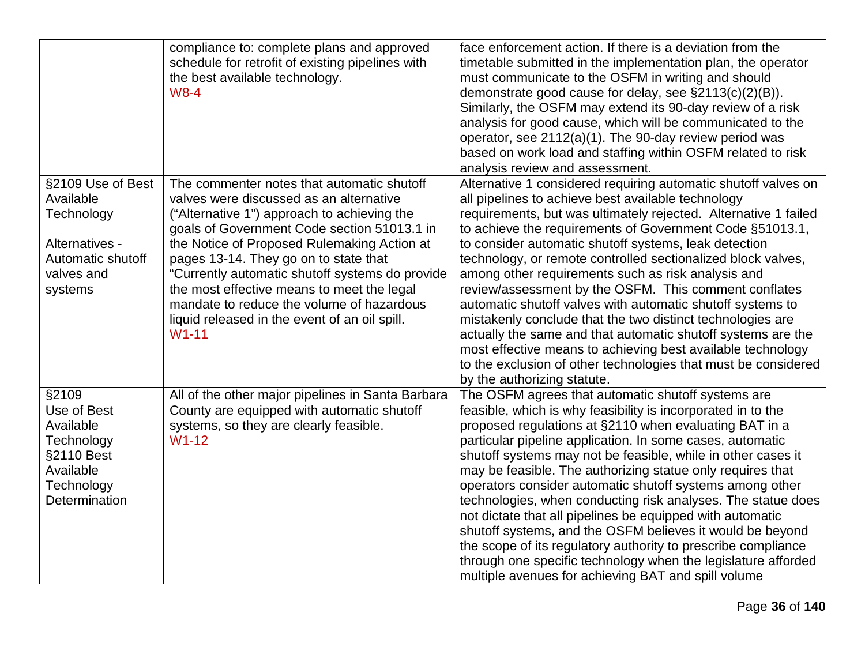|                                                                                                                  | compliance to: complete plans and approved<br>schedule for retrofit of existing pipelines with<br>the best available technology.<br>$W8-4$                                                                                                                                                                                                                                                                                                                                            | face enforcement action. If there is a deviation from the<br>timetable submitted in the implementation plan, the operator<br>must communicate to the OSFM in writing and should<br>demonstrate good cause for delay, see §2113(c)(2)(B)).<br>Similarly, the OSFM may extend its 90-day review of a risk<br>analysis for good cause, which will be communicated to the<br>operator, see 2112(a)(1). The 90-day review period was<br>based on work load and staffing within OSFM related to risk<br>analysis review and assessment.                                                                                                                                                                                                                                                                                                                       |
|------------------------------------------------------------------------------------------------------------------|---------------------------------------------------------------------------------------------------------------------------------------------------------------------------------------------------------------------------------------------------------------------------------------------------------------------------------------------------------------------------------------------------------------------------------------------------------------------------------------|---------------------------------------------------------------------------------------------------------------------------------------------------------------------------------------------------------------------------------------------------------------------------------------------------------------------------------------------------------------------------------------------------------------------------------------------------------------------------------------------------------------------------------------------------------------------------------------------------------------------------------------------------------------------------------------------------------------------------------------------------------------------------------------------------------------------------------------------------------|
| §2109 Use of Best<br>Available<br>Technology<br>Alternatives -<br>Automatic shutoff<br>valves and<br>systems     | The commenter notes that automatic shutoff<br>valves were discussed as an alternative<br>("Alternative 1") approach to achieving the<br>goals of Government Code section 51013.1 in<br>the Notice of Proposed Rulemaking Action at<br>pages 13-14. They go on to state that<br>"Currently automatic shutoff systems do provide<br>the most effective means to meet the legal<br>mandate to reduce the volume of hazardous<br>liquid released in the event of an oil spill.<br>$W1-11$ | Alternative 1 considered requiring automatic shutoff valves on<br>all pipelines to achieve best available technology<br>requirements, but was ultimately rejected. Alternative 1 failed<br>to achieve the requirements of Government Code §51013.1,<br>to consider automatic shutoff systems, leak detection<br>technology, or remote controlled sectionalized block valves,<br>among other requirements such as risk analysis and<br>review/assessment by the OSFM. This comment conflates<br>automatic shutoff valves with automatic shutoff systems to<br>mistakenly conclude that the two distinct technologies are<br>actually the same and that automatic shutoff systems are the<br>most effective means to achieving best available technology<br>to the exclusion of other technologies that must be considered<br>by the authorizing statute. |
| §2109<br>Use of Best<br>Available<br>Technology<br>§2110 Best<br>Available<br>Technology<br><b>Determination</b> | All of the other major pipelines in Santa Barbara<br>County are equipped with automatic shutoff<br>systems, so they are clearly feasible.<br>$W1-12$                                                                                                                                                                                                                                                                                                                                  | The OSFM agrees that automatic shutoff systems are<br>feasible, which is why feasibility is incorporated in to the<br>proposed regulations at §2110 when evaluating BAT in a<br>particular pipeline application. In some cases, automatic<br>shutoff systems may not be feasible, while in other cases it<br>may be feasible. The authorizing statue only requires that<br>operators consider automatic shutoff systems among other<br>technologies, when conducting risk analyses. The statue does<br>not dictate that all pipelines be equipped with automatic<br>shutoff systems, and the OSFM believes it would be beyond<br>the scope of its regulatory authority to prescribe compliance<br>through one specific technology when the legislature afforded<br>multiple avenues for achieving BAT and spill volume                                  |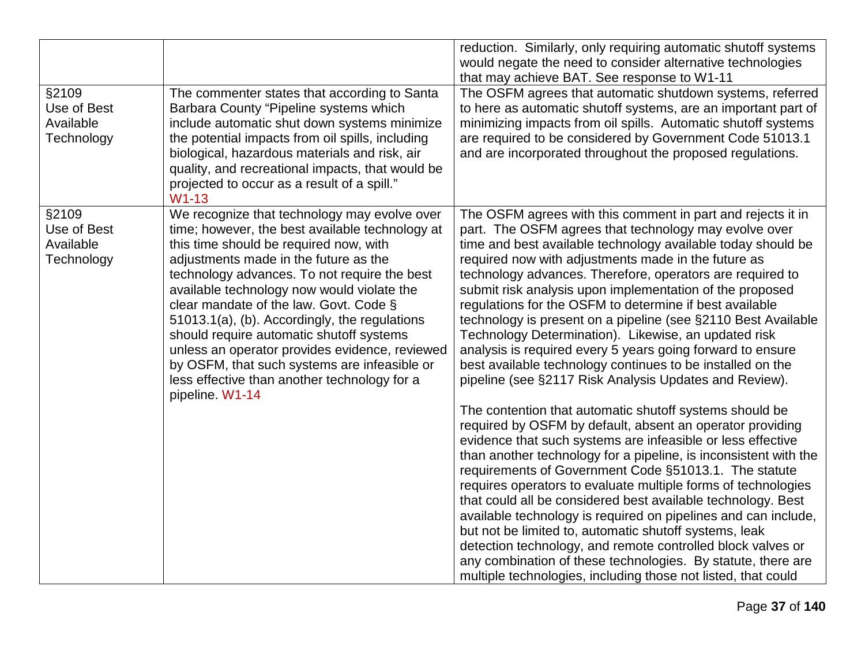| §2109<br>Use of Best<br>Available<br>Technology | The commenter states that according to Santa<br>Barbara County "Pipeline systems which<br>include automatic shut down systems minimize<br>the potential impacts from oil spills, including<br>biological, hazardous materials and risk, air<br>quality, and recreational impacts, that would be<br>projected to occur as a result of a spill."<br>$W1-13$                                                                                                                                                                                                                                    | reduction. Similarly, only requiring automatic shutoff systems<br>would negate the need to consider alternative technologies<br>that may achieve BAT. See response to W1-11<br>The OSFM agrees that automatic shutdown systems, referred<br>to here as automatic shutoff systems, are an important part of<br>minimizing impacts from oil spills. Automatic shutoff systems<br>are required to be considered by Government Code 51013.1<br>and are incorporated throughout the proposed regulations.                                                                                                                                                                                                                                                                          |
|-------------------------------------------------|----------------------------------------------------------------------------------------------------------------------------------------------------------------------------------------------------------------------------------------------------------------------------------------------------------------------------------------------------------------------------------------------------------------------------------------------------------------------------------------------------------------------------------------------------------------------------------------------|-------------------------------------------------------------------------------------------------------------------------------------------------------------------------------------------------------------------------------------------------------------------------------------------------------------------------------------------------------------------------------------------------------------------------------------------------------------------------------------------------------------------------------------------------------------------------------------------------------------------------------------------------------------------------------------------------------------------------------------------------------------------------------|
| §2109<br>Use of Best<br>Available<br>Technology | We recognize that technology may evolve over<br>time; however, the best available technology at<br>this time should be required now, with<br>adjustments made in the future as the<br>technology advances. To not require the best<br>available technology now would violate the<br>clear mandate of the law. Govt. Code §<br>51013.1(a), (b). Accordingly, the regulations<br>should require automatic shutoff systems<br>unless an operator provides evidence, reviewed<br>by OSFM, that such systems are infeasible or<br>less effective than another technology for a<br>pipeline. W1-14 | The OSFM agrees with this comment in part and rejects it in<br>part. The OSFM agrees that technology may evolve over<br>time and best available technology available today should be<br>required now with adjustments made in the future as<br>technology advances. Therefore, operators are required to<br>submit risk analysis upon implementation of the proposed<br>regulations for the OSFM to determine if best available<br>technology is present on a pipeline (see §2110 Best Available<br>Technology Determination). Likewise, an updated risk<br>analysis is required every 5 years going forward to ensure<br>best available technology continues to be installed on the<br>pipeline (see §2117 Risk Analysis Updates and Review).                                |
|                                                 |                                                                                                                                                                                                                                                                                                                                                                                                                                                                                                                                                                                              | The contention that automatic shutoff systems should be<br>required by OSFM by default, absent an operator providing<br>evidence that such systems are infeasible or less effective<br>than another technology for a pipeline, is inconsistent with the<br>requirements of Government Code §51013.1. The statute<br>requires operators to evaluate multiple forms of technologies<br>that could all be considered best available technology. Best<br>available technology is required on pipelines and can include,<br>but not be limited to, automatic shutoff systems, leak<br>detection technology, and remote controlled block valves or<br>any combination of these technologies. By statute, there are<br>multiple technologies, including those not listed, that could |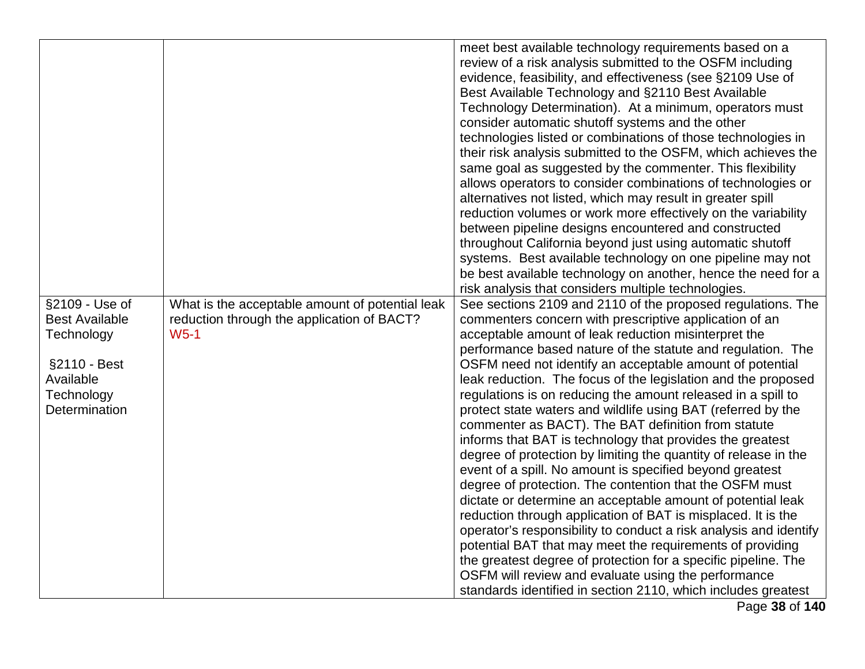| §2109 - Use of<br><b>Best Available</b><br>Technology<br>§2110 - Best<br>Available<br>Technology<br>Determination | What is the acceptable amount of potential leak<br>reduction through the application of BACT?<br>$W5-1$ | meet best available technology requirements based on a<br>review of a risk analysis submitted to the OSFM including<br>evidence, feasibility, and effectiveness (see §2109 Use of<br>Best Available Technology and §2110 Best Available<br>Technology Determination). At a minimum, operators must<br>consider automatic shutoff systems and the other<br>technologies listed or combinations of those technologies in<br>their risk analysis submitted to the OSFM, which achieves the<br>same goal as suggested by the commenter. This flexibility<br>allows operators to consider combinations of technologies or<br>alternatives not listed, which may result in greater spill<br>reduction volumes or work more effectively on the variability<br>between pipeline designs encountered and constructed<br>throughout California beyond just using automatic shutoff<br>systems. Best available technology on one pipeline may not<br>be best available technology on another, hence the need for a<br>risk analysis that considers multiple technologies.<br>See sections 2109 and 2110 of the proposed regulations. The<br>commenters concern with prescriptive application of an<br>acceptable amount of leak reduction misinterpret the<br>performance based nature of the statute and regulation. The<br>OSFM need not identify an acceptable amount of potential<br>leak reduction. The focus of the legislation and the proposed<br>regulations is on reducing the amount released in a spill to<br>protect state waters and wildlife using BAT (referred by the<br>commenter as BACT). The BAT definition from statute<br>informs that BAT is technology that provides the greatest<br>degree of protection by limiting the quantity of release in the |
|-------------------------------------------------------------------------------------------------------------------|---------------------------------------------------------------------------------------------------------|--------------------------------------------------------------------------------------------------------------------------------------------------------------------------------------------------------------------------------------------------------------------------------------------------------------------------------------------------------------------------------------------------------------------------------------------------------------------------------------------------------------------------------------------------------------------------------------------------------------------------------------------------------------------------------------------------------------------------------------------------------------------------------------------------------------------------------------------------------------------------------------------------------------------------------------------------------------------------------------------------------------------------------------------------------------------------------------------------------------------------------------------------------------------------------------------------------------------------------------------------------------------------------------------------------------------------------------------------------------------------------------------------------------------------------------------------------------------------------------------------------------------------------------------------------------------------------------------------------------------------------------------------------------------------------------------------------------------------------------------------------------------|
|                                                                                                                   |                                                                                                         |                                                                                                                                                                                                                                                                                                                                                                                                                                                                                                                                                                                                                                                                                                                                                                                                                                                                                                                                                                                                                                                                                                                                                                                                                                                                                                                                                                                                                                                                                                                                                                                                                                                                                                                                                                    |
|                                                                                                                   |                                                                                                         | event of a spill. No amount is specified beyond greatest<br>degree of protection. The contention that the OSFM must<br>dictate or determine an acceptable amount of potential leak                                                                                                                                                                                                                                                                                                                                                                                                                                                                                                                                                                                                                                                                                                                                                                                                                                                                                                                                                                                                                                                                                                                                                                                                                                                                                                                                                                                                                                                                                                                                                                                 |
|                                                                                                                   |                                                                                                         | reduction through application of BAT is misplaced. It is the<br>operator's responsibility to conduct a risk analysis and identify<br>potential BAT that may meet the requirements of providing                                                                                                                                                                                                                                                                                                                                                                                                                                                                                                                                                                                                                                                                                                                                                                                                                                                                                                                                                                                                                                                                                                                                                                                                                                                                                                                                                                                                                                                                                                                                                                     |
|                                                                                                                   |                                                                                                         | the greatest degree of protection for a specific pipeline. The<br>OSFM will review and evaluate using the performance<br>standards identified in section 2110, which includes greatest<br>Page 38 of 140                                                                                                                                                                                                                                                                                                                                                                                                                                                                                                                                                                                                                                                                                                                                                                                                                                                                                                                                                                                                                                                                                                                                                                                                                                                                                                                                                                                                                                                                                                                                                           |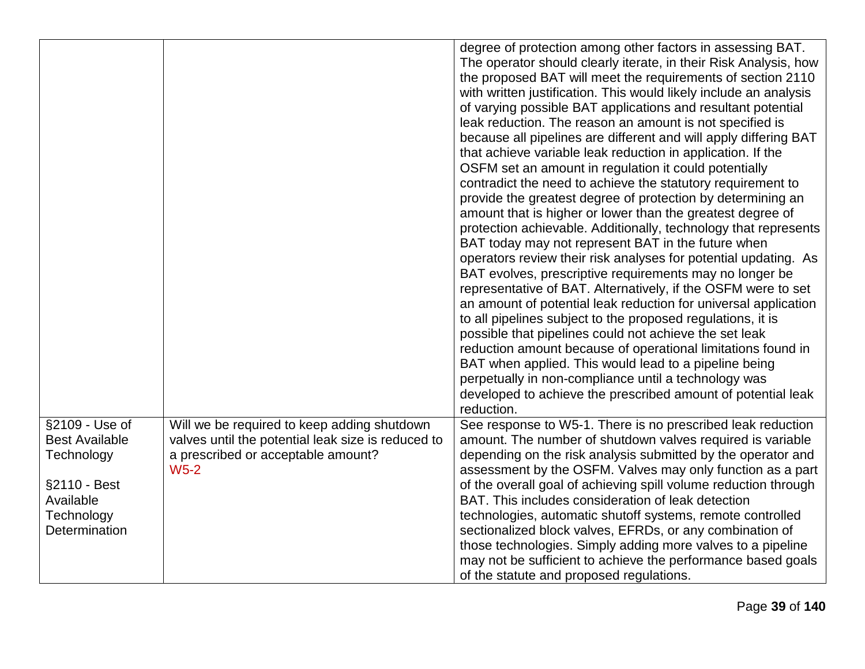|                                                                                                                          |                                                                                                                                                   | degree of protection among other factors in assessing BAT.<br>The operator should clearly iterate, in their Risk Analysis, how<br>the proposed BAT will meet the requirements of section 2110<br>with written justification. This would likely include an analysis<br>of varying possible BAT applications and resultant potential<br>leak reduction. The reason an amount is not specified is<br>because all pipelines are different and will apply differing BAT<br>that achieve variable leak reduction in application. If the<br>OSFM set an amount in regulation it could potentially<br>contradict the need to achieve the statutory requirement to<br>provide the greatest degree of protection by determining an<br>amount that is higher or lower than the greatest degree of<br>protection achievable. Additionally, technology that represents<br>BAT today may not represent BAT in the future when<br>operators review their risk analyses for potential updating. As<br>BAT evolves, prescriptive requirements may no longer be<br>representative of BAT. Alternatively, if the OSFM were to set<br>an amount of potential leak reduction for universal application<br>to all pipelines subject to the proposed regulations, it is<br>possible that pipelines could not achieve the set leak<br>reduction amount because of operational limitations found in<br>BAT when applied. This would lead to a pipeline being<br>perpetually in non-compliance until a technology was<br>developed to achieve the prescribed amount of potential leak<br>reduction. |
|--------------------------------------------------------------------------------------------------------------------------|---------------------------------------------------------------------------------------------------------------------------------------------------|---------------------------------------------------------------------------------------------------------------------------------------------------------------------------------------------------------------------------------------------------------------------------------------------------------------------------------------------------------------------------------------------------------------------------------------------------------------------------------------------------------------------------------------------------------------------------------------------------------------------------------------------------------------------------------------------------------------------------------------------------------------------------------------------------------------------------------------------------------------------------------------------------------------------------------------------------------------------------------------------------------------------------------------------------------------------------------------------------------------------------------------------------------------------------------------------------------------------------------------------------------------------------------------------------------------------------------------------------------------------------------------------------------------------------------------------------------------------------------------------------------------------------------------------------------------------------|
| §2109 - Use of<br><b>Best Available</b><br>Technology<br>§2110 - Best<br>Available<br>Technology<br><b>Determination</b> | Will we be required to keep adding shutdown<br>valves until the potential leak size is reduced to<br>a prescribed or acceptable amount?<br>$W5-2$ | See response to W5-1. There is no prescribed leak reduction<br>amount. The number of shutdown valves required is variable<br>depending on the risk analysis submitted by the operator and<br>assessment by the OSFM. Valves may only function as a part<br>of the overall goal of achieving spill volume reduction through<br>BAT. This includes consideration of leak detection<br>technologies, automatic shutoff systems, remote controlled<br>sectionalized block valves, EFRDs, or any combination of<br>those technologies. Simply adding more valves to a pipeline<br>may not be sufficient to achieve the performance based goals<br>of the statute and proposed regulations.                                                                                                                                                                                                                                                                                                                                                                                                                                                                                                                                                                                                                                                                                                                                                                                                                                                                                     |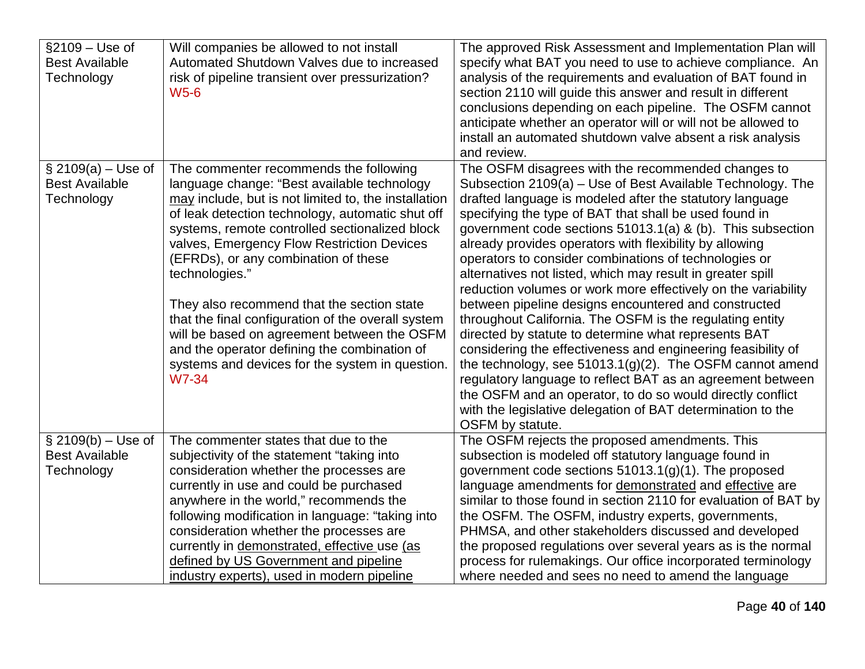| §2109 - Use of<br><b>Best Available</b><br>Technology      | Will companies be allowed to not install<br>Automated Shutdown Valves due to increased<br>risk of pipeline transient over pressurization?<br><b>W5-6</b>                                                                                                                                                                                                                                                                                                                                                                                                                                                                          | The approved Risk Assessment and Implementation Plan will<br>specify what BAT you need to use to achieve compliance. An<br>analysis of the requirements and evaluation of BAT found in<br>section 2110 will guide this answer and result in different<br>conclusions depending on each pipeline. The OSFM cannot<br>anticipate whether an operator will or will not be allowed to<br>install an automated shutdown valve absent a risk analysis<br>and review.                                                                                                                                                                                                                                                                                                                                                                                                                                                                   |
|------------------------------------------------------------|-----------------------------------------------------------------------------------------------------------------------------------------------------------------------------------------------------------------------------------------------------------------------------------------------------------------------------------------------------------------------------------------------------------------------------------------------------------------------------------------------------------------------------------------------------------------------------------------------------------------------------------|----------------------------------------------------------------------------------------------------------------------------------------------------------------------------------------------------------------------------------------------------------------------------------------------------------------------------------------------------------------------------------------------------------------------------------------------------------------------------------------------------------------------------------------------------------------------------------------------------------------------------------------------------------------------------------------------------------------------------------------------------------------------------------------------------------------------------------------------------------------------------------------------------------------------------------|
| $$2109(a) - Use of$<br><b>Best Available</b><br>Technology | The commenter recommends the following<br>language change: "Best available technology<br>may include, but is not limited to, the installation<br>of leak detection technology, automatic shut off<br>systems, remote controlled sectionalized block<br>valves, Emergency Flow Restriction Devices<br>(EFRDs), or any combination of these<br>technologies."<br>They also recommend that the section state<br>that the final configuration of the overall system<br>will be based on agreement between the OSFM<br>and the operator defining the combination of<br>systems and devices for the system in question.<br><b>W7-34</b> | The OSFM disagrees with the recommended changes to<br>Subsection 2109(a) – Use of Best Available Technology. The<br>drafted language is modeled after the statutory language<br>specifying the type of BAT that shall be used found in<br>government code sections 51013.1(a) & (b). This subsection<br>already provides operators with flexibility by allowing<br>operators to consider combinations of technologies or<br>alternatives not listed, which may result in greater spill<br>reduction volumes or work more effectively on the variability<br>between pipeline designs encountered and constructed<br>throughout California. The OSFM is the regulating entity<br>directed by statute to determine what represents BAT<br>considering the effectiveness and engineering feasibility of<br>the technology, see $51013.1(g)(2)$ . The OSFM cannot amend<br>regulatory language to reflect BAT as an agreement between |
|                                                            |                                                                                                                                                                                                                                                                                                                                                                                                                                                                                                                                                                                                                                   | the OSFM and an operator, to do so would directly conflict<br>with the legislative delegation of BAT determination to the<br>OSFM by statute.                                                                                                                                                                                                                                                                                                                                                                                                                                                                                                                                                                                                                                                                                                                                                                                    |
| $$2109(b) - Use of$<br><b>Best Available</b><br>Technology | The commenter states that due to the<br>subjectivity of the statement "taking into<br>consideration whether the processes are<br>currently in use and could be purchased<br>anywhere in the world," recommends the<br>following modification in language: "taking into<br>consideration whether the processes are<br>currently in demonstrated, effective use (as<br>defined by US Government and pipeline<br>industry experts), used in modern pipeline                                                                                                                                                                          | The OSFM rejects the proposed amendments. This<br>subsection is modeled off statutory language found in<br>government code sections $51013.1(g)(1)$ . The proposed<br>language amendments for demonstrated and effective are<br>similar to those found in section 2110 for evaluation of BAT by<br>the OSFM. The OSFM, industry experts, governments,<br>PHMSA, and other stakeholders discussed and developed<br>the proposed regulations over several years as is the normal<br>process for rulemakings. Our office incorporated terminology<br>where needed and sees no need to amend the language                                                                                                                                                                                                                                                                                                                            |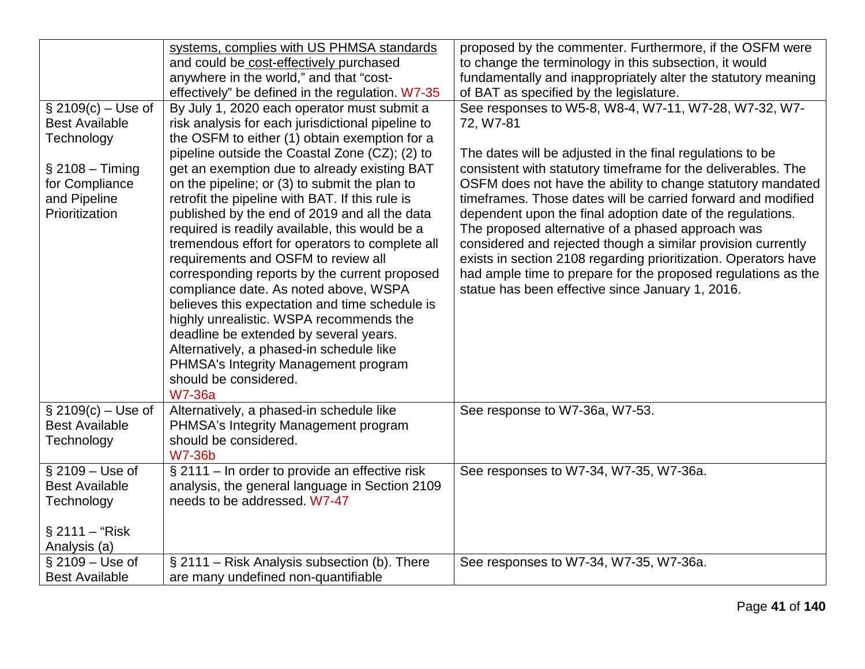| $$2109(c) - Use of$<br><b>Best Available</b><br>Technology<br>$§$ 2108 - Timing<br>for Compliance<br>and Pipeline<br>Prioritization | systems, complies with US PHMSA standards<br>and could be cost-effectively purchased<br>anywhere in the world," and that "cost-<br>effectively" be defined in the regulation. W7-35<br>By July 1, 2020 each operator must submit a<br>risk analysis for each jurisdictional pipeline to<br>the OSFM to either (1) obtain exemption for a<br>pipeline outside the Coastal Zone (CZ); (2) to<br>get an exemption due to already existing BAT<br>on the pipeline; or (3) to submit the plan to<br>retrofit the pipeline with BAT. If this rule is<br>published by the end of 2019 and all the data<br>required is readily available, this would be a<br>tremendous effort for operators to complete all<br>requirements and OSFM to review all | proposed by the commenter. Furthermore, if the OSFM were<br>to change the terminology in this subsection, it would<br>fundamentally and inappropriately alter the statutory meaning<br>of BAT as specified by the legislature.<br>See responses to W5-8, W8-4, W7-11, W7-28, W7-32, W7-<br>72, W7-81<br>The dates will be adjusted in the final regulations to be<br>consistent with statutory timeframe for the deliverables. The<br>OSFM does not have the ability to change statutory mandated<br>timeframes. Those dates will be carried forward and modified<br>dependent upon the final adoption date of the regulations.<br>The proposed alternative of a phased approach was<br>considered and rejected though a similar provision currently<br>exists in section 2108 regarding prioritization. Operators have |
|-------------------------------------------------------------------------------------------------------------------------------------|---------------------------------------------------------------------------------------------------------------------------------------------------------------------------------------------------------------------------------------------------------------------------------------------------------------------------------------------------------------------------------------------------------------------------------------------------------------------------------------------------------------------------------------------------------------------------------------------------------------------------------------------------------------------------------------------------------------------------------------------|-------------------------------------------------------------------------------------------------------------------------------------------------------------------------------------------------------------------------------------------------------------------------------------------------------------------------------------------------------------------------------------------------------------------------------------------------------------------------------------------------------------------------------------------------------------------------------------------------------------------------------------------------------------------------------------------------------------------------------------------------------------------------------------------------------------------------|
|                                                                                                                                     | corresponding reports by the current proposed<br>compliance date. As noted above, WSPA<br>believes this expectation and time schedule is<br>highly unrealistic. WSPA recommends the<br>deadline be extended by several years.<br>Alternatively, a phased-in schedule like<br>PHMSA's Integrity Management program<br>should be considered.<br><b>W7-36a</b>                                                                                                                                                                                                                                                                                                                                                                                 | had ample time to prepare for the proposed regulations as the<br>statue has been effective since January 1, 2016.                                                                                                                                                                                                                                                                                                                                                                                                                                                                                                                                                                                                                                                                                                       |
| $$2109(c) - Use of$<br><b>Best Available</b><br>Technology                                                                          | Alternatively, a phased-in schedule like<br>PHMSA's Integrity Management program<br>should be considered.<br><b>W7-36b</b>                                                                                                                                                                                                                                                                                                                                                                                                                                                                                                                                                                                                                  | See response to W7-36a, W7-53.                                                                                                                                                                                                                                                                                                                                                                                                                                                                                                                                                                                                                                                                                                                                                                                          |
| $§$ 2109 – Use of<br><b>Best Available</b><br>Technology<br>$$2111 - "Risk$<br>Analysis (a)                                         | § 2111 – In order to provide an effective risk<br>analysis, the general language in Section 2109<br>needs to be addressed. W7-47                                                                                                                                                                                                                                                                                                                                                                                                                                                                                                                                                                                                            | See responses to W7-34, W7-35, W7-36a.                                                                                                                                                                                                                                                                                                                                                                                                                                                                                                                                                                                                                                                                                                                                                                                  |
| $§$ 2109 – Use of<br><b>Best Available</b>                                                                                          | § 2111 - Risk Analysis subsection (b). There<br>are many undefined non-quantifiable                                                                                                                                                                                                                                                                                                                                                                                                                                                                                                                                                                                                                                                         | See responses to W7-34, W7-35, W7-36a.                                                                                                                                                                                                                                                                                                                                                                                                                                                                                                                                                                                                                                                                                                                                                                                  |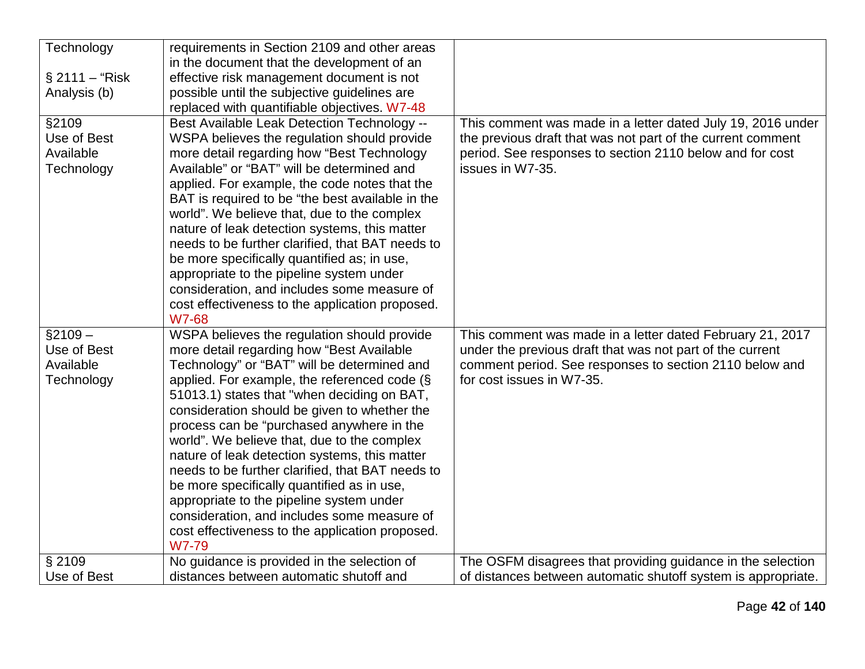| Technology        | requirements in Section 2109 and other areas     |                                                             |
|-------------------|--------------------------------------------------|-------------------------------------------------------------|
|                   | in the document that the development of an       |                                                             |
| $\S 2111 - "Risk$ | effective risk management document is not        |                                                             |
| Analysis (b)      | possible until the subjective guidelines are     |                                                             |
|                   | replaced with quantifiable objectives. W7-48     |                                                             |
| §2109             | Best Available Leak Detection Technology --      | This comment was made in a letter dated July 19, 2016 under |
| Use of Best       | WSPA believes the regulation should provide      | the previous draft that was not part of the current comment |
| Available         | more detail regarding how "Best Technology       | period. See responses to section 2110 below and for cost    |
| Technology        | Available" or "BAT" will be determined and       | issues in W7-35.                                            |
|                   | applied. For example, the code notes that the    |                                                             |
|                   | BAT is required to be "the best available in the |                                                             |
|                   | world". We believe that, due to the complex      |                                                             |
|                   | nature of leak detection systems, this matter    |                                                             |
|                   | needs to be further clarified, that BAT needs to |                                                             |
|                   | be more specifically quantified as; in use,      |                                                             |
|                   | appropriate to the pipeline system under         |                                                             |
|                   | consideration, and includes some measure of      |                                                             |
|                   | cost effectiveness to the application proposed.  |                                                             |
|                   | <b>W7-68</b>                                     |                                                             |
| $$2109 -$         | WSPA believes the regulation should provide      | This comment was made in a letter dated February 21, 2017   |
| Use of Best       | more detail regarding how "Best Available        | under the previous draft that was not part of the current   |
| Available         | Technology" or "BAT" will be determined and      | comment period. See responses to section 2110 below and     |
| Technology        | applied. For example, the referenced code $(\S$  | for cost issues in W7-35.                                   |
|                   | 51013.1) states that "when deciding on BAT,      |                                                             |
|                   | consideration should be given to whether the     |                                                             |
|                   | process can be "purchased anywhere in the        |                                                             |
|                   | world". We believe that, due to the complex      |                                                             |
|                   | nature of leak detection systems, this matter    |                                                             |
|                   | needs to be further clarified, that BAT needs to |                                                             |
|                   | be more specifically quantified as in use,       |                                                             |
|                   | appropriate to the pipeline system under         |                                                             |
|                   | consideration, and includes some measure of      |                                                             |
|                   | cost effectiveness to the application proposed.  |                                                             |
|                   | W7-79                                            |                                                             |
| § 2109            | No guidance is provided in the selection of      | The OSFM disagrees that providing guidance in the selection |
|                   |                                                  |                                                             |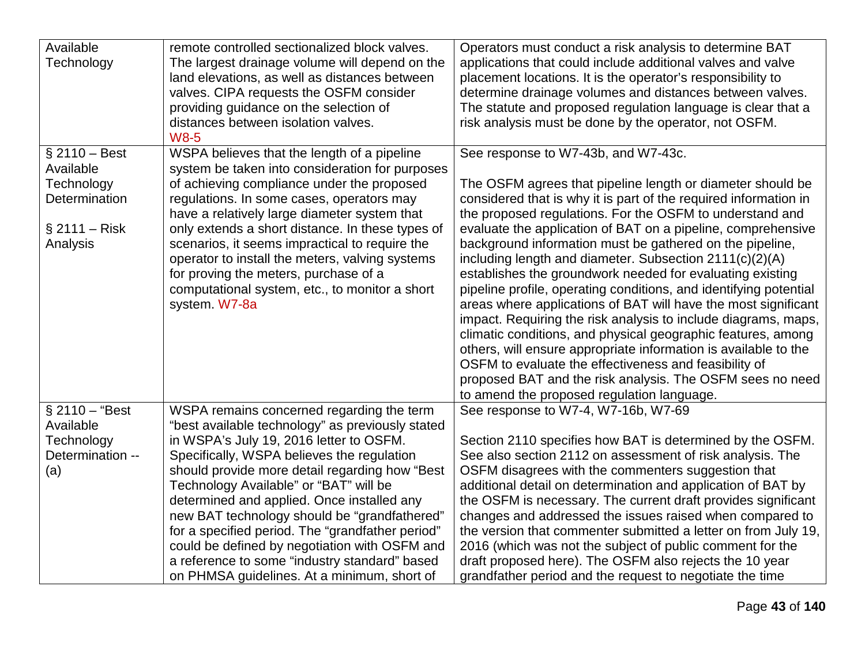| Available        | remote controlled sectionalized block valves.    | Operators must conduct a risk analysis to determine BAT           |
|------------------|--------------------------------------------------|-------------------------------------------------------------------|
| Technology       | The largest drainage volume will depend on the   | applications that could include additional valves and valve       |
|                  | land elevations, as well as distances between    | placement locations. It is the operator's responsibility to       |
|                  | valves. CIPA requests the OSFM consider          | determine drainage volumes and distances between valves.          |
|                  | providing guidance on the selection of           | The statute and proposed regulation language is clear that a      |
|                  | distances between isolation valves.              | risk analysis must be done by the operator, not OSFM.             |
|                  | <b>W8-5</b>                                      |                                                                   |
| $§$ 2110 - Best  | WSPA believes that the length of a pipeline      | See response to W7-43b, and W7-43c.                               |
| Available        | system be taken into consideration for purposes  |                                                                   |
| Technology       | of achieving compliance under the proposed       | The OSFM agrees that pipeline length or diameter should be        |
| Determination    | regulations. In some cases, operators may        | considered that is why it is part of the required information in  |
|                  | have a relatively large diameter system that     | the proposed regulations. For the OSFM to understand and          |
| $§$ 2111 – Risk  | only extends a short distance. In these types of | evaluate the application of BAT on a pipeline, comprehensive      |
| Analysis         | scenarios, it seems impractical to require the   | background information must be gathered on the pipeline,          |
|                  | operator to install the meters, valving systems  | including length and diameter. Subsection 2111(c)(2)(A)           |
|                  | for proving the meters, purchase of a            | establishes the groundwork needed for evaluating existing         |
|                  | computational system, etc., to monitor a short   | pipeline profile, operating conditions, and identifying potential |
|                  | system. W7-8a                                    | areas where applications of BAT will have the most significant    |
|                  |                                                  | impact. Requiring the risk analysis to include diagrams, maps,    |
|                  |                                                  | climatic conditions, and physical geographic features, among      |
|                  |                                                  | others, will ensure appropriate information is available to the   |
|                  |                                                  | OSFM to evaluate the effectiveness and feasibility of             |
|                  |                                                  | proposed BAT and the risk analysis. The OSFM sees no need         |
|                  |                                                  | to amend the proposed regulation language.                        |
| $$2110 - "Best"$ | WSPA remains concerned regarding the term        | See response to W7-4, W7-16b, W7-69                               |
| Available        | "best available technology" as previously stated |                                                                   |
| Technology       | in WSPA's July 19, 2016 letter to OSFM.          | Section 2110 specifies how BAT is determined by the OSFM.         |
| Determination -- | Specifically, WSPA believes the regulation       | See also section 2112 on assessment of risk analysis. The         |
| (a)              | should provide more detail regarding how "Best   | OSFM disagrees with the commenters suggestion that                |
|                  | Technology Available" or "BAT" will be           | additional detail on determination and application of BAT by      |
|                  | determined and applied. Once installed any       | the OSFM is necessary. The current draft provides significant     |
|                  | new BAT technology should be "grandfathered"     | changes and addressed the issues raised when compared to          |
|                  | for a specified period. The "grandfather period" | the version that commenter submitted a letter on from July 19,    |
|                  | could be defined by negotiation with OSFM and    | 2016 (which was not the subject of public comment for the         |
|                  | a reference to some "industry standard" based    | draft proposed here). The OSFM also rejects the 10 year           |
|                  | on PHMSA guidelines. At a minimum, short of      | grandfather period and the request to negotiate the time          |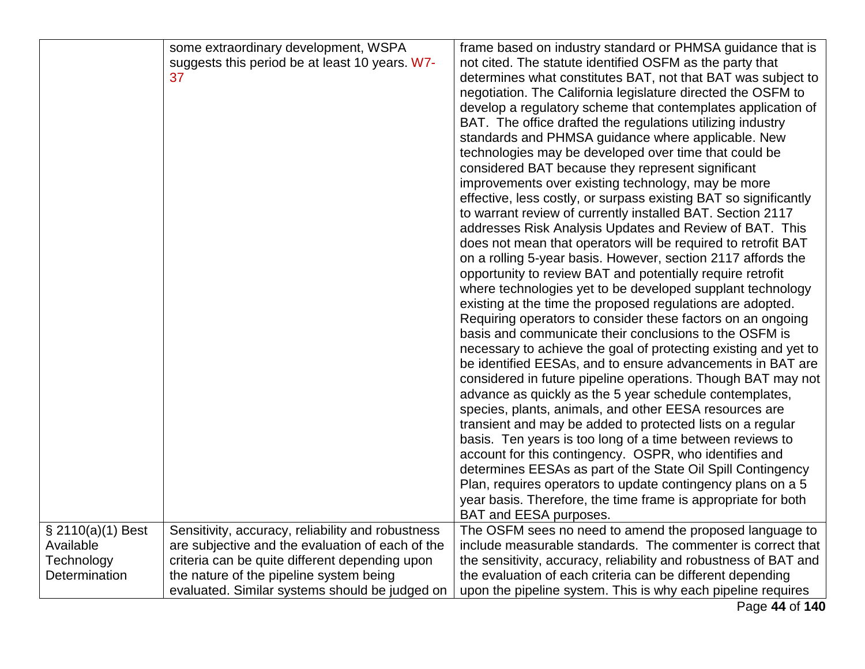|                   | some extraordinary development, WSPA              | frame based on industry standard or PHMSA guidance that is       |
|-------------------|---------------------------------------------------|------------------------------------------------------------------|
|                   | suggests this period be at least 10 years. W7-    | not cited. The statute identified OSFM as the party that         |
|                   | 37                                                | determines what constitutes BAT, not that BAT was subject to     |
|                   |                                                   | negotiation. The California legislature directed the OSFM to     |
|                   |                                                   | develop a regulatory scheme that contemplates application of     |
|                   |                                                   | BAT. The office drafted the regulations utilizing industry       |
|                   |                                                   | standards and PHMSA guidance where applicable. New               |
|                   |                                                   | technologies may be developed over time that could be            |
|                   |                                                   | considered BAT because they represent significant                |
|                   |                                                   | improvements over existing technology, may be more               |
|                   |                                                   | effective, less costly, or surpass existing BAT so significantly |
|                   |                                                   | to warrant review of currently installed BAT. Section 2117       |
|                   |                                                   | addresses Risk Analysis Updates and Review of BAT. This          |
|                   |                                                   | does not mean that operators will be required to retrofit BAT    |
|                   |                                                   | on a rolling 5-year basis. However, section 2117 affords the     |
|                   |                                                   | opportunity to review BAT and potentially require retrofit       |
|                   |                                                   | where technologies yet to be developed supplant technology       |
|                   |                                                   | existing at the time the proposed regulations are adopted.       |
|                   |                                                   | Requiring operators to consider these factors on an ongoing      |
|                   |                                                   | basis and communicate their conclusions to the OSFM is           |
|                   |                                                   | necessary to achieve the goal of protecting existing and yet to  |
|                   |                                                   | be identified EESAs, and to ensure advancements in BAT are       |
|                   |                                                   | considered in future pipeline operations. Though BAT may not     |
|                   |                                                   | advance as quickly as the 5 year schedule contemplates,          |
|                   |                                                   | species, plants, animals, and other EESA resources are           |
|                   |                                                   | transient and may be added to protected lists on a regular       |
|                   |                                                   | basis. Ten years is too long of a time between reviews to        |
|                   |                                                   | account for this contingency. OSPR, who identifies and           |
|                   |                                                   | determines EESAs as part of the State Oil Spill Contingency      |
|                   |                                                   | Plan, requires operators to update contingency plans on a 5      |
|                   |                                                   | year basis. Therefore, the time frame is appropriate for both    |
|                   |                                                   | BAT and EESA purposes.                                           |
| § 2110(a)(1) Best | Sensitivity, accuracy, reliability and robustness | The OSFM sees no need to amend the proposed language to          |
| Available         | are subjective and the evaluation of each of the  | include measurable standards. The commenter is correct that      |
| Technology        | criteria can be quite different depending upon    | the sensitivity, accuracy, reliability and robustness of BAT and |
| Determination     | the nature of the pipeline system being           | the evaluation of each criteria can be different depending       |
|                   |                                                   |                                                                  |
|                   | evaluated. Similar systems should be judged on    | upon the pipeline system. This is why each pipeline requires     |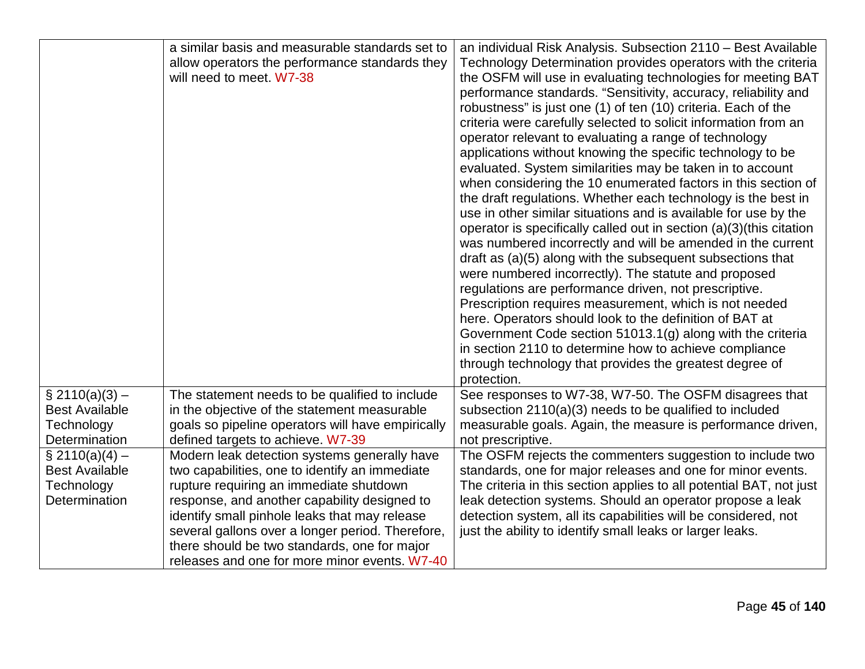|                       | a similar basis and measurable standards set to   | an individual Risk Analysis. Subsection 2110 - Best Available          |
|-----------------------|---------------------------------------------------|------------------------------------------------------------------------|
|                       | allow operators the performance standards they    | Technology Determination provides operators with the criteria          |
|                       | will need to meet. W7-38                          | the OSFM will use in evaluating technologies for meeting BAT           |
|                       |                                                   | performance standards. "Sensitivity, accuracy, reliability and         |
|                       |                                                   | robustness" is just one (1) of ten (10) criteria. Each of the          |
|                       |                                                   | criteria were carefully selected to solicit information from an        |
|                       |                                                   | operator relevant to evaluating a range of technology                  |
|                       |                                                   | applications without knowing the specific technology to be             |
|                       |                                                   | evaluated. System similarities may be taken in to account              |
|                       |                                                   | when considering the 10 enumerated factors in this section of          |
|                       |                                                   | the draft regulations. Whether each technology is the best in          |
|                       |                                                   | use in other similar situations and is available for use by the        |
|                       |                                                   | operator is specifically called out in section $(a)(3)$ (this citation |
|                       |                                                   | was numbered incorrectly and will be amended in the current            |
|                       |                                                   | draft as (a)(5) along with the subsequent subsections that             |
|                       |                                                   | were numbered incorrectly). The statute and proposed                   |
|                       |                                                   | regulations are performance driven, not prescriptive.                  |
|                       |                                                   | Prescription requires measurement, which is not needed                 |
|                       |                                                   | here. Operators should look to the definition of BAT at                |
|                       |                                                   | Government Code section 51013.1(g) along with the criteria             |
|                       |                                                   | in section 2110 to determine how to achieve compliance                 |
|                       |                                                   | through technology that provides the greatest degree of                |
|                       |                                                   | protection.                                                            |
| $\S$ 2110(a)(3) –     | The statement needs to be qualified to include    | See responses to W7-38, W7-50. The OSFM disagrees that                 |
| <b>Best Available</b> | in the objective of the statement measurable      | subsection 2110(a)(3) needs to be qualified to included                |
| Technology            | goals so pipeline operators will have empirically | measurable goals. Again, the measure is performance driven,            |
| Determination         | defined targets to achieve. W7-39                 | not prescriptive.                                                      |
| $\S 2110(a)(4) -$     | Modern leak detection systems generally have      | The OSFM rejects the commenters suggestion to include two              |
| <b>Best Available</b> | two capabilities, one to identify an immediate    | standards, one for major releases and one for minor events.            |
| Technology            | rupture requiring an immediate shutdown           | The criteria in this section applies to all potential BAT, not just    |
| Determination         | response, and another capability designed to      | leak detection systems. Should an operator propose a leak              |
|                       | identify small pinhole leaks that may release     | detection system, all its capabilities will be considered, not         |
|                       | several gallons over a longer period. Therefore,  | just the ability to identify small leaks or larger leaks.              |
|                       | there should be two standards, one for major      |                                                                        |
|                       | releases and one for more minor events. W7-40     |                                                                        |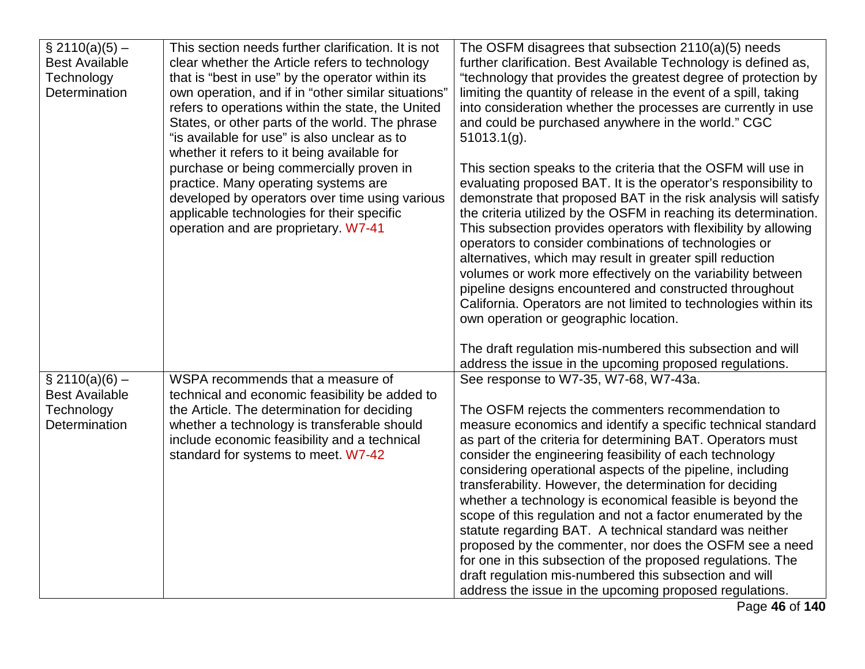| $\S 2110(a)(5) -$<br><b>Best Available</b><br>Technology<br>Determination | This section needs further clarification. It is not<br>clear whether the Article refers to technology<br>that is "best in use" by the operator within its<br>own operation, and if in "other similar situations"<br>refers to operations within the state, the United<br>States, or other parts of the world. The phrase<br>"is available for use" is also unclear as to<br>whether it refers to it being available for<br>purchase or being commercially proven in<br>practice. Many operating systems are<br>developed by operators over time using various<br>applicable technologies for their specific<br>operation and are proprietary. W7-41 | The OSFM disagrees that subsection 2110(a)(5) needs<br>further clarification. Best Available Technology is defined as,<br>"technology that provides the greatest degree of protection by<br>limiting the quantity of release in the event of a spill, taking<br>into consideration whether the processes are currently in use<br>and could be purchased anywhere in the world." CGC<br>$51013.1(g)$ .<br>This section speaks to the criteria that the OSFM will use in<br>evaluating proposed BAT. It is the operator's responsibility to<br>demonstrate that proposed BAT in the risk analysis will satisfy<br>the criteria utilized by the OSFM in reaching its determination.<br>This subsection provides operators with flexibility by allowing<br>operators to consider combinations of technologies or<br>alternatives, which may result in greater spill reduction |
|---------------------------------------------------------------------------|-----------------------------------------------------------------------------------------------------------------------------------------------------------------------------------------------------------------------------------------------------------------------------------------------------------------------------------------------------------------------------------------------------------------------------------------------------------------------------------------------------------------------------------------------------------------------------------------------------------------------------------------------------|---------------------------------------------------------------------------------------------------------------------------------------------------------------------------------------------------------------------------------------------------------------------------------------------------------------------------------------------------------------------------------------------------------------------------------------------------------------------------------------------------------------------------------------------------------------------------------------------------------------------------------------------------------------------------------------------------------------------------------------------------------------------------------------------------------------------------------------------------------------------------|
|                                                                           |                                                                                                                                                                                                                                                                                                                                                                                                                                                                                                                                                                                                                                                     | volumes or work more effectively on the variability between<br>pipeline designs encountered and constructed throughout<br>California. Operators are not limited to technologies within its<br>own operation or geographic location.<br>The draft regulation mis-numbered this subsection and will                                                                                                                                                                                                                                                                                                                                                                                                                                                                                                                                                                         |
|                                                                           |                                                                                                                                                                                                                                                                                                                                                                                                                                                                                                                                                                                                                                                     | address the issue in the upcoming proposed regulations.                                                                                                                                                                                                                                                                                                                                                                                                                                                                                                                                                                                                                                                                                                                                                                                                                   |
| $\S 2110(a)(6) -$                                                         | WSPA recommends that a measure of                                                                                                                                                                                                                                                                                                                                                                                                                                                                                                                                                                                                                   | See response to W7-35, W7-68, W7-43a.                                                                                                                                                                                                                                                                                                                                                                                                                                                                                                                                                                                                                                                                                                                                                                                                                                     |
| <b>Best Available</b>                                                     | technical and economic feasibility be added to                                                                                                                                                                                                                                                                                                                                                                                                                                                                                                                                                                                                      |                                                                                                                                                                                                                                                                                                                                                                                                                                                                                                                                                                                                                                                                                                                                                                                                                                                                           |
| Technology                                                                | the Article. The determination for deciding                                                                                                                                                                                                                                                                                                                                                                                                                                                                                                                                                                                                         | The OSFM rejects the commenters recommendation to                                                                                                                                                                                                                                                                                                                                                                                                                                                                                                                                                                                                                                                                                                                                                                                                                         |
| Determination                                                             | whether a technology is transferable should                                                                                                                                                                                                                                                                                                                                                                                                                                                                                                                                                                                                         | measure economics and identify a specific technical standard                                                                                                                                                                                                                                                                                                                                                                                                                                                                                                                                                                                                                                                                                                                                                                                                              |
|                                                                           | include economic feasibility and a technical<br>standard for systems to meet. W7-42                                                                                                                                                                                                                                                                                                                                                                                                                                                                                                                                                                 | as part of the criteria for determining BAT. Operators must<br>consider the engineering feasibility of each technology                                                                                                                                                                                                                                                                                                                                                                                                                                                                                                                                                                                                                                                                                                                                                    |
|                                                                           |                                                                                                                                                                                                                                                                                                                                                                                                                                                                                                                                                                                                                                                     | considering operational aspects of the pipeline, including                                                                                                                                                                                                                                                                                                                                                                                                                                                                                                                                                                                                                                                                                                                                                                                                                |
|                                                                           |                                                                                                                                                                                                                                                                                                                                                                                                                                                                                                                                                                                                                                                     | transferability. However, the determination for deciding                                                                                                                                                                                                                                                                                                                                                                                                                                                                                                                                                                                                                                                                                                                                                                                                                  |
|                                                                           |                                                                                                                                                                                                                                                                                                                                                                                                                                                                                                                                                                                                                                                     | whether a technology is economical feasible is beyond the                                                                                                                                                                                                                                                                                                                                                                                                                                                                                                                                                                                                                                                                                                                                                                                                                 |
|                                                                           |                                                                                                                                                                                                                                                                                                                                                                                                                                                                                                                                                                                                                                                     | scope of this regulation and not a factor enumerated by the                                                                                                                                                                                                                                                                                                                                                                                                                                                                                                                                                                                                                                                                                                                                                                                                               |
|                                                                           |                                                                                                                                                                                                                                                                                                                                                                                                                                                                                                                                                                                                                                                     | statute regarding BAT. A technical standard was neither<br>proposed by the commenter, nor does the OSFM see a need                                                                                                                                                                                                                                                                                                                                                                                                                                                                                                                                                                                                                                                                                                                                                        |
|                                                                           |                                                                                                                                                                                                                                                                                                                                                                                                                                                                                                                                                                                                                                                     | for one in this subsection of the proposed regulations. The                                                                                                                                                                                                                                                                                                                                                                                                                                                                                                                                                                                                                                                                                                                                                                                                               |
|                                                                           |                                                                                                                                                                                                                                                                                                                                                                                                                                                                                                                                                                                                                                                     | draft regulation mis-numbered this subsection and will                                                                                                                                                                                                                                                                                                                                                                                                                                                                                                                                                                                                                                                                                                                                                                                                                    |
|                                                                           |                                                                                                                                                                                                                                                                                                                                                                                                                                                                                                                                                                                                                                                     | address the issue in the upcoming proposed regulations.                                                                                                                                                                                                                                                                                                                                                                                                                                                                                                                                                                                                                                                                                                                                                                                                                   |
|                                                                           |                                                                                                                                                                                                                                                                                                                                                                                                                                                                                                                                                                                                                                                     | Page 46 of 140                                                                                                                                                                                                                                                                                                                                                                                                                                                                                                                                                                                                                                                                                                                                                                                                                                                            |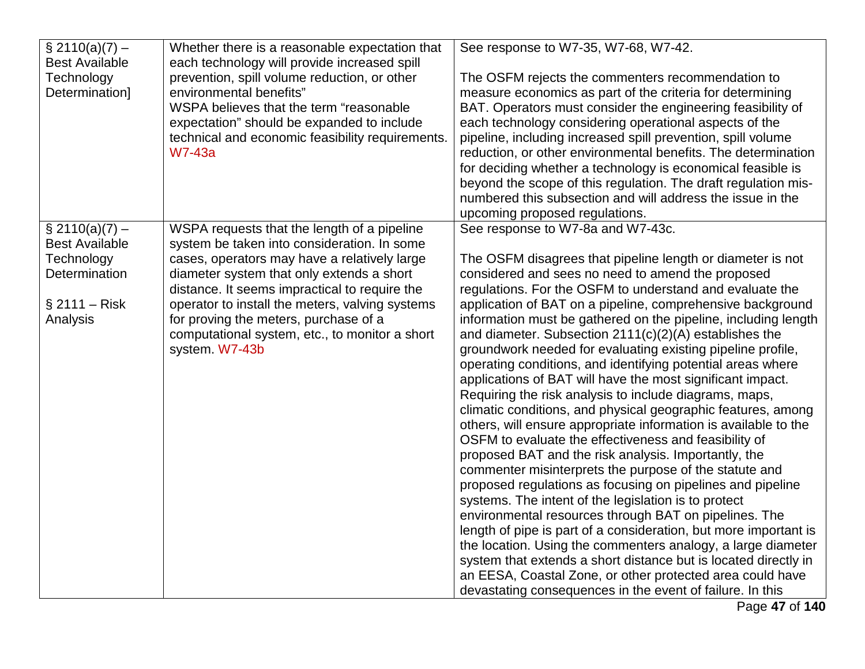| $\S$ 2110(a)(7) –     | Whether there is a reasonable expectation that   | See response to W7-35, W7-68, W7-42.                                                                                      |
|-----------------------|--------------------------------------------------|---------------------------------------------------------------------------------------------------------------------------|
| <b>Best Available</b> | each technology will provide increased spill     |                                                                                                                           |
| Technology            | prevention, spill volume reduction, or other     | The OSFM rejects the commenters recommendation to                                                                         |
| Determination]        | environmental benefits"                          | measure economics as part of the criteria for determining                                                                 |
|                       | WSPA believes that the term "reasonable          | BAT. Operators must consider the engineering feasibility of                                                               |
|                       | expectation" should be expanded to include       | each technology considering operational aspects of the                                                                    |
|                       | technical and economic feasibility requirements. | pipeline, including increased spill prevention, spill volume                                                              |
|                       | <b>W7-43a</b>                                    | reduction, or other environmental benefits. The determination                                                             |
|                       |                                                  | for deciding whether a technology is economical feasible is                                                               |
|                       |                                                  | beyond the scope of this regulation. The draft regulation mis-                                                            |
|                       |                                                  | numbered this subsection and will address the issue in the<br>upcoming proposed regulations.                              |
| $\S 2110(a)(7) -$     | WSPA requests that the length of a pipeline      | See response to W7-8a and W7-43c.                                                                                         |
| <b>Best Available</b> | system be taken into consideration. In some      |                                                                                                                           |
| Technology            | cases, operators may have a relatively large     | The OSFM disagrees that pipeline length or diameter is not                                                                |
| Determination         | diameter system that only extends a short        | considered and sees no need to amend the proposed                                                                         |
|                       | distance. It seems impractical to require the    | regulations. For the OSFM to understand and evaluate the                                                                  |
| $§$ 2111 – Risk       | operator to install the meters, valving systems  | application of BAT on a pipeline, comprehensive background                                                                |
| Analysis              | for proving the meters, purchase of a            | information must be gathered on the pipeline, including length                                                            |
|                       | computational system, etc., to monitor a short   | and diameter. Subsection $2111(c)(2)(A)$ establishes the                                                                  |
|                       | system. W7-43b                                   | groundwork needed for evaluating existing pipeline profile,                                                               |
|                       |                                                  | operating conditions, and identifying potential areas where                                                               |
|                       |                                                  | applications of BAT will have the most significant impact.                                                                |
|                       |                                                  | Requiring the risk analysis to include diagrams, maps,                                                                    |
|                       |                                                  | climatic conditions, and physical geographic features, among                                                              |
|                       |                                                  | others, will ensure appropriate information is available to the                                                           |
|                       |                                                  | OSFM to evaluate the effectiveness and feasibility of                                                                     |
|                       |                                                  | proposed BAT and the risk analysis. Importantly, the                                                                      |
|                       |                                                  | commenter misinterprets the purpose of the statute and                                                                    |
|                       |                                                  | proposed regulations as focusing on pipelines and pipeline                                                                |
|                       |                                                  | systems. The intent of the legislation is to protect                                                                      |
|                       |                                                  | environmental resources through BAT on pipelines. The<br>length of pipe is part of a consideration, but more important is |
|                       |                                                  | the location. Using the commenters analogy, a large diameter                                                              |
|                       |                                                  | system that extends a short distance but is located directly in                                                           |
|                       |                                                  | an EESA, Coastal Zone, or other protected area could have                                                                 |
|                       |                                                  | devastating consequences in the event of failure. In this                                                                 |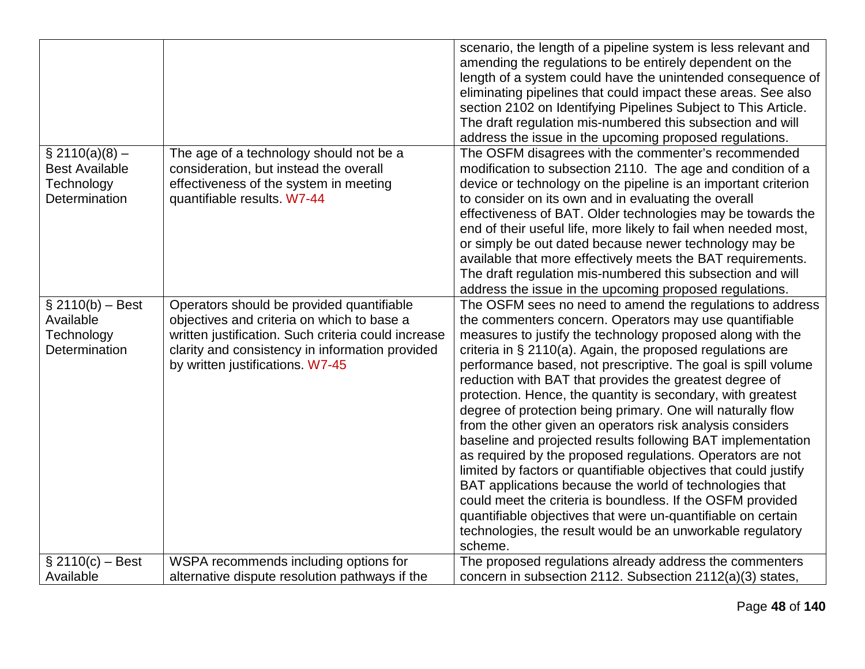|                                |                                                                                         | scenario, the length of a pipeline system is less relevant and<br>amending the regulations to be entirely dependent on the<br>length of a system could have the unintended consequence of<br>eliminating pipelines that could impact these areas. See also<br>section 2102 on Identifying Pipelines Subject to This Article.<br>The draft regulation mis-numbered this subsection and will<br>address the issue in the upcoming proposed regulations. |
|--------------------------------|-----------------------------------------------------------------------------------------|-------------------------------------------------------------------------------------------------------------------------------------------------------------------------------------------------------------------------------------------------------------------------------------------------------------------------------------------------------------------------------------------------------------------------------------------------------|
| $\S$ 2110(a)(8) –              | The age of a technology should not be a                                                 | The OSFM disagrees with the commenter's recommended                                                                                                                                                                                                                                                                                                                                                                                                   |
| <b>Best Available</b>          | consideration, but instead the overall                                                  | modification to subsection 2110. The age and condition of a                                                                                                                                                                                                                                                                                                                                                                                           |
| Technology<br>Determination    | effectiveness of the system in meeting                                                  | device or technology on the pipeline is an important criterion                                                                                                                                                                                                                                                                                                                                                                                        |
|                                | quantifiable results. W7-44                                                             | to consider on its own and in evaluating the overall<br>effectiveness of BAT. Older technologies may be towards the                                                                                                                                                                                                                                                                                                                                   |
|                                |                                                                                         | end of their useful life, more likely to fail when needed most,                                                                                                                                                                                                                                                                                                                                                                                       |
|                                |                                                                                         | or simply be out dated because newer technology may be                                                                                                                                                                                                                                                                                                                                                                                                |
|                                |                                                                                         | available that more effectively meets the BAT requirements.                                                                                                                                                                                                                                                                                                                                                                                           |
|                                |                                                                                         | The draft regulation mis-numbered this subsection and will                                                                                                                                                                                                                                                                                                                                                                                            |
|                                |                                                                                         | address the issue in the upcoming proposed regulations.                                                                                                                                                                                                                                                                                                                                                                                               |
| $$2110(b) - Best$<br>Available | Operators should be provided quantifiable<br>objectives and criteria on which to base a | The OSFM sees no need to amend the regulations to address<br>the commenters concern. Operators may use quantifiable                                                                                                                                                                                                                                                                                                                                   |
| Technology                     | written justification. Such criteria could increase                                     | measures to justify the technology proposed along with the                                                                                                                                                                                                                                                                                                                                                                                            |
| Determination                  | clarity and consistency in information provided                                         | criteria in § 2110(a). Again, the proposed regulations are                                                                                                                                                                                                                                                                                                                                                                                            |
|                                | by written justifications. W7-45                                                        | performance based, not prescriptive. The goal is spill volume                                                                                                                                                                                                                                                                                                                                                                                         |
|                                |                                                                                         | reduction with BAT that provides the greatest degree of                                                                                                                                                                                                                                                                                                                                                                                               |
|                                |                                                                                         | protection. Hence, the quantity is secondary, with greatest<br>degree of protection being primary. One will naturally flow                                                                                                                                                                                                                                                                                                                            |
|                                |                                                                                         | from the other given an operators risk analysis considers                                                                                                                                                                                                                                                                                                                                                                                             |
|                                |                                                                                         | baseline and projected results following BAT implementation                                                                                                                                                                                                                                                                                                                                                                                           |
|                                |                                                                                         | as required by the proposed regulations. Operators are not                                                                                                                                                                                                                                                                                                                                                                                            |
|                                |                                                                                         | limited by factors or quantifiable objectives that could justify                                                                                                                                                                                                                                                                                                                                                                                      |
|                                |                                                                                         | BAT applications because the world of technologies that                                                                                                                                                                                                                                                                                                                                                                                               |
|                                |                                                                                         | could meet the criteria is boundless. If the OSFM provided                                                                                                                                                                                                                                                                                                                                                                                            |
|                                |                                                                                         | quantifiable objectives that were un-quantifiable on certain                                                                                                                                                                                                                                                                                                                                                                                          |
|                                |                                                                                         | technologies, the result would be an unworkable regulatory                                                                                                                                                                                                                                                                                                                                                                                            |
|                                |                                                                                         | scheme.                                                                                                                                                                                                                                                                                                                                                                                                                                               |
| $$2110(c) - Best$              | WSPA recommends including options for                                                   | The proposed regulations already address the commenters                                                                                                                                                                                                                                                                                                                                                                                               |
| Available                      | alternative dispute resolution pathways if the                                          | concern in subsection 2112. Subsection 2112(a)(3) states,                                                                                                                                                                                                                                                                                                                                                                                             |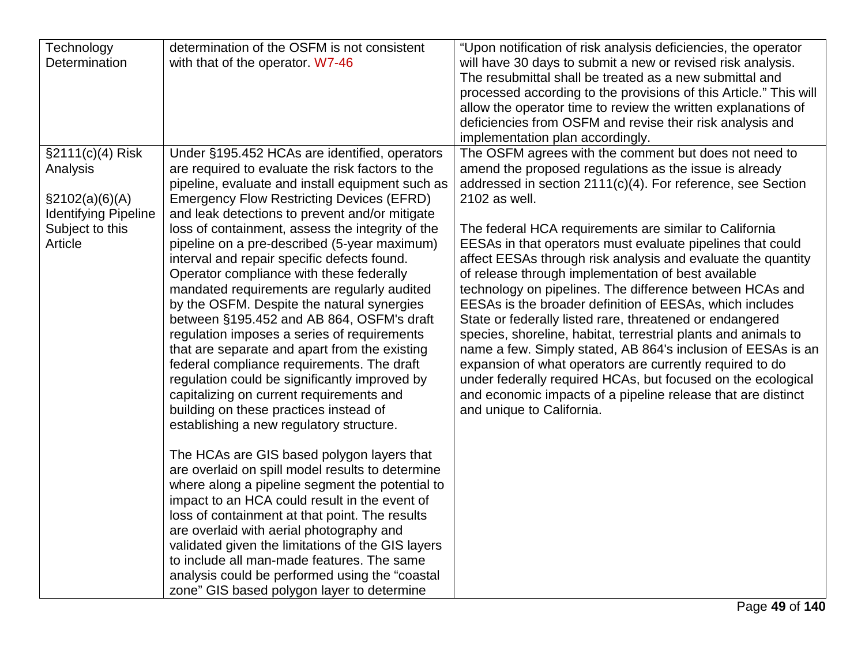| Technology                  | determination of the OSFM is not consistent       | "Upon notification of risk analysis deficiencies, the operator    |
|-----------------------------|---------------------------------------------------|-------------------------------------------------------------------|
| Determination               | with that of the operator. W7-46                  | will have 30 days to submit a new or revised risk analysis.       |
|                             |                                                   | The resubmittal shall be treated as a new submittal and           |
|                             |                                                   | processed according to the provisions of this Article." This will |
|                             |                                                   | allow the operator time to review the written explanations of     |
|                             |                                                   | deficiencies from OSFM and revise their risk analysis and         |
|                             |                                                   | implementation plan accordingly.                                  |
| §2111(c)(4) Risk            | Under §195.452 HCAs are identified, operators     | The OSFM agrees with the comment but does not need to             |
| Analysis                    | are required to evaluate the risk factors to the  | amend the proposed regulations as the issue is already            |
|                             | pipeline, evaluate and install equipment such as  | addressed in section 2111(c)(4). For reference, see Section       |
| \$2102(a)(6)(A)             | <b>Emergency Flow Restricting Devices (EFRD)</b>  | 2102 as well.                                                     |
| <b>Identifying Pipeline</b> | and leak detections to prevent and/or mitigate    |                                                                   |
| Subject to this             | loss of containment, assess the integrity of the  | The federal HCA requirements are similar to California            |
| Article                     | pipeline on a pre-described (5-year maximum)      | EESAs in that operators must evaluate pipelines that could        |
|                             | interval and repair specific defects found.       | affect EESAs through risk analysis and evaluate the quantity      |
|                             | Operator compliance with these federally          | of release through implementation of best available               |
|                             | mandated requirements are regularly audited       | technology on pipelines. The difference between HCAs and          |
|                             | by the OSFM. Despite the natural synergies        | EESAs is the broader definition of EESAs, which includes          |
|                             | between §195.452 and AB 864, OSFM's draft         | State or federally listed rare, threatened or endangered          |
|                             | regulation imposes a series of requirements       | species, shoreline, habitat, terrestrial plants and animals to    |
|                             | that are separate and apart from the existing     | name a few. Simply stated, AB 864's inclusion of EESAs is an      |
|                             | federal compliance requirements. The draft        | expansion of what operators are currently required to do          |
|                             | regulation could be significantly improved by     | under federally required HCAs, but focused on the ecological      |
|                             | capitalizing on current requirements and          | and economic impacts of a pipeline release that are distinct      |
|                             | building on these practices instead of            | and unique to California.                                         |
|                             | establishing a new regulatory structure.          |                                                                   |
|                             |                                                   |                                                                   |
|                             | The HCAs are GIS based polygon layers that        |                                                                   |
|                             | are overlaid on spill model results to determine  |                                                                   |
|                             | where along a pipeline segment the potential to   |                                                                   |
|                             | impact to an HCA could result in the event of     |                                                                   |
|                             | loss of containment at that point. The results    |                                                                   |
|                             | are overlaid with aerial photography and          |                                                                   |
|                             | validated given the limitations of the GIS layers |                                                                   |
|                             | to include all man-made features. The same        |                                                                   |
|                             | analysis could be performed using the "coastal    |                                                                   |
|                             | zone" GIS based polygon layer to determine        |                                                                   |
|                             |                                                   |                                                                   |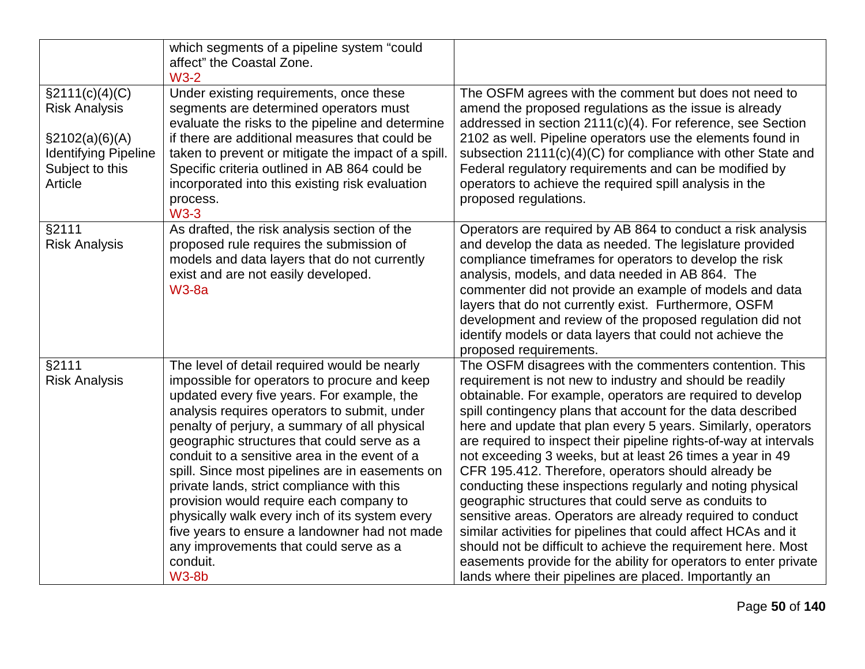|                                                                                                                           | which segments of a pipeline system "could<br>affect" the Coastal Zone.                                                                                                                                                                                                                                                                                                                                                                                                                                                                                                                                                                                          |                                                                                                                                                                                                                                                                                                                                                                                                                                                                                                                                                                                                                                                                                                                                                                                                                                                                                                                                                                  |
|---------------------------------------------------------------------------------------------------------------------------|------------------------------------------------------------------------------------------------------------------------------------------------------------------------------------------------------------------------------------------------------------------------------------------------------------------------------------------------------------------------------------------------------------------------------------------------------------------------------------------------------------------------------------------------------------------------------------------------------------------------------------------------------------------|------------------------------------------------------------------------------------------------------------------------------------------------------------------------------------------------------------------------------------------------------------------------------------------------------------------------------------------------------------------------------------------------------------------------------------------------------------------------------------------------------------------------------------------------------------------------------------------------------------------------------------------------------------------------------------------------------------------------------------------------------------------------------------------------------------------------------------------------------------------------------------------------------------------------------------------------------------------|
|                                                                                                                           | $W3-2$                                                                                                                                                                                                                                                                                                                                                                                                                                                                                                                                                                                                                                                           |                                                                                                                                                                                                                                                                                                                                                                                                                                                                                                                                                                                                                                                                                                                                                                                                                                                                                                                                                                  |
| $\S2111(c)(4)(C)$<br><b>Risk Analysis</b><br>\$2102(a)(6)(A)<br><b>Identifying Pipeline</b><br>Subject to this<br>Article | Under existing requirements, once these<br>segments are determined operators must<br>evaluate the risks to the pipeline and determine<br>if there are additional measures that could be<br>taken to prevent or mitigate the impact of a spill.<br>Specific criteria outlined in AB 864 could be<br>incorporated into this existing risk evaluation<br>process.<br><b>W3-3</b>                                                                                                                                                                                                                                                                                    | The OSFM agrees with the comment but does not need to<br>amend the proposed regulations as the issue is already<br>addressed in section 2111(c)(4). For reference, see Section<br>2102 as well. Pipeline operators use the elements found in<br>subsection $2111(c)(4)(C)$ for compliance with other State and<br>Federal regulatory requirements and can be modified by<br>operators to achieve the required spill analysis in the<br>proposed regulations.                                                                                                                                                                                                                                                                                                                                                                                                                                                                                                     |
| $\sqrt{\frac{2111}{}}$<br><b>Risk Analysis</b>                                                                            | As drafted, the risk analysis section of the<br>proposed rule requires the submission of<br>models and data layers that do not currently<br>exist and are not easily developed.<br><b>W3-8a</b>                                                                                                                                                                                                                                                                                                                                                                                                                                                                  | Operators are required by AB 864 to conduct a risk analysis<br>and develop the data as needed. The legislature provided<br>compliance timeframes for operators to develop the risk<br>analysis, models, and data needed in AB 864. The<br>commenter did not provide an example of models and data<br>layers that do not currently exist. Furthermore, OSFM<br>development and review of the proposed regulation did not<br>identify models or data layers that could not achieve the<br>proposed requirements.                                                                                                                                                                                                                                                                                                                                                                                                                                                   |
| §2111<br><b>Risk Analysis</b>                                                                                             | The level of detail required would be nearly<br>impossible for operators to procure and keep<br>updated every five years. For example, the<br>analysis requires operators to submit, under<br>penalty of perjury, a summary of all physical<br>geographic structures that could serve as a<br>conduit to a sensitive area in the event of a<br>spill. Since most pipelines are in easements on<br>private lands, strict compliance with this<br>provision would require each company to<br>physically walk every inch of its system every<br>five years to ensure a landowner had not made<br>any improvements that could serve as a<br>conduit.<br><b>W3-8b</b> | The OSFM disagrees with the commenters contention. This<br>requirement is not new to industry and should be readily<br>obtainable. For example, operators are required to develop<br>spill contingency plans that account for the data described<br>here and update that plan every 5 years. Similarly, operators<br>are required to inspect their pipeline rights-of-way at intervals<br>not exceeding 3 weeks, but at least 26 times a year in 49<br>CFR 195.412. Therefore, operators should already be<br>conducting these inspections regularly and noting physical<br>geographic structures that could serve as conduits to<br>sensitive areas. Operators are already required to conduct<br>similar activities for pipelines that could affect HCAs and it<br>should not be difficult to achieve the requirement here. Most<br>easements provide for the ability for operators to enter private<br>lands where their pipelines are placed. Importantly an |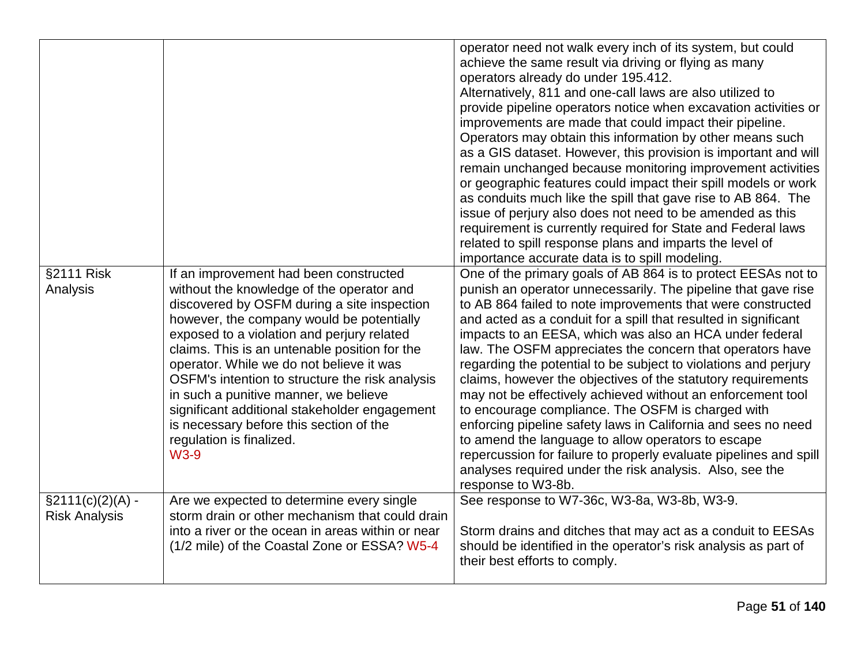|                      |                                                                                          | operator need not walk every inch of its system, but could                                                                    |
|----------------------|------------------------------------------------------------------------------------------|-------------------------------------------------------------------------------------------------------------------------------|
|                      |                                                                                          | achieve the same result via driving or flying as many<br>operators already do under 195.412.                                  |
|                      |                                                                                          | Alternatively, 811 and one-call laws are also utilized to                                                                     |
|                      |                                                                                          | provide pipeline operators notice when excavation activities or                                                               |
|                      |                                                                                          | improvements are made that could impact their pipeline.                                                                       |
|                      |                                                                                          | Operators may obtain this information by other means such                                                                     |
|                      |                                                                                          | as a GIS dataset. However, this provision is important and will<br>remain unchanged because monitoring improvement activities |
|                      |                                                                                          | or geographic features could impact their spill models or work                                                                |
|                      |                                                                                          | as conduits much like the spill that gave rise to AB 864. The                                                                 |
|                      |                                                                                          | issue of perjury also does not need to be amended as this                                                                     |
|                      |                                                                                          | requirement is currently required for State and Federal laws                                                                  |
|                      |                                                                                          | related to spill response plans and imparts the level of                                                                      |
|                      |                                                                                          | importance accurate data is to spill modeling.                                                                                |
| §2111 Risk           | If an improvement had been constructed                                                   | One of the primary goals of AB 864 is to protect EESAs not to                                                                 |
| Analysis             | without the knowledge of the operator and<br>discovered by OSFM during a site inspection | punish an operator unnecessarily. The pipeline that gave rise<br>to AB 864 failed to note improvements that were constructed  |
|                      | however, the company would be potentially                                                | and acted as a conduit for a spill that resulted in significant                                                               |
|                      | exposed to a violation and perjury related                                               | impacts to an EESA, which was also an HCA under federal                                                                       |
|                      | claims. This is an untenable position for the                                            | law. The OSFM appreciates the concern that operators have                                                                     |
|                      | operator. While we do not believe it was                                                 | regarding the potential to be subject to violations and perjury                                                               |
|                      | OSFM's intention to structure the risk analysis                                          | claims, however the objectives of the statutory requirements                                                                  |
|                      | in such a punitive manner, we believe                                                    | may not be effectively achieved without an enforcement tool                                                                   |
|                      | significant additional stakeholder engagement<br>is necessary before this section of the | to encourage compliance. The OSFM is charged with<br>enforcing pipeline safety laws in California and sees no need            |
|                      | regulation is finalized.                                                                 | to amend the language to allow operators to escape                                                                            |
|                      | <b>W3-9</b>                                                                              | repercussion for failure to properly evaluate pipelines and spill                                                             |
|                      |                                                                                          | analyses required under the risk analysis. Also, see the                                                                      |
|                      |                                                                                          | response to W3-8b.                                                                                                            |
| $\S2111(c)(2)(A) -$  | Are we expected to determine every single                                                | See response to W7-36c, W3-8a, W3-8b, W3-9.                                                                                   |
| <b>Risk Analysis</b> | storm drain or other mechanism that could drain                                          |                                                                                                                               |
|                      | into a river or the ocean in areas within or near                                        | Storm drains and ditches that may act as a conduit to EESAs                                                                   |
|                      | (1/2 mile) of the Coastal Zone or ESSA? W5-4                                             | should be identified in the operator's risk analysis as part of<br>their best efforts to comply.                              |
|                      |                                                                                          |                                                                                                                               |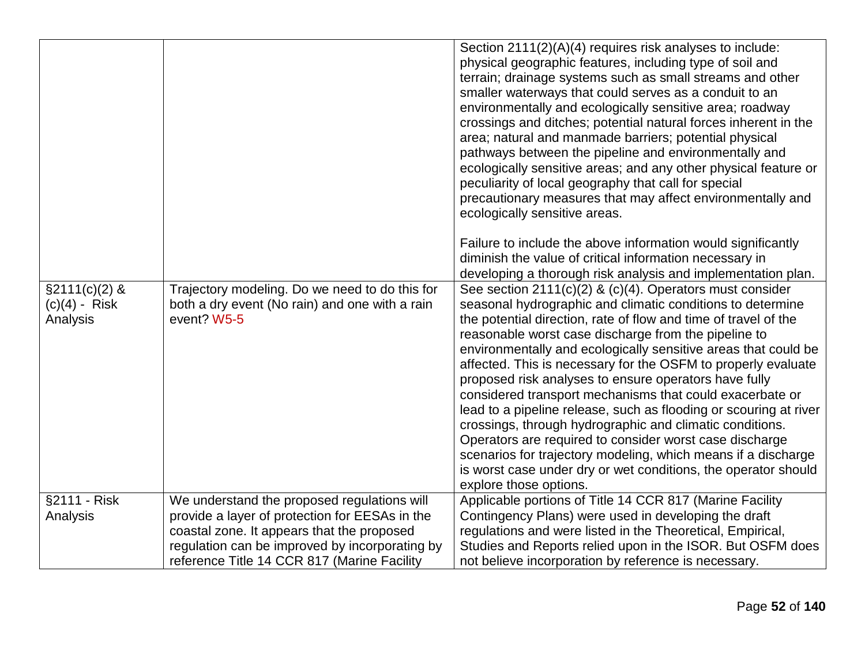|                                                 |                                                                                                                 | Section 2111(2)(A)(4) requires risk analyses to include:<br>physical geographic features, including type of soil and<br>terrain; drainage systems such as small streams and other<br>smaller waterways that could serves as a conduit to an<br>environmentally and ecologically sensitive area; roadway<br>crossings and ditches; potential natural forces inherent in the<br>area; natural and manmade barriers; potential physical<br>pathways between the pipeline and environmentally and<br>ecologically sensitive areas; and any other physical feature or<br>peculiarity of local geography that call for special<br>precautionary measures that may affect environmentally and<br>ecologically sensitive areas.<br>Failure to include the above information would significantly<br>diminish the value of critical information necessary in                                                                                      |
|-------------------------------------------------|-----------------------------------------------------------------------------------------------------------------|-----------------------------------------------------------------------------------------------------------------------------------------------------------------------------------------------------------------------------------------------------------------------------------------------------------------------------------------------------------------------------------------------------------------------------------------------------------------------------------------------------------------------------------------------------------------------------------------------------------------------------------------------------------------------------------------------------------------------------------------------------------------------------------------------------------------------------------------------------------------------------------------------------------------------------------------|
| $\S2111(c)(2)$ &<br>$(c)(4)$ - Risk<br>Analysis | Trajectory modeling. Do we need to do this for<br>both a dry event (No rain) and one with a rain<br>event? W5-5 | developing a thorough risk analysis and implementation plan.<br>See section $2111(c)(2)$ & $(c)(4)$ . Operators must consider<br>seasonal hydrographic and climatic conditions to determine<br>the potential direction, rate of flow and time of travel of the<br>reasonable worst case discharge from the pipeline to<br>environmentally and ecologically sensitive areas that could be<br>affected. This is necessary for the OSFM to properly evaluate<br>proposed risk analyses to ensure operators have fully<br>considered transport mechanisms that could exacerbate or<br>lead to a pipeline release, such as flooding or scouring at river<br>crossings, through hydrographic and climatic conditions.<br>Operators are required to consider worst case discharge<br>scenarios for trajectory modeling, which means if a discharge<br>is worst case under dry or wet conditions, the operator should<br>explore those options. |
| §2111 - Risk<br>Analysis                        | We understand the proposed regulations will<br>provide a layer of protection for EESAs in the                   | Applicable portions of Title 14 CCR 817 (Marine Facility<br>Contingency Plans) were used in developing the draft                                                                                                                                                                                                                                                                                                                                                                                                                                                                                                                                                                                                                                                                                                                                                                                                                        |
|                                                 | coastal zone. It appears that the proposed                                                                      | regulations and were listed in the Theoretical, Empirical,                                                                                                                                                                                                                                                                                                                                                                                                                                                                                                                                                                                                                                                                                                                                                                                                                                                                              |
|                                                 | regulation can be improved by incorporating by                                                                  | Studies and Reports relied upon in the ISOR. But OSFM does                                                                                                                                                                                                                                                                                                                                                                                                                                                                                                                                                                                                                                                                                                                                                                                                                                                                              |
|                                                 | reference Title 14 CCR 817 (Marine Facility                                                                     | not believe incorporation by reference is necessary.                                                                                                                                                                                                                                                                                                                                                                                                                                                                                                                                                                                                                                                                                                                                                                                                                                                                                    |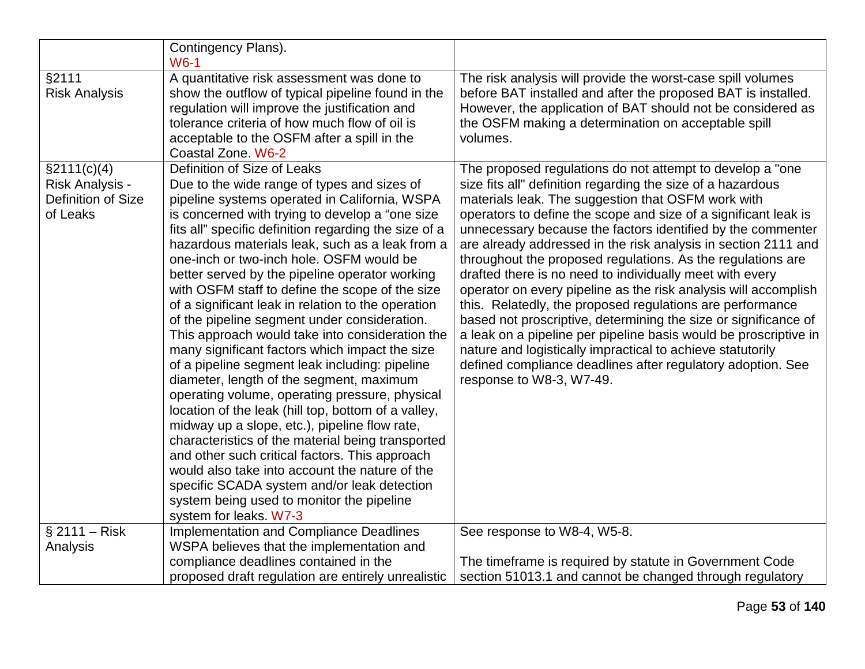|                                                                   | Contingency Plans).<br>$W6-1$                                                                                                                                                                                                                                                                                                                                                                                                                                                                                                                                                                                                                                                                                                                                                                                                                                                                                                                                                                                                                                                                                                                                                                  |                                                                                                                                                                                                                                                                                                                                                                                                                                                                                                                                                                                                                                                                                                                                                                                                                                                                                                                                               |
|-------------------------------------------------------------------|------------------------------------------------------------------------------------------------------------------------------------------------------------------------------------------------------------------------------------------------------------------------------------------------------------------------------------------------------------------------------------------------------------------------------------------------------------------------------------------------------------------------------------------------------------------------------------------------------------------------------------------------------------------------------------------------------------------------------------------------------------------------------------------------------------------------------------------------------------------------------------------------------------------------------------------------------------------------------------------------------------------------------------------------------------------------------------------------------------------------------------------------------------------------------------------------|-----------------------------------------------------------------------------------------------------------------------------------------------------------------------------------------------------------------------------------------------------------------------------------------------------------------------------------------------------------------------------------------------------------------------------------------------------------------------------------------------------------------------------------------------------------------------------------------------------------------------------------------------------------------------------------------------------------------------------------------------------------------------------------------------------------------------------------------------------------------------------------------------------------------------------------------------|
| §2111<br><b>Risk Analysis</b>                                     | A quantitative risk assessment was done to<br>show the outflow of typical pipeline found in the<br>regulation will improve the justification and<br>tolerance criteria of how much flow of oil is<br>acceptable to the OSFM after a spill in the<br>Coastal Zone. W6-2                                                                                                                                                                                                                                                                                                                                                                                                                                                                                                                                                                                                                                                                                                                                                                                                                                                                                                                         | The risk analysis will provide the worst-case spill volumes<br>before BAT installed and after the proposed BAT is installed.<br>However, the application of BAT should not be considered as<br>the OSFM making a determination on acceptable spill<br>volumes.                                                                                                                                                                                                                                                                                                                                                                                                                                                                                                                                                                                                                                                                                |
| \$2111(c)(4)<br>Risk Analysis -<br>Definition of Size<br>of Leaks | Definition of Size of Leaks<br>Due to the wide range of types and sizes of<br>pipeline systems operated in California, WSPA<br>is concerned with trying to develop a "one size"<br>fits all" specific definition regarding the size of a<br>hazardous materials leak, such as a leak from a<br>one-inch or two-inch hole. OSFM would be<br>better served by the pipeline operator working<br>with OSFM staff to define the scope of the size<br>of a significant leak in relation to the operation<br>of the pipeline segment under consideration.<br>This approach would take into consideration the<br>many significant factors which impact the size<br>of a pipeline segment leak including: pipeline<br>diameter, length of the segment, maximum<br>operating volume, operating pressure, physical<br>location of the leak (hill top, bottom of a valley,<br>midway up a slope, etc.), pipeline flow rate,<br>characteristics of the material being transported<br>and other such critical factors. This approach<br>would also take into account the nature of the<br>specific SCADA system and/or leak detection<br>system being used to monitor the pipeline<br>system for leaks. W7-3 | The proposed regulations do not attempt to develop a "one<br>size fits all" definition regarding the size of a hazardous<br>materials leak. The suggestion that OSFM work with<br>operators to define the scope and size of a significant leak is<br>unnecessary because the factors identified by the commenter<br>are already addressed in the risk analysis in section 2111 and<br>throughout the proposed regulations. As the regulations are<br>drafted there is no need to individually meet with every<br>operator on every pipeline as the risk analysis will accomplish<br>this. Relatedly, the proposed regulations are performance<br>based not proscriptive, determining the size or significance of<br>a leak on a pipeline per pipeline basis would be proscriptive in<br>nature and logistically impractical to achieve statutorily<br>defined compliance deadlines after regulatory adoption. See<br>response to W8-3, W7-49. |
| $$2111 - Risk$                                                    | <b>Implementation and Compliance Deadlines</b><br>WSPA believes that the implementation and                                                                                                                                                                                                                                                                                                                                                                                                                                                                                                                                                                                                                                                                                                                                                                                                                                                                                                                                                                                                                                                                                                    | See response to W8-4, W5-8.                                                                                                                                                                                                                                                                                                                                                                                                                                                                                                                                                                                                                                                                                                                                                                                                                                                                                                                   |
| Analysis                                                          | compliance deadlines contained in the<br>proposed draft regulation are entirely unrealistic                                                                                                                                                                                                                                                                                                                                                                                                                                                                                                                                                                                                                                                                                                                                                                                                                                                                                                                                                                                                                                                                                                    | The timeframe is required by statute in Government Code<br>section 51013.1 and cannot be changed through regulatory                                                                                                                                                                                                                                                                                                                                                                                                                                                                                                                                                                                                                                                                                                                                                                                                                           |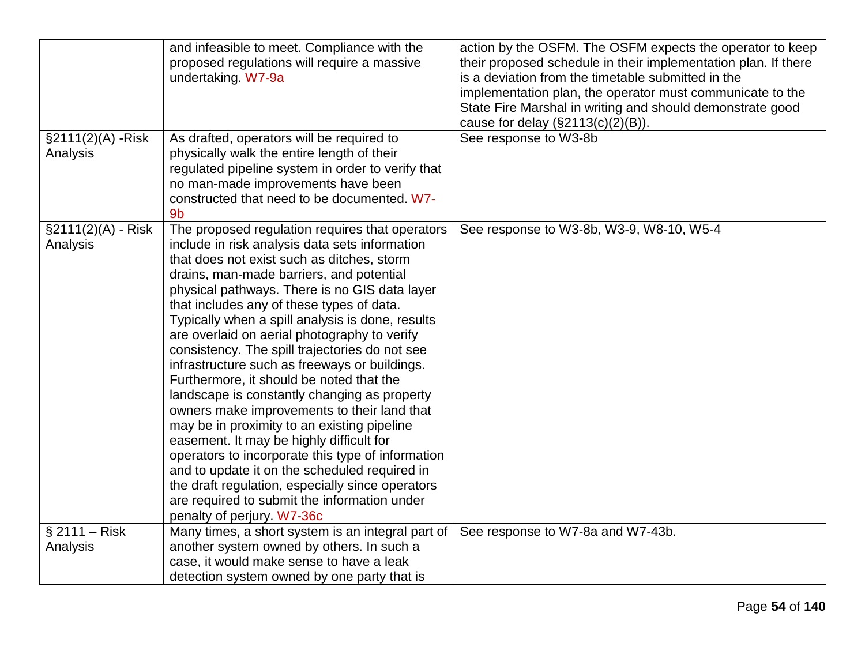|                       | and infeasible to meet. Compliance with the       | action by the OSFM. The OSFM expects the operator to keep      |
|-----------------------|---------------------------------------------------|----------------------------------------------------------------|
|                       | proposed regulations will require a massive       | their proposed schedule in their implementation plan. If there |
|                       | undertaking. W7-9a                                | is a deviation from the timetable submitted in the             |
|                       |                                                   | implementation plan, the operator must communicate to the      |
|                       |                                                   | State Fire Marshal in writing and should demonstrate good      |
|                       |                                                   | cause for delay $(\$2113(c)(2)(B)).$                           |
| §2111(2)(A) - Risk    | As drafted, operators will be required to         | See response to W3-8b                                          |
| Analysis              | physically walk the entire length of their        |                                                                |
|                       | regulated pipeline system in order to verify that |                                                                |
|                       | no man-made improvements have been                |                                                                |
|                       | constructed that need to be documented. W7-       |                                                                |
|                       | 9 <sub>b</sub>                                    |                                                                |
| $\S2111(2)(A) - Risk$ | The proposed regulation requires that operators   | See response to W3-8b, W3-9, W8-10, W5-4                       |
| Analysis              | include in risk analysis data sets information    |                                                                |
|                       | that does not exist such as ditches, storm        |                                                                |
|                       | drains, man-made barriers, and potential          |                                                                |
|                       | physical pathways. There is no GIS data layer     |                                                                |
|                       | that includes any of these types of data.         |                                                                |
|                       | Typically when a spill analysis is done, results  |                                                                |
|                       | are overlaid on aerial photography to verify      |                                                                |
|                       | consistency. The spill trajectories do not see    |                                                                |
|                       | infrastructure such as freeways or buildings.     |                                                                |
|                       | Furthermore, it should be noted that the          |                                                                |
|                       | landscape is constantly changing as property      |                                                                |
|                       | owners make improvements to their land that       |                                                                |
|                       | may be in proximity to an existing pipeline       |                                                                |
|                       | easement. It may be highly difficult for          |                                                                |
|                       | operators to incorporate this type of information |                                                                |
|                       | and to update it on the scheduled required in     |                                                                |
|                       | the draft regulation, especially since operators  |                                                                |
|                       | are required to submit the information under      |                                                                |
|                       | penalty of perjury. W7-36c                        |                                                                |
| $$2111 - Risk$        | Many times, a short system is an integral part of | See response to W7-8a and W7-43b.                              |
| Analysis              | another system owned by others. In such a         |                                                                |
|                       | case, it would make sense to have a leak          |                                                                |
|                       | detection system owned by one party that is       |                                                                |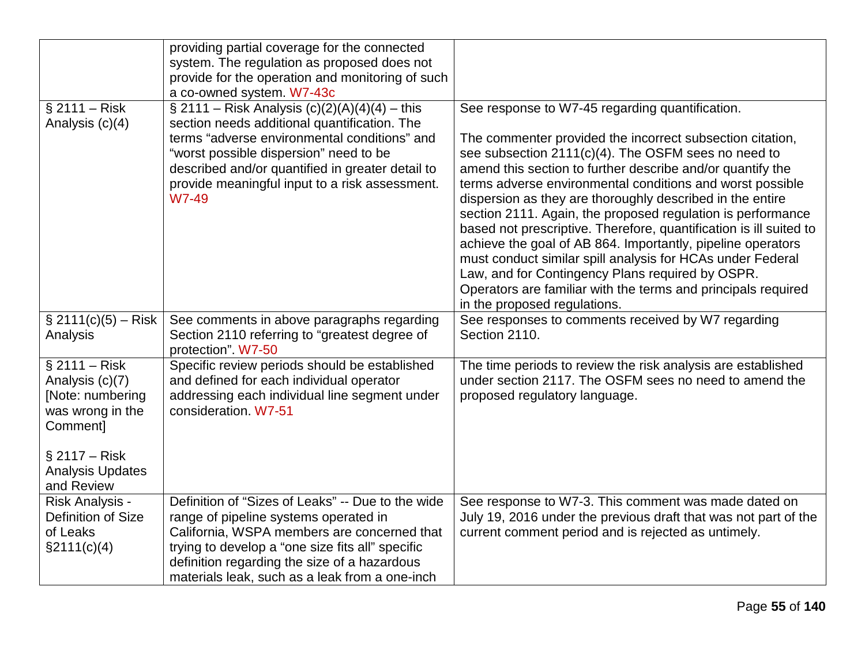|                                                                                                                                                    | providing partial coverage for the connected<br>system. The regulation as proposed does not<br>provide for the operation and monitoring of such<br>a co-owned system. W7-43c                                                                                                                    |                                                                                                                                                                                                                                                                                                                                                                                                                                                                                                                                                                                                                                                                                                                                 |
|----------------------------------------------------------------------------------------------------------------------------------------------------|-------------------------------------------------------------------------------------------------------------------------------------------------------------------------------------------------------------------------------------------------------------------------------------------------|---------------------------------------------------------------------------------------------------------------------------------------------------------------------------------------------------------------------------------------------------------------------------------------------------------------------------------------------------------------------------------------------------------------------------------------------------------------------------------------------------------------------------------------------------------------------------------------------------------------------------------------------------------------------------------------------------------------------------------|
| $§$ 2111 – Risk                                                                                                                                    | $\S 2111 - Risk Analysis (c)(2)(A)(4)(4) - this$                                                                                                                                                                                                                                                | See response to W7-45 regarding quantification.                                                                                                                                                                                                                                                                                                                                                                                                                                                                                                                                                                                                                                                                                 |
| Analysis (c)(4)                                                                                                                                    | section needs additional quantification. The<br>terms "adverse environmental conditions" and<br>"worst possible dispersion" need to be<br>described and/or quantified in greater detail to<br>provide meaningful input to a risk assessment.<br>W7-49                                           | The commenter provided the incorrect subsection citation,<br>see subsection 2111(c)(4). The OSFM sees no need to<br>amend this section to further describe and/or quantify the<br>terms adverse environmental conditions and worst possible<br>dispersion as they are thoroughly described in the entire<br>section 2111. Again, the proposed regulation is performance<br>based not prescriptive. Therefore, quantification is ill suited to<br>achieve the goal of AB 864. Importantly, pipeline operators<br>must conduct similar spill analysis for HCAs under Federal<br>Law, and for Contingency Plans required by OSPR.<br>Operators are familiar with the terms and principals required<br>in the proposed regulations. |
| $$2111(c)(5) - Risk$<br>Analysis                                                                                                                   | See comments in above paragraphs regarding<br>Section 2110 referring to "greatest degree of<br>protection". W7-50                                                                                                                                                                               | See responses to comments received by W7 regarding<br>Section 2110.                                                                                                                                                                                                                                                                                                                                                                                                                                                                                                                                                                                                                                                             |
| $§$ 2111 – Risk<br>Analysis (c)(7)<br>[Note: numbering<br>was wrong in the<br>Comment]<br>$§$ 2117 – Risk<br><b>Analysis Updates</b><br>and Review | Specific review periods should be established<br>and defined for each individual operator<br>addressing each individual line segment under<br>consideration, W7-51                                                                                                                              | The time periods to review the risk analysis are established<br>under section 2117. The OSFM sees no need to amend the<br>proposed regulatory language.                                                                                                                                                                                                                                                                                                                                                                                                                                                                                                                                                                         |
| Risk Analysis -<br>Definition of Size<br>of Leaks<br>$\S2111(c)(4)$                                                                                | Definition of "Sizes of Leaks" -- Due to the wide<br>range of pipeline systems operated in<br>California, WSPA members are concerned that<br>trying to develop a "one size fits all" specific<br>definition regarding the size of a hazardous<br>materials leak, such as a leak from a one-inch | See response to W7-3. This comment was made dated on<br>July 19, 2016 under the previous draft that was not part of the<br>current comment period and is rejected as untimely.                                                                                                                                                                                                                                                                                                                                                                                                                                                                                                                                                  |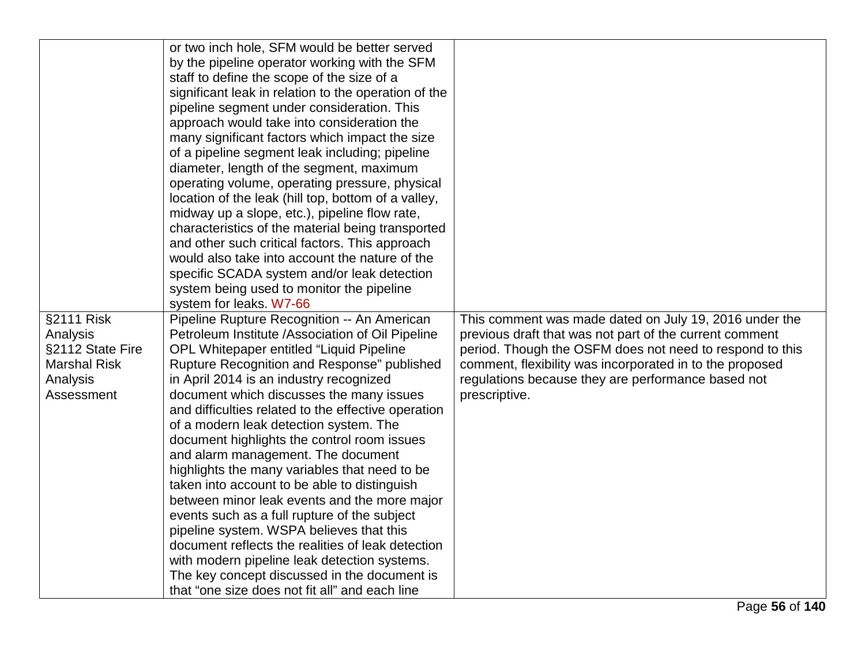| or two inch hole, SFM would be better served<br>by the pipeline operator working with the SFM<br>staff to define the scope of the size of a<br>significant leak in relation to the operation of the<br>pipeline segment under consideration. This<br>approach would take into consideration the<br>many significant factors which impact the size<br>of a pipeline segment leak including; pipeline<br>diameter, length of the segment, maximum<br>operating volume, operating pressure, physical<br>location of the leak (hill top, bottom of a valley,<br>midway up a slope, etc.), pipeline flow rate,<br>characteristics of the material being transported<br>and other such critical factors. This approach<br>would also take into account the nature of the<br>specific SCADA system and/or leak detection<br>system being used to monitor the pipeline<br>system for leaks. W7-66<br>§2111 Risk<br>Pipeline Rupture Recognition -- An American<br>Petroleum Institute /Association of Oil Pipeline<br>Analysis<br>§2112 State Fire<br>OPL Whitepaper entitled "Liquid Pipeline<br>Rupture Recognition and Response" published<br><b>Marshal Risk</b><br>in April 2014 is an industry recognized<br>Analysis<br>Assessment<br>document which discusses the many issues<br>and difficulties related to the effective operation<br>of a modern leak detection system. The<br>document highlights the control room issues<br>and alarm management. The document<br>highlights the many variables that need to be<br>taken into account to be able to distinguish<br>between minor leak events and the more major<br>events such as a full rupture of the subject<br>pipeline system. WSPA believes that this<br>document reflects the realities of leak detection<br>with modern pipeline leak detection systems.<br>The key concept discussed in the document is<br>that "one size does not fit all" and each line | This comment was made dated on July 19, 2016 under the<br>previous draft that was not part of the current comment<br>period. Though the OSFM does not need to respond to this<br>comment, flexibility was incorporated in to the proposed<br>regulations because they are performance based not<br>prescriptive. |
|-------------------------------------------------------------------------------------------------------------------------------------------------------------------------------------------------------------------------------------------------------------------------------------------------------------------------------------------------------------------------------------------------------------------------------------------------------------------------------------------------------------------------------------------------------------------------------------------------------------------------------------------------------------------------------------------------------------------------------------------------------------------------------------------------------------------------------------------------------------------------------------------------------------------------------------------------------------------------------------------------------------------------------------------------------------------------------------------------------------------------------------------------------------------------------------------------------------------------------------------------------------------------------------------------------------------------------------------------------------------------------------------------------------------------------------------------------------------------------------------------------------------------------------------------------------------------------------------------------------------------------------------------------------------------------------------------------------------------------------------------------------------------------------------------------------------------------------------------------------------------------------------------------------------------|------------------------------------------------------------------------------------------------------------------------------------------------------------------------------------------------------------------------------------------------------------------------------------------------------------------|
|-------------------------------------------------------------------------------------------------------------------------------------------------------------------------------------------------------------------------------------------------------------------------------------------------------------------------------------------------------------------------------------------------------------------------------------------------------------------------------------------------------------------------------------------------------------------------------------------------------------------------------------------------------------------------------------------------------------------------------------------------------------------------------------------------------------------------------------------------------------------------------------------------------------------------------------------------------------------------------------------------------------------------------------------------------------------------------------------------------------------------------------------------------------------------------------------------------------------------------------------------------------------------------------------------------------------------------------------------------------------------------------------------------------------------------------------------------------------------------------------------------------------------------------------------------------------------------------------------------------------------------------------------------------------------------------------------------------------------------------------------------------------------------------------------------------------------------------------------------------------------------------------------------------------------|------------------------------------------------------------------------------------------------------------------------------------------------------------------------------------------------------------------------------------------------------------------------------------------------------------------|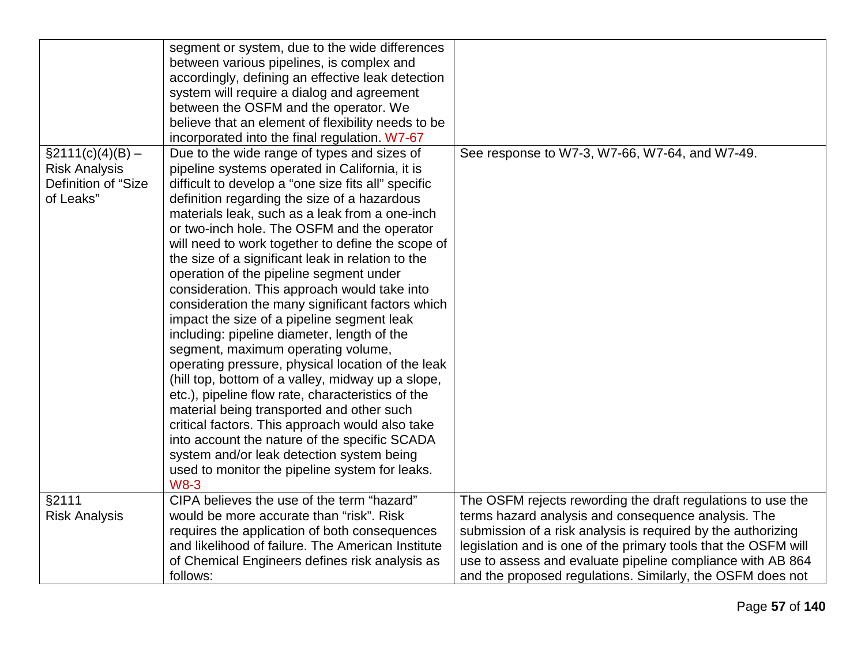|                      | segment or system, due to the wide differences      |                                                                |
|----------------------|-----------------------------------------------------|----------------------------------------------------------------|
|                      | between various pipelines, is complex and           |                                                                |
|                      | accordingly, defining an effective leak detection   |                                                                |
|                      | system will require a dialog and agreement          |                                                                |
|                      | between the OSFM and the operator. We               |                                                                |
|                      | believe that an element of flexibility needs to be  |                                                                |
|                      | incorporated into the final regulation. W7-67       |                                                                |
| $\S2111(c)(4)(B) -$  | Due to the wide range of types and sizes of         | See response to W7-3, W7-66, W7-64, and W7-49.                 |
| <b>Risk Analysis</b> | pipeline systems operated in California, it is      |                                                                |
| Definition of "Size  | difficult to develop a "one size fits all" specific |                                                                |
| of Leaks"            | definition regarding the size of a hazardous        |                                                                |
|                      | materials leak, such as a leak from a one-inch      |                                                                |
|                      | or two-inch hole. The OSFM and the operator         |                                                                |
|                      | will need to work together to define the scope of   |                                                                |
|                      | the size of a significant leak in relation to the   |                                                                |
|                      | operation of the pipeline segment under             |                                                                |
|                      | consideration. This approach would take into        |                                                                |
|                      | consideration the many significant factors which    |                                                                |
|                      | impact the size of a pipeline segment leak          |                                                                |
|                      | including: pipeline diameter, length of the         |                                                                |
|                      | segment, maximum operating volume,                  |                                                                |
|                      | operating pressure, physical location of the leak   |                                                                |
|                      | (hill top, bottom of a valley, midway up a slope,   |                                                                |
|                      | etc.), pipeline flow rate, characteristics of the   |                                                                |
|                      | material being transported and other such           |                                                                |
|                      | critical factors. This approach would also take     |                                                                |
|                      | into account the nature of the specific SCADA       |                                                                |
|                      | system and/or leak detection system being           |                                                                |
|                      | used to monitor the pipeline system for leaks.      |                                                                |
|                      | <b>W8-3</b>                                         |                                                                |
| §2111                | CIPA believes the use of the term "hazard"          | The OSFM rejects rewording the draft regulations to use the    |
| <b>Risk Analysis</b> | would be more accurate than "risk". Risk            | terms hazard analysis and consequence analysis. The            |
|                      | requires the application of both consequences       | submission of a risk analysis is required by the authorizing   |
|                      | and likelihood of failure. The American Institute   | legislation and is one of the primary tools that the OSFM will |
|                      | of Chemical Engineers defines risk analysis as      | use to assess and evaluate pipeline compliance with AB 864     |
|                      | follows:                                            | and the proposed regulations. Similarly, the OSFM does not     |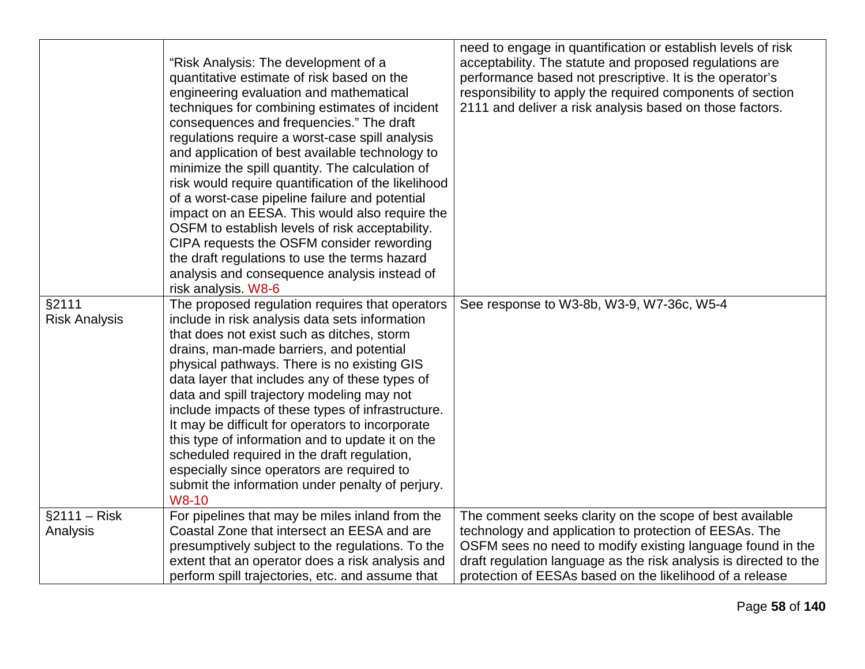|                      |                                                     | need to engage in quantification or establish levels of risk      |
|----------------------|-----------------------------------------------------|-------------------------------------------------------------------|
|                      |                                                     | acceptability. The statute and proposed regulations are           |
|                      | "Risk Analysis: The development of a                |                                                                   |
|                      | quantitative estimate of risk based on the          | performance based not prescriptive. It is the operator's          |
|                      | engineering evaluation and mathematical             | responsibility to apply the required components of section        |
|                      | techniques for combining estimates of incident      | 2111 and deliver a risk analysis based on those factors.          |
|                      | consequences and frequencies." The draft            |                                                                   |
|                      | regulations require a worst-case spill analysis     |                                                                   |
|                      | and application of best available technology to     |                                                                   |
|                      | minimize the spill quantity. The calculation of     |                                                                   |
|                      | risk would require quantification of the likelihood |                                                                   |
|                      | of a worst-case pipeline failure and potential      |                                                                   |
|                      | impact on an EESA. This would also require the      |                                                                   |
|                      | OSFM to establish levels of risk acceptability.     |                                                                   |
|                      | CIPA requests the OSFM consider rewording           |                                                                   |
|                      | the draft regulations to use the terms hazard       |                                                                   |
|                      | analysis and consequence analysis instead of        |                                                                   |
|                      | risk analysis. W8-6                                 |                                                                   |
| §2111                | The proposed regulation requires that operators     | See response to W3-8b, W3-9, W7-36c, W5-4                         |
| <b>Risk Analysis</b> | include in risk analysis data sets information      |                                                                   |
|                      | that does not exist such as ditches, storm          |                                                                   |
|                      | drains, man-made barriers, and potential            |                                                                   |
|                      | physical pathways. There is no existing GIS         |                                                                   |
|                      | data layer that includes any of these types of      |                                                                   |
|                      | data and spill trajectory modeling may not          |                                                                   |
|                      | include impacts of these types of infrastructure.   |                                                                   |
|                      | It may be difficult for operators to incorporate    |                                                                   |
|                      | this type of information and to update it on the    |                                                                   |
|                      | scheduled required in the draft regulation,         |                                                                   |
|                      | especially since operators are required to          |                                                                   |
|                      | submit the information under penalty of perjury.    |                                                                   |
|                      | W8-10                                               |                                                                   |
| $§2111 - Risk$       | For pipelines that may be miles inland from the     | The comment seeks clarity on the scope of best available          |
| Analysis             | Coastal Zone that intersect an EESA and are         | technology and application to protection of EESAs. The            |
|                      | presumptively subject to the regulations. To the    | OSFM sees no need to modify existing language found in the        |
|                      | extent that an operator does a risk analysis and    | draft regulation language as the risk analysis is directed to the |
|                      | perform spill trajectories, etc. and assume that    | protection of EESAs based on the likelihood of a release          |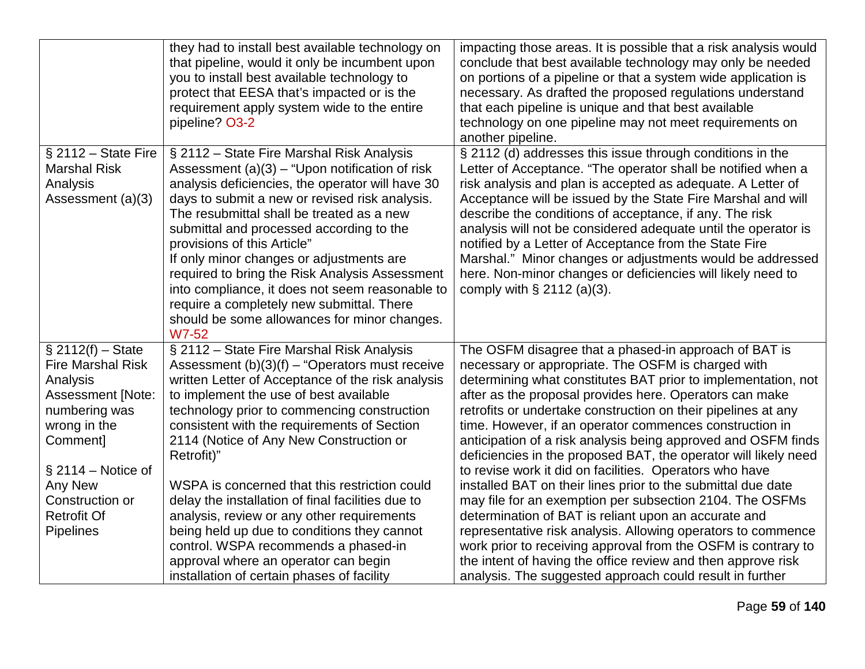|                                                                                                                                       | they had to install best available technology on<br>that pipeline, would it only be incumbent upon<br>you to install best available technology to<br>protect that EESA that's impacted or is the<br>requirement apply system wide to the entire<br>pipeline? O3-2                                                                                                                                                                                                                                                                                                                  | impacting those areas. It is possible that a risk analysis would<br>conclude that best available technology may only be needed<br>on portions of a pipeline or that a system wide application is<br>necessary. As drafted the proposed regulations understand<br>that each pipeline is unique and that best available<br>technology on one pipeline may not meet requirements on<br>another pipeline.                                                                                                                                                                                                        |
|---------------------------------------------------------------------------------------------------------------------------------------|------------------------------------------------------------------------------------------------------------------------------------------------------------------------------------------------------------------------------------------------------------------------------------------------------------------------------------------------------------------------------------------------------------------------------------------------------------------------------------------------------------------------------------------------------------------------------------|--------------------------------------------------------------------------------------------------------------------------------------------------------------------------------------------------------------------------------------------------------------------------------------------------------------------------------------------------------------------------------------------------------------------------------------------------------------------------------------------------------------------------------------------------------------------------------------------------------------|
| $§$ 2112 - State Fire<br><b>Marshal Risk</b><br>Analysis<br>Assessment (a)(3)                                                         | § 2112 - State Fire Marshal Risk Analysis<br>Assessment $(a)(3)$ – "Upon notification of risk<br>analysis deficiencies, the operator will have 30<br>days to submit a new or revised risk analysis.<br>The resubmittal shall be treated as a new<br>submittal and processed according to the<br>provisions of this Article"<br>If only minor changes or adjustments are<br>required to bring the Risk Analysis Assessment<br>into compliance, it does not seem reasonable to<br>require a completely new submittal. There<br>should be some allowances for minor changes.<br>W7-52 | § 2112 (d) addresses this issue through conditions in the<br>Letter of Acceptance. "The operator shall be notified when a<br>risk analysis and plan is accepted as adequate. A Letter of<br>Acceptance will be issued by the State Fire Marshal and will<br>describe the conditions of acceptance, if any. The risk<br>analysis will not be considered adequate until the operator is<br>notified by a Letter of Acceptance from the State Fire<br>Marshal." Minor changes or adjustments would be addressed<br>here. Non-minor changes or deficiencies will likely need to<br>comply with $\S$ 2112 (a)(3). |
| $\S$ 2112(f) – State<br><b>Fire Marshal Risk</b><br>Analysis<br><b>Assessment [Note:</b><br>numbering was<br>wrong in the<br>Comment] | § 2112 - State Fire Marshal Risk Analysis<br>Assessment $(b)(3)(f)$ – "Operators must receive<br>written Letter of Acceptance of the risk analysis<br>to implement the use of best available<br>technology prior to commencing construction<br>consistent with the requirements of Section<br>2114 (Notice of Any New Construction or<br>Retrofit)"                                                                                                                                                                                                                                | The OSFM disagree that a phased-in approach of BAT is<br>necessary or appropriate. The OSFM is charged with<br>determining what constitutes BAT prior to implementation, not<br>after as the proposal provides here. Operators can make<br>retrofits or undertake construction on their pipelines at any<br>time. However, if an operator commences construction in<br>anticipation of a risk analysis being approved and OSFM finds<br>deficiencies in the proposed BAT, the operator will likely need                                                                                                      |
| $\S 2114 - Notice of$<br>Any New<br>Construction or<br><b>Retrofit Of</b><br><b>Pipelines</b>                                         | WSPA is concerned that this restriction could<br>delay the installation of final facilities due to<br>analysis, review or any other requirements<br>being held up due to conditions they cannot<br>control. WSPA recommends a phased-in<br>approval where an operator can begin<br>installation of certain phases of facility                                                                                                                                                                                                                                                      | to revise work it did on facilities. Operators who have<br>installed BAT on their lines prior to the submittal due date<br>may file for an exemption per subsection 2104. The OSFMs<br>determination of BAT is reliant upon an accurate and<br>representative risk analysis. Allowing operators to commence<br>work prior to receiving approval from the OSFM is contrary to<br>the intent of having the office review and then approve risk<br>analysis. The suggested approach could result in further                                                                                                     |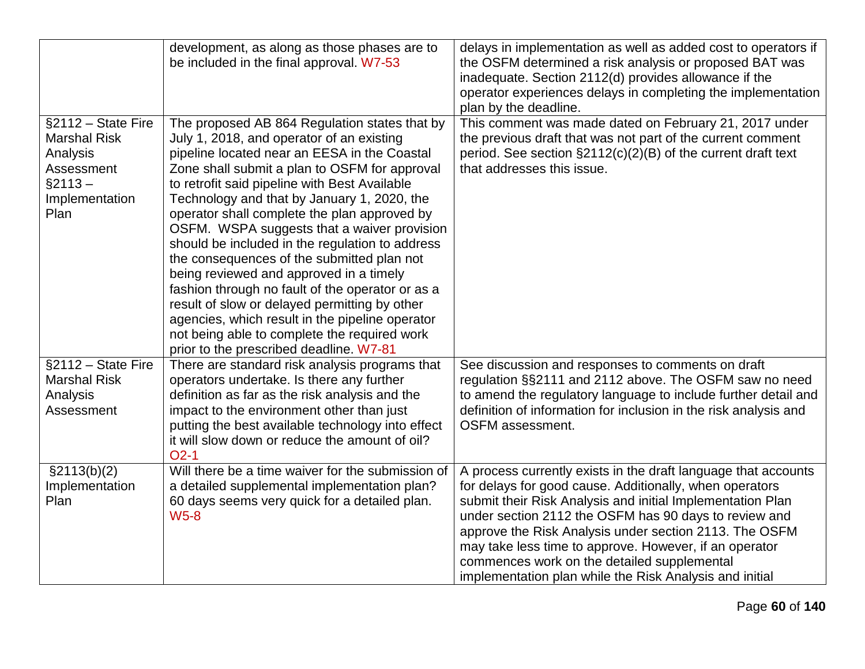|                                                                                                            | development, as along as those phases are to<br>be included in the final approval. W7-53                                                                                                                                                                                                                                                                                                                                                                                                                                                                                                                                                                                                                                                                                                  | delays in implementation as well as added cost to operators if<br>the OSFM determined a risk analysis or proposed BAT was<br>inadequate. Section 2112(d) provides allowance if the<br>operator experiences delays in completing the implementation<br>plan by the deadline.                                                                                                                                                                                                    |
|------------------------------------------------------------------------------------------------------------|-------------------------------------------------------------------------------------------------------------------------------------------------------------------------------------------------------------------------------------------------------------------------------------------------------------------------------------------------------------------------------------------------------------------------------------------------------------------------------------------------------------------------------------------------------------------------------------------------------------------------------------------------------------------------------------------------------------------------------------------------------------------------------------------|--------------------------------------------------------------------------------------------------------------------------------------------------------------------------------------------------------------------------------------------------------------------------------------------------------------------------------------------------------------------------------------------------------------------------------------------------------------------------------|
| §2112 - State Fire<br><b>Marshal Risk</b><br>Analysis<br>Assessment<br>$§2113 -$<br>Implementation<br>Plan | The proposed AB 864 Regulation states that by<br>July 1, 2018, and operator of an existing<br>pipeline located near an EESA in the Coastal<br>Zone shall submit a plan to OSFM for approval<br>to retrofit said pipeline with Best Available<br>Technology and that by January 1, 2020, the<br>operator shall complete the plan approved by<br>OSFM. WSPA suggests that a waiver provision<br>should be included in the regulation to address<br>the consequences of the submitted plan not<br>being reviewed and approved in a timely<br>fashion through no fault of the operator or as a<br>result of slow or delayed permitting by other<br>agencies, which result in the pipeline operator<br>not being able to complete the required work<br>prior to the prescribed deadline. W7-81 | This comment was made dated on February 21, 2017 under<br>the previous draft that was not part of the current comment<br>period. See section §2112(c)(2)(B) of the current draft text<br>that addresses this issue.                                                                                                                                                                                                                                                            |
| §2112 - State Fire<br><b>Marshal Risk</b><br>Analysis<br>Assessment                                        | There are standard risk analysis programs that<br>operators undertake. Is there any further<br>definition as far as the risk analysis and the<br>impact to the environment other than just<br>putting the best available technology into effect<br>it will slow down or reduce the amount of oil?<br>$O2-1$                                                                                                                                                                                                                                                                                                                                                                                                                                                                               | See discussion and responses to comments on draft<br>regulation §§2111 and 2112 above. The OSFM saw no need<br>to amend the regulatory language to include further detail and<br>definition of information for inclusion in the risk analysis and<br>OSFM assessment.                                                                                                                                                                                                          |
| $\S2113(b)(2)$<br>Implementation<br>Plan                                                                   | Will there be a time waiver for the submission of<br>a detailed supplemental implementation plan?<br>60 days seems very quick for a detailed plan.<br><b>W5-8</b>                                                                                                                                                                                                                                                                                                                                                                                                                                                                                                                                                                                                                         | A process currently exists in the draft language that accounts<br>for delays for good cause. Additionally, when operators<br>submit their Risk Analysis and initial Implementation Plan<br>under section 2112 the OSFM has 90 days to review and<br>approve the Risk Analysis under section 2113. The OSFM<br>may take less time to approve. However, if an operator<br>commences work on the detailed supplemental<br>implementation plan while the Risk Analysis and initial |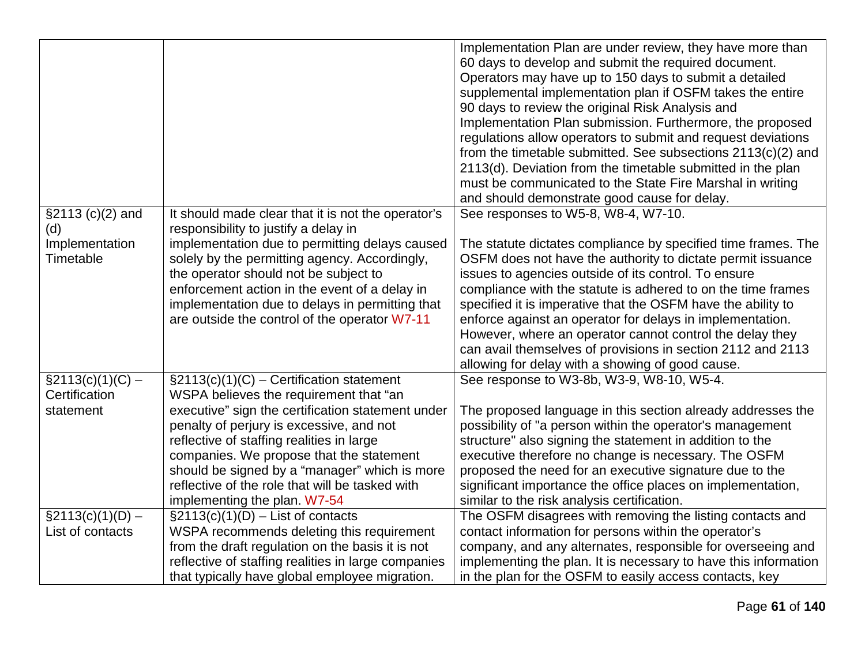|                                      |                                                                                             | Implementation Plan are under review, they have more than<br>60 days to develop and submit the required document.<br>Operators may have up to 150 days to submit a detailed |
|--------------------------------------|---------------------------------------------------------------------------------------------|-----------------------------------------------------------------------------------------------------------------------------------------------------------------------------|
|                                      |                                                                                             | supplemental implementation plan if OSFM takes the entire                                                                                                                   |
|                                      |                                                                                             | 90 days to review the original Risk Analysis and                                                                                                                            |
|                                      |                                                                                             | Implementation Plan submission. Furthermore, the proposed                                                                                                                   |
|                                      |                                                                                             | regulations allow operators to submit and request deviations                                                                                                                |
|                                      |                                                                                             | from the timetable submitted. See subsections $2113(c)(2)$ and                                                                                                              |
|                                      |                                                                                             | 2113(d). Deviation from the timetable submitted in the plan                                                                                                                 |
|                                      |                                                                                             | must be communicated to the State Fire Marshal in writing                                                                                                                   |
|                                      |                                                                                             | and should demonstrate good cause for delay.                                                                                                                                |
| $$2113 (c)(2)$ and                   | It should made clear that it is not the operator's                                          | See responses to W5-8, W8-4, W7-10.                                                                                                                                         |
| (d)                                  | responsibility to justify a delay in                                                        |                                                                                                                                                                             |
| Implementation                       | implementation due to permitting delays caused                                              | The statute dictates compliance by specified time frames. The                                                                                                               |
| Timetable                            | solely by the permitting agency. Accordingly,                                               | OSFM does not have the authority to dictate permit issuance                                                                                                                 |
|                                      | the operator should not be subject to                                                       | issues to agencies outside of its control. To ensure                                                                                                                        |
|                                      | enforcement action in the event of a delay in                                               | compliance with the statute is adhered to on the time frames                                                                                                                |
|                                      | implementation due to delays in permitting that                                             | specified it is imperative that the OSFM have the ability to                                                                                                                |
|                                      | are outside the control of the operator W7-11                                               | enforce against an operator for delays in implementation.                                                                                                                   |
|                                      |                                                                                             | However, where an operator cannot control the delay they                                                                                                                    |
|                                      |                                                                                             | can avail themselves of provisions in section 2112 and 2113                                                                                                                 |
|                                      |                                                                                             | allowing for delay with a showing of good cause.                                                                                                                            |
| $\S2113(c)(1)(C) -$<br>Certification | $\S2113(c)(1)(C)$ – Certification statement                                                 | See response to W3-8b, W3-9, W8-10, W5-4.                                                                                                                                   |
| statement                            | WSPA believes the requirement that "an<br>executive" sign the certification statement under | The proposed language in this section already addresses the                                                                                                                 |
|                                      | penalty of perjury is excessive, and not                                                    | possibility of "a person within the operator's management                                                                                                                   |
|                                      | reflective of staffing realities in large                                                   | structure" also signing the statement in addition to the                                                                                                                    |
|                                      | companies. We propose that the statement                                                    | executive therefore no change is necessary. The OSFM                                                                                                                        |
|                                      | should be signed by a "manager" which is more                                               | proposed the need for an executive signature due to the                                                                                                                     |
|                                      | reflective of the role that will be tasked with                                             | significant importance the office places on implementation,                                                                                                                 |
|                                      | implementing the plan. W7-54                                                                | similar to the risk analysis certification.                                                                                                                                 |
| $\S2113(c)(1)(D) -$                  | $\S2113(c)(1)(D)$ – List of contacts                                                        | The OSFM disagrees with removing the listing contacts and                                                                                                                   |
| List of contacts                     | WSPA recommends deleting this requirement                                                   | contact information for persons within the operator's                                                                                                                       |
|                                      | from the draft regulation on the basis it is not                                            | company, and any alternates, responsible for overseeing and                                                                                                                 |
|                                      | reflective of staffing realities in large companies                                         | implementing the plan. It is necessary to have this information                                                                                                             |
|                                      | that typically have global employee migration.                                              | in the plan for the OSFM to easily access contacts, key                                                                                                                     |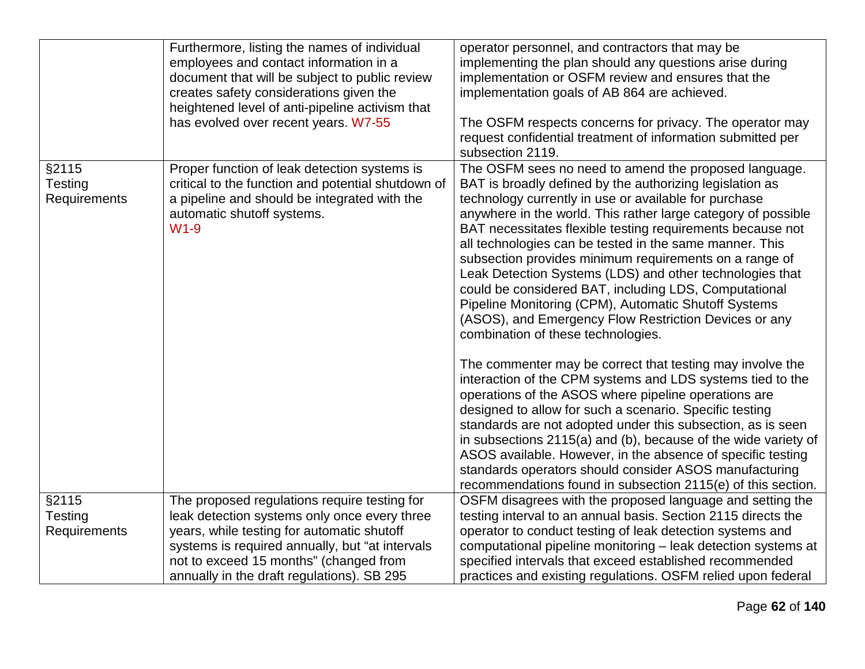|              | Furthermore, listing the names of individual       | operator personnel, and contractors that may be                |
|--------------|----------------------------------------------------|----------------------------------------------------------------|
|              | employees and contact information in a             | implementing the plan should any questions arise during        |
|              | document that will be subject to public review     | implementation or OSFM review and ensures that the             |
|              | creates safety considerations given the            | implementation goals of AB 864 are achieved.                   |
|              | heightened level of anti-pipeline activism that    |                                                                |
|              | has evolved over recent years. W7-55               | The OSFM respects concerns for privacy. The operator may       |
|              |                                                    | request confidential treatment of information submitted per    |
|              |                                                    | subsection 2119.                                               |
| §2115        | Proper function of leak detection systems is       | The OSFM sees no need to amend the proposed language.          |
| Testing      | critical to the function and potential shutdown of | BAT is broadly defined by the authorizing legislation as       |
| Requirements | a pipeline and should be integrated with the       | technology currently in use or available for purchase          |
|              | automatic shutoff systems.                         | anywhere in the world. This rather large category of possible  |
|              | $W1-9$                                             | BAT necessitates flexible testing requirements because not     |
|              |                                                    | all technologies can be tested in the same manner. This        |
|              |                                                    | subsection provides minimum requirements on a range of         |
|              |                                                    | Leak Detection Systems (LDS) and other technologies that       |
|              |                                                    | could be considered BAT, including LDS, Computational          |
|              |                                                    | Pipeline Monitoring (CPM), Automatic Shutoff Systems           |
|              |                                                    | (ASOS), and Emergency Flow Restriction Devices or any          |
|              |                                                    | combination of these technologies.                             |
|              |                                                    |                                                                |
|              |                                                    | The commenter may be correct that testing may involve the      |
|              |                                                    | interaction of the CPM systems and LDS systems tied to the     |
|              |                                                    | operations of the ASOS where pipeline operations are           |
|              |                                                    | designed to allow for such a scenario. Specific testing        |
|              |                                                    | standards are not adopted under this subsection, as is seen    |
|              |                                                    | in subsections 2115(a) and (b), because of the wide variety of |
|              |                                                    | ASOS available. However, in the absence of specific testing    |
|              |                                                    | standards operators should consider ASOS manufacturing         |
|              |                                                    | recommendations found in subsection 2115(e) of this section.   |
| §2115        | The proposed regulations require testing for       | OSFM disagrees with the proposed language and setting the      |
| Testing      | leak detection systems only once every three       | testing interval to an annual basis. Section 2115 directs the  |
| Requirements | years, while testing for automatic shutoff         | operator to conduct testing of leak detection systems and      |
|              | systems is required annually, but "at intervals    | computational pipeline monitoring - leak detection systems at  |
|              | not to exceed 15 months" (changed from             | specified intervals that exceed established recommended        |
|              | annually in the draft regulations). SB 295         | practices and existing regulations. OSFM relied upon federal   |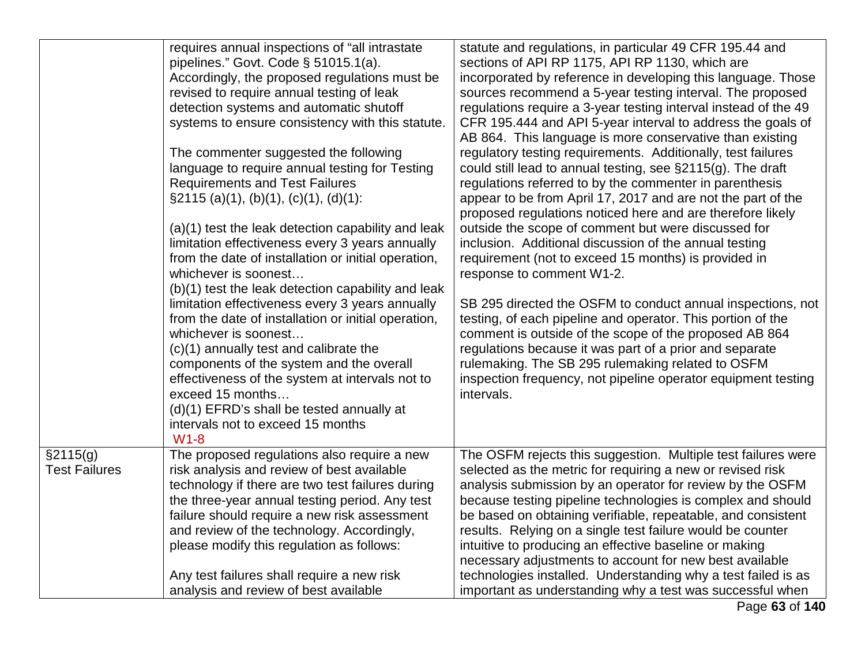|                                  | requires annual inspections of "all intrastate<br>pipelines." Govt. Code $\S$ 51015.1(a).<br>Accordingly, the proposed regulations must be<br>revised to require annual testing of leak<br>detection systems and automatic shutoff<br>systems to ensure consistency with this statute.<br>The commenter suggested the following<br>language to require annual testing for Testing<br><b>Requirements and Test Failures</b><br>$\S2115$ (a)(1), (b)(1), (c)(1), (d)(1):<br>(a)(1) test the leak detection capability and leak<br>limitation effectiveness every 3 years annually<br>from the date of installation or initial operation,<br>whichever is soonest<br>(b)(1) test the leak detection capability and leak<br>limitation effectiveness every 3 years annually<br>from the date of installation or initial operation, | statute and regulations, in particular 49 CFR 195.44 and<br>sections of API RP 1175, API RP 1130, which are<br>incorporated by reference in developing this language. Those<br>sources recommend a 5-year testing interval. The proposed<br>regulations require a 3-year testing interval instead of the 49<br>CFR 195.444 and API 5-year interval to address the goals of<br>AB 864. This language is more conservative than existing<br>regulatory testing requirements. Additionally, test failures<br>could still lead to annual testing, see §2115(g). The draft<br>regulations referred to by the commenter in parenthesis<br>appear to be from April 17, 2017 and are not the part of the<br>proposed regulations noticed here and are therefore likely<br>outside the scope of comment but were discussed for<br>inclusion. Additional discussion of the annual testing<br>requirement (not to exceed 15 months) is provided in<br>response to comment W1-2.<br>SB 295 directed the OSFM to conduct annual inspections, not<br>testing, of each pipeline and operator. This portion of the |
|----------------------------------|--------------------------------------------------------------------------------------------------------------------------------------------------------------------------------------------------------------------------------------------------------------------------------------------------------------------------------------------------------------------------------------------------------------------------------------------------------------------------------------------------------------------------------------------------------------------------------------------------------------------------------------------------------------------------------------------------------------------------------------------------------------------------------------------------------------------------------|----------------------------------------------------------------------------------------------------------------------------------------------------------------------------------------------------------------------------------------------------------------------------------------------------------------------------------------------------------------------------------------------------------------------------------------------------------------------------------------------------------------------------------------------------------------------------------------------------------------------------------------------------------------------------------------------------------------------------------------------------------------------------------------------------------------------------------------------------------------------------------------------------------------------------------------------------------------------------------------------------------------------------------------------------------------------------------------------------|
|                                  | whichever is soonest<br>(c)(1) annually test and calibrate the<br>components of the system and the overall<br>effectiveness of the system at intervals not to<br>exceed 15 months<br>(d)(1) EFRD's shall be tested annually at<br>intervals not to exceed 15 months<br>$W1-8$                                                                                                                                                                                                                                                                                                                                                                                                                                                                                                                                                  | comment is outside of the scope of the proposed AB 864<br>regulations because it was part of a prior and separate<br>rulemaking. The SB 295 rulemaking related to OSFM<br>inspection frequency, not pipeline operator equipment testing<br>intervals.                                                                                                                                                                                                                                                                                                                                                                                                                                                                                                                                                                                                                                                                                                                                                                                                                                              |
| §2115(g)<br><b>Test Failures</b> | The proposed regulations also require a new<br>risk analysis and review of best available<br>technology if there are two test failures during<br>the three-year annual testing period. Any test<br>failure should require a new risk assessment<br>and review of the technology. Accordingly,<br>please modify this regulation as follows:<br>Any test failures shall require a new risk<br>analysis and review of best available                                                                                                                                                                                                                                                                                                                                                                                              | The OSFM rejects this suggestion. Multiple test failures were<br>selected as the metric for requiring a new or revised risk<br>analysis submission by an operator for review by the OSFM<br>because testing pipeline technologies is complex and should<br>be based on obtaining verifiable, repeatable, and consistent<br>results. Relying on a single test failure would be counter<br>intuitive to producing an effective baseline or making<br>necessary adjustments to account for new best available<br>technologies installed. Understanding why a test failed is as<br>important as understanding why a test was successful when                                                                                                                                                                                                                                                                                                                                                                                                                                                           |

Page **63** of **140**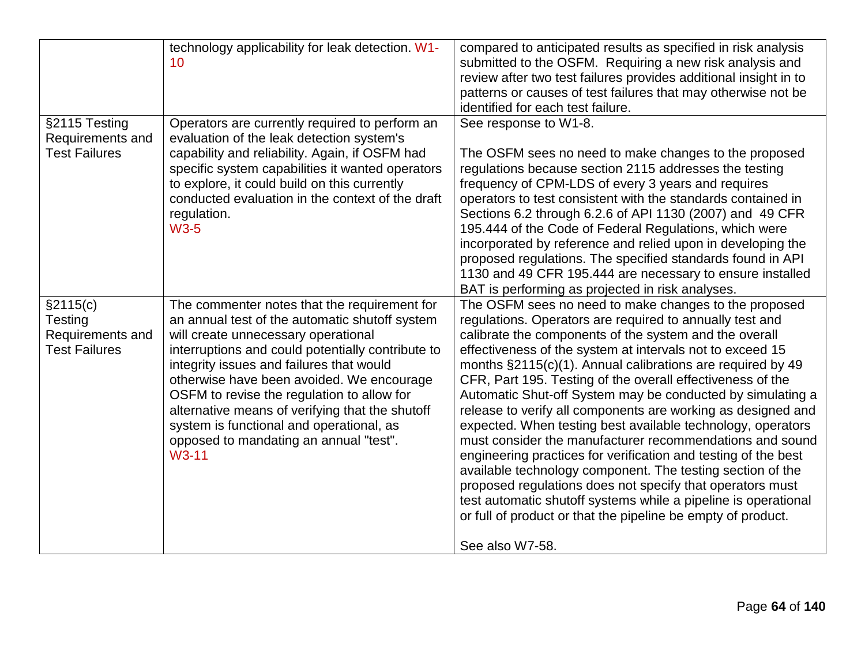|                                                                 | technology applicability for leak detection. W1-<br>10                                                                                                                                                                                                                                                                                                                                                                                                                                           | compared to anticipated results as specified in risk analysis<br>submitted to the OSFM. Requiring a new risk analysis and<br>review after two test failures provides additional insight in to<br>patterns or causes of test failures that may otherwise not be<br>identified for each test failure.                                                                                                                                                                                                                                                                                                                                                                                                                                                                                                                                                                                                                                                                             |
|-----------------------------------------------------------------|--------------------------------------------------------------------------------------------------------------------------------------------------------------------------------------------------------------------------------------------------------------------------------------------------------------------------------------------------------------------------------------------------------------------------------------------------------------------------------------------------|---------------------------------------------------------------------------------------------------------------------------------------------------------------------------------------------------------------------------------------------------------------------------------------------------------------------------------------------------------------------------------------------------------------------------------------------------------------------------------------------------------------------------------------------------------------------------------------------------------------------------------------------------------------------------------------------------------------------------------------------------------------------------------------------------------------------------------------------------------------------------------------------------------------------------------------------------------------------------------|
| §2115 Testing<br>Requirements and<br><b>Test Failures</b>       | Operators are currently required to perform an<br>evaluation of the leak detection system's<br>capability and reliability. Again, if OSFM had<br>specific system capabilities it wanted operators<br>to explore, it could build on this currently<br>conducted evaluation in the context of the draft<br>regulation.<br><b>W3-5</b>                                                                                                                                                              | See response to W1-8.<br>The OSFM sees no need to make changes to the proposed<br>regulations because section 2115 addresses the testing<br>frequency of CPM-LDS of every 3 years and requires<br>operators to test consistent with the standards contained in<br>Sections 6.2 through 6.2.6 of API 1130 (2007) and 49 CFR<br>195.444 of the Code of Federal Regulations, which were<br>incorporated by reference and relied upon in developing the<br>proposed regulations. The specified standards found in API<br>1130 and 49 CFR 195.444 are necessary to ensure installed<br>BAT is performing as projected in risk analyses.                                                                                                                                                                                                                                                                                                                                              |
| §2115(c)<br>Testing<br>Requirements and<br><b>Test Failures</b> | The commenter notes that the requirement for<br>an annual test of the automatic shutoff system<br>will create unnecessary operational<br>interruptions and could potentially contribute to<br>integrity issues and failures that would<br>otherwise have been avoided. We encourage<br>OSFM to revise the regulation to allow for<br>alternative means of verifying that the shutoff<br>system is functional and operational, as<br>opposed to mandating an annual "test".<br>W <sub>3</sub> -11 | The OSFM sees no need to make changes to the proposed<br>regulations. Operators are required to annually test and<br>calibrate the components of the system and the overall<br>effectiveness of the system at intervals not to exceed 15<br>months §2115(c)(1). Annual calibrations are required by 49<br>CFR, Part 195. Testing of the overall effectiveness of the<br>Automatic Shut-off System may be conducted by simulating a<br>release to verify all components are working as designed and<br>expected. When testing best available technology, operators<br>must consider the manufacturer recommendations and sound<br>engineering practices for verification and testing of the best<br>available technology component. The testing section of the<br>proposed regulations does not specify that operators must<br>test automatic shutoff systems while a pipeline is operational<br>or full of product or that the pipeline be empty of product.<br>See also W7-58. |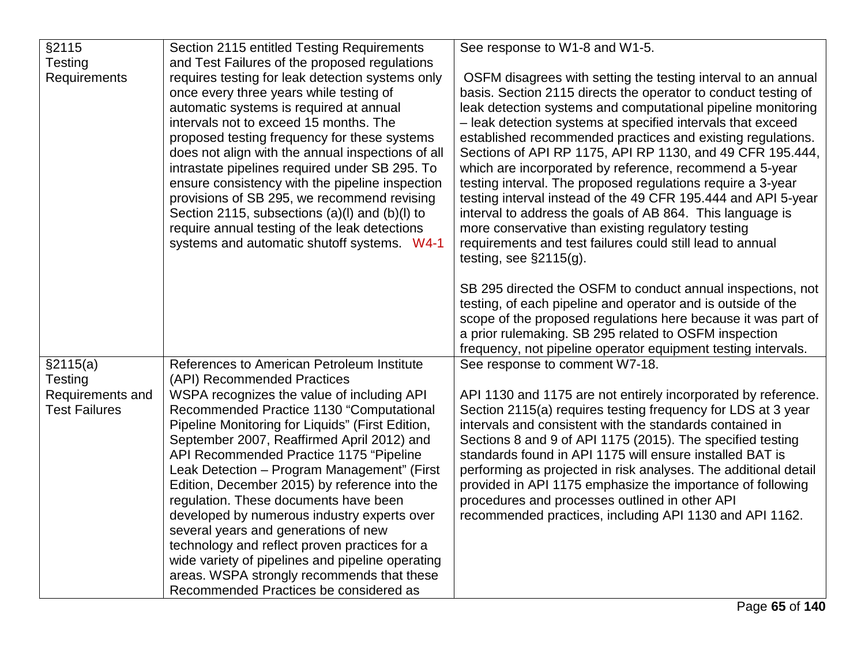| §2115                | Section 2115 entitled Testing Requirements        | See response to W1-8 and W1-5.                                  |
|----------------------|---------------------------------------------------|-----------------------------------------------------------------|
| Testing              | and Test Failures of the proposed regulations     |                                                                 |
| Requirements         | requires testing for leak detection systems only  | OSFM disagrees with setting the testing interval to an annual   |
|                      | once every three years while testing of           | basis. Section 2115 directs the operator to conduct testing of  |
|                      | automatic systems is required at annual           | leak detection systems and computational pipeline monitoring    |
|                      | intervals not to exceed 15 months. The            | - leak detection systems at specified intervals that exceed     |
|                      | proposed testing frequency for these systems      | established recommended practices and existing regulations.     |
|                      | does not align with the annual inspections of all | Sections of API RP 1175, API RP 1130, and 49 CFR 195.444,       |
|                      | intrastate pipelines required under SB 295. To    | which are incorporated by reference, recommend a 5-year         |
|                      | ensure consistency with the pipeline inspection   | testing interval. The proposed regulations require a 3-year     |
|                      | provisions of SB 295, we recommend revising       | testing interval instead of the 49 CFR 195.444 and API 5-year   |
|                      | Section 2115, subsections (a)(l) and (b)(l) to    | interval to address the goals of AB 864. This language is       |
|                      | require annual testing of the leak detections     | more conservative than existing regulatory testing              |
|                      | systems and automatic shutoff systems. W4-1       | requirements and test failures could still lead to annual       |
|                      |                                                   | testing, see $\S2115(g)$ .                                      |
|                      |                                                   | SB 295 directed the OSFM to conduct annual inspections, not     |
|                      |                                                   | testing, of each pipeline and operator and is outside of the    |
|                      |                                                   | scope of the proposed regulations here because it was part of   |
|                      |                                                   | a prior rulemaking. SB 295 related to OSFM inspection           |
|                      |                                                   | frequency, not pipeline operator equipment testing intervals.   |
| §2115(a)             | References to American Petroleum Institute        | See response to comment W7-18.                                  |
| <b>Testing</b>       | (API) Recommended Practices                       |                                                                 |
| Requirements and     | WSPA recognizes the value of including API        | API 1130 and 1175 are not entirely incorporated by reference.   |
| <b>Test Failures</b> | Recommended Practice 1130 "Computational          | Section 2115(a) requires testing frequency for LDS at 3 year    |
|                      | Pipeline Monitoring for Liquids" (First Edition,  | intervals and consistent with the standards contained in        |
|                      | September 2007, Reaffirmed April 2012) and        | Sections 8 and 9 of API 1175 (2015). The specified testing      |
|                      | API Recommended Practice 1175 "Pipeline           | standards found in API 1175 will ensure installed BAT is        |
|                      | Leak Detection - Program Management" (First       | performing as projected in risk analyses. The additional detail |
|                      | Edition, December 2015) by reference into the     | provided in API 1175 emphasize the importance of following      |
|                      | regulation. These documents have been             | procedures and processes outlined in other API                  |
|                      | developed by numerous industry experts over       | recommended practices, including API 1130 and API 1162.         |
|                      | several years and generations of new              |                                                                 |
|                      | technology and reflect proven practices for a     |                                                                 |
|                      | wide variety of pipelines and pipeline operating  |                                                                 |
|                      | areas. WSPA strongly recommends that these        |                                                                 |
|                      | Recommended Practices be considered as            |                                                                 |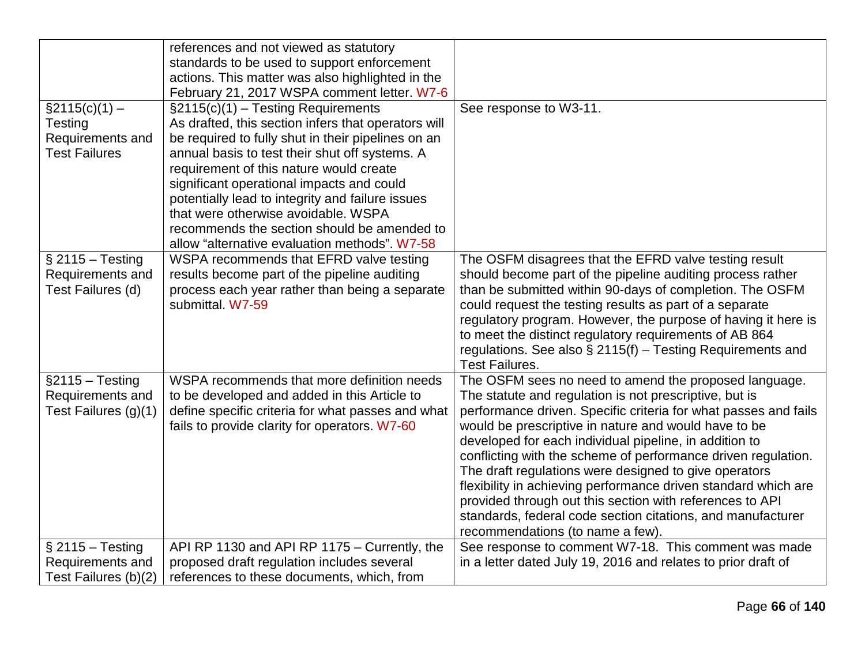|                                                                                | references and not viewed as statutory<br>standards to be used to support enforcement<br>actions. This matter was also highlighted in the<br>February 21, 2017 WSPA comment letter. W7-6                                                                                                                                                                                                                                                                                                |                                                                                                                                                                                                                                                                                                                                                                                                                                                                                                                                                                                                                                                                 |
|--------------------------------------------------------------------------------|-----------------------------------------------------------------------------------------------------------------------------------------------------------------------------------------------------------------------------------------------------------------------------------------------------------------------------------------------------------------------------------------------------------------------------------------------------------------------------------------|-----------------------------------------------------------------------------------------------------------------------------------------------------------------------------------------------------------------------------------------------------------------------------------------------------------------------------------------------------------------------------------------------------------------------------------------------------------------------------------------------------------------------------------------------------------------------------------------------------------------------------------------------------------------|
| $\S2115(c)(1) -$<br><b>Testing</b><br>Requirements and<br><b>Test Failures</b> | $\S2115(c)(1)$ - Testing Requirements<br>As drafted, this section infers that operators will<br>be required to fully shut in their pipelines on an<br>annual basis to test their shut off systems. A<br>requirement of this nature would create<br>significant operational impacts and could<br>potentially lead to integrity and failure issues<br>that were otherwise avoidable. WSPA<br>recommends the section should be amended to<br>allow "alternative evaluation methods". W7-58 | See response to W3-11.                                                                                                                                                                                                                                                                                                                                                                                                                                                                                                                                                                                                                                          |
| $§$ 2115 - Testing<br>Requirements and<br>Test Failures (d)                    | WSPA recommends that EFRD valve testing<br>results become part of the pipeline auditing<br>process each year rather than being a separate<br>submittal. W7-59                                                                                                                                                                                                                                                                                                                           | The OSFM disagrees that the EFRD valve testing result<br>should become part of the pipeline auditing process rather<br>than be submitted within 90-days of completion. The OSFM<br>could request the testing results as part of a separate<br>regulatory program. However, the purpose of having it here is<br>to meet the distinct regulatory requirements of AB 864<br>regulations. See also $\S$ 2115(f) – Testing Requirements and<br><b>Test Failures.</b>                                                                                                                                                                                                 |
| $§2115 - Testing$<br>Requirements and<br>Test Failures (g)(1)                  | WSPA recommends that more definition needs<br>to be developed and added in this Article to<br>define specific criteria for what passes and what<br>fails to provide clarity for operators. W7-60                                                                                                                                                                                                                                                                                        | The OSFM sees no need to amend the proposed language.<br>The statute and regulation is not prescriptive, but is<br>performance driven. Specific criteria for what passes and fails<br>would be prescriptive in nature and would have to be<br>developed for each individual pipeline, in addition to<br>conflicting with the scheme of performance driven regulation.<br>The draft regulations were designed to give operators<br>flexibility in achieving performance driven standard which are<br>provided through out this section with references to API<br>standards, federal code section citations, and manufacturer<br>recommendations (to name a few). |
| $§$ 2115 - Testing<br>Requirements and<br>Test Failures (b)(2)                 | API RP 1130 and API RP 1175 - Currently, the<br>proposed draft regulation includes several<br>references to these documents, which, from                                                                                                                                                                                                                                                                                                                                                | See response to comment W7-18. This comment was made<br>in a letter dated July 19, 2016 and relates to prior draft of                                                                                                                                                                                                                                                                                                                                                                                                                                                                                                                                           |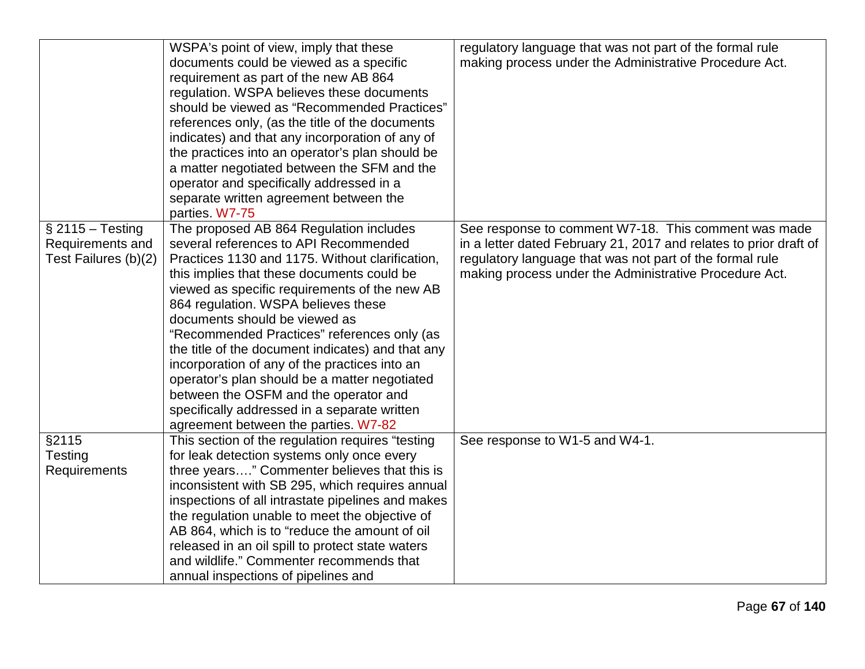|                                                                | WSPA's point of view, imply that these<br>documents could be viewed as a specific<br>requirement as part of the new AB 864<br>regulation. WSPA believes these documents<br>should be viewed as "Recommended Practices"<br>references only, (as the title of the documents<br>indicates) and that any incorporation of any of<br>the practices into an operator's plan should be<br>a matter negotiated between the SFM and the<br>operator and specifically addressed in a<br>separate written agreement between the                                                                                                                                                | regulatory language that was not part of the formal rule<br>making process under the Administrative Procedure Act.                                                                                                                              |
|----------------------------------------------------------------|---------------------------------------------------------------------------------------------------------------------------------------------------------------------------------------------------------------------------------------------------------------------------------------------------------------------------------------------------------------------------------------------------------------------------------------------------------------------------------------------------------------------------------------------------------------------------------------------------------------------------------------------------------------------|-------------------------------------------------------------------------------------------------------------------------------------------------------------------------------------------------------------------------------------------------|
| $§$ 2115 - Testing<br>Requirements and<br>Test Failures (b)(2) | parties. W7-75<br>The proposed AB 864 Regulation includes<br>several references to API Recommended<br>Practices 1130 and 1175. Without clarification,<br>this implies that these documents could be<br>viewed as specific requirements of the new AB<br>864 regulation. WSPA believes these<br>documents should be viewed as<br>"Recommended Practices" references only (as<br>the title of the document indicates) and that any<br>incorporation of any of the practices into an<br>operator's plan should be a matter negotiated<br>between the OSFM and the operator and<br>specifically addressed in a separate written<br>agreement between the parties. W7-82 | See response to comment W7-18. This comment was made<br>in a letter dated February 21, 2017 and relates to prior draft of<br>regulatory language that was not part of the formal rule<br>making process under the Administrative Procedure Act. |
| §2115<br>Testing<br>Requirements                               | This section of the regulation requires "testing"<br>for leak detection systems only once every<br>three years" Commenter believes that this is<br>inconsistent with SB 295, which requires annual<br>inspections of all intrastate pipelines and makes<br>the regulation unable to meet the objective of<br>AB 864, which is to "reduce the amount of oil<br>released in an oil spill to protect state waters<br>and wildlife." Commenter recommends that<br>annual inspections of pipelines and                                                                                                                                                                   | See response to W1-5 and W4-1.                                                                                                                                                                                                                  |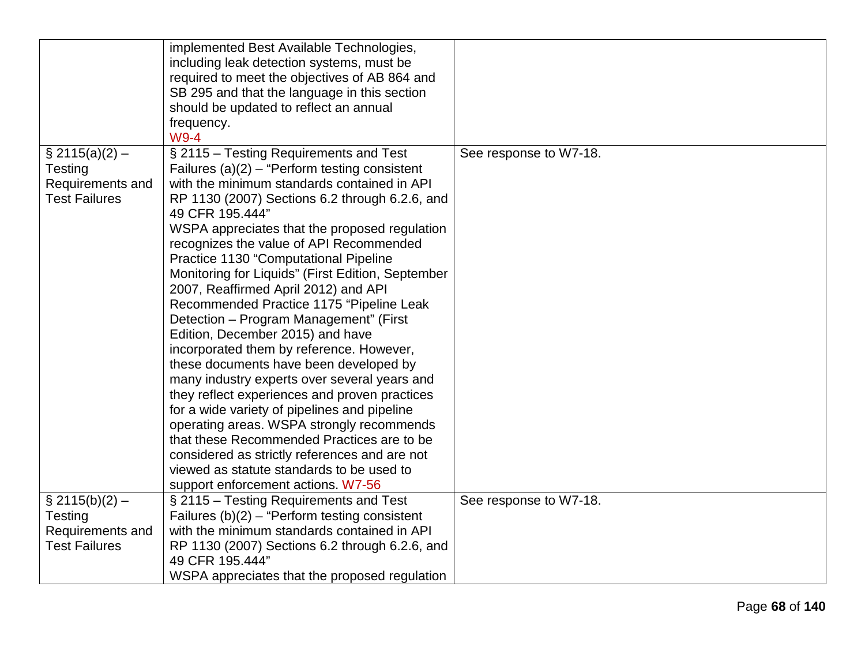|                      | implemented Best Available Technologies,          |                        |
|----------------------|---------------------------------------------------|------------------------|
|                      | including leak detection systems, must be         |                        |
|                      | required to meet the objectives of AB 864 and     |                        |
|                      | SB 295 and that the language in this section      |                        |
|                      | should be updated to reflect an annual            |                        |
|                      | frequency.                                        |                        |
|                      | W9-4                                              |                        |
| $\S$ 2115(a)(2) –    | § 2115 – Testing Requirements and Test            | See response to W7-18. |
| Testing              | Failures $(a)(2)$ – "Perform testing consistent   |                        |
| Requirements and     | with the minimum standards contained in API       |                        |
| <b>Test Failures</b> | RP 1130 (2007) Sections 6.2 through 6.2.6, and    |                        |
|                      | 49 CFR 195.444"                                   |                        |
|                      | WSPA appreciates that the proposed regulation     |                        |
|                      | recognizes the value of API Recommended           |                        |
|                      | Practice 1130 "Computational Pipeline             |                        |
|                      | Monitoring for Liquids" (First Edition, September |                        |
|                      | 2007, Reaffirmed April 2012) and API              |                        |
|                      | Recommended Practice 1175 "Pipeline Leak          |                        |
|                      | Detection - Program Management" (First            |                        |
|                      | Edition, December 2015) and have                  |                        |
|                      | incorporated them by reference. However,          |                        |
|                      | these documents have been developed by            |                        |
|                      | many industry experts over several years and      |                        |
|                      | they reflect experiences and proven practices     |                        |
|                      | for a wide variety of pipelines and pipeline      |                        |
|                      | operating areas. WSPA strongly recommends         |                        |
|                      | that these Recommended Practices are to be        |                        |
|                      | considered as strictly references and are not     |                        |
|                      | viewed as statute standards to be used to         |                        |
|                      | support enforcement actions. W7-56                |                        |
| $\S$ 2115(b)(2) –    | § 2115 – Testing Requirements and Test            | See response to W7-18. |
| Testing              | Failures $(b)(2)$ – "Perform testing consistent   |                        |
| Requirements and     | with the minimum standards contained in API       |                        |
| <b>Test Failures</b> | RP 1130 (2007) Sections 6.2 through 6.2.6, and    |                        |
|                      | 49 CFR 195.444"                                   |                        |
|                      | WSPA appreciates that the proposed regulation     |                        |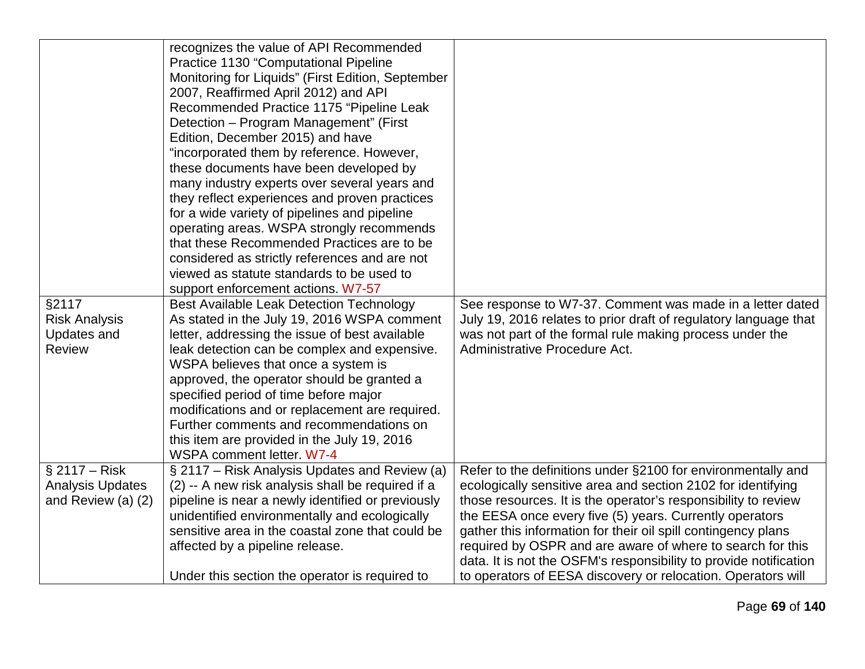|                         | recognizes the value of API Recommended           |                                                                   |
|-------------------------|---------------------------------------------------|-------------------------------------------------------------------|
|                         | <b>Practice 1130 "Computational Pipeline</b>      |                                                                   |
|                         | Monitoring for Liquids" (First Edition, September |                                                                   |
|                         | 2007, Reaffirmed April 2012) and API              |                                                                   |
|                         | Recommended Practice 1175 "Pipeline Leak          |                                                                   |
|                         | Detection - Program Management" (First            |                                                                   |
|                         | Edition, December 2015) and have                  |                                                                   |
|                         | "incorporated them by reference. However,         |                                                                   |
|                         | these documents have been developed by            |                                                                   |
|                         | many industry experts over several years and      |                                                                   |
|                         | they reflect experiences and proven practices     |                                                                   |
|                         | for a wide variety of pipelines and pipeline      |                                                                   |
|                         | operating areas. WSPA strongly recommends         |                                                                   |
|                         | that these Recommended Practices are to be        |                                                                   |
|                         | considered as strictly references and are not     |                                                                   |
|                         | viewed as statute standards to be used to         |                                                                   |
|                         | support enforcement actions. W7-57                |                                                                   |
| §2117                   | Best Available Leak Detection Technology          | See response to W7-37. Comment was made in a letter dated         |
| <b>Risk Analysis</b>    | As stated in the July 19, 2016 WSPA comment       | July 19, 2016 relates to prior draft of regulatory language that  |
| <b>Updates and</b>      | letter, addressing the issue of best available    | was not part of the formal rule making process under the          |
| <b>Review</b>           | leak detection can be complex and expensive.      | Administrative Procedure Act.                                     |
|                         | WSPA believes that once a system is               |                                                                   |
|                         | approved, the operator should be granted a        |                                                                   |
|                         | specified period of time before major             |                                                                   |
|                         | modifications and or replacement are required.    |                                                                   |
|                         | Further comments and recommendations on           |                                                                   |
|                         | this item are provided in the July 19, 2016       |                                                                   |
|                         | WSPA comment letter. W7-4                         |                                                                   |
| $§$ 2117 – Risk         | § 2117 – Risk Analysis Updates and Review (a)     | Refer to the definitions under §2100 for environmentally and      |
| <b>Analysis Updates</b> | (2) -- A new risk analysis shall be required if a | ecologically sensitive area and section 2102 for identifying      |
| and Review (a) (2)      | pipeline is near a newly identified or previously | those resources. It is the operator's responsibility to review    |
|                         | unidentified environmentally and ecologically     | the EESA once every five (5) years. Currently operators           |
|                         | sensitive area in the coastal zone that could be  | gather this information for their oil spill contingency plans     |
|                         | affected by a pipeline release.                   | required by OSPR and are aware of where to search for this        |
|                         |                                                   | data. It is not the OSFM's responsibility to provide notification |
|                         | Under this section the operator is required to    | to operators of EESA discovery or relocation. Operators will      |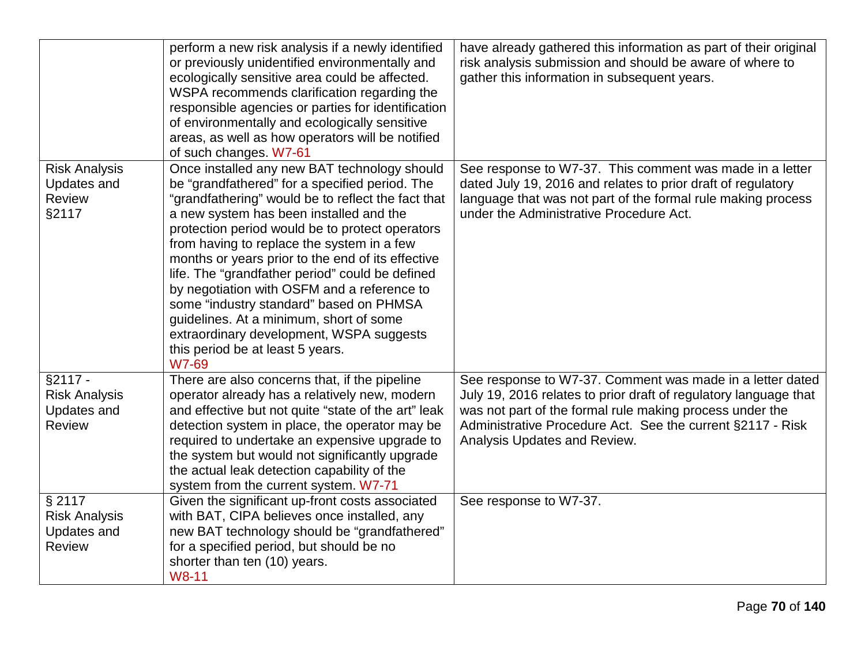|                                                                          | perform a new risk analysis if a newly identified<br>or previously unidentified environmentally and<br>ecologically sensitive area could be affected.<br>WSPA recommends clarification regarding the<br>responsible agencies or parties for identification<br>of environmentally and ecologically sensitive<br>areas, as well as how operators will be notified<br>of such changes. W7-61                                                                                                                                                                                                                                                     | have already gathered this information as part of their original<br>risk analysis submission and should be aware of where to<br>gather this information in subsequent years.                                                                                                            |
|--------------------------------------------------------------------------|-----------------------------------------------------------------------------------------------------------------------------------------------------------------------------------------------------------------------------------------------------------------------------------------------------------------------------------------------------------------------------------------------------------------------------------------------------------------------------------------------------------------------------------------------------------------------------------------------------------------------------------------------|-----------------------------------------------------------------------------------------------------------------------------------------------------------------------------------------------------------------------------------------------------------------------------------------|
| <b>Risk Analysis</b><br><b>Updates and</b><br>Review<br>§2117            | Once installed any new BAT technology should<br>be "grandfathered" for a specified period. The<br>"grandfathering" would be to reflect the fact that<br>a new system has been installed and the<br>protection period would be to protect operators<br>from having to replace the system in a few<br>months or years prior to the end of its effective<br>life. The "grandfather period" could be defined<br>by negotiation with OSFM and a reference to<br>some "industry standard" based on PHMSA<br>guidelines. At a minimum, short of some<br>extraordinary development, WSPA suggests<br>this period be at least 5 years.<br><b>W7-69</b> | See response to W7-37. This comment was made in a letter<br>dated July 19, 2016 and relates to prior draft of regulatory<br>language that was not part of the formal rule making process<br>under the Administrative Procedure Act.                                                     |
| $§2117 -$<br><b>Risk Analysis</b><br><b>Updates and</b><br><b>Review</b> | There are also concerns that, if the pipeline<br>operator already has a relatively new, modern<br>and effective but not quite "state of the art" leak<br>detection system in place, the operator may be<br>required to undertake an expensive upgrade to<br>the system but would not significantly upgrade<br>the actual leak detection capability of the<br>system from the current system. W7-71                                                                                                                                                                                                                                            | See response to W7-37. Comment was made in a letter dated<br>July 19, 2016 relates to prior draft of regulatory language that<br>was not part of the formal rule making process under the<br>Administrative Procedure Act. See the current §2117 - Risk<br>Analysis Updates and Review. |
| § 2117<br><b>Risk Analysis</b><br><b>Updates and</b><br><b>Review</b>    | Given the significant up-front costs associated<br>with BAT, CIPA believes once installed, any<br>new BAT technology should be "grandfathered"<br>for a specified period, but should be no<br>shorter than ten (10) years.<br>W8-11                                                                                                                                                                                                                                                                                                                                                                                                           | See response to W7-37.                                                                                                                                                                                                                                                                  |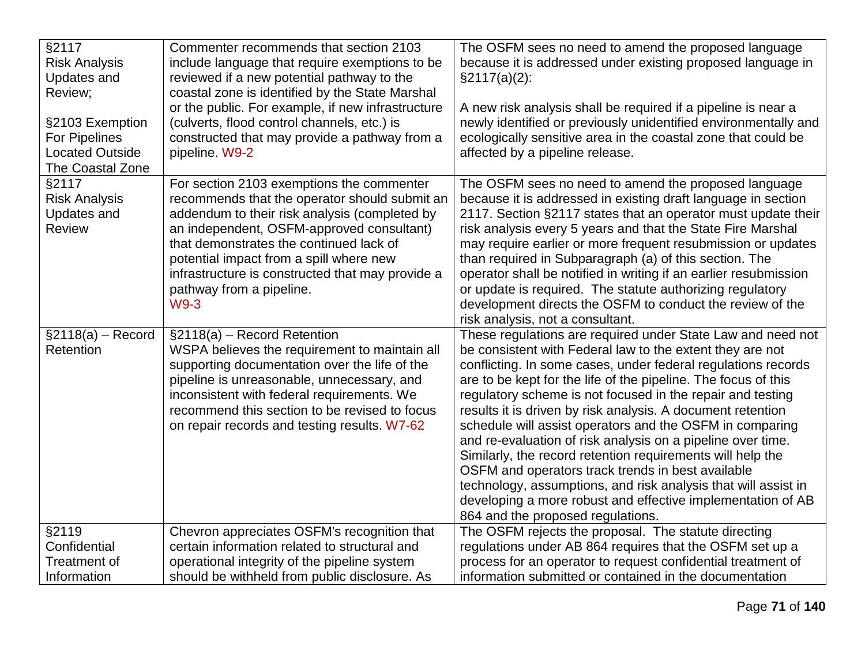| §2117<br><b>Risk Analysis</b><br><b>Updates and</b><br>Review;<br>§2103 Exemption<br>For Pipelines<br><b>Located Outside</b><br>The Coastal Zone | Commenter recommends that section 2103<br>include language that require exemptions to be<br>reviewed if a new potential pathway to the<br>coastal zone is identified by the State Marshal<br>or the public. For example, if new infrastructure<br>(culverts, flood control channels, etc.) is<br>constructed that may provide a pathway from a<br>pipeline. W9-2       | The OSFM sees no need to amend the proposed language<br>because it is addressed under existing proposed language in<br>$\S2117(a)(2)$ :<br>A new risk analysis shall be required if a pipeline is near a<br>newly identified or previously unidentified environmentally and<br>ecologically sensitive area in the coastal zone that could be<br>affected by a pipeline release.                                                                                                                                                                                                                                                                                                                                                                                                                              |
|--------------------------------------------------------------------------------------------------------------------------------------------------|------------------------------------------------------------------------------------------------------------------------------------------------------------------------------------------------------------------------------------------------------------------------------------------------------------------------------------------------------------------------|--------------------------------------------------------------------------------------------------------------------------------------------------------------------------------------------------------------------------------------------------------------------------------------------------------------------------------------------------------------------------------------------------------------------------------------------------------------------------------------------------------------------------------------------------------------------------------------------------------------------------------------------------------------------------------------------------------------------------------------------------------------------------------------------------------------|
| §2117<br><b>Risk Analysis</b><br><b>Updates and</b><br><b>Review</b>                                                                             | For section 2103 exemptions the commenter<br>recommends that the operator should submit an<br>addendum to their risk analysis (completed by<br>an independent, OSFM-approved consultant)<br>that demonstrates the continued lack of<br>potential impact from a spill where new<br>infrastructure is constructed that may provide a<br>pathway from a pipeline.<br>W9-3 | The OSFM sees no need to amend the proposed language<br>because it is addressed in existing draft language in section<br>2117. Section §2117 states that an operator must update their<br>risk analysis every 5 years and that the State Fire Marshal<br>may require earlier or more frequent resubmission or updates<br>than required in Subparagraph (a) of this section. The<br>operator shall be notified in writing if an earlier resubmission<br>or update is required. The statute authorizing regulatory<br>development directs the OSFM to conduct the review of the<br>risk analysis, not a consultant.                                                                                                                                                                                            |
| $\S2118(a) -$ Record<br>Retention                                                                                                                | $\S2118(a)$ – Record Retention<br>WSPA believes the requirement to maintain all<br>supporting documentation over the life of the<br>pipeline is unreasonable, unnecessary, and<br>inconsistent with federal requirements. We<br>recommend this section to be revised to focus<br>on repair records and testing results. W7-62                                          | These regulations are required under State Law and need not<br>be consistent with Federal law to the extent they are not<br>conflicting. In some cases, under federal regulations records<br>are to be kept for the life of the pipeline. The focus of this<br>regulatory scheme is not focused in the repair and testing<br>results it is driven by risk analysis. A document retention<br>schedule will assist operators and the OSFM in comparing<br>and re-evaluation of risk analysis on a pipeline over time.<br>Similarly, the record retention requirements will help the<br>OSFM and operators track trends in best available<br>technology, assumptions, and risk analysis that will assist in<br>developing a more robust and effective implementation of AB<br>864 and the proposed regulations. |
| §2119<br>Confidential                                                                                                                            | Chevron appreciates OSFM's recognition that<br>certain information related to structural and                                                                                                                                                                                                                                                                           | The OSFM rejects the proposal. The statute directing<br>regulations under AB 864 requires that the OSFM set up a                                                                                                                                                                                                                                                                                                                                                                                                                                                                                                                                                                                                                                                                                             |
| Treatment of<br>Information                                                                                                                      | operational integrity of the pipeline system<br>should be withheld from public disclosure. As                                                                                                                                                                                                                                                                          | process for an operator to request confidential treatment of<br>information submitted or contained in the documentation                                                                                                                                                                                                                                                                                                                                                                                                                                                                                                                                                                                                                                                                                      |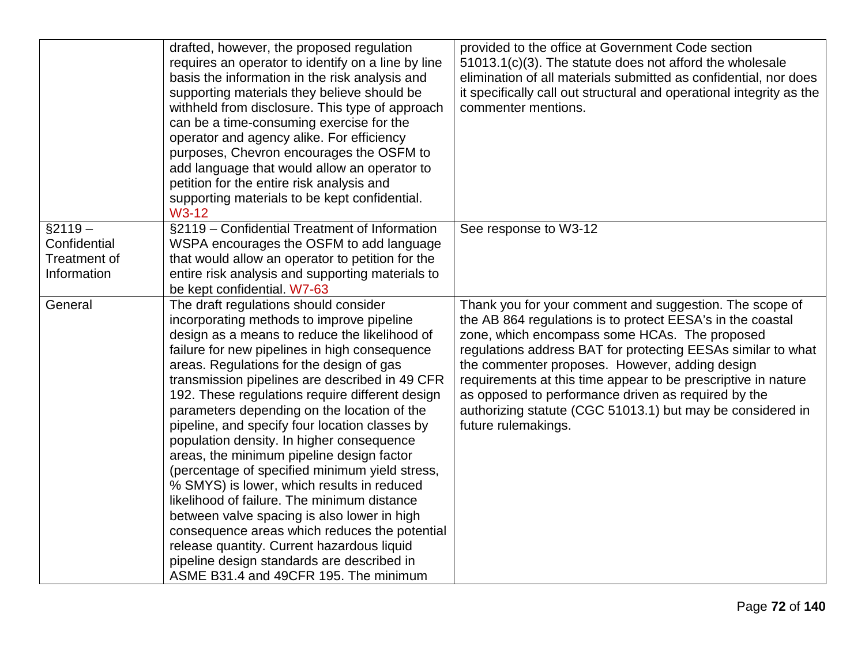|                                                          | drafted, however, the proposed regulation<br>requires an operator to identify on a line by line<br>basis the information in the risk analysis and<br>supporting materials they believe should be<br>withheld from disclosure. This type of approach<br>can be a time-consuming exercise for the<br>operator and agency alike. For efficiency<br>purposes, Chevron encourages the OSFM to<br>add language that would allow an operator to<br>petition for the entire risk analysis and<br>supporting materials to be kept confidential.<br>W3-12                                                                                                                                                                                                                                                                                                                                                                      | provided to the office at Government Code section<br>51013.1(c)(3). The statute does not afford the wholesale<br>elimination of all materials submitted as confidential, nor does<br>it specifically call out structural and operational integrity as the<br>commenter mentions.                                                                                                                                                                                                                      |
|----------------------------------------------------------|----------------------------------------------------------------------------------------------------------------------------------------------------------------------------------------------------------------------------------------------------------------------------------------------------------------------------------------------------------------------------------------------------------------------------------------------------------------------------------------------------------------------------------------------------------------------------------------------------------------------------------------------------------------------------------------------------------------------------------------------------------------------------------------------------------------------------------------------------------------------------------------------------------------------|-------------------------------------------------------------------------------------------------------------------------------------------------------------------------------------------------------------------------------------------------------------------------------------------------------------------------------------------------------------------------------------------------------------------------------------------------------------------------------------------------------|
| $§2119 -$<br>Confidential<br>Treatment of<br>Information | §2119 - Confidential Treatment of Information<br>WSPA encourages the OSFM to add language<br>that would allow an operator to petition for the<br>entire risk analysis and supporting materials to<br>be kept confidential. W7-63                                                                                                                                                                                                                                                                                                                                                                                                                                                                                                                                                                                                                                                                                     | See response to W3-12                                                                                                                                                                                                                                                                                                                                                                                                                                                                                 |
| General                                                  | The draft regulations should consider<br>incorporating methods to improve pipeline<br>design as a means to reduce the likelihood of<br>failure for new pipelines in high consequence<br>areas. Regulations for the design of gas<br>transmission pipelines are described in 49 CFR<br>192. These regulations require different design<br>parameters depending on the location of the<br>pipeline, and specify four location classes by<br>population density. In higher consequence<br>areas, the minimum pipeline design factor<br>(percentage of specified minimum yield stress,<br>% SMYS) is lower, which results in reduced<br>likelihood of failure. The minimum distance<br>between valve spacing is also lower in high<br>consequence areas which reduces the potential<br>release quantity. Current hazardous liquid<br>pipeline design standards are described in<br>ASME B31.4 and 49CFR 195. The minimum | Thank you for your comment and suggestion. The scope of<br>the AB 864 regulations is to protect EESA's in the coastal<br>zone, which encompass some HCAs. The proposed<br>regulations address BAT for protecting EESAs similar to what<br>the commenter proposes. However, adding design<br>requirements at this time appear to be prescriptive in nature<br>as opposed to performance driven as required by the<br>authorizing statute (CGC 51013.1) but may be considered in<br>future rulemakings. |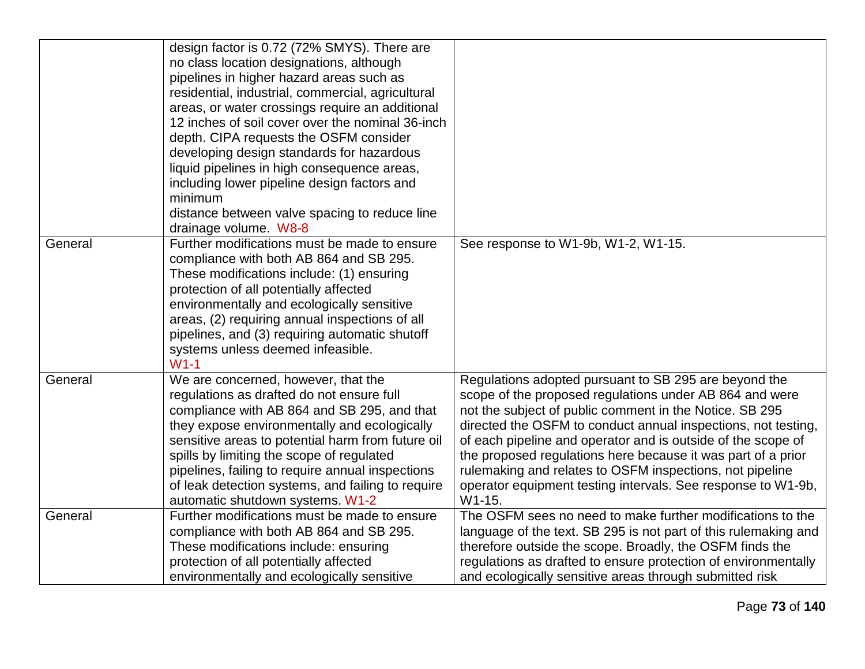|         | design factor is 0.72 (72% SMYS). There are<br>no class location designations, although<br>pipelines in higher hazard areas such as<br>residential, industrial, commercial, agricultural<br>areas, or water crossings require an additional<br>12 inches of soil cover over the nominal 36-inch<br>depth. CIPA requests the OSFM consider<br>developing design standards for hazardous                                         |                                                                                                                                                                                                                                                                                                                                                                                                                                                                                                                    |
|---------|--------------------------------------------------------------------------------------------------------------------------------------------------------------------------------------------------------------------------------------------------------------------------------------------------------------------------------------------------------------------------------------------------------------------------------|--------------------------------------------------------------------------------------------------------------------------------------------------------------------------------------------------------------------------------------------------------------------------------------------------------------------------------------------------------------------------------------------------------------------------------------------------------------------------------------------------------------------|
|         | liquid pipelines in high consequence areas,<br>including lower pipeline design factors and<br>minimum<br>distance between valve spacing to reduce line<br>drainage volume. W8-8                                                                                                                                                                                                                                                |                                                                                                                                                                                                                                                                                                                                                                                                                                                                                                                    |
| General | Further modifications must be made to ensure<br>compliance with both AB 864 and SB 295.<br>These modifications include: (1) ensuring<br>protection of all potentially affected<br>environmentally and ecologically sensitive<br>areas, (2) requiring annual inspections of all<br>pipelines, and (3) requiring automatic shutoff<br>systems unless deemed infeasible.<br>$W1-1$                                                | See response to W1-9b, W1-2, W1-15.                                                                                                                                                                                                                                                                                                                                                                                                                                                                                |
| General | We are concerned, however, that the<br>regulations as drafted do not ensure full<br>compliance with AB 864 and SB 295, and that<br>they expose environmentally and ecologically<br>sensitive areas to potential harm from future oil<br>spills by limiting the scope of regulated<br>pipelines, failing to require annual inspections<br>of leak detection systems, and failing to require<br>automatic shutdown systems. W1-2 | Regulations adopted pursuant to SB 295 are beyond the<br>scope of the proposed regulations under AB 864 and were<br>not the subject of public comment in the Notice. SB 295<br>directed the OSFM to conduct annual inspections, not testing,<br>of each pipeline and operator and is outside of the scope of<br>the proposed regulations here because it was part of a prior<br>rulemaking and relates to OSFM inspections, not pipeline<br>operator equipment testing intervals. See response to W1-9b,<br>W1-15. |
| General | Further modifications must be made to ensure<br>compliance with both AB 864 and SB 295.<br>These modifications include: ensuring<br>protection of all potentially affected<br>environmentally and ecologically sensitive                                                                                                                                                                                                       | The OSFM sees no need to make further modifications to the<br>language of the text. SB 295 is not part of this rulemaking and<br>therefore outside the scope. Broadly, the OSFM finds the<br>regulations as drafted to ensure protection of environmentally<br>and ecologically sensitive areas through submitted risk                                                                                                                                                                                             |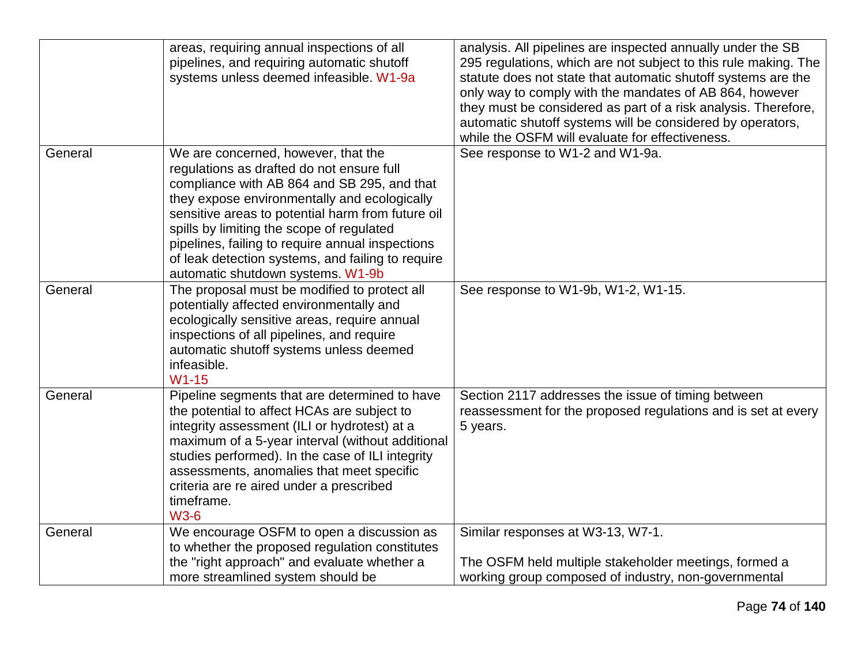|         | areas, requiring annual inspections of all<br>pipelines, and requiring automatic shutoff<br>systems unless deemed infeasible. W1-9a                                                                                                                                                                                                                                                                                             | analysis. All pipelines are inspected annually under the SB<br>295 regulations, which are not subject to this rule making. The<br>statute does not state that automatic shutoff systems are the<br>only way to comply with the mandates of AB 864, however<br>they must be considered as part of a risk analysis. Therefore,<br>automatic shutoff systems will be considered by operators,<br>while the OSFM will evaluate for effectiveness. |
|---------|---------------------------------------------------------------------------------------------------------------------------------------------------------------------------------------------------------------------------------------------------------------------------------------------------------------------------------------------------------------------------------------------------------------------------------|-----------------------------------------------------------------------------------------------------------------------------------------------------------------------------------------------------------------------------------------------------------------------------------------------------------------------------------------------------------------------------------------------------------------------------------------------|
| General | We are concerned, however, that the<br>regulations as drafted do not ensure full<br>compliance with AB 864 and SB 295, and that<br>they expose environmentally and ecologically<br>sensitive areas to potential harm from future oil<br>spills by limiting the scope of regulated<br>pipelines, failing to require annual inspections<br>of leak detection systems, and failing to require<br>automatic shutdown systems. W1-9b | See response to W1-2 and W1-9a.                                                                                                                                                                                                                                                                                                                                                                                                               |
| General | The proposal must be modified to protect all<br>potentially affected environmentally and<br>ecologically sensitive areas, require annual<br>inspections of all pipelines, and require<br>automatic shutoff systems unless deemed<br>infeasible.<br>$W1-15$                                                                                                                                                                      | See response to W1-9b, W1-2, W1-15.                                                                                                                                                                                                                                                                                                                                                                                                           |
| General | Pipeline segments that are determined to have<br>the potential to affect HCAs are subject to<br>integrity assessment (ILI or hydrotest) at a<br>maximum of a 5-year interval (without additional<br>studies performed). In the case of ILI integrity<br>assessments, anomalies that meet specific<br>criteria are re aired under a prescribed<br>timeframe.<br><b>W3-6</b>                                                      | Section 2117 addresses the issue of timing between<br>reassessment for the proposed regulations and is set at every<br>5 years.                                                                                                                                                                                                                                                                                                               |
| General | We encourage OSFM to open a discussion as<br>to whether the proposed regulation constitutes<br>the "right approach" and evaluate whether a<br>more streamlined system should be                                                                                                                                                                                                                                                 | Similar responses at W3-13, W7-1.<br>The OSFM held multiple stakeholder meetings, formed a<br>working group composed of industry, non-governmental                                                                                                                                                                                                                                                                                            |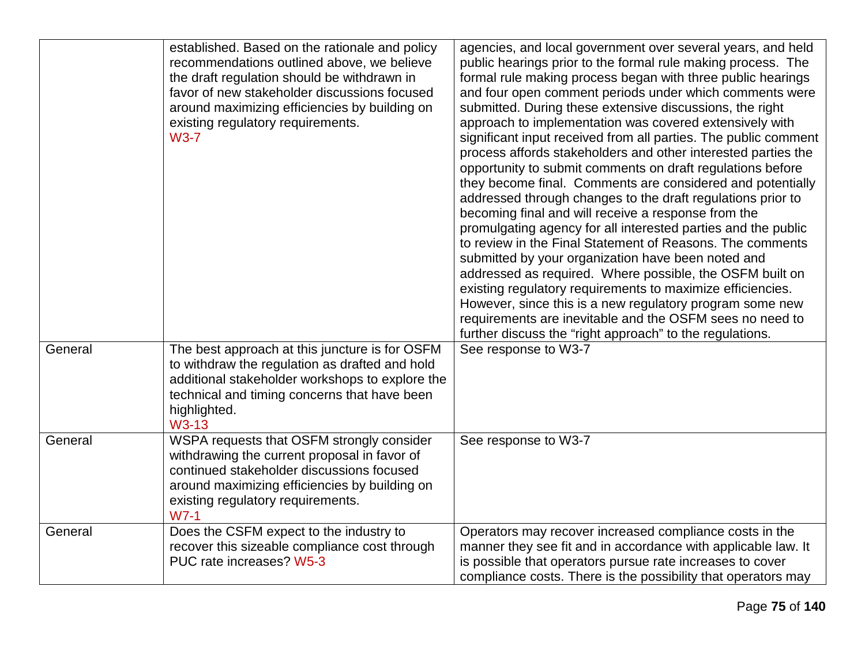|         | established. Based on the rationale and policy<br>recommendations outlined above, we believe<br>the draft regulation should be withdrawn in<br>favor of new stakeholder discussions focused<br>around maximizing efficiencies by building on<br>existing regulatory requirements.<br>$W3-7$ | agencies, and local government over several years, and held<br>public hearings prior to the formal rule making process. The<br>formal rule making process began with three public hearings<br>and four open comment periods under which comments were<br>submitted. During these extensive discussions, the right<br>approach to implementation was covered extensively with<br>significant input received from all parties. The public comment<br>process affords stakeholders and other interested parties the<br>opportunity to submit comments on draft regulations before<br>they become final. Comments are considered and potentially<br>addressed through changes to the draft regulations prior to<br>becoming final and will receive a response from the<br>promulgating agency for all interested parties and the public<br>to review in the Final Statement of Reasons. The comments<br>submitted by your organization have been noted and<br>addressed as required. Where possible, the OSFM built on<br>existing regulatory requirements to maximize efficiencies.<br>However, since this is a new regulatory program some new<br>requirements are inevitable and the OSFM sees no need to<br>further discuss the "right approach" to the regulations. |
|---------|---------------------------------------------------------------------------------------------------------------------------------------------------------------------------------------------------------------------------------------------------------------------------------------------|----------------------------------------------------------------------------------------------------------------------------------------------------------------------------------------------------------------------------------------------------------------------------------------------------------------------------------------------------------------------------------------------------------------------------------------------------------------------------------------------------------------------------------------------------------------------------------------------------------------------------------------------------------------------------------------------------------------------------------------------------------------------------------------------------------------------------------------------------------------------------------------------------------------------------------------------------------------------------------------------------------------------------------------------------------------------------------------------------------------------------------------------------------------------------------------------------------------------------------------------------------------------|
| General | The best approach at this juncture is for OSFM<br>to withdraw the regulation as drafted and hold<br>additional stakeholder workshops to explore the<br>technical and timing concerns that have been<br>highlighted.<br>W3-13                                                                | See response to W3-7                                                                                                                                                                                                                                                                                                                                                                                                                                                                                                                                                                                                                                                                                                                                                                                                                                                                                                                                                                                                                                                                                                                                                                                                                                                 |
| General | WSPA requests that OSFM strongly consider<br>withdrawing the current proposal in favor of<br>continued stakeholder discussions focused<br>around maximizing efficiencies by building on<br>existing regulatory requirements.<br>$WZ-1$                                                      | See response to W3-7                                                                                                                                                                                                                                                                                                                                                                                                                                                                                                                                                                                                                                                                                                                                                                                                                                                                                                                                                                                                                                                                                                                                                                                                                                                 |
| General | Does the CSFM expect to the industry to<br>recover this sizeable compliance cost through<br>PUC rate increases? W5-3                                                                                                                                                                        | Operators may recover increased compliance costs in the<br>manner they see fit and in accordance with applicable law. It<br>is possible that operators pursue rate increases to cover<br>compliance costs. There is the possibility that operators may                                                                                                                                                                                                                                                                                                                                                                                                                                                                                                                                                                                                                                                                                                                                                                                                                                                                                                                                                                                                               |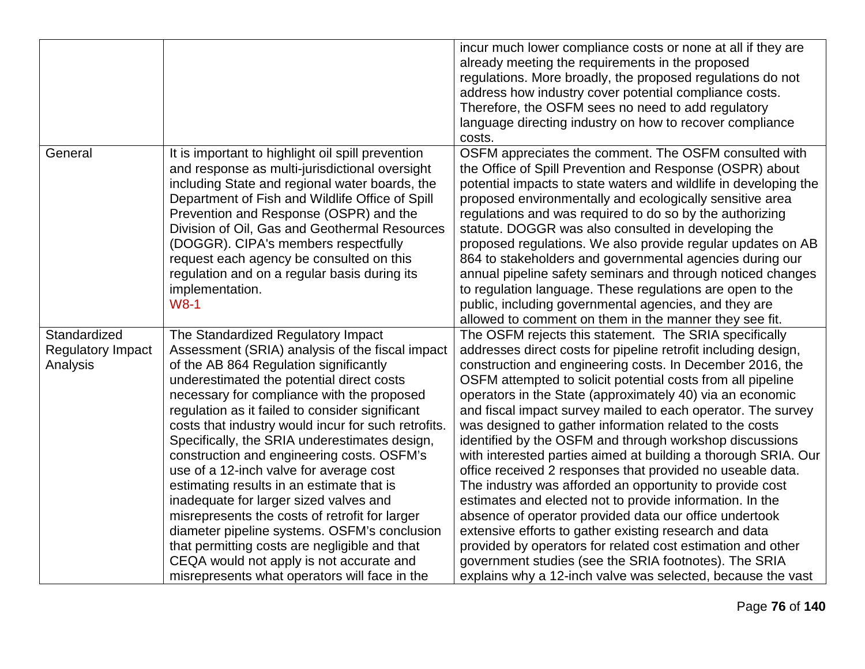|                                                      |                                                                                                                                                                                                                                                                                                                                                                                                                                                                                                                                                                                                                                                                                                                                                                                                                       | incur much lower compliance costs or none at all if they are<br>already meeting the requirements in the proposed<br>regulations. More broadly, the proposed regulations do not<br>address how industry cover potential compliance costs.<br>Therefore, the OSFM sees no need to add regulatory                                                                                                                                                                                                                                                                                                                                                                                                                                                                                                                                                                                                                                                                                                                                                                             |
|------------------------------------------------------|-----------------------------------------------------------------------------------------------------------------------------------------------------------------------------------------------------------------------------------------------------------------------------------------------------------------------------------------------------------------------------------------------------------------------------------------------------------------------------------------------------------------------------------------------------------------------------------------------------------------------------------------------------------------------------------------------------------------------------------------------------------------------------------------------------------------------|----------------------------------------------------------------------------------------------------------------------------------------------------------------------------------------------------------------------------------------------------------------------------------------------------------------------------------------------------------------------------------------------------------------------------------------------------------------------------------------------------------------------------------------------------------------------------------------------------------------------------------------------------------------------------------------------------------------------------------------------------------------------------------------------------------------------------------------------------------------------------------------------------------------------------------------------------------------------------------------------------------------------------------------------------------------------------|
|                                                      |                                                                                                                                                                                                                                                                                                                                                                                                                                                                                                                                                                                                                                                                                                                                                                                                                       | language directing industry on how to recover compliance<br>costs.                                                                                                                                                                                                                                                                                                                                                                                                                                                                                                                                                                                                                                                                                                                                                                                                                                                                                                                                                                                                         |
| General                                              | It is important to highlight oil spill prevention<br>and response as multi-jurisdictional oversight<br>including State and regional water boards, the<br>Department of Fish and Wildlife Office of Spill<br>Prevention and Response (OSPR) and the<br>Division of Oil, Gas and Geothermal Resources<br>(DOGGR). CIPA's members respectfully<br>request each agency be consulted on this<br>regulation and on a regular basis during its<br>implementation.<br>$W8-1$                                                                                                                                                                                                                                                                                                                                                  | OSFM appreciates the comment. The OSFM consulted with<br>the Office of Spill Prevention and Response (OSPR) about<br>potential impacts to state waters and wildlife in developing the<br>proposed environmentally and ecologically sensitive area<br>regulations and was required to do so by the authorizing<br>statute. DOGGR was also consulted in developing the<br>proposed regulations. We also provide regular updates on AB<br>864 to stakeholders and governmental agencies during our<br>annual pipeline safety seminars and through noticed changes<br>to regulation language. These regulations are open to the<br>public, including governmental agencies, and they are<br>allowed to comment on them in the manner they see fit.                                                                                                                                                                                                                                                                                                                             |
| Standardized<br><b>Regulatory Impact</b><br>Analysis | The Standardized Regulatory Impact<br>Assessment (SRIA) analysis of the fiscal impact<br>of the AB 864 Regulation significantly<br>underestimated the potential direct costs<br>necessary for compliance with the proposed<br>regulation as it failed to consider significant<br>costs that industry would incur for such retrofits.<br>Specifically, the SRIA underestimates design,<br>construction and engineering costs. OSFM's<br>use of a 12-inch valve for average cost<br>estimating results in an estimate that is<br>inadequate for larger sized valves and<br>misrepresents the costs of retrofit for larger<br>diameter pipeline systems. OSFM's conclusion<br>that permitting costs are negligible and that<br>CEQA would not apply is not accurate and<br>misrepresents what operators will face in the | The OSFM rejects this statement. The SRIA specifically<br>addresses direct costs for pipeline retrofit including design,<br>construction and engineering costs. In December 2016, the<br>OSFM attempted to solicit potential costs from all pipeline<br>operators in the State (approximately 40) via an economic<br>and fiscal impact survey mailed to each operator. The survey<br>was designed to gather information related to the costs<br>identified by the OSFM and through workshop discussions<br>with interested parties aimed at building a thorough SRIA. Our<br>office received 2 responses that provided no useable data.<br>The industry was afforded an opportunity to provide cost<br>estimates and elected not to provide information. In the<br>absence of operator provided data our office undertook<br>extensive efforts to gather existing research and data<br>provided by operators for related cost estimation and other<br>government studies (see the SRIA footnotes). The SRIA<br>explains why a 12-inch valve was selected, because the vast |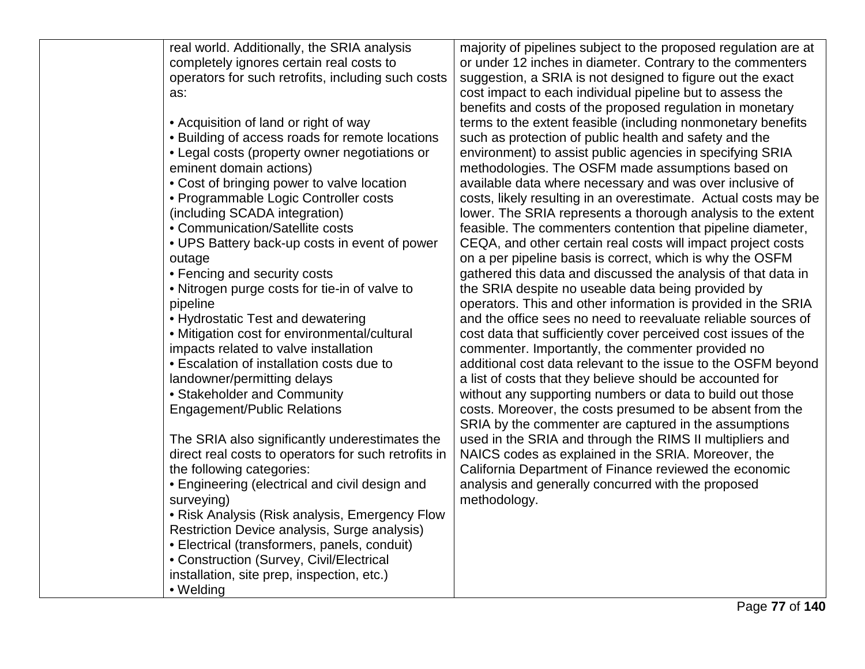| real world. Additionally, the SRIA analysis          | majority of pipelines subject to the proposed regulation are at |
|------------------------------------------------------|-----------------------------------------------------------------|
| completely ignores certain real costs to             | or under 12 inches in diameter. Contrary to the commenters      |
| operators for such retrofits, including such costs   | suggestion, a SRIA is not designed to figure out the exact      |
| as:                                                  | cost impact to each individual pipeline but to assess the       |
|                                                      | benefits and costs of the proposed regulation in monetary       |
| • Acquisition of land or right of way                | terms to the extent feasible (including nonmonetary benefits)   |
| • Building of access roads for remote locations      | such as protection of public health and safety and the          |
| • Legal costs (property owner negotiations or        | environment) to assist public agencies in specifying SRIA       |
| eminent domain actions)                              | methodologies. The OSFM made assumptions based on               |
| • Cost of bringing power to valve location           | available data where necessary and was over inclusive of        |
| • Programmable Logic Controller costs                | costs, likely resulting in an overestimate. Actual costs may be |
| (including SCADA integration)                        | lower. The SRIA represents a thorough analysis to the extent    |
| • Communication/Satellite costs                      | feasible. The commenters contention that pipeline diameter,     |
| • UPS Battery back-up costs in event of power        | CEQA, and other certain real costs will impact project costs    |
| outage                                               | on a per pipeline basis is correct, which is why the OSFM       |
| • Fencing and security costs                         | gathered this data and discussed the analysis of that data in   |
| • Nitrogen purge costs for tie-in of valve to        | the SRIA despite no useable data being provided by              |
| pipeline                                             | operators. This and other information is provided in the SRIA   |
| • Hydrostatic Test and dewatering                    | and the office sees no need to reevaluate reliable sources of   |
| • Mitigation cost for environmental/cultural         | cost data that sufficiently cover perceived cost issues of the  |
| impacts related to valve installation                | commenter. Importantly, the commenter provided no               |
| • Escalation of installation costs due to            | additional cost data relevant to the issue to the OSFM beyond   |
| landowner/permitting delays                          | a list of costs that they believe should be accounted for       |
| • Stakeholder and Community                          | without any supporting numbers or data to build out those       |
| <b>Engagement/Public Relations</b>                   | costs. Moreover, the costs presumed to be absent from the       |
|                                                      | SRIA by the commenter are captured in the assumptions           |
| The SRIA also significantly underestimates the       | used in the SRIA and through the RIMS II multipliers and        |
| direct real costs to operators for such retrofits in | NAICS codes as explained in the SRIA. Moreover, the             |
| the following categories:                            | California Department of Finance reviewed the economic          |
| • Engineering (electrical and civil design and       | analysis and generally concurred with the proposed              |
| surveying)                                           | methodology.                                                    |
| • Risk Analysis (Risk analysis, Emergency Flow       |                                                                 |
| Restriction Device analysis, Surge analysis)         |                                                                 |
| • Electrical (transformers, panels, conduit)         |                                                                 |
| • Construction (Survey, Civil/Electrical             |                                                                 |
| installation, site prep, inspection, etc.)           |                                                                 |
| • Welding                                            |                                                                 |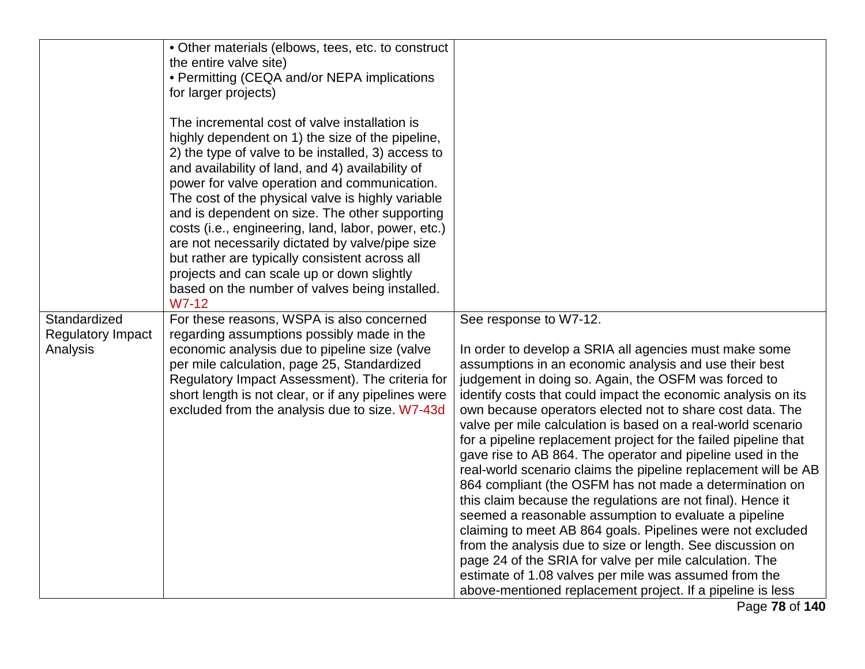|                                          | • Other materials (elbows, tees, etc. to construct<br>the entire valve site)<br>• Permitting (CEQA and/or NEPA implications<br>for larger projects)<br>The incremental cost of valve installation is<br>highly dependent on 1) the size of the pipeline,<br>2) the type of valve to be installed, 3) access to<br>and availability of land, and 4) availability of<br>power for valve operation and communication.<br>The cost of the physical valve is highly variable<br>and is dependent on size. The other supporting<br>costs (i.e., engineering, land, labor, power, etc.)<br>are not necessarily dictated by valve/pipe size<br>but rather are typically consistent across all<br>projects and can scale up or down slightly<br>based on the number of valves being installed. |                                                                                                                                                                                                                                                                                                                                                                                                                                                                                                                                                                                                                                                                                                                                                                                                                                                                                                                                                     |
|------------------------------------------|---------------------------------------------------------------------------------------------------------------------------------------------------------------------------------------------------------------------------------------------------------------------------------------------------------------------------------------------------------------------------------------------------------------------------------------------------------------------------------------------------------------------------------------------------------------------------------------------------------------------------------------------------------------------------------------------------------------------------------------------------------------------------------------|-----------------------------------------------------------------------------------------------------------------------------------------------------------------------------------------------------------------------------------------------------------------------------------------------------------------------------------------------------------------------------------------------------------------------------------------------------------------------------------------------------------------------------------------------------------------------------------------------------------------------------------------------------------------------------------------------------------------------------------------------------------------------------------------------------------------------------------------------------------------------------------------------------------------------------------------------------|
| Standardized<br><b>Regulatory Impact</b> | $W7-12$<br>For these reasons, WSPA is also concerned<br>regarding assumptions possibly made in the                                                                                                                                                                                                                                                                                                                                                                                                                                                                                                                                                                                                                                                                                    | See response to W7-12.                                                                                                                                                                                                                                                                                                                                                                                                                                                                                                                                                                                                                                                                                                                                                                                                                                                                                                                              |
| Analysis                                 | economic analysis due to pipeline size (valve<br>per mile calculation, page 25, Standardized<br>Regulatory Impact Assessment). The criteria for<br>short length is not clear, or if any pipelines were<br>excluded from the analysis due to size. W7-43d                                                                                                                                                                                                                                                                                                                                                                                                                                                                                                                              | In order to develop a SRIA all agencies must make some<br>assumptions in an economic analysis and use their best<br>judgement in doing so. Again, the OSFM was forced to<br>identify costs that could impact the economic analysis on its<br>own because operators elected not to share cost data. The<br>valve per mile calculation is based on a real-world scenario<br>for a pipeline replacement project for the failed pipeline that<br>gave rise to AB 864. The operator and pipeline used in the<br>real-world scenario claims the pipeline replacement will be AB<br>864 compliant (the OSFM has not made a determination on<br>this claim because the regulations are not final). Hence it<br>seemed a reasonable assumption to evaluate a pipeline<br>claiming to meet AB 864 goals. Pipelines were not excluded<br>from the analysis due to size or length. See discussion on<br>page 24 of the SRIA for valve per mile calculation. The |
|                                          |                                                                                                                                                                                                                                                                                                                                                                                                                                                                                                                                                                                                                                                                                                                                                                                       | estimate of 1.08 valves per mile was assumed from the<br>above-mentioned replacement project. If a pipeline is less                                                                                                                                                                                                                                                                                                                                                                                                                                                                                                                                                                                                                                                                                                                                                                                                                                 |

Page **78** of **140**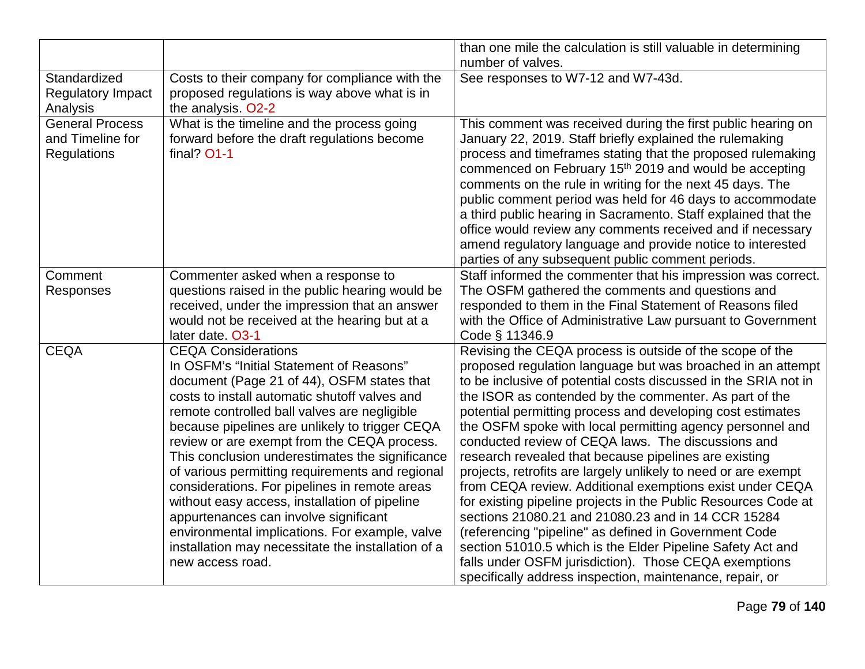|                                                                  |                                                                                                                                                                                                                                                                                                                                                                                                                                                                                                                                                                                                                                                                                                     | than one mile the calculation is still valuable in determining<br>number of valves.                                                                                                                                                                                                                                                                                                                                                                                                                                                                                                                                                                                                                                                                                                                                                                                                                                                                                                              |
|------------------------------------------------------------------|-----------------------------------------------------------------------------------------------------------------------------------------------------------------------------------------------------------------------------------------------------------------------------------------------------------------------------------------------------------------------------------------------------------------------------------------------------------------------------------------------------------------------------------------------------------------------------------------------------------------------------------------------------------------------------------------------------|--------------------------------------------------------------------------------------------------------------------------------------------------------------------------------------------------------------------------------------------------------------------------------------------------------------------------------------------------------------------------------------------------------------------------------------------------------------------------------------------------------------------------------------------------------------------------------------------------------------------------------------------------------------------------------------------------------------------------------------------------------------------------------------------------------------------------------------------------------------------------------------------------------------------------------------------------------------------------------------------------|
| Standardized<br><b>Regulatory Impact</b><br>Analysis             | Costs to their company for compliance with the<br>proposed regulations is way above what is in<br>the analysis. O2-2                                                                                                                                                                                                                                                                                                                                                                                                                                                                                                                                                                                | See responses to W7-12 and W7-43d.                                                                                                                                                                                                                                                                                                                                                                                                                                                                                                                                                                                                                                                                                                                                                                                                                                                                                                                                                               |
| <b>General Process</b><br>and Timeline for<br><b>Regulations</b> | What is the timeline and the process going<br>forward before the draft regulations become<br>final? O1-1                                                                                                                                                                                                                                                                                                                                                                                                                                                                                                                                                                                            | This comment was received during the first public hearing on<br>January 22, 2019. Staff briefly explained the rulemaking<br>process and timeframes stating that the proposed rulemaking<br>commenced on February 15 <sup>th</sup> 2019 and would be accepting<br>comments on the rule in writing for the next 45 days. The<br>public comment period was held for 46 days to accommodate<br>a third public hearing in Sacramento. Staff explained that the<br>office would review any comments received and if necessary<br>amend regulatory language and provide notice to interested<br>parties of any subsequent public comment periods.                                                                                                                                                                                                                                                                                                                                                       |
| Comment<br>Responses                                             | Commenter asked when a response to<br>questions raised in the public hearing would be<br>received, under the impression that an answer<br>would not be received at the hearing but at a<br>later date. O3-1                                                                                                                                                                                                                                                                                                                                                                                                                                                                                         | Staff informed the commenter that his impression was correct.<br>The OSFM gathered the comments and questions and<br>responded to them in the Final Statement of Reasons filed<br>with the Office of Administrative Law pursuant to Government<br>Code § 11346.9                                                                                                                                                                                                                                                                                                                                                                                                                                                                                                                                                                                                                                                                                                                                 |
| <b>CEQA</b>                                                      | <b>CEQA Considerations</b><br>In OSFM's "Initial Statement of Reasons"<br>document (Page 21 of 44), OSFM states that<br>costs to install automatic shutoff valves and<br>remote controlled ball valves are negligible<br>because pipelines are unlikely to trigger CEQA<br>review or are exempt from the CEQA process.<br>This conclusion underestimates the significance<br>of various permitting requirements and regional<br>considerations. For pipelines in remote areas<br>without easy access, installation of pipeline<br>appurtenances can involve significant<br>environmental implications. For example, valve<br>installation may necessitate the installation of a<br>new access road. | Revising the CEQA process is outside of the scope of the<br>proposed regulation language but was broached in an attempt<br>to be inclusive of potential costs discussed in the SRIA not in<br>the ISOR as contended by the commenter. As part of the<br>potential permitting process and developing cost estimates<br>the OSFM spoke with local permitting agency personnel and<br>conducted review of CEQA laws. The discussions and<br>research revealed that because pipelines are existing<br>projects, retrofits are largely unlikely to need or are exempt<br>from CEQA review. Additional exemptions exist under CEQA<br>for existing pipeline projects in the Public Resources Code at<br>sections 21080.21 and 21080.23 and in 14 CCR 15284<br>(referencing "pipeline" as defined in Government Code<br>section 51010.5 which is the Elder Pipeline Safety Act and<br>falls under OSFM jurisdiction). Those CEQA exemptions<br>specifically address inspection, maintenance, repair, or |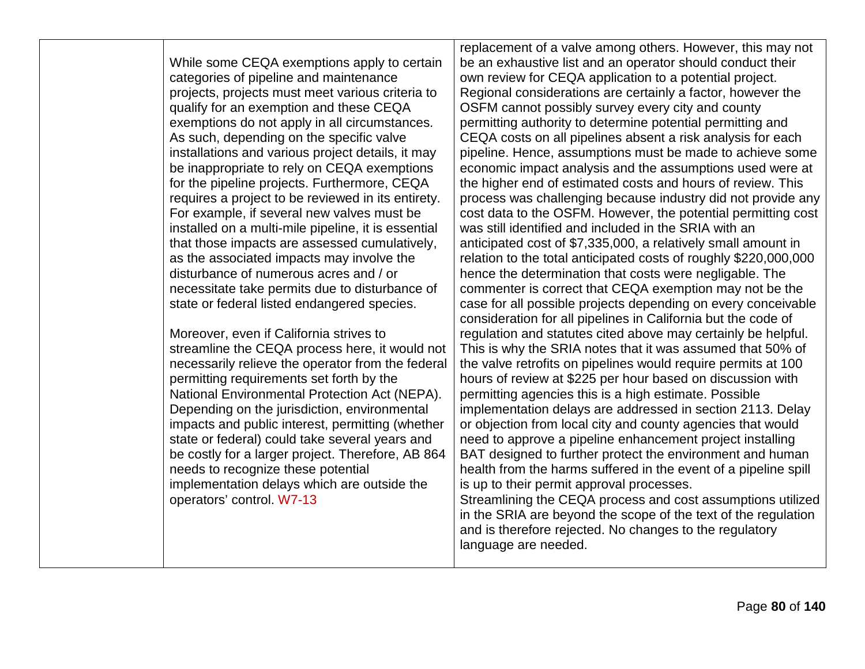While some CEQA exemptions apply to certain categories of pipeline and maintenance projects, projects must meet various criteria to qualify for an exemption and these CEQA exemptions do not apply in all circumstances. As such, depending on the specific valve installations and various project details, it may be inappropriate to rely on CEQA exemptions for the pipeline projects. Furthermore, CEQA requires a project to be reviewed in its entirety. For example, if several new valves must be installed on a multi-mile pipeline, it is essential that those impacts are assessed cumulatively, as the associated impacts may involve the disturbance of numerous acres and / or necessitate take permits due to disturbance of state or federal listed endangered species.

Moreover, even if California strives to streamline the CEQA process here, it would not necessarily relieve the operator from the federal permitting requirements set forth by the National Environmental Protection Act (NEPA). Depending on the jurisdiction, environmental impacts and public interest, permitting (whether state or federal) could take several years and be costly for a larger project. Therefore, AB 864 needs to recognize these potential implementation delays which are outside the operators' control. W7-13

replacement of a valve among others. However, this may not be an exhaustive list and an operator should conduct their own review for CEQA application to a potential project. Regional considerations are certainly a factor, however the OSFM cannot possibly survey every city and county permitting authority to determine potential permitting and CEQA costs on all pipelines absent a risk analysis for each pipeline. Hence, assumptions must be made to achieve some economic impact analysis and the assumptions used were at the higher end of estimated costs and hours of review. This process was challenging because industry did not provide any cost data to the OSFM. However, the potential permitting cost was still identified and included in the SRIA with an anticipated cost of \$7,335,000, a relatively small amount in relation to the total anticipated costs of roughly \$220,000,000 hence the determination that costs were negligable. The commenter is correct that CEQA exemption may not be the case for all possible projects depending on every conceivable consideration for all pipelines in California but the code of regulation and statutes cited above may certainly be helpful. This is why the SRIA notes that it was assumed that 50% of the valve retrofits on pipelines would require permits at 100 hours of review at \$225 per hour based on discussion with permitting agencies this is a high estimate. Possible implementation delays are addressed in section 2113. Delay or objection from local city and county agencies that would need to approve a pipeline enhancement project installing BAT designed to further protect the environment and human health from the harms suffered in the event of a pipeline spill is up to their permit approval processes. Streamlining the CEQA process and cost assumptions utilized in the SRIA are beyond the scope of the text of the regulation and is therefore rejected. No changes to the regulatory language are needed.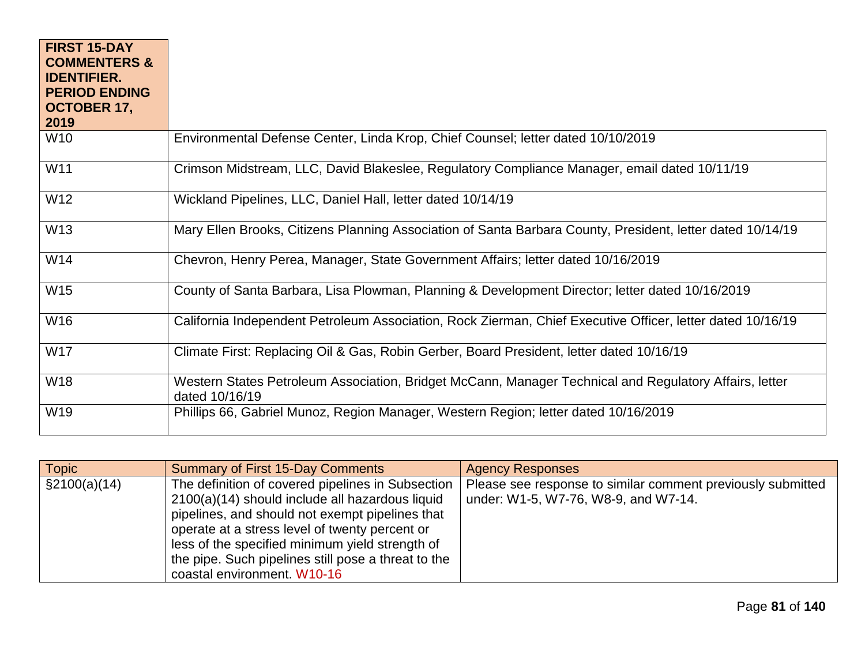| <b>FIRST 15-DAY</b><br><b>COMMENTERS &amp;</b> |                                                                                                                          |
|------------------------------------------------|--------------------------------------------------------------------------------------------------------------------------|
| <b>IDENTIFIER.</b><br><b>PERIOD ENDING</b>     |                                                                                                                          |
| OCTOBER 17,                                    |                                                                                                                          |
| 2019                                           |                                                                                                                          |
| W10                                            | Environmental Defense Center, Linda Krop, Chief Counsel; letter dated 10/10/2019                                         |
| W11                                            | Crimson Midstream, LLC, David Blakeslee, Regulatory Compliance Manager, email dated 10/11/19                             |
| W12                                            | Wickland Pipelines, LLC, Daniel Hall, letter dated 10/14/19                                                              |
| W13                                            | Mary Ellen Brooks, Citizens Planning Association of Santa Barbara County, President, letter dated 10/14/19               |
| W14                                            | Chevron, Henry Perea, Manager, State Government Affairs; letter dated 10/16/2019                                         |
| W15                                            | County of Santa Barbara, Lisa Plowman, Planning & Development Director; letter dated 10/16/2019                          |
| W16                                            | California Independent Petroleum Association, Rock Zierman, Chief Executive Officer, letter dated 10/16/19               |
| W17                                            | Climate First: Replacing Oil & Gas, Robin Gerber, Board President, letter dated 10/16/19                                 |
| W18                                            | Western States Petroleum Association, Bridget McCann, Manager Technical and Regulatory Affairs, letter<br>dated 10/16/19 |
| W19                                            | Phillips 66, Gabriel Munoz, Region Manager, Western Region; letter dated 10/16/2019                                      |

| <b>Topic</b>    | <b>Summary of First 15-Day Comments</b>                                                                                                                                                                                                                                                                                                            | <b>Agency Responses</b>                                                                             |
|-----------------|----------------------------------------------------------------------------------------------------------------------------------------------------------------------------------------------------------------------------------------------------------------------------------------------------------------------------------------------------|-----------------------------------------------------------------------------------------------------|
| $\S2100(a)(14)$ | The definition of covered pipelines in Subsection<br>2100(a)(14) should include all hazardous liquid<br>pipelines, and should not exempt pipelines that<br>operate at a stress level of twenty percent or<br>less of the specified minimum yield strength of<br>the pipe. Such pipelines still pose a threat to the<br>coastal environment. W10-16 | Please see response to similar comment previously submitted<br>under: W1-5, W7-76, W8-9, and W7-14. |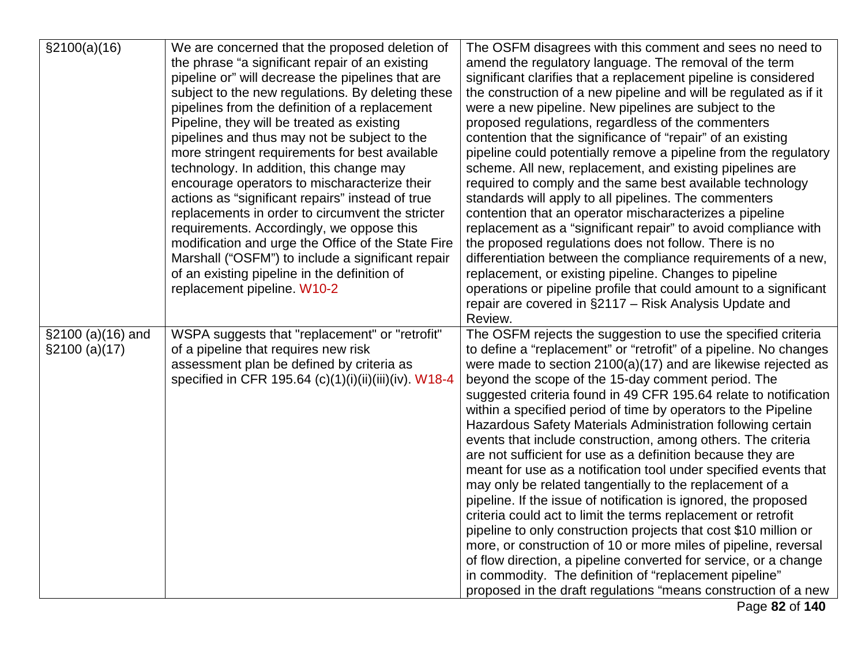| \$2100(a)(16)       | We are concerned that the proposed deletion of        | The OSFM disagrees with this comment and sees no need to                                                                    |
|---------------------|-------------------------------------------------------|-----------------------------------------------------------------------------------------------------------------------------|
|                     | the phrase "a significant repair of an existing       | amend the regulatory language. The removal of the term                                                                      |
|                     | pipeline or" will decrease the pipelines that are     | significant clarifies that a replacement pipeline is considered                                                             |
|                     | subject to the new regulations. By deleting these     | the construction of a new pipeline and will be regulated as if it                                                           |
|                     | pipelines from the definition of a replacement        | were a new pipeline. New pipelines are subject to the                                                                       |
|                     | Pipeline, they will be treated as existing            | proposed regulations, regardless of the commenters                                                                          |
|                     | pipelines and thus may not be subject to the          | contention that the significance of "repair" of an existing                                                                 |
|                     | more stringent requirements for best available        | pipeline could potentially remove a pipeline from the regulatory                                                            |
|                     | technology. In addition, this change may              | scheme. All new, replacement, and existing pipelines are                                                                    |
|                     | encourage operators to mischaracterize their          | required to comply and the same best available technology                                                                   |
|                     | actions as "significant repairs" instead of true      | standards will apply to all pipelines. The commenters                                                                       |
|                     | replacements in order to circumvent the stricter      | contention that an operator mischaracterizes a pipeline                                                                     |
|                     | requirements. Accordingly, we oppose this             | replacement as a "significant repair" to avoid compliance with                                                              |
|                     | modification and urge the Office of the State Fire    | the proposed regulations does not follow. There is no                                                                       |
|                     | Marshall ("OSFM") to include a significant repair     | differentiation between the compliance requirements of a new,                                                               |
|                     | of an existing pipeline in the definition of          | replacement, or existing pipeline. Changes to pipeline                                                                      |
|                     | replacement pipeline. W10-2                           | operations or pipeline profile that could amount to a significant                                                           |
|                     |                                                       | repair are covered in §2117 - Risk Analysis Update and                                                                      |
|                     |                                                       | Review.                                                                                                                     |
| $$2100 (a)(16)$ and | WSPA suggests that "replacement" or "retrofit"        | The OSFM rejects the suggestion to use the specified criteria                                                               |
| \$2100 (a)(17)      | of a pipeline that requires new risk                  | to define a "replacement" or "retrofit" of a pipeline. No changes                                                           |
|                     | assessment plan be defined by criteria as             | were made to section $2100(a)(17)$ and are likewise rejected as                                                             |
|                     | specified in CFR 195.64 (c)(1)(i)(ii)(iii)(iv). W18-4 | beyond the scope of the 15-day comment period. The                                                                          |
|                     |                                                       | suggested criteria found in 49 CFR 195.64 relate to notification                                                            |
|                     |                                                       | within a specified period of time by operators to the Pipeline                                                              |
|                     |                                                       | Hazardous Safety Materials Administration following certain<br>events that include construction, among others. The criteria |
|                     |                                                       | are not sufficient for use as a definition because they are                                                                 |
|                     |                                                       | meant for use as a notification tool under specified events that                                                            |
|                     |                                                       | may only be related tangentially to the replacement of a                                                                    |
|                     |                                                       | pipeline. If the issue of notification is ignored, the proposed                                                             |
|                     |                                                       | criteria could act to limit the terms replacement or retrofit                                                               |
|                     |                                                       | pipeline to only construction projects that cost \$10 million or                                                            |
|                     |                                                       | more, or construction of 10 or more miles of pipeline, reversal                                                             |
|                     |                                                       | of flow direction, a pipeline converted for service, or a change                                                            |
|                     |                                                       | in commodity. The definition of "replacement pipeline"                                                                      |
|                     |                                                       | proposed in the draft regulations "means construction of a new                                                              |
|                     |                                                       | Page 82 of 140                                                                                                              |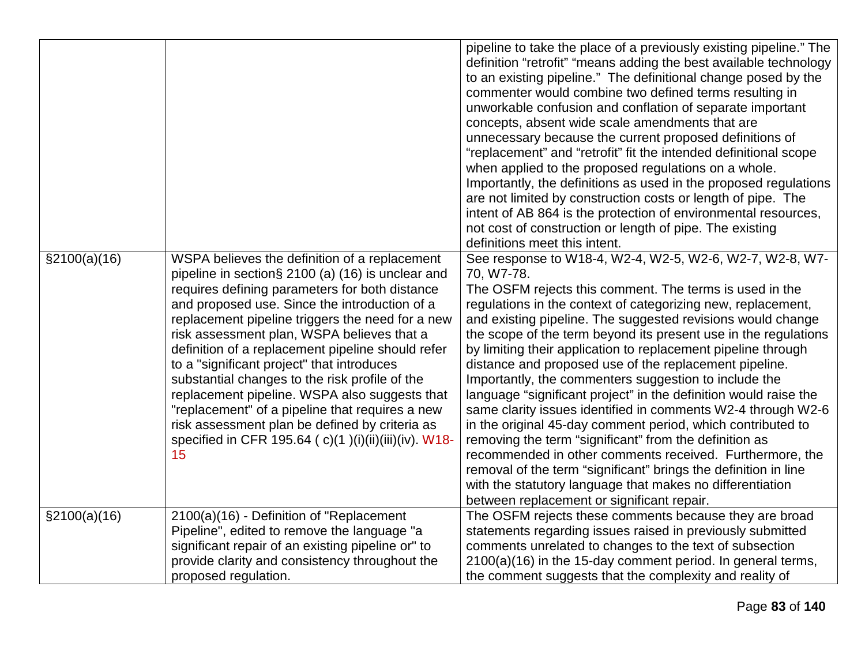|                                                                                                                                                                                                                                                                                                                                                                                                                                                                                                                                                                                                                                                                                                     | pipeline to take the place of a previously existing pipeline." The<br>definition "retrofit" "means adding the best available technology<br>to an existing pipeline." The definitional change posed by the<br>commenter would combine two defined terms resulting in<br>unworkable confusion and conflation of separate important<br>concepts, absent wide scale amendments that are<br>unnecessary because the current proposed definitions of<br>"replacement" and "retrofit" fit the intended definitional scope<br>when applied to the proposed regulations on a whole.<br>Importantly, the definitions as used in the proposed regulations<br>are not limited by construction costs or length of pipe. The<br>intent of AB 864 is the protection of environmental resources,<br>not cost of construction or length of pipe. The existing<br>definitions meet this intent.                                                                                                                                                  |
|-----------------------------------------------------------------------------------------------------------------------------------------------------------------------------------------------------------------------------------------------------------------------------------------------------------------------------------------------------------------------------------------------------------------------------------------------------------------------------------------------------------------------------------------------------------------------------------------------------------------------------------------------------------------------------------------------------|--------------------------------------------------------------------------------------------------------------------------------------------------------------------------------------------------------------------------------------------------------------------------------------------------------------------------------------------------------------------------------------------------------------------------------------------------------------------------------------------------------------------------------------------------------------------------------------------------------------------------------------------------------------------------------------------------------------------------------------------------------------------------------------------------------------------------------------------------------------------------------------------------------------------------------------------------------------------------------------------------------------------------------|
| $\S2100(a)(16)$<br>WSPA believes the definition of a replacement<br>pipeline in section§ 2100 (a) (16) is unclear and<br>requires defining parameters for both distance<br>and proposed use. Since the introduction of a<br>replacement pipeline triggers the need for a new<br>risk assessment plan, WSPA believes that a<br>definition of a replacement pipeline should refer<br>to a "significant project" that introduces<br>substantial changes to the risk profile of the<br>replacement pipeline. WSPA also suggests that<br>"replacement" of a pipeline that requires a new<br>risk assessment plan be defined by criteria as<br>specified in CFR 195.64 (c)(1)(i)(ii)(iii)(iv). W18-<br>15 | See response to W18-4, W2-4, W2-5, W2-6, W2-7, W2-8, W7-<br>70, W7-78.<br>The OSFM rejects this comment. The terms is used in the<br>regulations in the context of categorizing new, replacement,<br>and existing pipeline. The suggested revisions would change<br>the scope of the term beyond its present use in the regulations<br>by limiting their application to replacement pipeline through<br>distance and proposed use of the replacement pipeline.<br>Importantly, the commenters suggestion to include the<br>language "significant project" in the definition would raise the<br>same clarity issues identified in comments W2-4 through W2-6<br>in the original 45-day comment period, which contributed to<br>removing the term "significant" from the definition as<br>recommended in other comments received. Furthermore, the<br>removal of the term "significant" brings the definition in line<br>with the statutory language that makes no differentiation<br>between replacement or significant repair. |
| $\S2100(a)(16)$<br>2100(a)(16) - Definition of "Replacement<br>Pipeline", edited to remove the language "a<br>significant repair of an existing pipeline or" to<br>provide clarity and consistency throughout the<br>proposed regulation.                                                                                                                                                                                                                                                                                                                                                                                                                                                           | The OSFM rejects these comments because they are broad<br>statements regarding issues raised in previously submitted<br>comments unrelated to changes to the text of subsection<br>2100(a)(16) in the 15-day comment period. In general terms,<br>the comment suggests that the complexity and reality of                                                                                                                                                                                                                                                                                                                                                                                                                                                                                                                                                                                                                                                                                                                      |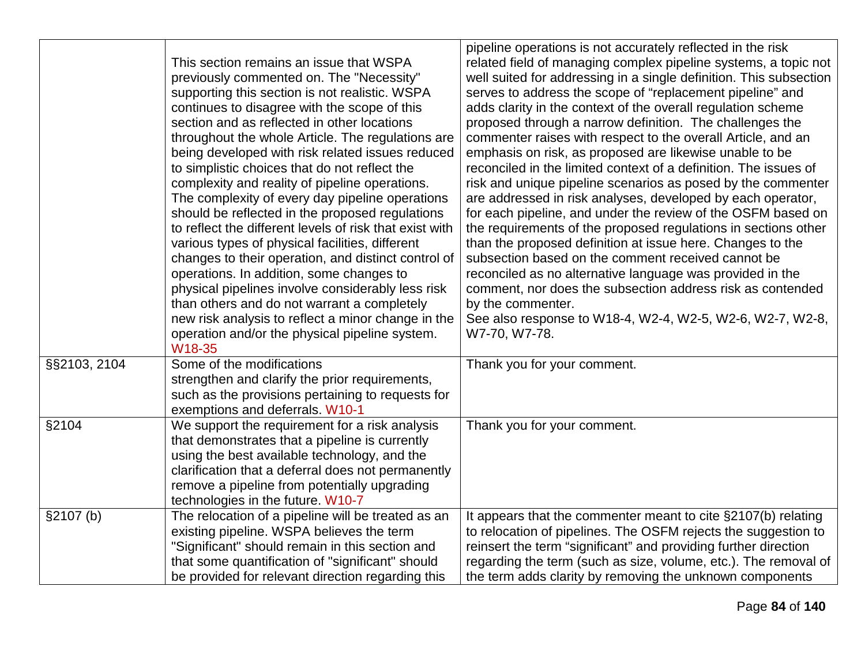|              | This section remains an issue that WSPA<br>previously commented on. The "Necessity"<br>supporting this section is not realistic. WSPA<br>continues to disagree with the scope of this<br>section and as reflected in other locations<br>throughout the whole Article. The regulations are<br>being developed with risk related issues reduced<br>to simplistic choices that do not reflect the<br>complexity and reality of pipeline operations.<br>The complexity of every day pipeline operations<br>should be reflected in the proposed regulations<br>to reflect the different levels of risk that exist with<br>various types of physical facilities, different<br>changes to their operation, and distinct control of<br>operations. In addition, some changes to<br>physical pipelines involve considerably less risk<br>than others and do not warrant a completely<br>new risk analysis to reflect a minor change in the<br>operation and/or the physical pipeline system. | pipeline operations is not accurately reflected in the risk<br>related field of managing complex pipeline systems, a topic not<br>well suited for addressing in a single definition. This subsection<br>serves to address the scope of "replacement pipeline" and<br>adds clarity in the context of the overall regulation scheme<br>proposed through a narrow definition. The challenges the<br>commenter raises with respect to the overall Article, and an<br>emphasis on risk, as proposed are likewise unable to be<br>reconciled in the limited context of a definition. The issues of<br>risk and unique pipeline scenarios as posed by the commenter<br>are addressed in risk analyses, developed by each operator,<br>for each pipeline, and under the review of the OSFM based on<br>the requirements of the proposed regulations in sections other<br>than the proposed definition at issue here. Changes to the<br>subsection based on the comment received cannot be<br>reconciled as no alternative language was provided in the<br>comment, nor does the subsection address risk as contended<br>by the commenter.<br>See also response to W18-4, W2-4, W2-5, W2-6, W2-7, W2-8,<br>W7-70, W7-78. |
|--------------|-------------------------------------------------------------------------------------------------------------------------------------------------------------------------------------------------------------------------------------------------------------------------------------------------------------------------------------------------------------------------------------------------------------------------------------------------------------------------------------------------------------------------------------------------------------------------------------------------------------------------------------------------------------------------------------------------------------------------------------------------------------------------------------------------------------------------------------------------------------------------------------------------------------------------------------------------------------------------------------|-----------------------------------------------------------------------------------------------------------------------------------------------------------------------------------------------------------------------------------------------------------------------------------------------------------------------------------------------------------------------------------------------------------------------------------------------------------------------------------------------------------------------------------------------------------------------------------------------------------------------------------------------------------------------------------------------------------------------------------------------------------------------------------------------------------------------------------------------------------------------------------------------------------------------------------------------------------------------------------------------------------------------------------------------------------------------------------------------------------------------------------------------------------------------------------------------------------------|
| §§2103, 2104 | W18-35<br>Some of the modifications<br>strengthen and clarify the prior requirements,<br>such as the provisions pertaining to requests for<br>exemptions and deferrals. W10-1                                                                                                                                                                                                                                                                                                                                                                                                                                                                                                                                                                                                                                                                                                                                                                                                       | Thank you for your comment.                                                                                                                                                                                                                                                                                                                                                                                                                                                                                                                                                                                                                                                                                                                                                                                                                                                                                                                                                                                                                                                                                                                                                                                     |
| §2104        | We support the requirement for a risk analysis<br>that demonstrates that a pipeline is currently<br>using the best available technology, and the<br>clarification that a deferral does not permanently<br>remove a pipeline from potentially upgrading<br>technologies in the future. W10-7                                                                                                                                                                                                                                                                                                                                                                                                                                                                                                                                                                                                                                                                                         | Thank you for your comment.                                                                                                                                                                                                                                                                                                                                                                                                                                                                                                                                                                                                                                                                                                                                                                                                                                                                                                                                                                                                                                                                                                                                                                                     |
| §2107(b)     | The relocation of a pipeline will be treated as an<br>existing pipeline. WSPA believes the term<br>"Significant" should remain in this section and<br>that some quantification of "significant" should<br>be provided for relevant direction regarding this                                                                                                                                                                                                                                                                                                                                                                                                                                                                                                                                                                                                                                                                                                                         | It appears that the commenter meant to cite §2107(b) relating<br>to relocation of pipelines. The OSFM rejects the suggestion to<br>reinsert the term "significant" and providing further direction<br>regarding the term (such as size, volume, etc.). The removal of<br>the term adds clarity by removing the unknown components                                                                                                                                                                                                                                                                                                                                                                                                                                                                                                                                                                                                                                                                                                                                                                                                                                                                               |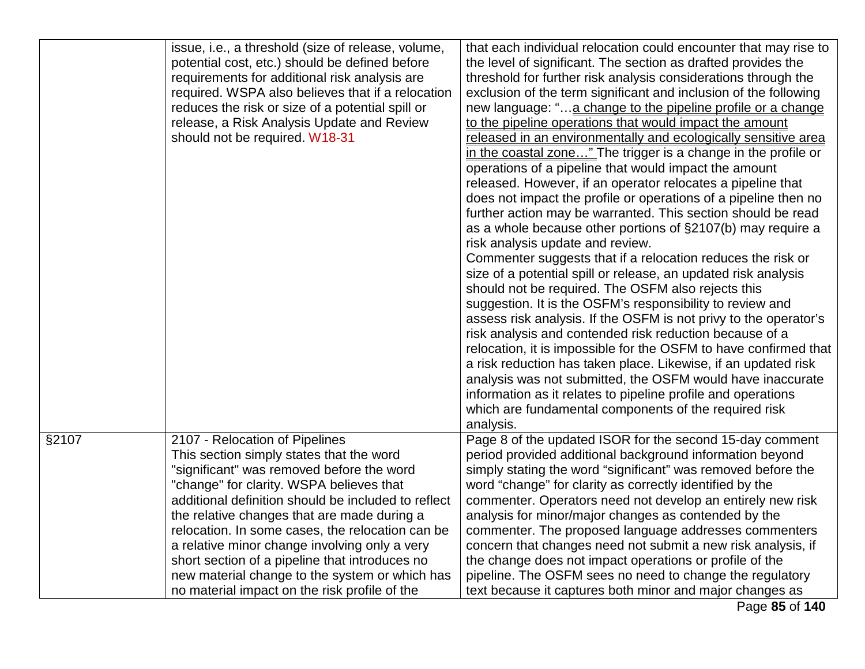|       | issue, i.e., a threshold (size of release, volume,<br>potential cost, etc.) should be defined before<br>requirements for additional risk analysis are<br>required. WSPA also believes that if a relocation<br>reduces the risk or size of a potential spill or<br>release, a Risk Analysis Update and Review<br>should not be required. W18-31                                                                                                                                     | that each individual relocation could encounter that may rise to<br>the level of significant. The section as drafted provides the<br>threshold for further risk analysis considerations through the<br>exclusion of the term significant and inclusion of the following<br>new language: "a change to the pipeline profile or a change<br>to the pipeline operations that would impact the amount<br>released in an environmentally and ecologically sensitive area<br>in the coastal zone" The trigger is a change in the profile or<br>operations of a pipeline that would impact the amount<br>released. However, if an operator relocates a pipeline that<br>does not impact the profile or operations of a pipeline then no<br>further action may be warranted. This section should be read<br>as a whole because other portions of §2107(b) may require a<br>risk analysis update and review.<br>Commenter suggests that if a relocation reduces the risk or<br>size of a potential spill or release, an updated risk analysis<br>should not be required. The OSFM also rejects this<br>suggestion. It is the OSFM's responsibility to review and<br>assess risk analysis. If the OSFM is not privy to the operator's<br>risk analysis and contended risk reduction because of a<br>relocation, it is impossible for the OSFM to have confirmed that<br>a risk reduction has taken place. Likewise, if an updated risk<br>analysis was not submitted, the OSFM would have inaccurate<br>information as it relates to pipeline profile and operations<br>which are fundamental components of the required risk<br>analysis. |
|-------|------------------------------------------------------------------------------------------------------------------------------------------------------------------------------------------------------------------------------------------------------------------------------------------------------------------------------------------------------------------------------------------------------------------------------------------------------------------------------------|----------------------------------------------------------------------------------------------------------------------------------------------------------------------------------------------------------------------------------------------------------------------------------------------------------------------------------------------------------------------------------------------------------------------------------------------------------------------------------------------------------------------------------------------------------------------------------------------------------------------------------------------------------------------------------------------------------------------------------------------------------------------------------------------------------------------------------------------------------------------------------------------------------------------------------------------------------------------------------------------------------------------------------------------------------------------------------------------------------------------------------------------------------------------------------------------------------------------------------------------------------------------------------------------------------------------------------------------------------------------------------------------------------------------------------------------------------------------------------------------------------------------------------------------------------------------------------------------------------------------------------|
| §2107 | 2107 - Relocation of Pipelines<br>This section simply states that the word<br>"significant" was removed before the word<br>"change" for clarity. WSPA believes that<br>additional definition should be included to reflect<br>the relative changes that are made during a<br>relocation. In some cases, the relocation can be<br>a relative minor change involving only a very<br>short section of a pipeline that introduces no<br>new material change to the system or which has | Page 8 of the updated ISOR for the second 15-day comment<br>period provided additional background information beyond<br>simply stating the word "significant" was removed before the<br>word "change" for clarity as correctly identified by the<br>commenter. Operators need not develop an entirely new risk<br>analysis for minor/major changes as contended by the<br>commenter. The proposed language addresses commenters<br>concern that changes need not submit a new risk analysis, if<br>the change does not impact operations or profile of the<br>pipeline. The OSFM sees no need to change the regulatory                                                                                                                                                                                                                                                                                                                                                                                                                                                                                                                                                                                                                                                                                                                                                                                                                                                                                                                                                                                                           |
|       | no material impact on the risk profile of the                                                                                                                                                                                                                                                                                                                                                                                                                                      | text because it captures both minor and major changes as                                                                                                                                                                                                                                                                                                                                                                                                                                                                                                                                                                                                                                                                                                                                                                                                                                                                                                                                                                                                                                                                                                                                                                                                                                                                                                                                                                                                                                                                                                                                                                         |

Page **85** of **140**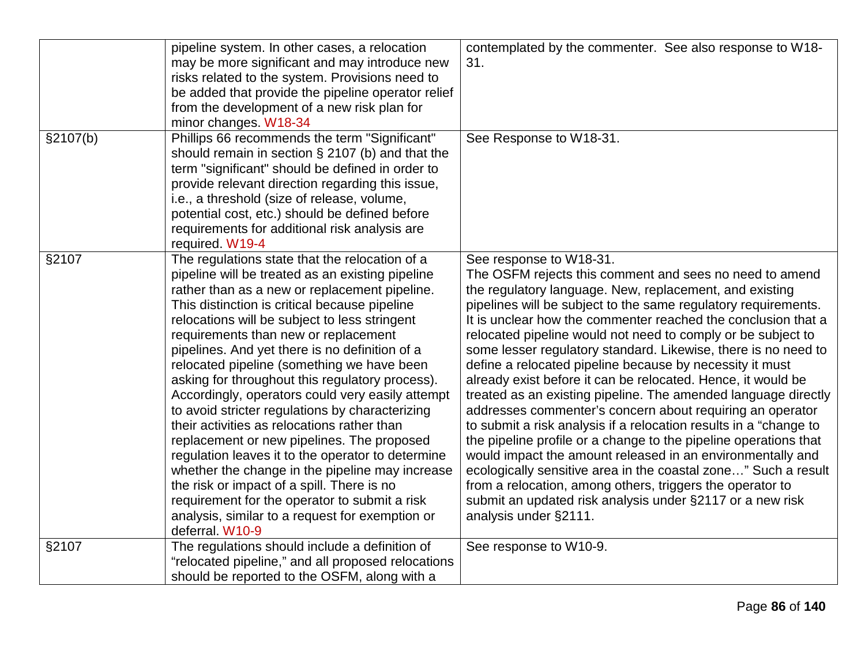|          | pipeline system. In other cases, a relocation<br>may be more significant and may introduce new<br>risks related to the system. Provisions need to<br>be added that provide the pipeline operator relief<br>from the development of a new risk plan for<br>minor changes. W18-34                                                                                                                                                                                                                                                                                                                                                                                                                                                                                                                                                                                                                                                   | contemplated by the commenter. See also response to W18-<br>31.                                                                                                                                                                                                                                                                                                                                                                                                                                                                                                                                                                                                                                                                                                                                                                                                                                                                                                                                                                                                                                           |
|----------|-----------------------------------------------------------------------------------------------------------------------------------------------------------------------------------------------------------------------------------------------------------------------------------------------------------------------------------------------------------------------------------------------------------------------------------------------------------------------------------------------------------------------------------------------------------------------------------------------------------------------------------------------------------------------------------------------------------------------------------------------------------------------------------------------------------------------------------------------------------------------------------------------------------------------------------|-----------------------------------------------------------------------------------------------------------------------------------------------------------------------------------------------------------------------------------------------------------------------------------------------------------------------------------------------------------------------------------------------------------------------------------------------------------------------------------------------------------------------------------------------------------------------------------------------------------------------------------------------------------------------------------------------------------------------------------------------------------------------------------------------------------------------------------------------------------------------------------------------------------------------------------------------------------------------------------------------------------------------------------------------------------------------------------------------------------|
| §2107(b) | Phillips 66 recommends the term "Significant"<br>should remain in section $\S 2107$ (b) and that the<br>term "significant" should be defined in order to<br>provide relevant direction regarding this issue,<br>i.e., a threshold (size of release, volume,<br>potential cost, etc.) should be defined before<br>requirements for additional risk analysis are<br>required. W19-4                                                                                                                                                                                                                                                                                                                                                                                                                                                                                                                                                 | See Response to W18-31.                                                                                                                                                                                                                                                                                                                                                                                                                                                                                                                                                                                                                                                                                                                                                                                                                                                                                                                                                                                                                                                                                   |
| §2107    | The regulations state that the relocation of a<br>pipeline will be treated as an existing pipeline<br>rather than as a new or replacement pipeline.<br>This distinction is critical because pipeline<br>relocations will be subject to less stringent<br>requirements than new or replacement<br>pipelines. And yet there is no definition of a<br>relocated pipeline (something we have been<br>asking for throughout this regulatory process).<br>Accordingly, operators could very easily attempt<br>to avoid stricter regulations by characterizing<br>their activities as relocations rather than<br>replacement or new pipelines. The proposed<br>regulation leaves it to the operator to determine<br>whether the change in the pipeline may increase<br>the risk or impact of a spill. There is no<br>requirement for the operator to submit a risk<br>analysis, similar to a request for exemption or<br>deferral. W10-9 | See response to W18-31.<br>The OSFM rejects this comment and sees no need to amend<br>the regulatory language. New, replacement, and existing<br>pipelines will be subject to the same regulatory requirements.<br>It is unclear how the commenter reached the conclusion that a<br>relocated pipeline would not need to comply or be subject to<br>some lesser regulatory standard. Likewise, there is no need to<br>define a relocated pipeline because by necessity it must<br>already exist before it can be relocated. Hence, it would be<br>treated as an existing pipeline. The amended language directly<br>addresses commenter's concern about requiring an operator<br>to submit a risk analysis if a relocation results in a "change to<br>the pipeline profile or a change to the pipeline operations that<br>would impact the amount released in an environmentally and<br>ecologically sensitive area in the coastal zone" Such a result<br>from a relocation, among others, triggers the operator to<br>submit an updated risk analysis under §2117 or a new risk<br>analysis under §2111. |
| §2107    | The regulations should include a definition of<br>"relocated pipeline," and all proposed relocations<br>should be reported to the OSFM, along with a                                                                                                                                                                                                                                                                                                                                                                                                                                                                                                                                                                                                                                                                                                                                                                              | See response to W10-9.                                                                                                                                                                                                                                                                                                                                                                                                                                                                                                                                                                                                                                                                                                                                                                                                                                                                                                                                                                                                                                                                                    |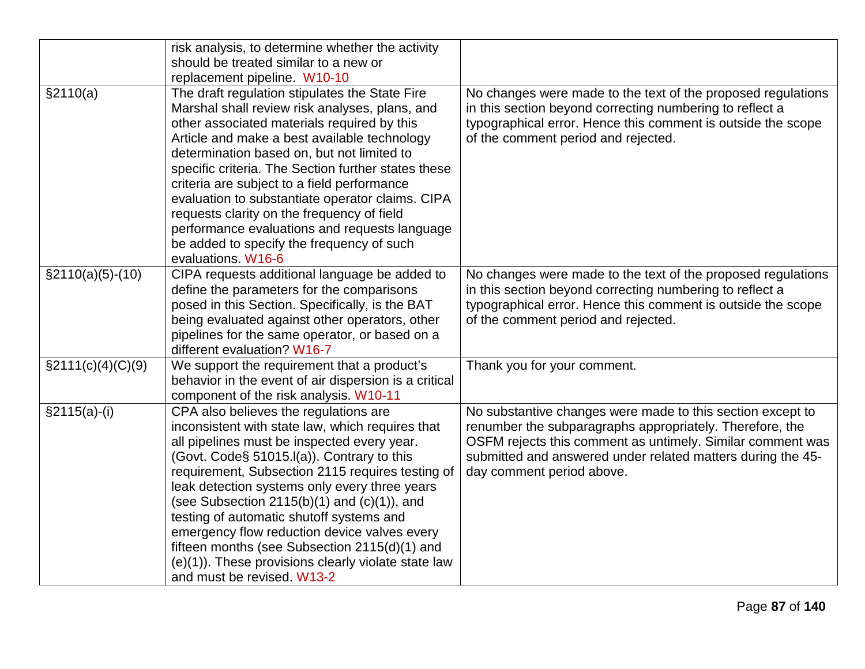|                      | risk analysis, to determine whether the activity                                               |                                                              |
|----------------------|------------------------------------------------------------------------------------------------|--------------------------------------------------------------|
|                      | should be treated similar to a new or                                                          |                                                              |
|                      | replacement pipeline. W10-10                                                                   |                                                              |
| \$2110(a)            | The draft regulation stipulates the State Fire                                                 | No changes were made to the text of the proposed regulations |
|                      | Marshal shall review risk analyses, plans, and                                                 | in this section beyond correcting numbering to reflect a     |
|                      | other associated materials required by this                                                    | typographical error. Hence this comment is outside the scope |
|                      | Article and make a best available technology                                                   | of the comment period and rejected.                          |
|                      | determination based on, but not limited to                                                     |                                                              |
|                      | specific criteria. The Section further states these                                            |                                                              |
|                      | criteria are subject to a field performance                                                    |                                                              |
|                      | evaluation to substantiate operator claims. CIPA<br>requests clarity on the frequency of field |                                                              |
|                      | performance evaluations and requests language                                                  |                                                              |
|                      | be added to specify the frequency of such                                                      |                                                              |
|                      | evaluations. W16-6                                                                             |                                                              |
| $\S2110(a)(5)-(10)$  | CIPA requests additional language be added to                                                  | No changes were made to the text of the proposed regulations |
|                      | define the parameters for the comparisons                                                      | in this section beyond correcting numbering to reflect a     |
|                      | posed in this Section. Specifically, is the BAT                                                | typographical error. Hence this comment is outside the scope |
|                      | being evaluated against other operators, other                                                 | of the comment period and rejected.                          |
|                      | pipelines for the same operator, or based on a                                                 |                                                              |
|                      | different evaluation? W16-7                                                                    |                                                              |
| $\S2111(c)(4)(C)(9)$ | We support the requirement that a product's                                                    | Thank you for your comment.                                  |
|                      | behavior in the event of air dispersion is a critical                                          |                                                              |
|                      | component of the risk analysis. W10-11                                                         |                                                              |
| $§2115(a)-(i)$       | CPA also believes the regulations are                                                          | No substantive changes were made to this section except to   |
|                      | inconsistent with state law, which requires that                                               | renumber the subparagraphs appropriately. Therefore, the     |
|                      | all pipelines must be inspected every year.                                                    | OSFM rejects this comment as untimely. Similar comment was   |
|                      | (Govt. Code§ 51015.I(a)). Contrary to this                                                     | submitted and answered under related matters during the 45-  |
|                      | requirement, Subsection 2115 requires testing of                                               | day comment period above.                                    |
|                      | leak detection systems only every three years                                                  |                                                              |
|                      | (see Subsection 2115(b)(1) and $(c)(1)$ , and                                                  |                                                              |
|                      | testing of automatic shutoff systems and<br>emergency flow reduction device valves every       |                                                              |
|                      | fifteen months (see Subsection 2115(d)(1) and                                                  |                                                              |
|                      | (e)(1)). These provisions clearly violate state law                                            |                                                              |
|                      | and must be revised. W13-2                                                                     |                                                              |
|                      |                                                                                                |                                                              |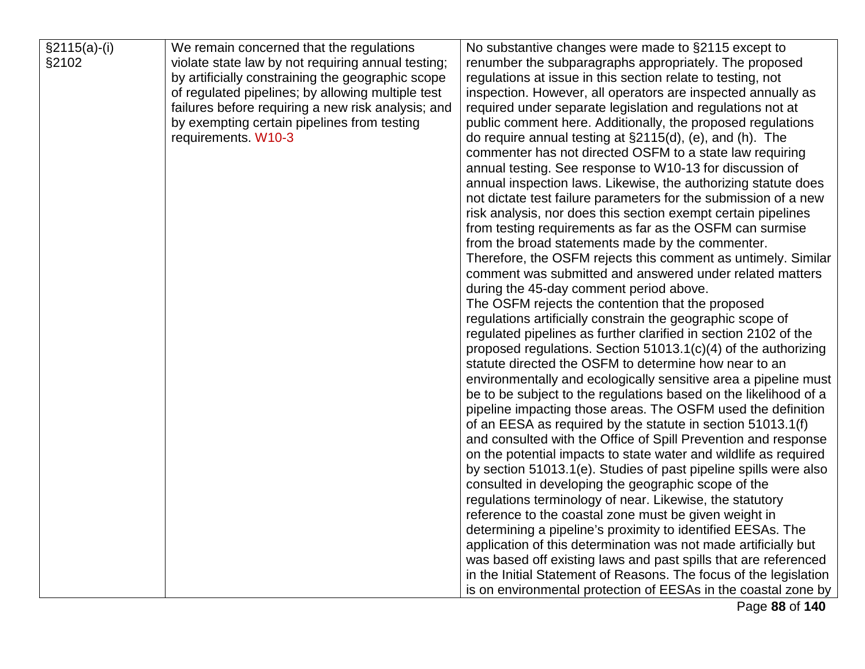| $§2115(a)-(i)$ | We remain concerned that the regulations           | No substantive changes were made to §2115 except to               |
|----------------|----------------------------------------------------|-------------------------------------------------------------------|
| §2102          | violate state law by not requiring annual testing; | renumber the subparagraphs appropriately. The proposed            |
|                | by artificially constraining the geographic scope  | regulations at issue in this section relate to testing, not       |
|                | of regulated pipelines; by allowing multiple test  | inspection. However, all operators are inspected annually as      |
|                | failures before requiring a new risk analysis; and | required under separate legislation and regulations not at        |
|                | by exempting certain pipelines from testing        | public comment here. Additionally, the proposed regulations       |
|                | requirements. W10-3                                | do require annual testing at $\S2115(d)$ , (e), and (h). The      |
|                |                                                    | commenter has not directed OSFM to a state law requiring          |
|                |                                                    | annual testing. See response to W10-13 for discussion of          |
|                |                                                    | annual inspection laws. Likewise, the authorizing statute does    |
|                |                                                    | not dictate test failure parameters for the submission of a new   |
|                |                                                    | risk analysis, nor does this section exempt certain pipelines     |
|                |                                                    | from testing requirements as far as the OSFM can surmise          |
|                |                                                    | from the broad statements made by the commenter.                  |
|                |                                                    | Therefore, the OSFM rejects this comment as untimely. Similar     |
|                |                                                    | comment was submitted and answered under related matters          |
|                |                                                    | during the 45-day comment period above.                           |
|                |                                                    | The OSFM rejects the contention that the proposed                 |
|                |                                                    | regulations artificially constrain the geographic scope of        |
|                |                                                    | regulated pipelines as further clarified in section 2102 of the   |
|                |                                                    | proposed regulations. Section 51013.1(c)(4) of the authorizing    |
|                |                                                    | statute directed the OSFM to determine how near to an             |
|                |                                                    | environmentally and ecologically sensitive area a pipeline must   |
|                |                                                    | be to be subject to the regulations based on the likelihood of a  |
|                |                                                    | pipeline impacting those areas. The OSFM used the definition      |
|                |                                                    | of an EESA as required by the statute in section 51013.1(f)       |
|                |                                                    | and consulted with the Office of Spill Prevention and response    |
|                |                                                    | on the potential impacts to state water and wildlife as required  |
|                |                                                    | by section 51013.1(e). Studies of past pipeline spills were also  |
|                |                                                    | consulted in developing the geographic scope of the               |
|                |                                                    | regulations terminology of near. Likewise, the statutory          |
|                |                                                    | reference to the coastal zone must be given weight in             |
|                |                                                    | determining a pipeline's proximity to identified EESAs. The       |
|                |                                                    | application of this determination was not made artificially but   |
|                |                                                    | was based off existing laws and past spills that are referenced   |
|                |                                                    | in the Initial Statement of Reasons. The focus of the legislation |
|                |                                                    | is on environmental protection of EESAs in the coastal zone by    |

Page **88** of **140**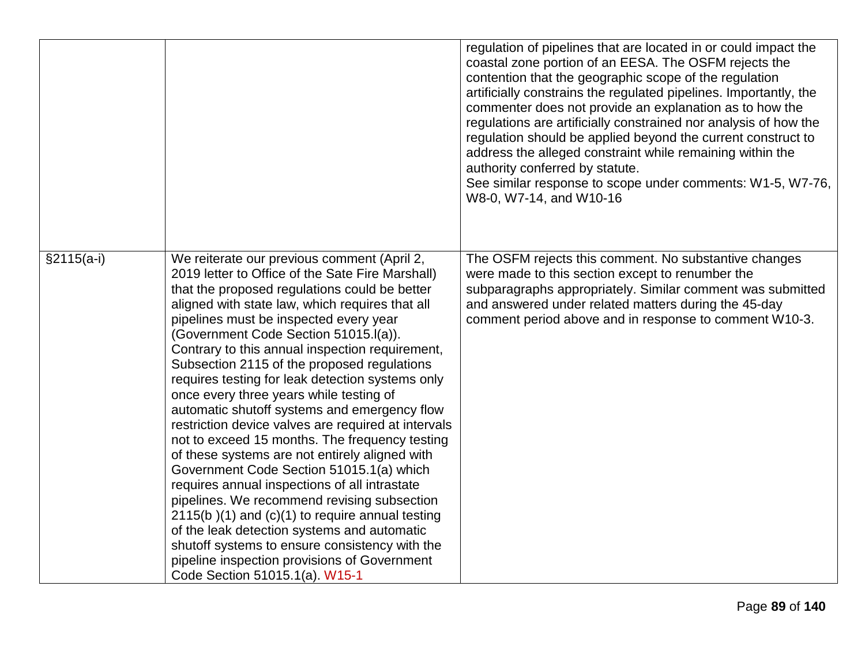|              |                                                                                                                                                                                                                                                                                                                                                                                                                                                                                                                                                                                                                                                                                                                                                                                                                                                                                                                                                                                                                                                                                          | regulation of pipelines that are located in or could impact the<br>coastal zone portion of an EESA. The OSFM rejects the<br>contention that the geographic scope of the regulation<br>artificially constrains the regulated pipelines. Importantly, the<br>commenter does not provide an explanation as to how the<br>regulations are artificially constrained nor analysis of how the<br>regulation should be applied beyond the current construct to<br>address the alleged constraint while remaining within the<br>authority conferred by statute.<br>See similar response to scope under comments: W1-5, W7-76,<br>W8-0, W7-14, and W10-16 |
|--------------|------------------------------------------------------------------------------------------------------------------------------------------------------------------------------------------------------------------------------------------------------------------------------------------------------------------------------------------------------------------------------------------------------------------------------------------------------------------------------------------------------------------------------------------------------------------------------------------------------------------------------------------------------------------------------------------------------------------------------------------------------------------------------------------------------------------------------------------------------------------------------------------------------------------------------------------------------------------------------------------------------------------------------------------------------------------------------------------|-------------------------------------------------------------------------------------------------------------------------------------------------------------------------------------------------------------------------------------------------------------------------------------------------------------------------------------------------------------------------------------------------------------------------------------------------------------------------------------------------------------------------------------------------------------------------------------------------------------------------------------------------|
| $§2115(a-i)$ | We reiterate our previous comment (April 2,<br>2019 letter to Office of the Sate Fire Marshall)<br>that the proposed regulations could be better<br>aligned with state law, which requires that all<br>pipelines must be inspected every year<br>(Government Code Section 51015.I(a)).<br>Contrary to this annual inspection requirement,<br>Subsection 2115 of the proposed regulations<br>requires testing for leak detection systems only<br>once every three years while testing of<br>automatic shutoff systems and emergency flow<br>restriction device valves are required at intervals<br>not to exceed 15 months. The frequency testing<br>of these systems are not entirely aligned with<br>Government Code Section 51015.1(a) which<br>requires annual inspections of all intrastate<br>pipelines. We recommend revising subsection<br>$2115(b)(1)$ and $(c)(1)$ to require annual testing<br>of the leak detection systems and automatic<br>shutoff systems to ensure consistency with the<br>pipeline inspection provisions of Government<br>Code Section 51015.1(a). W15-1 | The OSFM rejects this comment. No substantive changes<br>were made to this section except to renumber the<br>subparagraphs appropriately. Similar comment was submitted<br>and answered under related matters during the 45-day<br>comment period above and in response to comment W10-3.                                                                                                                                                                                                                                                                                                                                                       |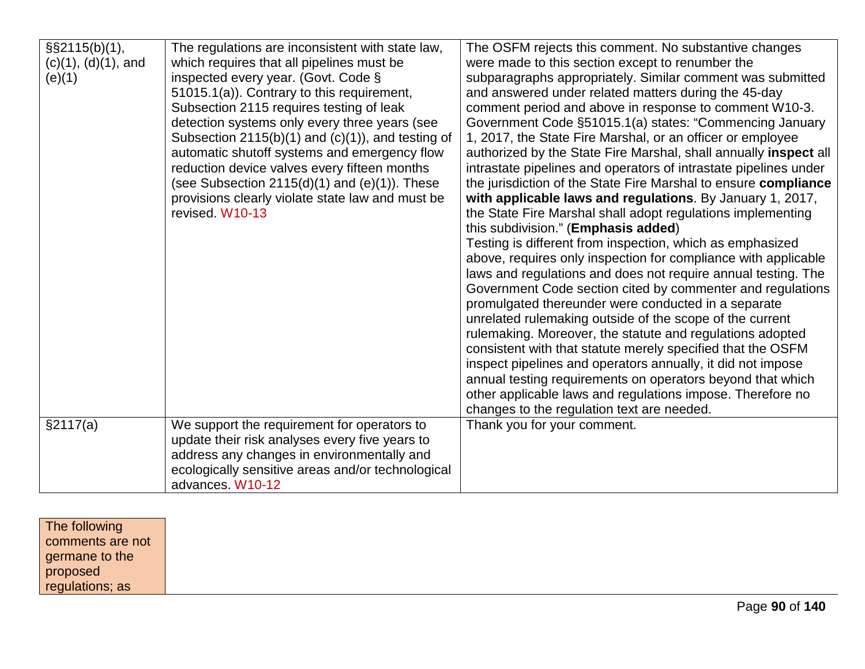| §§2115(b)(1),<br>$(c)(1), (d)(1),$ and<br>(e)(1) | The regulations are inconsistent with state law,<br>which requires that all pipelines must be<br>inspected every year. (Govt. Code §<br>51015.1(a)). Contrary to this requirement,<br>Subsection 2115 requires testing of leak<br>detection systems only every three years (see<br>Subsection $2115(b)(1)$ and $(c)(1)$ , and testing of<br>automatic shutoff systems and emergency flow<br>reduction device valves every fifteen months<br>(see Subsection $2115(d)(1)$ and $(e)(1)$ ). These<br>provisions clearly violate state law and must be<br>revised W10-13 | The OSFM rejects this comment. No substantive changes<br>were made to this section except to renumber the<br>subparagraphs appropriately. Similar comment was submitted<br>and answered under related matters during the 45-day<br>comment period and above in response to comment W10-3.<br>Government Code §51015.1(a) states: "Commencing January<br>1, 2017, the State Fire Marshal, or an officer or employee<br>authorized by the State Fire Marshal, shall annually inspect all<br>intrastate pipelines and operators of intrastate pipelines under<br>the jurisdiction of the State Fire Marshal to ensure compliance<br>with applicable laws and regulations. By January 1, 2017,<br>the State Fire Marshal shall adopt regulations implementing<br>this subdivision." (Emphasis added)<br>Testing is different from inspection, which as emphasized<br>above, requires only inspection for compliance with applicable<br>laws and regulations and does not require annual testing. The<br>Government Code section cited by commenter and regulations<br>promulgated thereunder were conducted in a separate<br>unrelated rulemaking outside of the scope of the current<br>rulemaking. Moreover, the statute and regulations adopted<br>consistent with that statute merely specified that the OSFM<br>inspect pipelines and operators annually, it did not impose<br>annual testing requirements on operators beyond that which<br>other applicable laws and regulations impose. Therefore no |
|--------------------------------------------------|----------------------------------------------------------------------------------------------------------------------------------------------------------------------------------------------------------------------------------------------------------------------------------------------------------------------------------------------------------------------------------------------------------------------------------------------------------------------------------------------------------------------------------------------------------------------|----------------------------------------------------------------------------------------------------------------------------------------------------------------------------------------------------------------------------------------------------------------------------------------------------------------------------------------------------------------------------------------------------------------------------------------------------------------------------------------------------------------------------------------------------------------------------------------------------------------------------------------------------------------------------------------------------------------------------------------------------------------------------------------------------------------------------------------------------------------------------------------------------------------------------------------------------------------------------------------------------------------------------------------------------------------------------------------------------------------------------------------------------------------------------------------------------------------------------------------------------------------------------------------------------------------------------------------------------------------------------------------------------------------------------------------------------------------------------------------------------------|
| §2117(a)                                         | We support the requirement for operators to                                                                                                                                                                                                                                                                                                                                                                                                                                                                                                                          | changes to the regulation text are needed.<br>Thank you for your comment.                                                                                                                                                                                                                                                                                                                                                                                                                                                                                                                                                                                                                                                                                                                                                                                                                                                                                                                                                                                                                                                                                                                                                                                                                                                                                                                                                                                                                                |
|                                                  | update their risk analyses every five years to<br>address any changes in environmentally and<br>ecologically sensitive areas and/or technological<br>advances. W10-12                                                                                                                                                                                                                                                                                                                                                                                                |                                                                                                                                                                                                                                                                                                                                                                                                                                                                                                                                                                                                                                                                                                                                                                                                                                                                                                                                                                                                                                                                                                                                                                                                                                                                                                                                                                                                                                                                                                          |

| The following    |
|------------------|
| comments are not |
| germane to the   |
| proposed         |
| regulations; as  |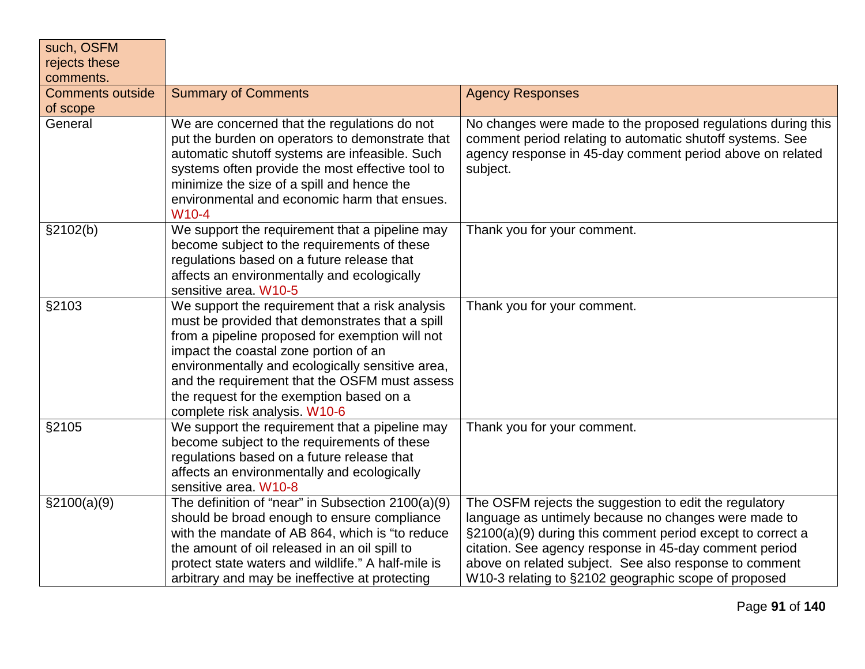| such, OSFM<br>rejects these<br>comments. |                                                                                                                                                                                                                                                                                                                                                                                  |                                                                                                                                                                                                                                                                                                                                                          |
|------------------------------------------|----------------------------------------------------------------------------------------------------------------------------------------------------------------------------------------------------------------------------------------------------------------------------------------------------------------------------------------------------------------------------------|----------------------------------------------------------------------------------------------------------------------------------------------------------------------------------------------------------------------------------------------------------------------------------------------------------------------------------------------------------|
| <b>Comments outside</b><br>of scope      | <b>Summary of Comments</b>                                                                                                                                                                                                                                                                                                                                                       | <b>Agency Responses</b>                                                                                                                                                                                                                                                                                                                                  |
| General                                  | We are concerned that the regulations do not<br>put the burden on operators to demonstrate that<br>automatic shutoff systems are infeasible. Such<br>systems often provide the most effective tool to<br>minimize the size of a spill and hence the<br>environmental and economic harm that ensues.<br>W <sub>10-4</sub>                                                         | No changes were made to the proposed regulations during this<br>comment period relating to automatic shutoff systems. See<br>agency response in 45-day comment period above on related<br>subject.                                                                                                                                                       |
| \$2102(b)                                | We support the requirement that a pipeline may<br>become subject to the requirements of these<br>regulations based on a future release that<br>affects an environmentally and ecologically<br>sensitive area. W10-5                                                                                                                                                              | Thank you for your comment.                                                                                                                                                                                                                                                                                                                              |
| §2103                                    | We support the requirement that a risk analysis<br>must be provided that demonstrates that a spill<br>from a pipeline proposed for exemption will not<br>impact the coastal zone portion of an<br>environmentally and ecologically sensitive area,<br>and the requirement that the OSFM must assess<br>the request for the exemption based on a<br>complete risk analysis. W10-6 | Thank you for your comment.                                                                                                                                                                                                                                                                                                                              |
| §2105                                    | We support the requirement that a pipeline may<br>become subject to the requirements of these<br>regulations based on a future release that<br>affects an environmentally and ecologically<br>sensitive area. W10-8                                                                                                                                                              | Thank you for your comment.                                                                                                                                                                                                                                                                                                                              |
| \$2100(a)(9)                             | The definition of "near" in Subsection 2100(a)(9)<br>should be broad enough to ensure compliance<br>with the mandate of AB 864, which is "to reduce<br>the amount of oil released in an oil spill to<br>protect state waters and wildlife." A half-mile is<br>arbitrary and may be ineffective at protecting                                                                     | The OSFM rejects the suggestion to edit the regulatory<br>language as untimely because no changes were made to<br>§2100(a)(9) during this comment period except to correct a<br>citation. See agency response in 45-day comment period<br>above on related subject. See also response to comment<br>W10-3 relating to §2102 geographic scope of proposed |

 $\overline{\phantom{a}}$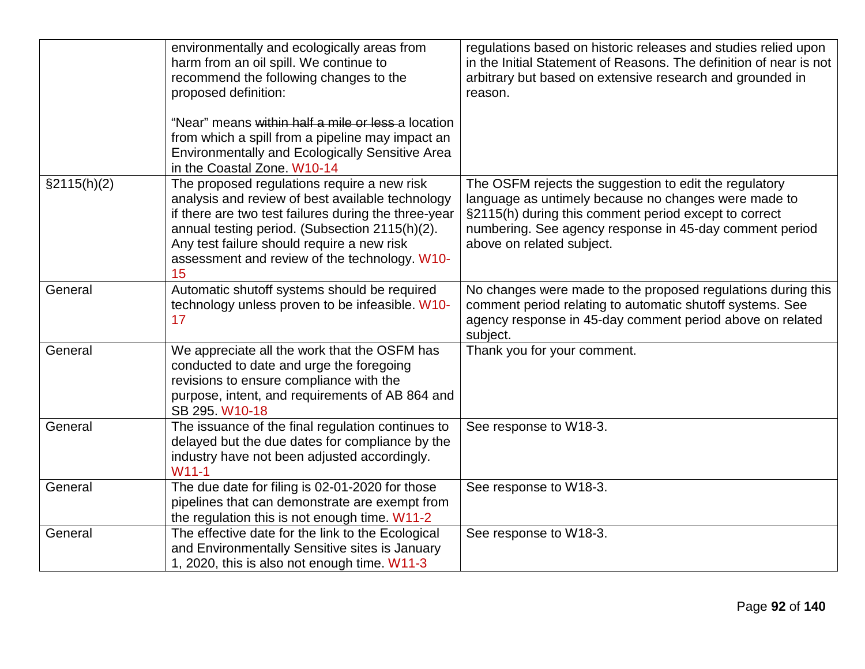|             | environmentally and ecologically areas from<br>harm from an oil spill. We continue to<br>recommend the following changes to the<br>proposed definition:<br>"Near" means within half a mile or less a location<br>from which a spill from a pipeline may impact an<br><b>Environmentally and Ecologically Sensitive Area</b><br>in the Coastal Zone, W10-14 | regulations based on historic releases and studies relied upon<br>in the Initial Statement of Reasons. The definition of near is not<br>arbitrary but based on extensive research and grounded in<br>reason.                                                    |
|-------------|------------------------------------------------------------------------------------------------------------------------------------------------------------------------------------------------------------------------------------------------------------------------------------------------------------------------------------------------------------|-----------------------------------------------------------------------------------------------------------------------------------------------------------------------------------------------------------------------------------------------------------------|
| §2115(h)(2) | The proposed regulations require a new risk<br>analysis and review of best available technology<br>if there are two test failures during the three-year<br>annual testing period. (Subsection 2115(h)(2).<br>Any test failure should require a new risk<br>assessment and review of the technology. W10-<br>15                                             | The OSFM rejects the suggestion to edit the regulatory<br>language as untimely because no changes were made to<br>§2115(h) during this comment period except to correct<br>numbering. See agency response in 45-day comment period<br>above on related subject. |
| General     | Automatic shutoff systems should be required<br>technology unless proven to be infeasible. W10-<br>17                                                                                                                                                                                                                                                      | No changes were made to the proposed regulations during this<br>comment period relating to automatic shutoff systems. See<br>agency response in 45-day comment period above on related<br>subject.                                                              |
| General     | We appreciate all the work that the OSFM has<br>conducted to date and urge the foregoing<br>revisions to ensure compliance with the<br>purpose, intent, and requirements of AB 864 and<br>SB 295. W10-18                                                                                                                                                   | Thank you for your comment.                                                                                                                                                                                                                                     |
| General     | The issuance of the final regulation continues to<br>delayed but the due dates for compliance by the<br>industry have not been adjusted accordingly.<br>$W11-1$                                                                                                                                                                                            | See response to W18-3.                                                                                                                                                                                                                                          |
| General     | The due date for filing is 02-01-2020 for those<br>pipelines that can demonstrate are exempt from<br>the regulation this is not enough time. W11-2                                                                                                                                                                                                         | See response to W18-3.                                                                                                                                                                                                                                          |
| General     | The effective date for the link to the Ecological<br>and Environmentally Sensitive sites is January<br>1, 2020, this is also not enough time. W11-3                                                                                                                                                                                                        | See response to W18-3.                                                                                                                                                                                                                                          |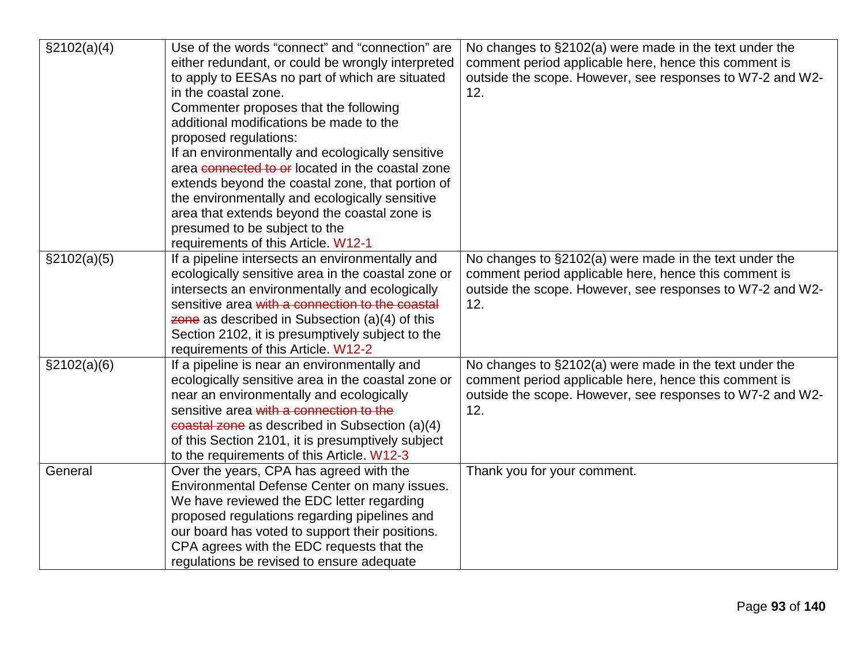| \$2102(a)(4) | Use of the words "connect" and "connection" are    | No changes to $\S2102(a)$ were made in the text under the |
|--------------|----------------------------------------------------|-----------------------------------------------------------|
|              | either redundant, or could be wrongly interpreted  | comment period applicable here, hence this comment is     |
|              | to apply to EESAs no part of which are situated    | outside the scope. However, see responses to W7-2 and W2- |
|              | in the coastal zone.                               | 12.                                                       |
|              | Commenter proposes that the following              |                                                           |
|              | additional modifications be made to the            |                                                           |
|              | proposed regulations:                              |                                                           |
|              | If an environmentally and ecologically sensitive   |                                                           |
|              | area connected to or located in the coastal zone   |                                                           |
|              | extends beyond the coastal zone, that portion of   |                                                           |
|              | the environmentally and ecologically sensitive     |                                                           |
|              | area that extends beyond the coastal zone is       |                                                           |
|              | presumed to be subject to the                      |                                                           |
|              | requirements of this Article. W12-1                |                                                           |
| \$2102(a)(5) | If a pipeline intersects an environmentally and    | No changes to §2102(a) were made in the text under the    |
|              | ecologically sensitive area in the coastal zone or | comment period applicable here, hence this comment is     |
|              | intersects an environmentally and ecologically     | outside the scope. However, see responses to W7-2 and W2- |
|              | sensitive area with a connection to the coastal    | 12.                                                       |
|              | zone as described in Subsection $(a)(4)$ of this   |                                                           |
|              | Section 2102, it is presumptively subject to the   |                                                           |
|              | requirements of this Article. W12-2                |                                                           |
| \$2102(a)(6) | If a pipeline is near an environmentally and       | No changes to §2102(a) were made in the text under the    |
|              | ecologically sensitive area in the coastal zone or | comment period applicable here, hence this comment is     |
|              | near an environmentally and ecologically           | outside the scope. However, see responses to W7-2 and W2- |
|              | sensitive area with a connection to the            | 12.                                                       |
|              | coastal zone as described in Subsection (a)(4)     |                                                           |
|              | of this Section 2101, it is presumptively subject  |                                                           |
|              | to the requirements of this Article. W12-3         |                                                           |
| General      | Over the years, CPA has agreed with the            | Thank you for your comment.                               |
|              | Environmental Defense Center on many issues.       |                                                           |
|              | We have reviewed the EDC letter regarding          |                                                           |
|              | proposed regulations regarding pipelines and       |                                                           |
|              | our board has voted to support their positions.    |                                                           |
|              | CPA agrees with the EDC requests that the          |                                                           |
|              | regulations be revised to ensure adequate          |                                                           |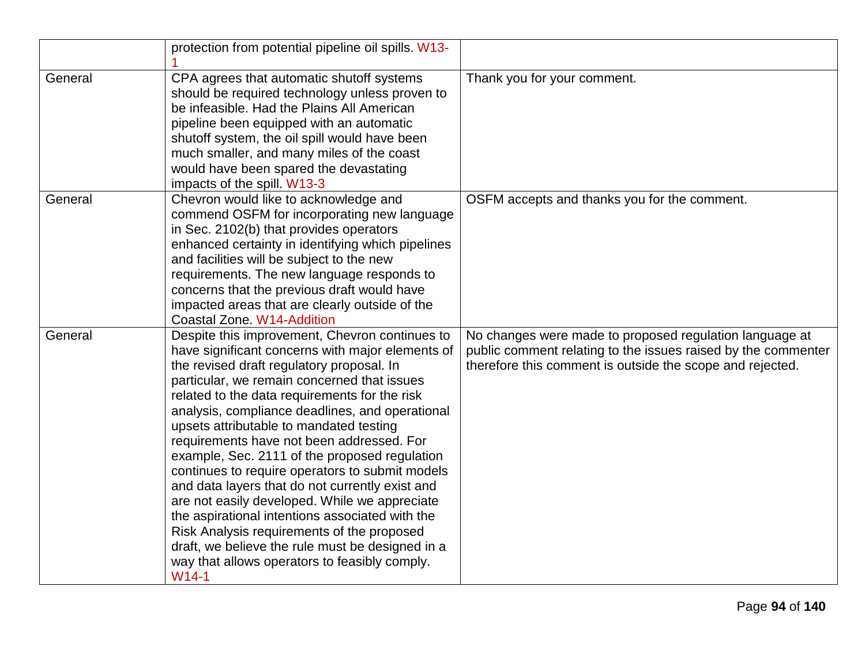|         | protection from potential pipeline oil spills. W13-                                                                                                                                                                                                                                                                                                                                                                                                                                                                                                                                                                                                                                                                                                                                                                 |                                                                                                                                                                                       |
|---------|---------------------------------------------------------------------------------------------------------------------------------------------------------------------------------------------------------------------------------------------------------------------------------------------------------------------------------------------------------------------------------------------------------------------------------------------------------------------------------------------------------------------------------------------------------------------------------------------------------------------------------------------------------------------------------------------------------------------------------------------------------------------------------------------------------------------|---------------------------------------------------------------------------------------------------------------------------------------------------------------------------------------|
| General | CPA agrees that automatic shutoff systems<br>should be required technology unless proven to<br>be infeasible. Had the Plains All American<br>pipeline been equipped with an automatic<br>shutoff system, the oil spill would have been<br>much smaller, and many miles of the coast<br>would have been spared the devastating<br>impacts of the spill. W13-3                                                                                                                                                                                                                                                                                                                                                                                                                                                        | Thank you for your comment.                                                                                                                                                           |
| General | Chevron would like to acknowledge and<br>commend OSFM for incorporating new language<br>in Sec. 2102(b) that provides operators<br>enhanced certainty in identifying which pipelines<br>and facilities will be subject to the new<br>requirements. The new language responds to<br>concerns that the previous draft would have<br>impacted areas that are clearly outside of the<br>Coastal Zone. W14-Addition                                                                                                                                                                                                                                                                                                                                                                                                      | OSFM accepts and thanks you for the comment.                                                                                                                                          |
| General | Despite this improvement, Chevron continues to<br>have significant concerns with major elements of<br>the revised draft regulatory proposal. In<br>particular, we remain concerned that issues<br>related to the data requirements for the risk<br>analysis, compliance deadlines, and operational<br>upsets attributable to mandated testing<br>requirements have not been addressed. For<br>example, Sec. 2111 of the proposed regulation<br>continues to require operators to submit models<br>and data layers that do not currently exist and<br>are not easily developed. While we appreciate<br>the aspirational intentions associated with the<br>Risk Analysis requirements of the proposed<br>draft, we believe the rule must be designed in a<br>way that allows operators to feasibly comply.<br>$W14-1$ | No changes were made to proposed regulation language at<br>public comment relating to the issues raised by the commenter<br>therefore this comment is outside the scope and rejected. |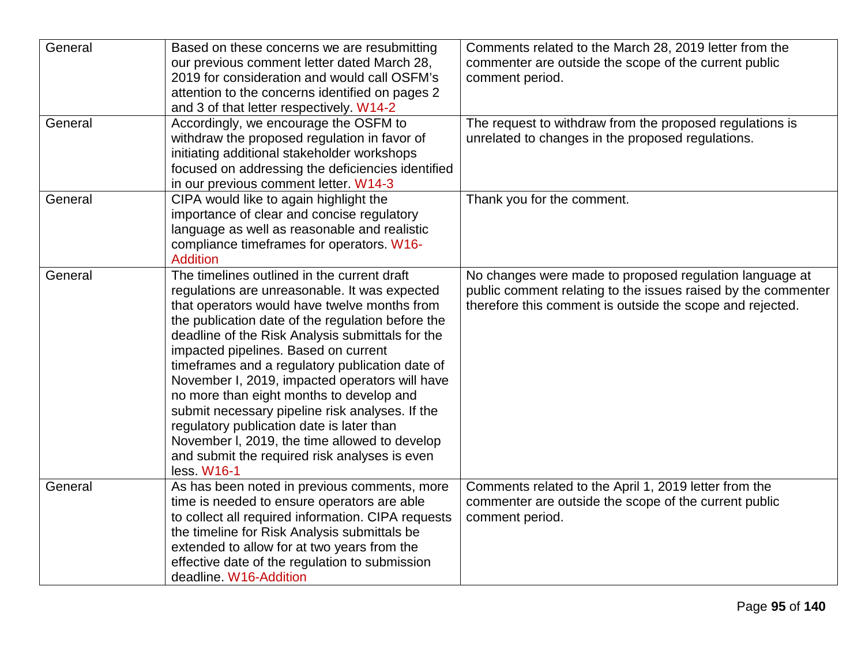| General | Based on these concerns we are resubmitting<br>our previous comment letter dated March 28,<br>2019 for consideration and would call OSFM's<br>attention to the concerns identified on pages 2<br>and 3 of that letter respectively. W14-2                                                                                                                                                                                                                                                                                                                                                                                                                       | Comments related to the March 28, 2019 letter from the<br>commenter are outside the scope of the current public<br>comment period.                                                    |
|---------|-----------------------------------------------------------------------------------------------------------------------------------------------------------------------------------------------------------------------------------------------------------------------------------------------------------------------------------------------------------------------------------------------------------------------------------------------------------------------------------------------------------------------------------------------------------------------------------------------------------------------------------------------------------------|---------------------------------------------------------------------------------------------------------------------------------------------------------------------------------------|
| General | Accordingly, we encourage the OSFM to<br>withdraw the proposed regulation in favor of<br>initiating additional stakeholder workshops<br>focused on addressing the deficiencies identified<br>in our previous comment letter. W14-3                                                                                                                                                                                                                                                                                                                                                                                                                              | The request to withdraw from the proposed regulations is<br>unrelated to changes in the proposed regulations.                                                                         |
| General | CIPA would like to again highlight the<br>importance of clear and concise regulatory<br>language as well as reasonable and realistic<br>compliance timeframes for operators. W16-<br><b>Addition</b>                                                                                                                                                                                                                                                                                                                                                                                                                                                            | Thank you for the comment.                                                                                                                                                            |
| General | The timelines outlined in the current draft<br>regulations are unreasonable. It was expected<br>that operators would have twelve months from<br>the publication date of the regulation before the<br>deadline of the Risk Analysis submittals for the<br>impacted pipelines. Based on current<br>timeframes and a regulatory publication date of<br>November I, 2019, impacted operators will have<br>no more than eight months to develop and<br>submit necessary pipeline risk analyses. If the<br>regulatory publication date is later than<br>November I, 2019, the time allowed to develop<br>and submit the required risk analyses is even<br>less. W16-1 | No changes were made to proposed regulation language at<br>public comment relating to the issues raised by the commenter<br>therefore this comment is outside the scope and rejected. |
| General | As has been noted in previous comments, more<br>time is needed to ensure operators are able<br>to collect all required information. CIPA requests<br>the timeline for Risk Analysis submittals be<br>extended to allow for at two years from the<br>effective date of the regulation to submission<br>deadline. W16-Addition                                                                                                                                                                                                                                                                                                                                    | Comments related to the April 1, 2019 letter from the<br>commenter are outside the scope of the current public<br>comment period.                                                     |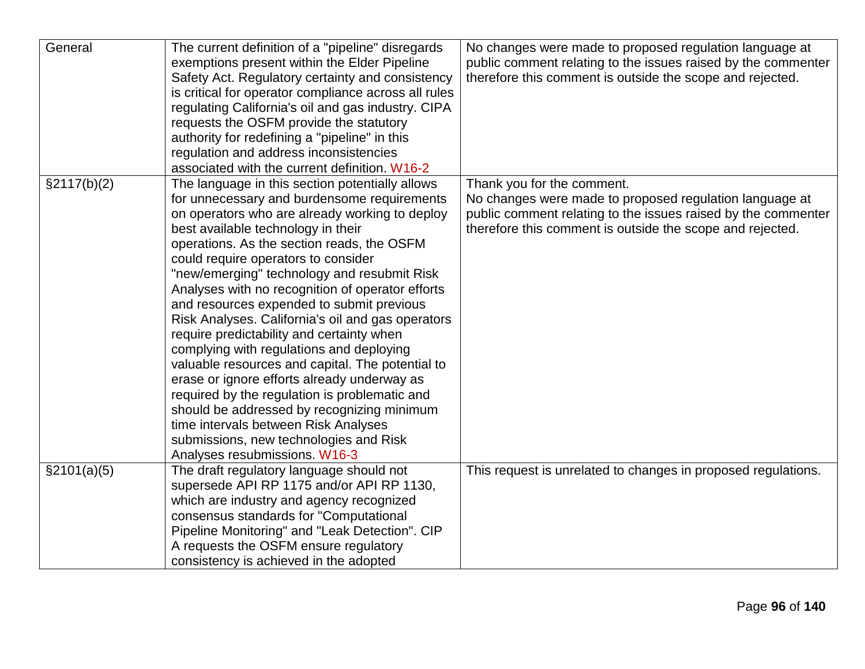| General      | The current definition of a "pipeline" disregards<br>exemptions present within the Elder Pipeline<br>Safety Act. Regulatory certainty and consistency<br>is critical for operator compliance across all rules<br>regulating California's oil and gas industry. CIPA<br>requests the OSFM provide the statutory<br>authority for redefining a "pipeline" in this<br>regulation and address inconsistencies<br>associated with the current definition. W16-2                                                                                                                                                                                                                                                                                                                                                                                                                                     | No changes were made to proposed regulation language at<br>public comment relating to the issues raised by the commenter<br>therefore this comment is outside the scope and rejected.                               |
|--------------|------------------------------------------------------------------------------------------------------------------------------------------------------------------------------------------------------------------------------------------------------------------------------------------------------------------------------------------------------------------------------------------------------------------------------------------------------------------------------------------------------------------------------------------------------------------------------------------------------------------------------------------------------------------------------------------------------------------------------------------------------------------------------------------------------------------------------------------------------------------------------------------------|---------------------------------------------------------------------------------------------------------------------------------------------------------------------------------------------------------------------|
| §2117(b)(2)  | The language in this section potentially allows<br>for unnecessary and burdensome requirements<br>on operators who are already working to deploy<br>best available technology in their<br>operations. As the section reads, the OSFM<br>could require operators to consider<br>"new/emerging" technology and resubmit Risk<br>Analyses with no recognition of operator efforts<br>and resources expended to submit previous<br>Risk Analyses. California's oil and gas operators<br>require predictability and certainty when<br>complying with regulations and deploying<br>valuable resources and capital. The potential to<br>erase or ignore efforts already underway as<br>required by the regulation is problematic and<br>should be addressed by recognizing minimum<br>time intervals between Risk Analyses<br>submissions, new technologies and Risk<br>Analyses resubmissions. W16-3 | Thank you for the comment.<br>No changes were made to proposed regulation language at<br>public comment relating to the issues raised by the commenter<br>therefore this comment is outside the scope and rejected. |
| \$2101(a)(5) | The draft regulatory language should not<br>supersede API RP 1175 and/or API RP 1130,<br>which are industry and agency recognized<br>consensus standards for "Computational<br>Pipeline Monitoring" and "Leak Detection". CIP<br>A requests the OSFM ensure regulatory<br>consistency is achieved in the adopted                                                                                                                                                                                                                                                                                                                                                                                                                                                                                                                                                                               | This request is unrelated to changes in proposed regulations.                                                                                                                                                       |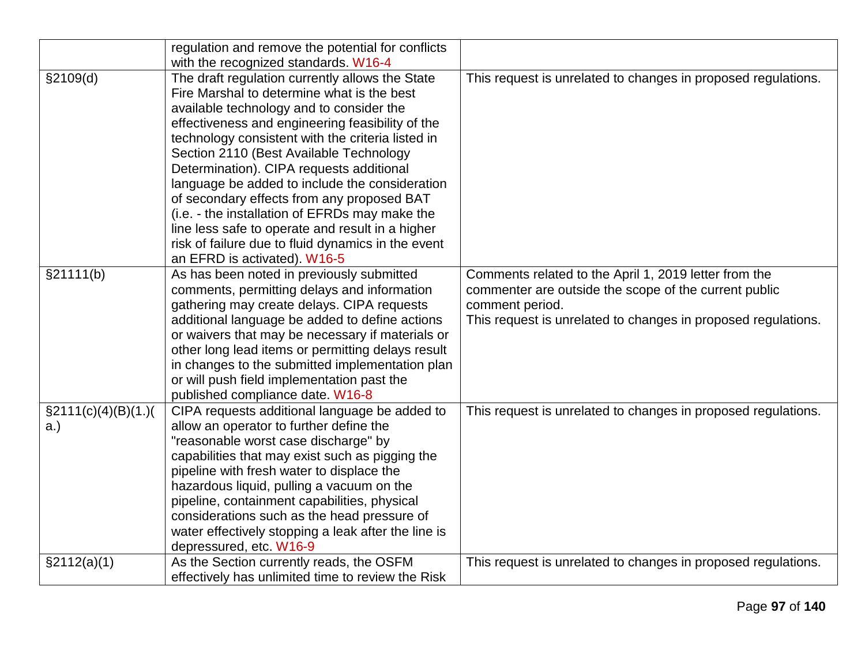|                       | regulation and remove the potential for conflicts                              |                                                               |
|-----------------------|--------------------------------------------------------------------------------|---------------------------------------------------------------|
|                       | with the recognized standards. W16-4                                           |                                                               |
| §2109(d)              | The draft regulation currently allows the State                                | This request is unrelated to changes in proposed regulations. |
|                       | Fire Marshal to determine what is the best                                     |                                                               |
|                       | available technology and to consider the                                       |                                                               |
|                       | effectiveness and engineering feasibility of the                               |                                                               |
|                       | technology consistent with the criteria listed in                              |                                                               |
|                       | Section 2110 (Best Available Technology                                        |                                                               |
|                       | Determination). CIPA requests additional                                       |                                                               |
|                       | language be added to include the consideration                                 |                                                               |
|                       | of secondary effects from any proposed BAT                                     |                                                               |
|                       | (i.e. - the installation of EFRDs may make the                                 |                                                               |
|                       | line less safe to operate and result in a higher                               |                                                               |
|                       | risk of failure due to fluid dynamics in the event                             |                                                               |
|                       | an EFRD is activated). W16-5                                                   |                                                               |
| §21111(b)             | As has been noted in previously submitted                                      | Comments related to the April 1, 2019 letter from the         |
|                       | comments, permitting delays and information                                    | commenter are outside the scope of the current public         |
|                       | gathering may create delays. CIPA requests                                     | comment period.                                               |
|                       | additional language be added to define actions                                 | This request is unrelated to changes in proposed regulations. |
|                       | or waivers that may be necessary if materials or                               |                                                               |
|                       | other long lead items or permitting delays result                              |                                                               |
|                       | in changes to the submitted implementation plan                                |                                                               |
|                       | or will push field implementation past the<br>published compliance date. W16-8 |                                                               |
| $\S2111(c)(4)(B)(1.)$ | CIPA requests additional language be added to                                  | This request is unrelated to changes in proposed regulations. |
| a.)                   | allow an operator to further define the                                        |                                                               |
|                       | "reasonable worst case discharge" by                                           |                                                               |
|                       | capabilities that may exist such as pigging the                                |                                                               |
|                       | pipeline with fresh water to displace the                                      |                                                               |
|                       | hazardous liquid, pulling a vacuum on the                                      |                                                               |
|                       | pipeline, containment capabilities, physical                                   |                                                               |
|                       | considerations such as the head pressure of                                    |                                                               |
|                       | water effectively stopping a leak after the line is                            |                                                               |
|                       | depressured, etc. W16-9                                                        |                                                               |
| \$2112(a)(1)          | As the Section currently reads, the OSFM                                       | This request is unrelated to changes in proposed regulations. |
|                       | effectively has unlimited time to review the Risk                              |                                                               |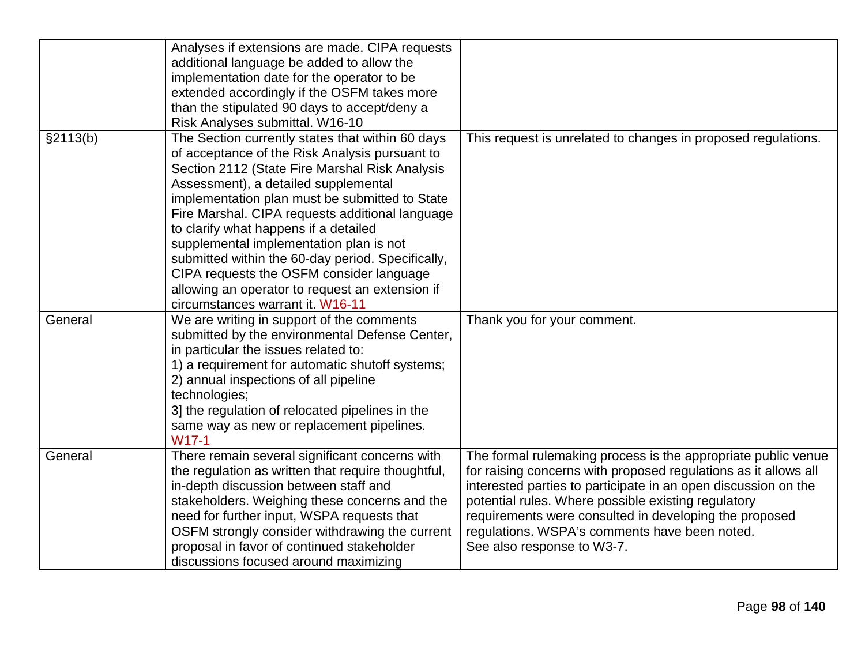|          | Analyses if extensions are made. CIPA requests<br>additional language be added to allow the<br>implementation date for the operator to be<br>extended accordingly if the OSFM takes more<br>than the stipulated 90 days to accept/deny a<br>Risk Analyses submittal. W16-10                                                                                                                                                                                                                                                                                                   |                                                                                                                                                                                                                                                                                                                                                                                                    |
|----------|-------------------------------------------------------------------------------------------------------------------------------------------------------------------------------------------------------------------------------------------------------------------------------------------------------------------------------------------------------------------------------------------------------------------------------------------------------------------------------------------------------------------------------------------------------------------------------|----------------------------------------------------------------------------------------------------------------------------------------------------------------------------------------------------------------------------------------------------------------------------------------------------------------------------------------------------------------------------------------------------|
| §2113(b) | The Section currently states that within 60 days<br>of acceptance of the Risk Analysis pursuant to<br>Section 2112 (State Fire Marshal Risk Analysis<br>Assessment), a detailed supplemental<br>implementation plan must be submitted to State<br>Fire Marshal. CIPA requests additional language<br>to clarify what happens if a detailed<br>supplemental implementation plan is not<br>submitted within the 60-day period. Specifically,<br>CIPA requests the OSFM consider language<br>allowing an operator to request an extension if<br>circumstances warrant it. W16-11 | This request is unrelated to changes in proposed regulations.                                                                                                                                                                                                                                                                                                                                      |
| General  | We are writing in support of the comments<br>submitted by the environmental Defense Center,<br>in particular the issues related to:<br>1) a requirement for automatic shutoff systems;<br>2) annual inspections of all pipeline<br>technologies;<br>3] the regulation of relocated pipelines in the<br>same way as new or replacement pipelines.<br>$W17-1$                                                                                                                                                                                                                   | Thank you for your comment.                                                                                                                                                                                                                                                                                                                                                                        |
| General  | There remain several significant concerns with<br>the regulation as written that require thoughtful,<br>in-depth discussion between staff and<br>stakeholders. Weighing these concerns and the<br>need for further input, WSPA requests that<br>OSFM strongly consider withdrawing the current<br>proposal in favor of continued stakeholder<br>discussions focused around maximizing                                                                                                                                                                                         | The formal rulemaking process is the appropriate public venue<br>for raising concerns with proposed regulations as it allows all<br>interested parties to participate in an open discussion on the<br>potential rules. Where possible existing regulatory<br>requirements were consulted in developing the proposed<br>regulations. WSPA's comments have been noted.<br>See also response to W3-7. |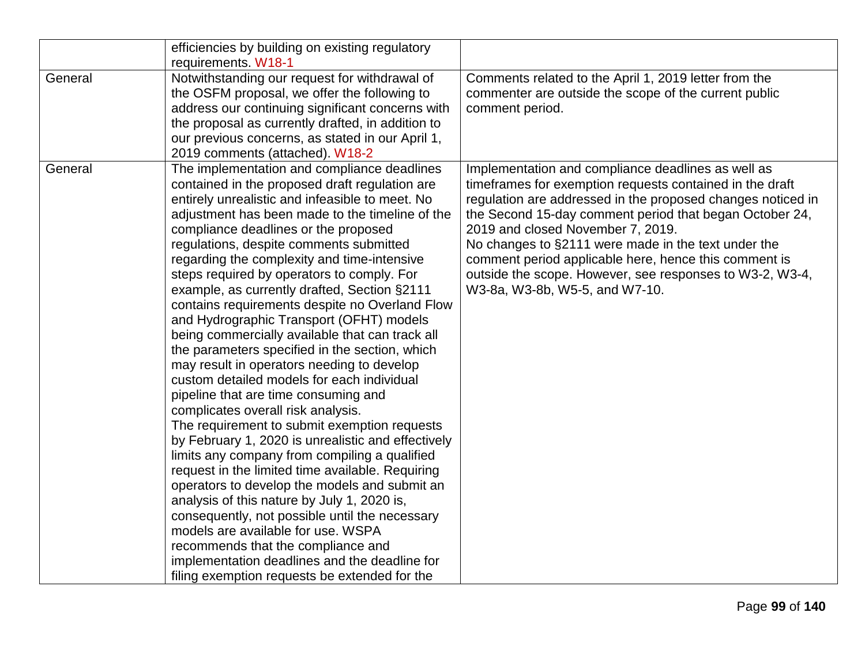|         | efficiencies by building on existing regulatory    |                                                             |
|---------|----------------------------------------------------|-------------------------------------------------------------|
|         | requirements. W18-1                                |                                                             |
| General | Notwithstanding our request for withdrawal of      | Comments related to the April 1, 2019 letter from the       |
|         | the OSFM proposal, we offer the following to       | commenter are outside the scope of the current public       |
|         | address our continuing significant concerns with   | comment period.                                             |
|         | the proposal as currently drafted, in addition to  |                                                             |
|         | our previous concerns, as stated in our April 1,   |                                                             |
|         | 2019 comments (attached). W18-2                    |                                                             |
| General | The implementation and compliance deadlines        | Implementation and compliance deadlines as well as          |
|         | contained in the proposed draft regulation are     | timeframes for exemption requests contained in the draft    |
|         | entirely unrealistic and infeasible to meet. No    | regulation are addressed in the proposed changes noticed in |
|         | adjustment has been made to the timeline of the    | the Second 15-day comment period that began October 24,     |
|         | compliance deadlines or the proposed               | 2019 and closed November 7, 2019.                           |
|         | regulations, despite comments submitted            | No changes to §2111 were made in the text under the         |
|         | regarding the complexity and time-intensive        | comment period applicable here, hence this comment is       |
|         | steps required by operators to comply. For         | outside the scope. However, see responses to W3-2, W3-4,    |
|         | example, as currently drafted, Section §2111       | W3-8a, W3-8b, W5-5, and W7-10.                              |
|         | contains requirements despite no Overland Flow     |                                                             |
|         | and Hydrographic Transport (OFHT) models           |                                                             |
|         | being commercially available that can track all    |                                                             |
|         | the parameters specified in the section, which     |                                                             |
|         | may result in operators needing to develop         |                                                             |
|         | custom detailed models for each individual         |                                                             |
|         | pipeline that are time consuming and               |                                                             |
|         | complicates overall risk analysis.                 |                                                             |
|         | The requirement to submit exemption requests       |                                                             |
|         | by February 1, 2020 is unrealistic and effectively |                                                             |
|         | limits any company from compiling a qualified      |                                                             |
|         | request in the limited time available. Requiring   |                                                             |
|         | operators to develop the models and submit an      |                                                             |
|         | analysis of this nature by July 1, 2020 is,        |                                                             |
|         | consequently, not possible until the necessary     |                                                             |
|         | models are available for use. WSPA                 |                                                             |
|         | recommends that the compliance and                 |                                                             |
|         | implementation deadlines and the deadline for      |                                                             |
|         | filing exemption requests be extended for the      |                                                             |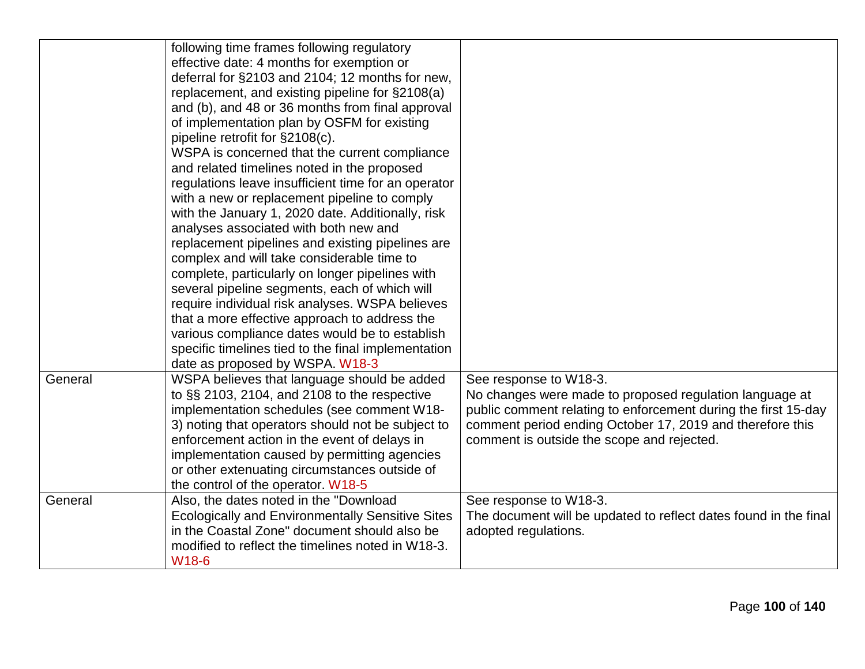|         | following time frames following regulatory<br>effective date: 4 months for exemption or<br>deferral for §2103 and 2104; 12 months for new,<br>replacement, and existing pipeline for §2108(a)<br>and (b), and 48 or 36 months from final approval<br>of implementation plan by OSFM for existing<br>pipeline retrofit for §2108(c).<br>WSPA is concerned that the current compliance<br>and related timelines noted in the proposed<br>regulations leave insufficient time for an operator<br>with a new or replacement pipeline to comply<br>with the January 1, 2020 date. Additionally, risk<br>analyses associated with both new and<br>replacement pipelines and existing pipelines are<br>complex and will take considerable time to<br>complete, particularly on longer pipelines with<br>several pipeline segments, each of which will<br>require individual risk analyses. WSPA believes<br>that a more effective approach to address the<br>various compliance dates would be to establish<br>specific timelines tied to the final implementation<br>date as proposed by WSPA. W18-3 |                                                                                                                                                                                                                                                                |
|---------|------------------------------------------------------------------------------------------------------------------------------------------------------------------------------------------------------------------------------------------------------------------------------------------------------------------------------------------------------------------------------------------------------------------------------------------------------------------------------------------------------------------------------------------------------------------------------------------------------------------------------------------------------------------------------------------------------------------------------------------------------------------------------------------------------------------------------------------------------------------------------------------------------------------------------------------------------------------------------------------------------------------------------------------------------------------------------------------------|----------------------------------------------------------------------------------------------------------------------------------------------------------------------------------------------------------------------------------------------------------------|
| General | WSPA believes that language should be added<br>to $\S$ $\S$ 2103, 2104, and 2108 to the respective<br>implementation schedules (see comment W18-<br>3) noting that operators should not be subject to<br>enforcement action in the event of delays in<br>implementation caused by permitting agencies<br>or other extenuating circumstances outside of<br>the control of the operator. W18-5                                                                                                                                                                                                                                                                                                                                                                                                                                                                                                                                                                                                                                                                                                   | See response to W18-3.<br>No changes were made to proposed regulation language at<br>public comment relating to enforcement during the first 15-day<br>comment period ending October 17, 2019 and therefore this<br>comment is outside the scope and rejected. |
| General | Also, the dates noted in the "Download<br><b>Ecologically and Environmentally Sensitive Sites</b><br>in the Coastal Zone" document should also be<br>modified to reflect the timelines noted in W18-3.<br>W18-6                                                                                                                                                                                                                                                                                                                                                                                                                                                                                                                                                                                                                                                                                                                                                                                                                                                                                | See response to W18-3.<br>The document will be updated to reflect dates found in the final<br>adopted regulations.                                                                                                                                             |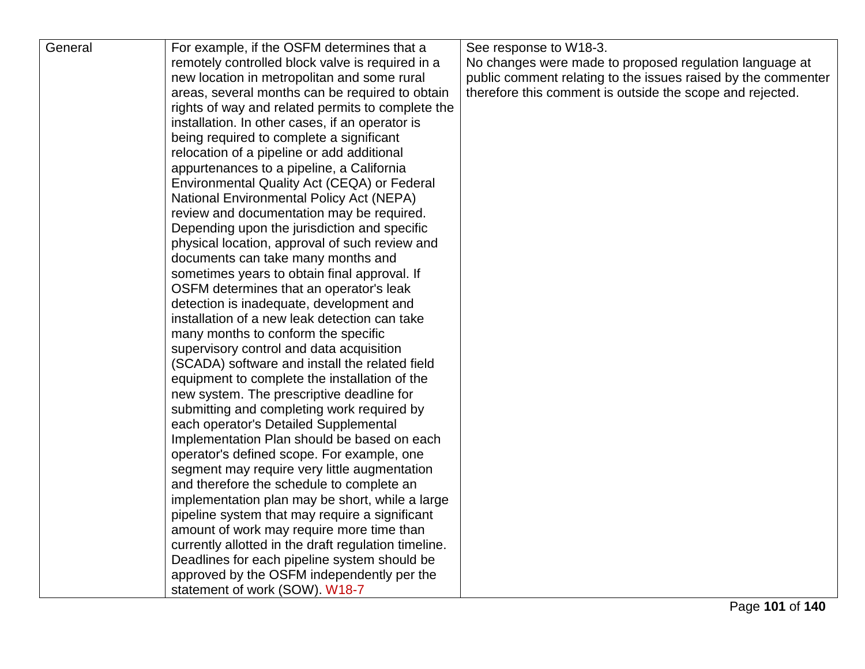| General | For example, if the OSFM determines that a                                                      | See response to W18-3.                                                                                                   |
|---------|-------------------------------------------------------------------------------------------------|--------------------------------------------------------------------------------------------------------------------------|
|         | remotely controlled block valve is required in a<br>new location in metropolitan and some rural | No changes were made to proposed regulation language at<br>public comment relating to the issues raised by the commenter |
|         | areas, several months can be required to obtain                                                 | therefore this comment is outside the scope and rejected.                                                                |
|         | rights of way and related permits to complete the                                               |                                                                                                                          |
|         | installation. In other cases, if an operator is                                                 |                                                                                                                          |
|         | being required to complete a significant                                                        |                                                                                                                          |
|         | relocation of a pipeline or add additional                                                      |                                                                                                                          |
|         | appurtenances to a pipeline, a California                                                       |                                                                                                                          |
|         | Environmental Quality Act (CEQA) or Federal                                                     |                                                                                                                          |
|         | <b>National Environmental Policy Act (NEPA)</b>                                                 |                                                                                                                          |
|         | review and documentation may be required.                                                       |                                                                                                                          |
|         | Depending upon the jurisdiction and specific                                                    |                                                                                                                          |
|         | physical location, approval of such review and                                                  |                                                                                                                          |
|         | documents can take many months and                                                              |                                                                                                                          |
|         | sometimes years to obtain final approval. If                                                    |                                                                                                                          |
|         | OSFM determines that an operator's leak                                                         |                                                                                                                          |
|         | detection is inadequate, development and                                                        |                                                                                                                          |
|         | installation of a new leak detection can take                                                   |                                                                                                                          |
|         | many months to conform the specific                                                             |                                                                                                                          |
|         | supervisory control and data acquisition                                                        |                                                                                                                          |
|         | (SCADA) software and install the related field                                                  |                                                                                                                          |
|         | equipment to complete the installation of the                                                   |                                                                                                                          |
|         | new system. The prescriptive deadline for                                                       |                                                                                                                          |
|         | submitting and completing work required by                                                      |                                                                                                                          |
|         | each operator's Detailed Supplemental                                                           |                                                                                                                          |
|         | Implementation Plan should be based on each                                                     |                                                                                                                          |
|         | operator's defined scope. For example, one                                                      |                                                                                                                          |
|         | segment may require very little augmentation                                                    |                                                                                                                          |
|         | and therefore the schedule to complete an                                                       |                                                                                                                          |
|         | implementation plan may be short, while a large                                                 |                                                                                                                          |
|         | pipeline system that may require a significant                                                  |                                                                                                                          |
|         | amount of work may require more time than                                                       |                                                                                                                          |
|         | currently allotted in the draft regulation timeline.                                            |                                                                                                                          |
|         | Deadlines for each pipeline system should be                                                    |                                                                                                                          |
|         | approved by the OSFM independently per the                                                      |                                                                                                                          |
|         | statement of work (SOW). W18-7                                                                  |                                                                                                                          |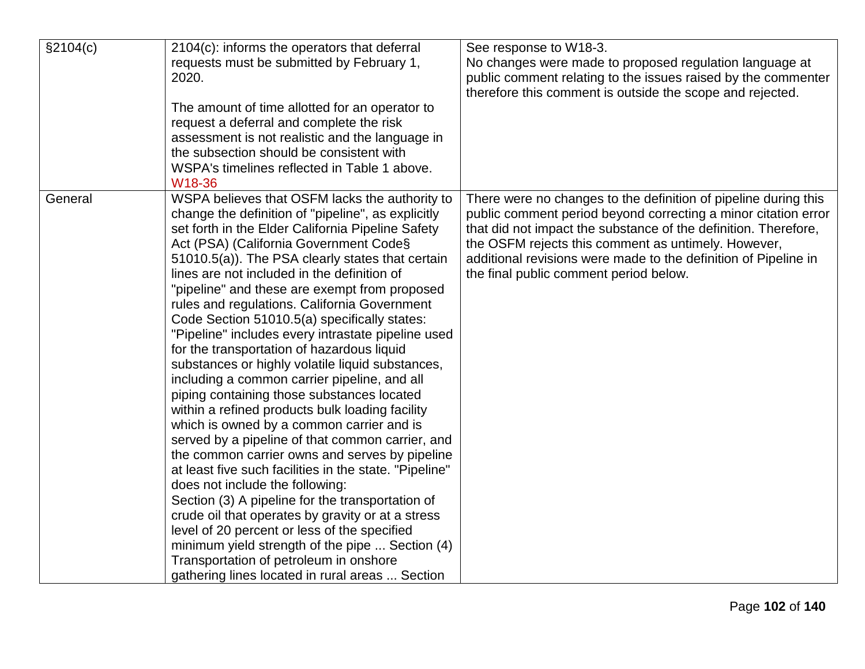| §2104(c) | 2104(c): informs the operators that deferral           | See response to W18-3.                                          |
|----------|--------------------------------------------------------|-----------------------------------------------------------------|
|          | requests must be submitted by February 1,              | No changes were made to proposed regulation language at         |
|          | 2020.                                                  | public comment relating to the issues raised by the commenter   |
|          |                                                        | therefore this comment is outside the scope and rejected.       |
|          | The amount of time allotted for an operator to         |                                                                 |
|          | request a deferral and complete the risk               |                                                                 |
|          | assessment is not realistic and the language in        |                                                                 |
|          | the subsection should be consistent with               |                                                                 |
|          | WSPA's timelines reflected in Table 1 above.           |                                                                 |
|          | W18-36                                                 |                                                                 |
| General  | WSPA believes that OSFM lacks the authority to         | There were no changes to the definition of pipeline during this |
|          | change the definition of "pipeline", as explicitly     | public comment period beyond correcting a minor citation error  |
|          | set forth in the Elder California Pipeline Safety      | that did not impact the substance of the definition. Therefore, |
|          | Act (PSA) (California Government Code§                 | the OSFM rejects this comment as untimely. However,             |
|          | 51010.5(a)). The PSA clearly states that certain       | additional revisions were made to the definition of Pipeline in |
|          | lines are not included in the definition of            | the final public comment period below.                          |
|          | "pipeline" and these are exempt from proposed          |                                                                 |
|          | rules and regulations. California Government           |                                                                 |
|          | Code Section 51010.5(a) specifically states:           |                                                                 |
|          | "Pipeline" includes every intrastate pipeline used     |                                                                 |
|          | for the transportation of hazardous liquid             |                                                                 |
|          | substances or highly volatile liquid substances,       |                                                                 |
|          | including a common carrier pipeline, and all           |                                                                 |
|          | piping containing those substances located             |                                                                 |
|          | within a refined products bulk loading facility        |                                                                 |
|          | which is owned by a common carrier and is              |                                                                 |
|          | served by a pipeline of that common carrier, and       |                                                                 |
|          | the common carrier owns and serves by pipeline         |                                                                 |
|          | at least five such facilities in the state. "Pipeline" |                                                                 |
|          | does not include the following:                        |                                                                 |
|          | Section (3) A pipeline for the transportation of       |                                                                 |
|          | crude oil that operates by gravity or at a stress      |                                                                 |
|          | level of 20 percent or less of the specified           |                                                                 |
|          | minimum yield strength of the pipe  Section (4)        |                                                                 |
|          | Transportation of petroleum in onshore                 |                                                                 |
|          | gathering lines located in rural areas  Section        |                                                                 |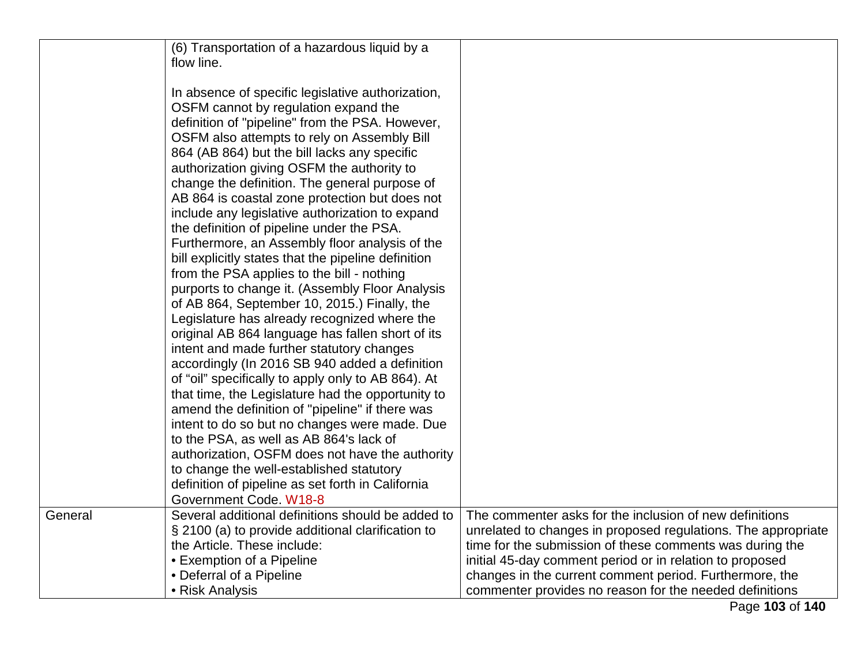|         | (6) Transportation of a hazardous liquid by a<br>flow line.                                                                                                                                                                                                                                                                                                                                                                                                                                                                                                                                                                                                                                                                                                                                                                                                                                                                                                                                                                                                                                                                                                                                                                                                                                                                                                                                       |                                                                                                                           |
|---------|---------------------------------------------------------------------------------------------------------------------------------------------------------------------------------------------------------------------------------------------------------------------------------------------------------------------------------------------------------------------------------------------------------------------------------------------------------------------------------------------------------------------------------------------------------------------------------------------------------------------------------------------------------------------------------------------------------------------------------------------------------------------------------------------------------------------------------------------------------------------------------------------------------------------------------------------------------------------------------------------------------------------------------------------------------------------------------------------------------------------------------------------------------------------------------------------------------------------------------------------------------------------------------------------------------------------------------------------------------------------------------------------------|---------------------------------------------------------------------------------------------------------------------------|
|         | In absence of specific legislative authorization,<br>OSFM cannot by regulation expand the<br>definition of "pipeline" from the PSA. However,<br>OSFM also attempts to rely on Assembly Bill<br>864 (AB 864) but the bill lacks any specific<br>authorization giving OSFM the authority to<br>change the definition. The general purpose of<br>AB 864 is coastal zone protection but does not<br>include any legislative authorization to expand<br>the definition of pipeline under the PSA.<br>Furthermore, an Assembly floor analysis of the<br>bill explicitly states that the pipeline definition<br>from the PSA applies to the bill - nothing<br>purports to change it. (Assembly Floor Analysis<br>of AB 864, September 10, 2015.) Finally, the<br>Legislature has already recognized where the<br>original AB 864 language has fallen short of its<br>intent and made further statutory changes<br>accordingly (In 2016 SB 940 added a definition<br>of "oil" specifically to apply only to AB 864). At<br>that time, the Legislature had the opportunity to<br>amend the definition of "pipeline" if there was<br>intent to do so but no changes were made. Due<br>to the PSA, as well as AB 864's lack of<br>authorization, OSFM does not have the authority<br>to change the well-established statutory<br>definition of pipeline as set forth in California<br>Government Code. W18-8 |                                                                                                                           |
| General | Several additional definitions should be added to                                                                                                                                                                                                                                                                                                                                                                                                                                                                                                                                                                                                                                                                                                                                                                                                                                                                                                                                                                                                                                                                                                                                                                                                                                                                                                                                                 | The commenter asks for the inclusion of new definitions                                                                   |
|         | § 2100 (a) to provide additional clarification to<br>the Article. These include:                                                                                                                                                                                                                                                                                                                                                                                                                                                                                                                                                                                                                                                                                                                                                                                                                                                                                                                                                                                                                                                                                                                                                                                                                                                                                                                  | unrelated to changes in proposed regulations. The appropriate<br>time for the submission of these comments was during the |
|         | • Exemption of a Pipeline                                                                                                                                                                                                                                                                                                                                                                                                                                                                                                                                                                                                                                                                                                                                                                                                                                                                                                                                                                                                                                                                                                                                                                                                                                                                                                                                                                         | initial 45-day comment period or in relation to proposed                                                                  |
|         | • Deferral of a Pipeline                                                                                                                                                                                                                                                                                                                                                                                                                                                                                                                                                                                                                                                                                                                                                                                                                                                                                                                                                                                                                                                                                                                                                                                                                                                                                                                                                                          | changes in the current comment period. Furthermore, the                                                                   |
|         | • Risk Analysis                                                                                                                                                                                                                                                                                                                                                                                                                                                                                                                                                                                                                                                                                                                                                                                                                                                                                                                                                                                                                                                                                                                                                                                                                                                                                                                                                                                   | commenter provides no reason for the needed definitions                                                                   |
|         |                                                                                                                                                                                                                                                                                                                                                                                                                                                                                                                                                                                                                                                                                                                                                                                                                                                                                                                                                                                                                                                                                                                                                                                                                                                                                                                                                                                                   | Page 103 of 140                                                                                                           |
|         |                                                                                                                                                                                                                                                                                                                                                                                                                                                                                                                                                                                                                                                                                                                                                                                                                                                                                                                                                                                                                                                                                                                                                                                                                                                                                                                                                                                                   |                                                                                                                           |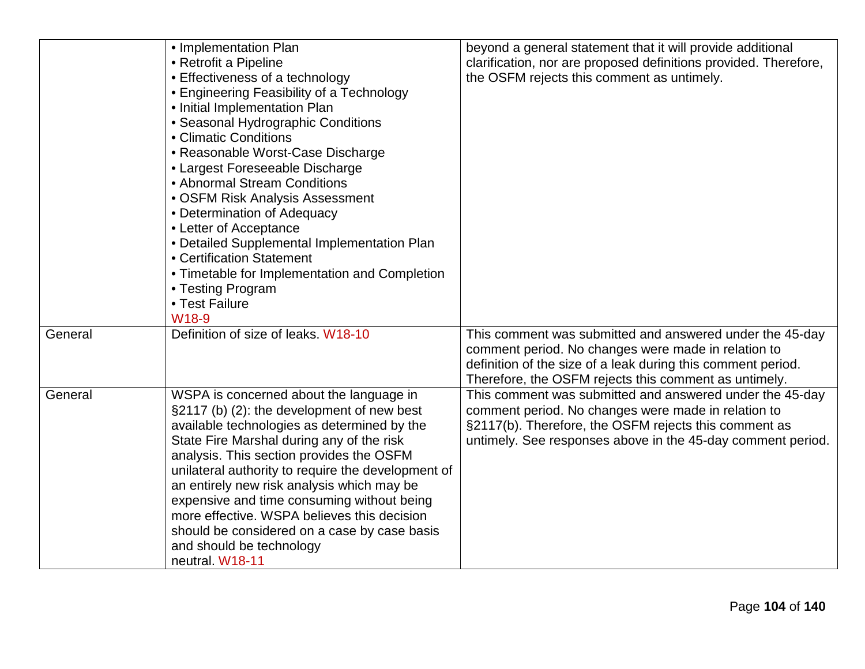|         | • Implementation Plan                              | beyond a general statement that it will provide additional       |
|---------|----------------------------------------------------|------------------------------------------------------------------|
|         | • Retrofit a Pipeline                              | clarification, nor are proposed definitions provided. Therefore, |
|         | • Effectiveness of a technology                    | the OSFM rejects this comment as untimely.                       |
|         | • Engineering Feasibility of a Technology          |                                                                  |
|         | • Initial Implementation Plan                      |                                                                  |
|         | • Seasonal Hydrographic Conditions                 |                                                                  |
|         | • Climatic Conditions                              |                                                                  |
|         | • Reasonable Worst-Case Discharge                  |                                                                  |
|         | • Largest Foreseeable Discharge                    |                                                                  |
|         | • Abnormal Stream Conditions                       |                                                                  |
|         | • OSFM Risk Analysis Assessment                    |                                                                  |
|         | • Determination of Adequacy                        |                                                                  |
|         | • Letter of Acceptance                             |                                                                  |
|         | • Detailed Supplemental Implementation Plan        |                                                                  |
|         | • Certification Statement                          |                                                                  |
|         | • Timetable for Implementation and Completion      |                                                                  |
|         | • Testing Program                                  |                                                                  |
|         | • Test Failure                                     |                                                                  |
|         | W18-9                                              |                                                                  |
| General | Definition of size of leaks. W18-10                | This comment was submitted and answered under the 45-day         |
|         |                                                    | comment period. No changes were made in relation to              |
|         |                                                    | definition of the size of a leak during this comment period.     |
|         |                                                    | Therefore, the OSFM rejects this comment as untimely.            |
| General | WSPA is concerned about the language in            | This comment was submitted and answered under the 45-day         |
|         | §2117 (b) (2): the development of new best         | comment period. No changes were made in relation to              |
|         | available technologies as determined by the        | §2117(b). Therefore, the OSFM rejects this comment as            |
|         | State Fire Marshal during any of the risk          | untimely. See responses above in the 45-day comment period.      |
|         | analysis. This section provides the OSFM           |                                                                  |
|         | unilateral authority to require the development of |                                                                  |
|         | an entirely new risk analysis which may be         |                                                                  |
|         | expensive and time consuming without being         |                                                                  |
|         | more effective. WSPA believes this decision        |                                                                  |
|         | should be considered on a case by case basis       |                                                                  |
|         | and should be technology                           |                                                                  |
|         | neutral. W18-11                                    |                                                                  |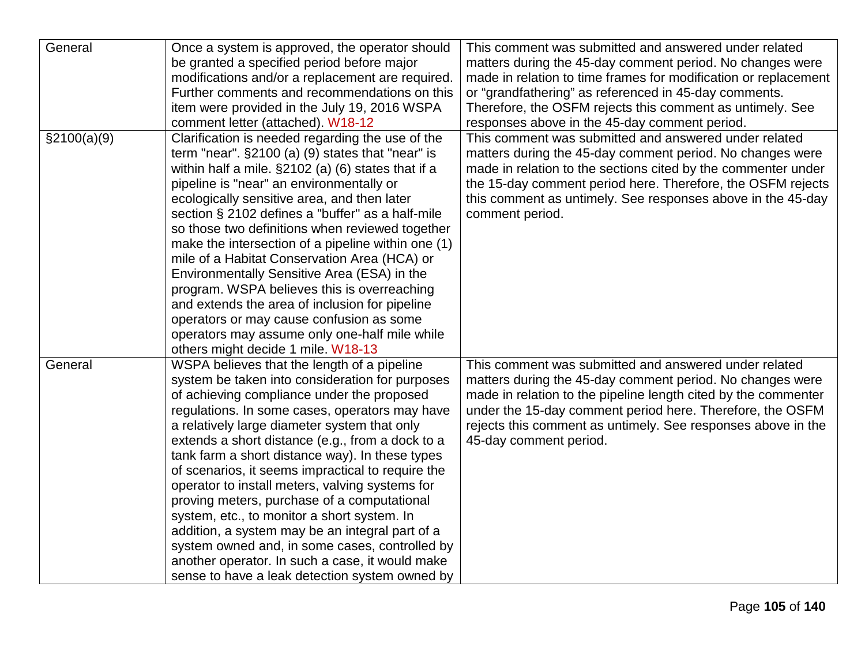| General      | Once a system is approved, the operator should<br>be granted a specified period before major<br>modifications and/or a replacement are required.<br>Further comments and recommendations on this<br>item were provided in the July 19, 2016 WSPA                                                                                                                                                                                                                                                                                                                                                                                                                                                                                                                                              | This comment was submitted and answered under related<br>matters during the 45-day comment period. No changes were<br>made in relation to time frames for modification or replacement<br>or "grandfathering" as referenced in 45-day comments.<br>Therefore, the OSFM rejects this comment as untimely. See                                                                           |
|--------------|-----------------------------------------------------------------------------------------------------------------------------------------------------------------------------------------------------------------------------------------------------------------------------------------------------------------------------------------------------------------------------------------------------------------------------------------------------------------------------------------------------------------------------------------------------------------------------------------------------------------------------------------------------------------------------------------------------------------------------------------------------------------------------------------------|---------------------------------------------------------------------------------------------------------------------------------------------------------------------------------------------------------------------------------------------------------------------------------------------------------------------------------------------------------------------------------------|
| \$2100(a)(9) | comment letter (attached). W18-12<br>Clarification is needed regarding the use of the<br>term "near". $\S2100$ (a) (9) states that "near" is<br>within half a mile. §2102 (a) (6) states that if a<br>pipeline is "near" an environmentally or<br>ecologically sensitive area, and then later<br>section § 2102 defines a "buffer" as a half-mile<br>so those two definitions when reviewed together<br>make the intersection of a pipeline within one (1)<br>mile of a Habitat Conservation Area (HCA) or<br>Environmentally Sensitive Area (ESA) in the<br>program. WSPA believes this is overreaching<br>and extends the area of inclusion for pipeline<br>operators or may cause confusion as some<br>operators may assume only one-half mile while<br>others might decide 1 mile. W18-13 | responses above in the 45-day comment period.<br>This comment was submitted and answered under related<br>matters during the 45-day comment period. No changes were<br>made in relation to the sections cited by the commenter under<br>the 15-day comment period here. Therefore, the OSFM rejects<br>this comment as untimely. See responses above in the 45-day<br>comment period. |
| General      | WSPA believes that the length of a pipeline<br>system be taken into consideration for purposes<br>of achieving compliance under the proposed<br>regulations. In some cases, operators may have<br>a relatively large diameter system that only<br>extends a short distance (e.g., from a dock to a<br>tank farm a short distance way). In these types<br>of scenarios, it seems impractical to require the<br>operator to install meters, valving systems for<br>proving meters, purchase of a computational<br>system, etc., to monitor a short system. In<br>addition, a system may be an integral part of a<br>system owned and, in some cases, controlled by<br>another operator. In such a case, it would make<br>sense to have a leak detection system owned by                         | This comment was submitted and answered under related<br>matters during the 45-day comment period. No changes were<br>made in relation to the pipeline length cited by the commenter<br>under the 15-day comment period here. Therefore, the OSFM<br>rejects this comment as untimely. See responses above in the<br>45-day comment period.                                           |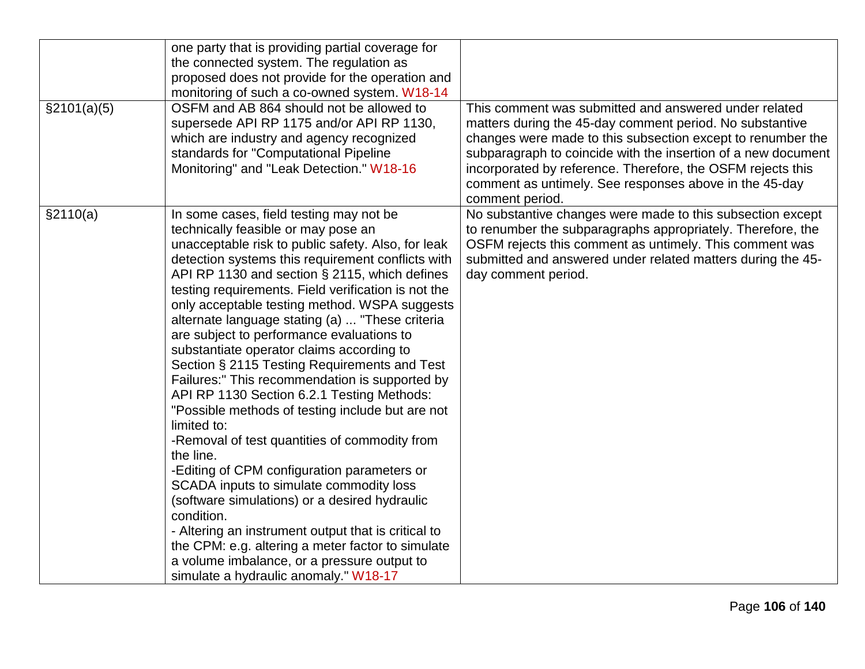| \$2101(a)(5) | one party that is providing partial coverage for<br>the connected system. The regulation as<br>proposed does not provide for the operation and<br>monitoring of such a co-owned system. W18-14<br>OSFM and AB 864 should not be allowed to<br>supersede API RP 1175 and/or API RP 1130,<br>which are industry and agency recognized<br>standards for "Computational Pipeline                                                                                                                                                                                                                                                                                                                                                                                                                                                                                                                                                                                                                                                                                                                                                                  | This comment was submitted and answered under related<br>matters during the 45-day comment period. No substantive<br>changes were made to this subsection except to renumber the<br>subparagraph to coincide with the insertion of a new document                          |
|--------------|-----------------------------------------------------------------------------------------------------------------------------------------------------------------------------------------------------------------------------------------------------------------------------------------------------------------------------------------------------------------------------------------------------------------------------------------------------------------------------------------------------------------------------------------------------------------------------------------------------------------------------------------------------------------------------------------------------------------------------------------------------------------------------------------------------------------------------------------------------------------------------------------------------------------------------------------------------------------------------------------------------------------------------------------------------------------------------------------------------------------------------------------------|----------------------------------------------------------------------------------------------------------------------------------------------------------------------------------------------------------------------------------------------------------------------------|
|              | Monitoring" and "Leak Detection." W18-16                                                                                                                                                                                                                                                                                                                                                                                                                                                                                                                                                                                                                                                                                                                                                                                                                                                                                                                                                                                                                                                                                                      | incorporated by reference. Therefore, the OSFM rejects this<br>comment as untimely. See responses above in the 45-day<br>comment period.                                                                                                                                   |
| §2110(a)     | In some cases, field testing may not be<br>technically feasible or may pose an<br>unacceptable risk to public safety. Also, for leak<br>detection systems this requirement conflicts with<br>API RP 1130 and section § 2115, which defines<br>testing requirements. Field verification is not the<br>only acceptable testing method. WSPA suggests<br>alternate language stating (a)  "These criteria<br>are subject to performance evaluations to<br>substantiate operator claims according to<br>Section § 2115 Testing Requirements and Test<br>Failures:" This recommendation is supported by<br>API RP 1130 Section 6.2.1 Testing Methods:<br>"Possible methods of testing include but are not<br>limited to:<br>-Removal of test quantities of commodity from<br>the line.<br>-Editing of CPM configuration parameters or<br>SCADA inputs to simulate commodity loss<br>(software simulations) or a desired hydraulic<br>condition.<br>- Altering an instrument output that is critical to<br>the CPM: e.g. altering a meter factor to simulate<br>a volume imbalance, or a pressure output to<br>simulate a hydraulic anomaly." W18-17 | No substantive changes were made to this subsection except<br>to renumber the subparagraphs appropriately. Therefore, the<br>OSFM rejects this comment as untimely. This comment was<br>submitted and answered under related matters during the 45-<br>day comment period. |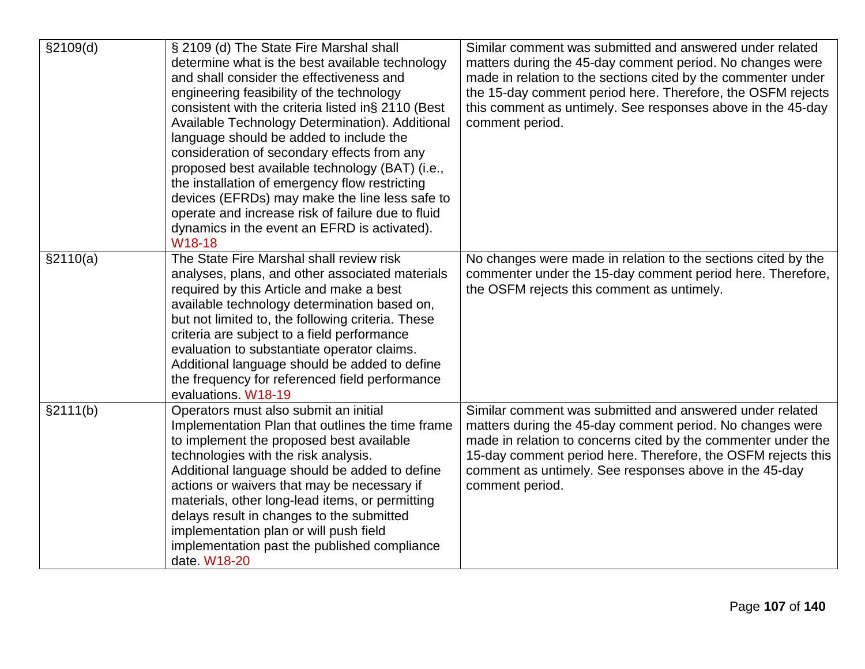| \$2109(d) | § 2109 (d) The State Fire Marshal shall<br>determine what is the best available technology<br>and shall consider the effectiveness and<br>engineering feasibility of the technology<br>consistent with the criteria listed in§ 2110 (Best<br>Available Technology Determination). Additional<br>language should be added to include the<br>consideration of secondary effects from any<br>proposed best available technology (BAT) (i.e.,<br>the installation of emergency flow restricting<br>devices (EFRDs) may make the line less safe to<br>operate and increase risk of failure due to fluid<br>dynamics in the event an EFRD is activated).<br>W18-18 | Similar comment was submitted and answered under related<br>matters during the 45-day comment period. No changes were<br>made in relation to the sections cited by the commenter under<br>the 15-day comment period here. Therefore, the OSFM rejects<br>this comment as untimely. See responses above in the 45-day<br>comment period. |
|-----------|--------------------------------------------------------------------------------------------------------------------------------------------------------------------------------------------------------------------------------------------------------------------------------------------------------------------------------------------------------------------------------------------------------------------------------------------------------------------------------------------------------------------------------------------------------------------------------------------------------------------------------------------------------------|-----------------------------------------------------------------------------------------------------------------------------------------------------------------------------------------------------------------------------------------------------------------------------------------------------------------------------------------|
| \$2110(a) | The State Fire Marshal shall review risk<br>analyses, plans, and other associated materials<br>required by this Article and make a best<br>available technology determination based on,<br>but not limited to, the following criteria. These<br>criteria are subject to a field performance<br>evaluation to substantiate operator claims.<br>Additional language should be added to define<br>the frequency for referenced field performance<br>evaluations. W18-19                                                                                                                                                                                         | No changes were made in relation to the sections cited by the<br>commenter under the 15-day comment period here. Therefore,<br>the OSFM rejects this comment as untimely.                                                                                                                                                               |
| §2111(b)  | Operators must also submit an initial<br>Implementation Plan that outlines the time frame<br>to implement the proposed best available<br>technologies with the risk analysis.<br>Additional language should be added to define<br>actions or waivers that may be necessary if<br>materials, other long-lead items, or permitting<br>delays result in changes to the submitted<br>implementation plan or will push field<br>implementation past the published compliance<br>date. W18-20                                                                                                                                                                      | Similar comment was submitted and answered under related<br>matters during the 45-day comment period. No changes were<br>made in relation to concerns cited by the commenter under the<br>15-day comment period here. Therefore, the OSFM rejects this<br>comment as untimely. See responses above in the 45-day<br>comment period.     |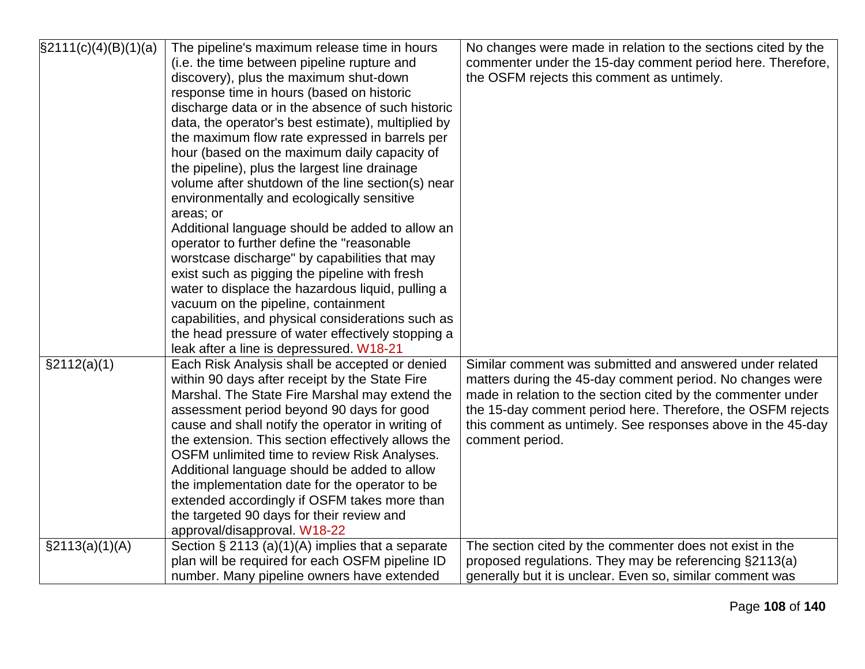| $\S2111(c)(4)(B)(1)(a)$ | The pipeline's maximum release time in hours       | No changes were made in relation to the sections cited by the |
|-------------------------|----------------------------------------------------|---------------------------------------------------------------|
|                         | (i.e. the time between pipeline rupture and        | commenter under the 15-day comment period here. Therefore,    |
|                         | discovery), plus the maximum shut-down             | the OSFM rejects this comment as untimely.                    |
|                         | response time in hours (based on historic          |                                                               |
|                         | discharge data or in the absence of such historic  |                                                               |
|                         | data, the operator's best estimate), multiplied by |                                                               |
|                         | the maximum flow rate expressed in barrels per     |                                                               |
|                         | hour (based on the maximum daily capacity of       |                                                               |
|                         | the pipeline), plus the largest line drainage      |                                                               |
|                         | volume after shutdown of the line section(s) near  |                                                               |
|                         | environmentally and ecologically sensitive         |                                                               |
|                         | areas; or                                          |                                                               |
|                         | Additional language should be added to allow an    |                                                               |
|                         | operator to further define the "reasonable         |                                                               |
|                         | worstcase discharge" by capabilities that may      |                                                               |
|                         | exist such as pigging the pipeline with fresh      |                                                               |
|                         | water to displace the hazardous liquid, pulling a  |                                                               |
|                         | vacuum on the pipeline, containment                |                                                               |
|                         | capabilities, and physical considerations such as  |                                                               |
|                         | the head pressure of water effectively stopping a  |                                                               |
|                         | leak after a line is depressured. W18-21           |                                                               |
| \$2112(a)(1)            | Each Risk Analysis shall be accepted or denied     | Similar comment was submitted and answered under related      |
|                         | within 90 days after receipt by the State Fire     | matters during the 45-day comment period. No changes were     |
|                         | Marshal. The State Fire Marshal may extend the     | made in relation to the section cited by the commenter under  |
|                         | assessment period beyond 90 days for good          | the 15-day comment period here. Therefore, the OSFM rejects   |
|                         | cause and shall notify the operator in writing of  | this comment as untimely. See responses above in the 45-day   |
|                         | the extension. This section effectively allows the | comment period.                                               |
|                         | OSFM unlimited time to review Risk Analyses.       |                                                               |
|                         | Additional language should be added to allow       |                                                               |
|                         | the implementation date for the operator to be     |                                                               |
|                         | extended accordingly if OSFM takes more than       |                                                               |
|                         | the targeted 90 days for their review and          |                                                               |
|                         | approval/disapproval. W18-22                       |                                                               |
| $\S2113(a)(1)(A)$       | Section $\S 2113(a)(1)(A)$ implies that a separate | The section cited by the commenter does not exist in the      |
|                         | plan will be required for each OSFM pipeline ID    | proposed regulations. They may be referencing §2113(a)        |
|                         | number. Many pipeline owners have extended         | generally but it is unclear. Even so, similar comment was     |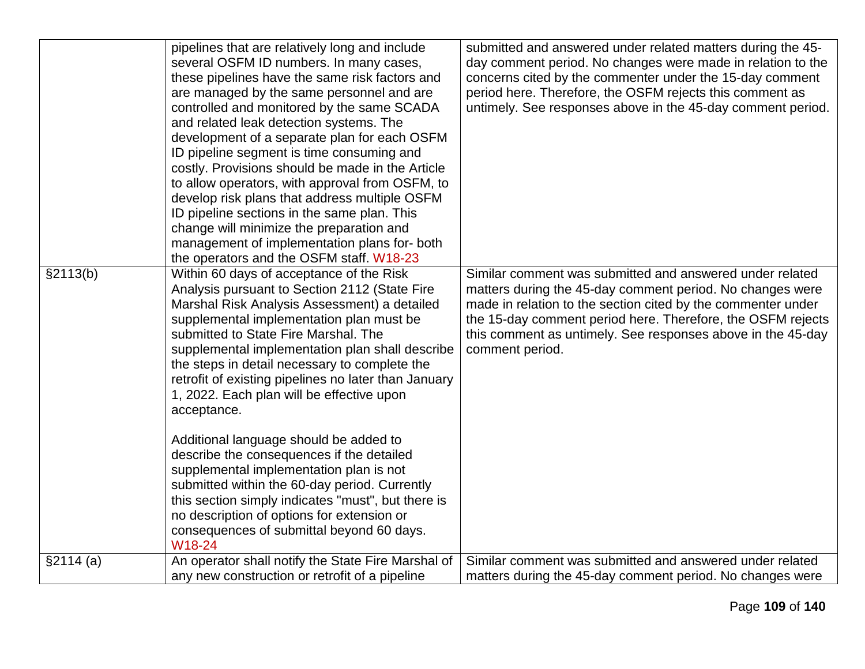|           | pipelines that are relatively long and include<br>several OSFM ID numbers. In many cases,<br>these pipelines have the same risk factors and | submitted and answered under related matters during the 45-<br>day comment period. No changes were made in relation to the<br>concerns cited by the commenter under the 15-day comment |
|-----------|---------------------------------------------------------------------------------------------------------------------------------------------|----------------------------------------------------------------------------------------------------------------------------------------------------------------------------------------|
|           | are managed by the same personnel and are<br>controlled and monitored by the same SCADA                                                     | period here. Therefore, the OSFM rejects this comment as<br>untimely. See responses above in the 45-day comment period.                                                                |
|           | and related leak detection systems. The                                                                                                     |                                                                                                                                                                                        |
|           | development of a separate plan for each OSFM                                                                                                |                                                                                                                                                                                        |
|           | ID pipeline segment is time consuming and<br>costly. Provisions should be made in the Article                                               |                                                                                                                                                                                        |
|           | to allow operators, with approval from OSFM, to                                                                                             |                                                                                                                                                                                        |
|           | develop risk plans that address multiple OSFM                                                                                               |                                                                                                                                                                                        |
|           | ID pipeline sections in the same plan. This                                                                                                 |                                                                                                                                                                                        |
|           | change will minimize the preparation and<br>management of implementation plans for-both                                                     |                                                                                                                                                                                        |
|           | the operators and the OSFM staff. W18-23                                                                                                    |                                                                                                                                                                                        |
| §2113(b)  | Within 60 days of acceptance of the Risk                                                                                                    | Similar comment was submitted and answered under related                                                                                                                               |
|           | Analysis pursuant to Section 2112 (State Fire<br>Marshal Risk Analysis Assessment) a detailed                                               | matters during the 45-day comment period. No changes were<br>made in relation to the section cited by the commenter under                                                              |
|           | supplemental implementation plan must be                                                                                                    | the 15-day comment period here. Therefore, the OSFM rejects                                                                                                                            |
|           | submitted to State Fire Marshal. The                                                                                                        | this comment as untimely. See responses above in the 45-day                                                                                                                            |
|           | supplemental implementation plan shall describe                                                                                             | comment period.                                                                                                                                                                        |
|           | the steps in detail necessary to complete the<br>retrofit of existing pipelines no later than January                                       |                                                                                                                                                                                        |
|           | 1, 2022. Each plan will be effective upon                                                                                                   |                                                                                                                                                                                        |
|           | acceptance.                                                                                                                                 |                                                                                                                                                                                        |
|           | Additional language should be added to                                                                                                      |                                                                                                                                                                                        |
|           | describe the consequences if the detailed                                                                                                   |                                                                                                                                                                                        |
|           | supplemental implementation plan is not                                                                                                     |                                                                                                                                                                                        |
|           | submitted within the 60-day period. Currently<br>this section simply indicates "must", but there is                                         |                                                                                                                                                                                        |
|           | no description of options for extension or                                                                                                  |                                                                                                                                                                                        |
|           | consequences of submittal beyond 60 days.                                                                                                   |                                                                                                                                                                                        |
|           | W18-24                                                                                                                                      |                                                                                                                                                                                        |
| \$2114(a) | An operator shall notify the State Fire Marshal of                                                                                          | Similar comment was submitted and answered under related                                                                                                                               |
|           | any new construction or retrofit of a pipeline                                                                                              | matters during the 45-day comment period. No changes were                                                                                                                              |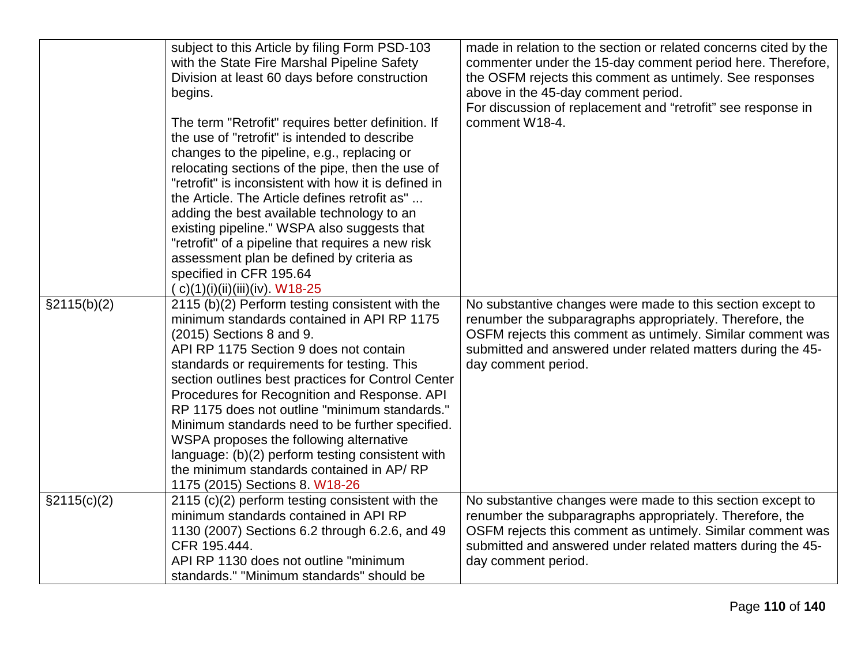|                | subject to this Article by filing Form PSD-103<br>with the State Fire Marshal Pipeline Safety<br>Division at least 60 days before construction<br>begins.<br>The term "Retrofit" requires better definition. If<br>the use of "retrofit" is intended to describe<br>changes to the pipeline, e.g., replacing or<br>relocating sections of the pipe, then the use of<br>"retrofit" is inconsistent with how it is defined in<br>the Article. The Article defines retrofit as"<br>adding the best available technology to an<br>existing pipeline." WSPA also suggests that<br>"retrofit" of a pipeline that requires a new risk<br>assessment plan be defined by criteria as<br>specified in CFR 195.64<br>( c)(1)(i)(ii)(iii)(iv). W18-25 | made in relation to the section or related concerns cited by the<br>commenter under the 15-day comment period here. Therefore,<br>the OSFM rejects this comment as untimely. See responses<br>above in the 45-day comment period.<br>For discussion of replacement and "retrofit" see response in<br>comment W18-4. |
|----------------|-------------------------------------------------------------------------------------------------------------------------------------------------------------------------------------------------------------------------------------------------------------------------------------------------------------------------------------------------------------------------------------------------------------------------------------------------------------------------------------------------------------------------------------------------------------------------------------------------------------------------------------------------------------------------------------------------------------------------------------------|---------------------------------------------------------------------------------------------------------------------------------------------------------------------------------------------------------------------------------------------------------------------------------------------------------------------|
| $\S2115(b)(2)$ | 2115 (b)(2) Perform testing consistent with the<br>minimum standards contained in API RP 1175<br>$(2015)$ Sections 8 and 9.<br>API RP 1175 Section 9 does not contain<br>standards or requirements for testing. This<br>section outlines best practices for Control Center<br>Procedures for Recognition and Response. API<br>RP 1175 does not outline "minimum standards."<br>Minimum standards need to be further specified.<br>WSPA proposes the following alternative<br>language: (b)(2) perform testing consistent with<br>the minimum standards contained in AP/RP<br>1175 (2015) Sections 8. W18-26                                                                                                                               | No substantive changes were made to this section except to<br>renumber the subparagraphs appropriately. Therefore, the<br>OSFM rejects this comment as untimely. Similar comment was<br>submitted and answered under related matters during the 45-<br>day comment period.                                          |
| $\S2115(c)(2)$ | 2115 (c)(2) perform testing consistent with the<br>minimum standards contained in API RP<br>1130 (2007) Sections 6.2 through 6.2.6, and 49<br>CFR 195.444.<br>API RP 1130 does not outline "minimum<br>standards." "Minimum standards" should be                                                                                                                                                                                                                                                                                                                                                                                                                                                                                          | No substantive changes were made to this section except to<br>renumber the subparagraphs appropriately. Therefore, the<br>OSFM rejects this comment as untimely. Similar comment was<br>submitted and answered under related matters during the 45-<br>day comment period.                                          |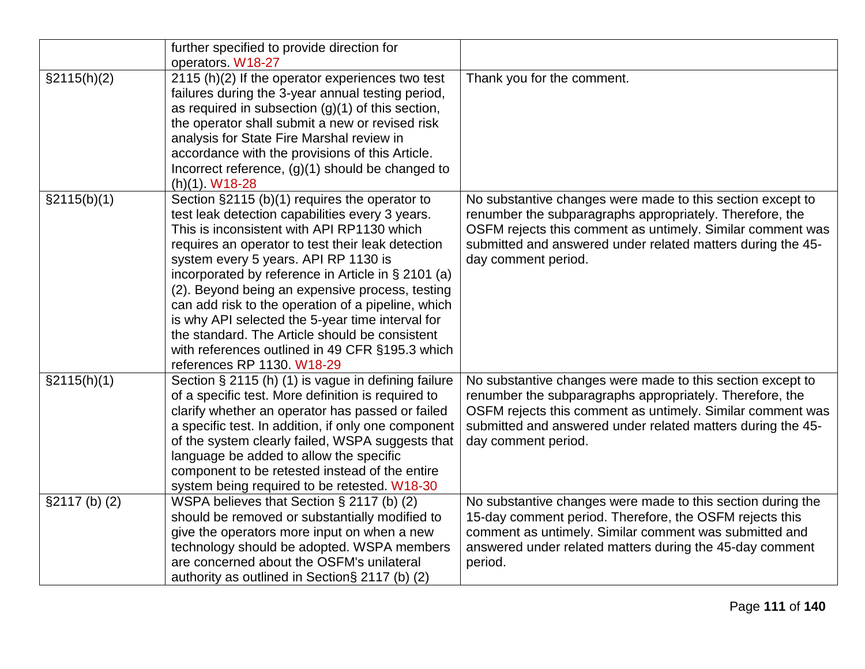|               | further specified to provide direction for                                                            |                                                                                                                    |
|---------------|-------------------------------------------------------------------------------------------------------|--------------------------------------------------------------------------------------------------------------------|
|               | operators. W18-27                                                                                     |                                                                                                                    |
| §2115(h)(2)   | 2115 (h)(2) If the operator experiences two test<br>failures during the 3-year annual testing period, | Thank you for the comment.                                                                                         |
|               | as required in subsection $(g)(1)$ of this section,                                                   |                                                                                                                    |
|               | the operator shall submit a new or revised risk                                                       |                                                                                                                    |
|               | analysis for State Fire Marshal review in                                                             |                                                                                                                    |
|               | accordance with the provisions of this Article.                                                       |                                                                                                                    |
|               | Incorrect reference, $(g)(1)$ should be changed to                                                    |                                                                                                                    |
|               | $(h)(1)$ . W18-28                                                                                     |                                                                                                                    |
| §2115(b)(1)   | Section §2115 (b)(1) requires the operator to                                                         | No substantive changes were made to this section except to                                                         |
|               | test leak detection capabilities every 3 years.                                                       | renumber the subparagraphs appropriately. Therefore, the                                                           |
|               | This is inconsistent with API RP1130 which                                                            | OSFM rejects this comment as untimely. Similar comment was                                                         |
|               | requires an operator to test their leak detection                                                     | submitted and answered under related matters during the 45-                                                        |
|               | system every 5 years. API RP 1130 is                                                                  | day comment period.                                                                                                |
|               | incorporated by reference in Article in § 2101 (a)                                                    |                                                                                                                    |
|               | (2). Beyond being an expensive process, testing                                                       |                                                                                                                    |
|               | can add risk to the operation of a pipeline, which                                                    |                                                                                                                    |
|               | is why API selected the 5-year time interval for                                                      |                                                                                                                    |
|               | the standard. The Article should be consistent                                                        |                                                                                                                    |
|               | with references outlined in 49 CFR §195.3 which                                                       |                                                                                                                    |
|               | references RP 1130. W18-29                                                                            |                                                                                                                    |
| §2115(h)(1)   | Section § 2115 (h) (1) is vague in defining failure                                                   | No substantive changes were made to this section except to                                                         |
|               | of a specific test. More definition is required to                                                    | renumber the subparagraphs appropriately. Therefore, the                                                           |
|               | clarify whether an operator has passed or failed                                                      | OSFM rejects this comment as untimely. Similar comment was                                                         |
|               | a specific test. In addition, if only one component                                                   | submitted and answered under related matters during the 45-                                                        |
|               | of the system clearly failed, WSPA suggests that                                                      | day comment period.                                                                                                |
|               | language be added to allow the specific                                                               |                                                                                                                    |
|               | component to be retested instead of the entire                                                        |                                                                                                                    |
|               | system being required to be retested. W18-30                                                          |                                                                                                                    |
| \$2117(b) (2) | WSPA believes that Section § 2117 (b) (2)                                                             | No substantive changes were made to this section during the                                                        |
|               | should be removed or substantially modified to                                                        | 15-day comment period. Therefore, the OSFM rejects this                                                            |
|               | give the operators more input on when a new<br>technology should be adopted. WSPA members             | comment as untimely. Similar comment was submitted and<br>answered under related matters during the 45-day comment |
|               | are concerned about the OSFM's unilateral                                                             | period.                                                                                                            |
|               | authority as outlined in Section§ 2117 (b) (2)                                                        |                                                                                                                    |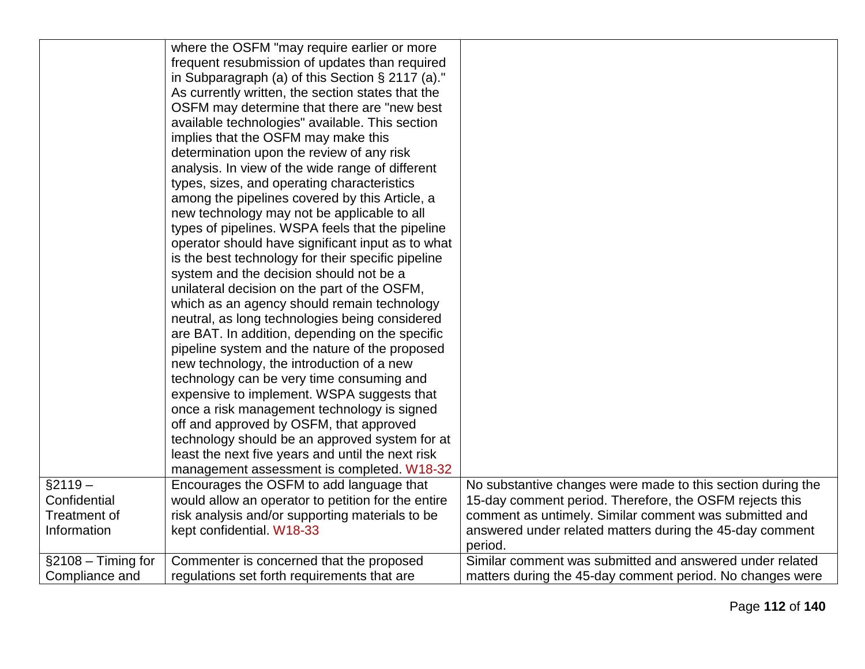|                        | where the OSFM "may require earlier or more         |                                                             |
|------------------------|-----------------------------------------------------|-------------------------------------------------------------|
|                        | frequent resubmission of updates than required      |                                                             |
|                        | in Subparagraph (a) of this Section $\S$ 2117 (a)." |                                                             |
|                        | As currently written, the section states that the   |                                                             |
|                        | OSFM may determine that there are "new best         |                                                             |
|                        | available technologies" available. This section     |                                                             |
|                        | implies that the OSFM may make this                 |                                                             |
|                        |                                                     |                                                             |
|                        | determination upon the review of any risk           |                                                             |
|                        | analysis. In view of the wide range of different    |                                                             |
|                        | types, sizes, and operating characteristics         |                                                             |
|                        | among the pipelines covered by this Article, a      |                                                             |
|                        | new technology may not be applicable to all         |                                                             |
|                        | types of pipelines. WSPA feels that the pipeline    |                                                             |
|                        | operator should have significant input as to what   |                                                             |
|                        | is the best technology for their specific pipeline  |                                                             |
|                        | system and the decision should not be a             |                                                             |
|                        | unilateral decision on the part of the OSFM,        |                                                             |
|                        | which as an agency should remain technology         |                                                             |
|                        | neutral, as long technologies being considered      |                                                             |
|                        | are BAT. In addition, depending on the specific     |                                                             |
|                        | pipeline system and the nature of the proposed      |                                                             |
|                        | new technology, the introduction of a new           |                                                             |
|                        | technology can be very time consuming and           |                                                             |
|                        | expensive to implement. WSPA suggests that          |                                                             |
|                        | once a risk management technology is signed         |                                                             |
|                        | off and approved by OSFM, that approved             |                                                             |
|                        | technology should be an approved system for at      |                                                             |
|                        | least the next five years and until the next risk   |                                                             |
|                        | management assessment is completed. W18-32          |                                                             |
| $§2119 -$              | Encourages the OSFM to add language that            | No substantive changes were made to this section during the |
| Confidential           | would allow an operator to petition for the entire  | 15-day comment period. Therefore, the OSFM rejects this     |
| <b>Treatment of</b>    | risk analysis and/or supporting materials to be     | comment as untimely. Similar comment was submitted and      |
| Information            | kept confidential. W18-33                           | answered under related matters during the 45-day comment    |
|                        |                                                     | period.                                                     |
| $\S$ 2108 – Timing for | Commenter is concerned that the proposed            | Similar comment was submitted and answered under related    |
| Compliance and         | regulations set forth requirements that are         | matters during the 45-day comment period. No changes were   |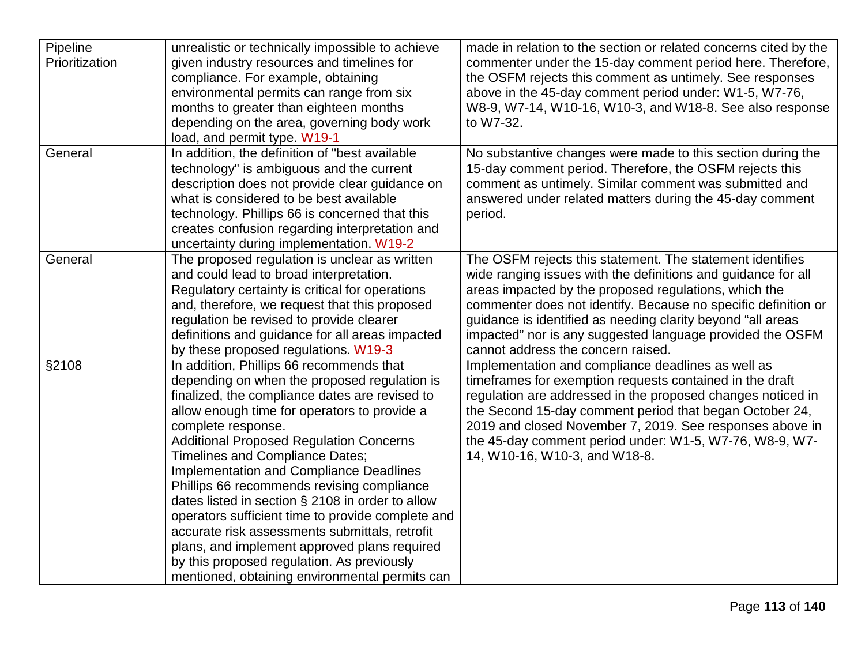| Pipeline<br>Prioritization | unrealistic or technically impossible to achieve<br>given industry resources and timelines for<br>compliance. For example, obtaining<br>environmental permits can range from six<br>months to greater than eighteen months<br>depending on the area, governing body work<br>load, and permit type. W19-1                                                                                                                                                                                                                                                                                                                                                                                                         | made in relation to the section or related concerns cited by the<br>commenter under the 15-day comment period here. Therefore,<br>the OSFM rejects this comment as untimely. See responses<br>above in the 45-day comment period under: W1-5, W7-76,<br>W8-9, W7-14, W10-16, W10-3, and W18-8. See also response<br>to W7-32.                                                                                           |
|----------------------------|------------------------------------------------------------------------------------------------------------------------------------------------------------------------------------------------------------------------------------------------------------------------------------------------------------------------------------------------------------------------------------------------------------------------------------------------------------------------------------------------------------------------------------------------------------------------------------------------------------------------------------------------------------------------------------------------------------------|-------------------------------------------------------------------------------------------------------------------------------------------------------------------------------------------------------------------------------------------------------------------------------------------------------------------------------------------------------------------------------------------------------------------------|
| General                    | In addition, the definition of "best available<br>technology" is ambiguous and the current<br>description does not provide clear guidance on<br>what is considered to be best available<br>technology. Phillips 66 is concerned that this<br>creates confusion regarding interpretation and<br>uncertainty during implementation. W19-2                                                                                                                                                                                                                                                                                                                                                                          | No substantive changes were made to this section during the<br>15-day comment period. Therefore, the OSFM rejects this<br>comment as untimely. Similar comment was submitted and<br>answered under related matters during the 45-day comment<br>period.                                                                                                                                                                 |
| General                    | The proposed regulation is unclear as written<br>and could lead to broad interpretation.<br>Regulatory certainty is critical for operations<br>and, therefore, we request that this proposed<br>regulation be revised to provide clearer<br>definitions and guidance for all areas impacted<br>by these proposed regulations. W19-3                                                                                                                                                                                                                                                                                                                                                                              | The OSFM rejects this statement. The statement identifies<br>wide ranging issues with the definitions and guidance for all<br>areas impacted by the proposed regulations, which the<br>commenter does not identify. Because no specific definition or<br>guidance is identified as needing clarity beyond "all areas<br>impacted" nor is any suggested language provided the OSFM<br>cannot address the concern raised. |
| §2108                      | In addition, Phillips 66 recommends that<br>depending on when the proposed regulation is<br>finalized, the compliance dates are revised to<br>allow enough time for operators to provide a<br>complete response.<br><b>Additional Proposed Regulation Concerns</b><br>Timelines and Compliance Dates;<br><b>Implementation and Compliance Deadlines</b><br>Phillips 66 recommends revising compliance<br>dates listed in section § 2108 in order to allow<br>operators sufficient time to provide complete and<br>accurate risk assessments submittals, retrofit<br>plans, and implement approved plans required<br>by this proposed regulation. As previously<br>mentioned, obtaining environmental permits can | Implementation and compliance deadlines as well as<br>timeframes for exemption requests contained in the draft<br>regulation are addressed in the proposed changes noticed in<br>the Second 15-day comment period that began October 24,<br>2019 and closed November 7, 2019. See responses above in<br>the 45-day comment period under: W1-5, W7-76, W8-9, W7-<br>14, W10-16, W10-3, and W18-8.                        |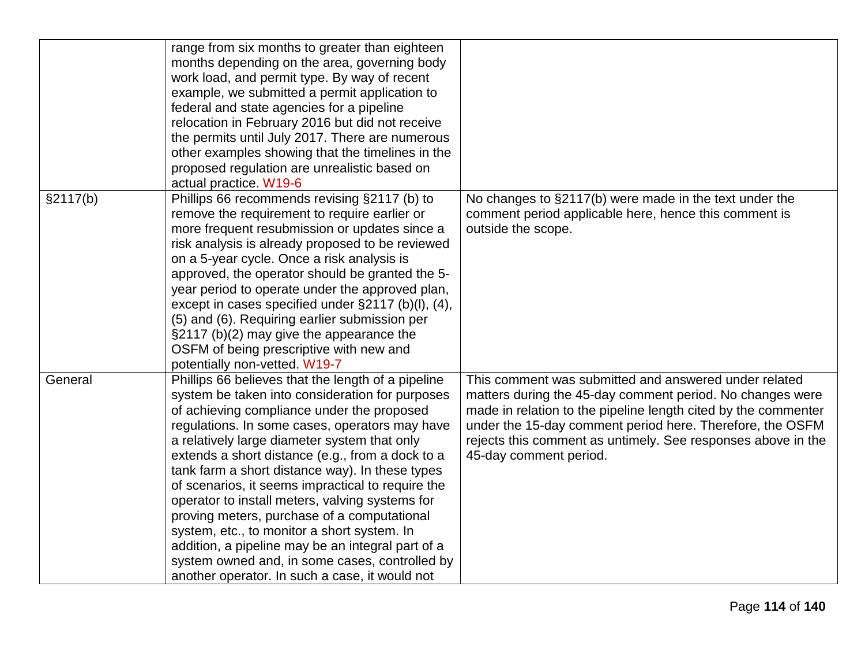|          | range from six months to greater than eighteen<br>months depending on the area, governing body |                                                                |
|----------|------------------------------------------------------------------------------------------------|----------------------------------------------------------------|
|          | work load, and permit type. By way of recent                                                   |                                                                |
|          | example, we submitted a permit application to                                                  |                                                                |
|          | federal and state agencies for a pipeline                                                      |                                                                |
|          | relocation in February 2016 but did not receive                                                |                                                                |
|          | the permits until July 2017. There are numerous                                                |                                                                |
|          | other examples showing that the timelines in the                                               |                                                                |
|          | proposed regulation are unrealistic based on                                                   |                                                                |
|          | actual practice. W19-6                                                                         |                                                                |
| §2117(b) | Phillips 66 recommends revising §2117 (b) to                                                   | No changes to §2117(b) were made in the text under the         |
|          | remove the requirement to require earlier or                                                   | comment period applicable here, hence this comment is          |
|          | more frequent resubmission or updates since a                                                  | outside the scope.                                             |
|          | risk analysis is already proposed to be reviewed                                               |                                                                |
|          | on a 5-year cycle. Once a risk analysis is                                                     |                                                                |
|          | approved, the operator should be granted the 5-                                                |                                                                |
|          | year period to operate under the approved plan,                                                |                                                                |
|          | except in cases specified under $\S2117$ (b)(l), (4),                                          |                                                                |
|          | (5) and (6). Requiring earlier submission per                                                  |                                                                |
|          | §2117 (b)(2) may give the appearance the                                                       |                                                                |
|          | OSFM of being prescriptive with new and                                                        |                                                                |
|          | potentially non-vetted. W19-7                                                                  |                                                                |
| General  | Phillips 66 believes that the length of a pipeline                                             | This comment was submitted and answered under related          |
|          | system be taken into consideration for purposes                                                | matters during the 45-day comment period. No changes were      |
|          | of achieving compliance under the proposed                                                     | made in relation to the pipeline length cited by the commenter |
|          | regulations. In some cases, operators may have                                                 | under the 15-day comment period here. Therefore, the OSFM      |
|          | a relatively large diameter system that only                                                   | rejects this comment as untimely. See responses above in the   |
|          | extends a short distance (e.g., from a dock to a                                               | 45-day comment period.                                         |
|          | tank farm a short distance way). In these types                                                |                                                                |
|          | of scenarios, it seems impractical to require the                                              |                                                                |
|          | operator to install meters, valving systems for                                                |                                                                |
|          | proving meters, purchase of a computational                                                    |                                                                |
|          | system, etc., to monitor a short system. In                                                    |                                                                |
|          | addition, a pipeline may be an integral part of a                                              |                                                                |
|          | system owned and, in some cases, controlled by                                                 |                                                                |
|          | another operator. In such a case, it would not                                                 |                                                                |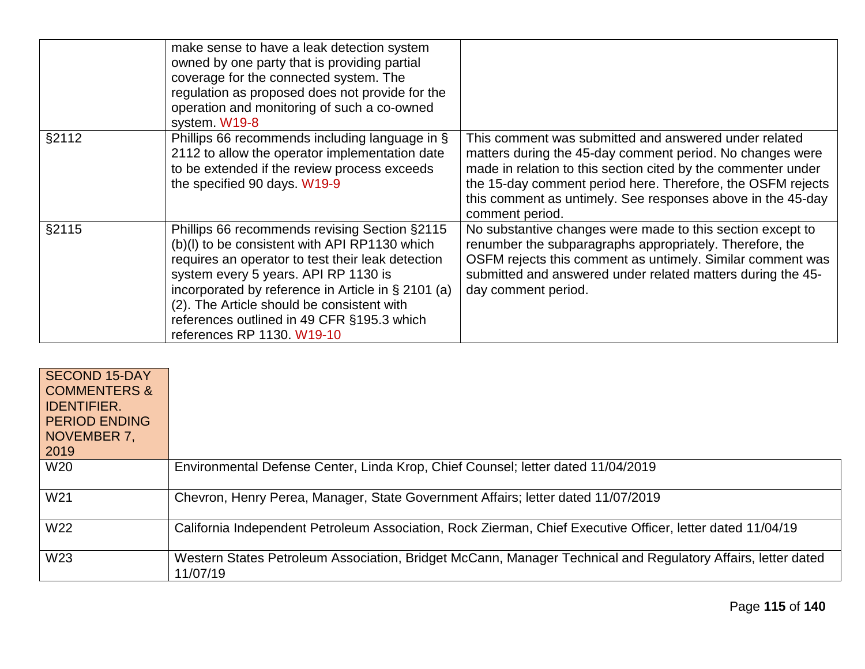|       | make sense to have a leak detection system<br>owned by one party that is providing partial<br>coverage for the connected system. The<br>regulation as proposed does not provide for the<br>operation and monitoring of such a co-owned<br>system. W19-8                                                                                                                     |                                                                                                                                                                                                                                                                                                                                      |
|-------|-----------------------------------------------------------------------------------------------------------------------------------------------------------------------------------------------------------------------------------------------------------------------------------------------------------------------------------------------------------------------------|--------------------------------------------------------------------------------------------------------------------------------------------------------------------------------------------------------------------------------------------------------------------------------------------------------------------------------------|
| §2112 | Phillips 66 recommends including language in §<br>2112 to allow the operator implementation date<br>to be extended if the review process exceeds<br>the specified 90 days. W19-9                                                                                                                                                                                            | This comment was submitted and answered under related<br>matters during the 45-day comment period. No changes were<br>made in relation to this section cited by the commenter under<br>the 15-day comment period here. Therefore, the OSFM rejects<br>this comment as untimely. See responses above in the 45-day<br>comment period. |
| §2115 | Phillips 66 recommends revising Section §2115<br>(b)(l) to be consistent with API RP1130 which<br>requires an operator to test their leak detection<br>system every 5 years. API RP 1130 is<br>incorporated by reference in Article in § 2101 (a)<br>(2). The Article should be consistent with<br>references outlined in 49 CFR §195.3 which<br>references RP 1130. W19-10 | No substantive changes were made to this section except to<br>renumber the subparagraphs appropriately. Therefore, the<br>OSFM rejects this comment as untimely. Similar comment was<br>submitted and answered under related matters during the 45-<br>day comment period.                                                           |

| <b>SECOND 15-DAY</b><br><b>COMMENTERS &amp;</b><br><b>IDENTIFIER.</b><br><b>PERIOD ENDING</b><br>NOVEMBER 7,<br>2019 |                                                                                                                          |
|----------------------------------------------------------------------------------------------------------------------|--------------------------------------------------------------------------------------------------------------------------|
| W20                                                                                                                  | Environmental Defense Center, Linda Krop, Chief Counsel; letter dated 11/04/2019                                         |
| W21                                                                                                                  | Chevron, Henry Perea, Manager, State Government Affairs; letter dated 11/07/2019                                         |
| W22                                                                                                                  | California Independent Petroleum Association, Rock Zierman, Chief Executive Officer, letter dated 11/04/19               |
| W <sub>23</sub>                                                                                                      | Western States Petroleum Association, Bridget McCann, Manager Technical and Regulatory Affairs, letter dated<br>11/07/19 |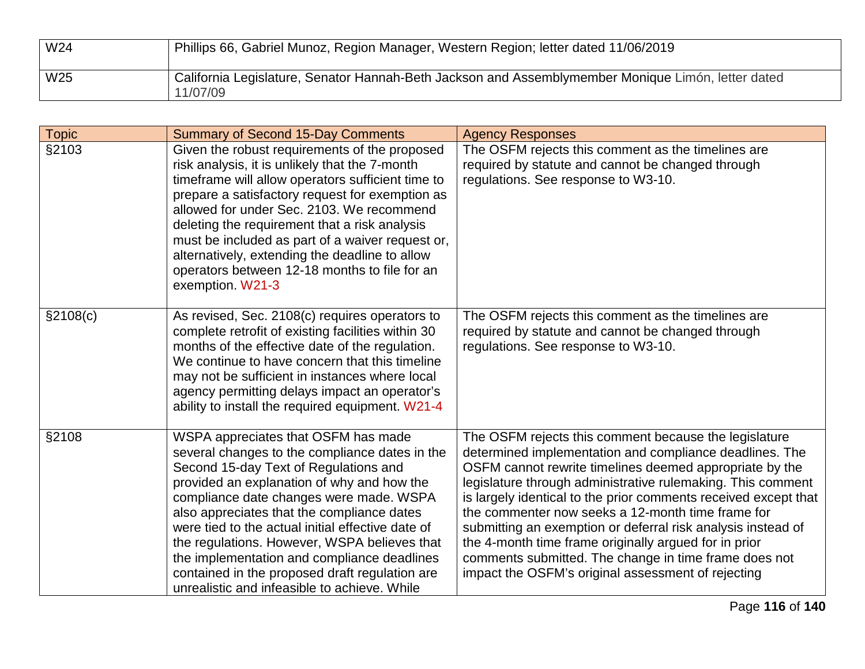| W <sub>24</sub> | Phillips 66, Gabriel Munoz, Region Manager, Western Region; letter dated 11/06/2019                            |
|-----------------|----------------------------------------------------------------------------------------------------------------|
| W25             | California Legislature, Senator Hannah-Beth Jackson and Assemblymember Monique Limón, letter dated<br>11/07/09 |

| <b>Topic</b> | <b>Summary of Second 15-Day Comments</b>                                                                                                                                                                                                                                                                                                                                                                                                                                                                                    | <b>Agency Responses</b>                                                                                                                                                                                                                                                                                                                                                                                                                                                                                                                                                                                    |
|--------------|-----------------------------------------------------------------------------------------------------------------------------------------------------------------------------------------------------------------------------------------------------------------------------------------------------------------------------------------------------------------------------------------------------------------------------------------------------------------------------------------------------------------------------|------------------------------------------------------------------------------------------------------------------------------------------------------------------------------------------------------------------------------------------------------------------------------------------------------------------------------------------------------------------------------------------------------------------------------------------------------------------------------------------------------------------------------------------------------------------------------------------------------------|
| §2103        | Given the robust requirements of the proposed<br>risk analysis, it is unlikely that the 7-month<br>timeframe will allow operators sufficient time to<br>prepare a satisfactory request for exemption as<br>allowed for under Sec. 2103. We recommend<br>deleting the requirement that a risk analysis<br>must be included as part of a waiver request or,<br>alternatively, extending the deadline to allow<br>operators between 12-18 months to file for an<br>exemption. W21-3                                            | The OSFM rejects this comment as the timelines are<br>required by statute and cannot be changed through<br>regulations. See response to W3-10.                                                                                                                                                                                                                                                                                                                                                                                                                                                             |
| \$2108(c)    | As revised, Sec. 2108(c) requires operators to<br>complete retrofit of existing facilities within 30<br>months of the effective date of the regulation.<br>We continue to have concern that this timeline<br>may not be sufficient in instances where local<br>agency permitting delays impact an operator's<br>ability to install the required equipment. W21-4                                                                                                                                                            | The OSFM rejects this comment as the timelines are<br>required by statute and cannot be changed through<br>regulations. See response to W3-10.                                                                                                                                                                                                                                                                                                                                                                                                                                                             |
| §2108        | WSPA appreciates that OSFM has made<br>several changes to the compliance dates in the<br>Second 15-day Text of Regulations and<br>provided an explanation of why and how the<br>compliance date changes were made. WSPA<br>also appreciates that the compliance dates<br>were tied to the actual initial effective date of<br>the regulations. However, WSPA believes that<br>the implementation and compliance deadlines<br>contained in the proposed draft regulation are<br>unrealistic and infeasible to achieve. While | The OSFM rejects this comment because the legislature<br>determined implementation and compliance deadlines. The<br>OSFM cannot rewrite timelines deemed appropriate by the<br>legislature through administrative rulemaking. This comment<br>is largely identical to the prior comments received except that<br>the commenter now seeks a 12-month time frame for<br>submitting an exemption or deferral risk analysis instead of<br>the 4-month time frame originally argued for in prior<br>comments submitted. The change in time frame does not<br>impact the OSFM's original assessment of rejecting |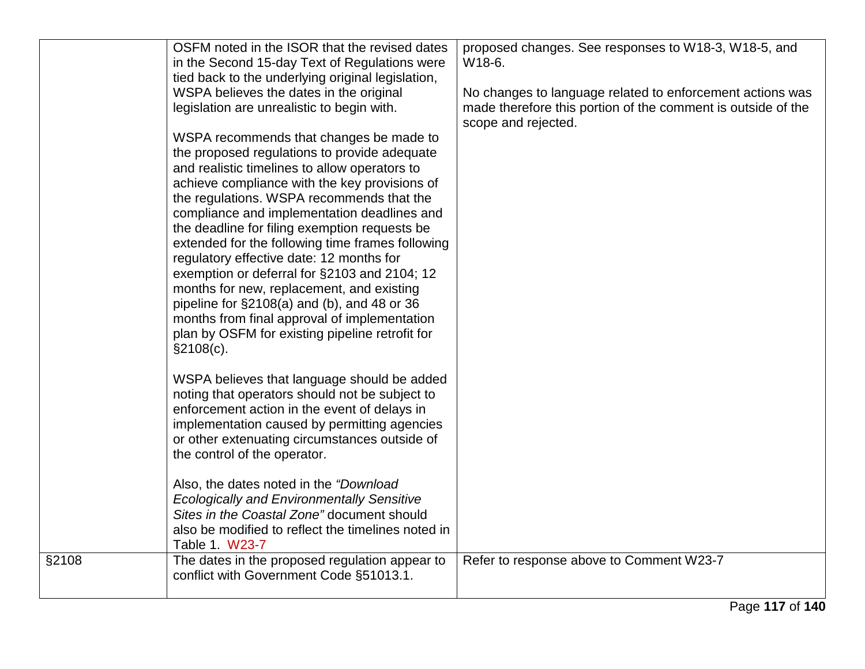|       | OSFM noted in the ISOR that the revised dates<br>in the Second 15-day Text of Regulations were<br>tied back to the underlying original legislation,<br>WSPA believes the dates in the original<br>legislation are unrealistic to begin with.<br>WSPA recommends that changes be made to<br>the proposed regulations to provide adequate<br>and realistic timelines to allow operators to<br>achieve compliance with the key provisions of<br>the regulations. WSPA recommends that the<br>compliance and implementation deadlines and<br>the deadline for filing exemption requests be<br>extended for the following time frames following<br>regulatory effective date: 12 months for<br>exemption or deferral for §2103 and 2104; 12<br>months for new, replacement, and existing<br>pipeline for $\S2108(a)$ and (b), and 48 or 36<br>months from final approval of implementation<br>plan by OSFM for existing pipeline retrofit for<br>§2108(c). | proposed changes. See responses to W18-3, W18-5, and<br>W18-6.<br>No changes to language related to enforcement actions was<br>made therefore this portion of the comment is outside of the<br>scope and rejected. |
|-------|-------------------------------------------------------------------------------------------------------------------------------------------------------------------------------------------------------------------------------------------------------------------------------------------------------------------------------------------------------------------------------------------------------------------------------------------------------------------------------------------------------------------------------------------------------------------------------------------------------------------------------------------------------------------------------------------------------------------------------------------------------------------------------------------------------------------------------------------------------------------------------------------------------------------------------------------------------|--------------------------------------------------------------------------------------------------------------------------------------------------------------------------------------------------------------------|
|       | WSPA believes that language should be added<br>noting that operators should not be subject to<br>enforcement action in the event of delays in<br>implementation caused by permitting agencies<br>or other extenuating circumstances outside of<br>the control of the operator.<br>Also, the dates noted in the "Download<br><b>Ecologically and Environmentally Sensitive</b><br>Sites in the Coastal Zone" document should<br>also be modified to reflect the timelines noted in<br>Table 1. W23-7                                                                                                                                                                                                                                                                                                                                                                                                                                                   |                                                                                                                                                                                                                    |
| §2108 | The dates in the proposed regulation appear to<br>conflict with Government Code §51013.1.                                                                                                                                                                                                                                                                                                                                                                                                                                                                                                                                                                                                                                                                                                                                                                                                                                                             | Refer to response above to Comment W23-7                                                                                                                                                                           |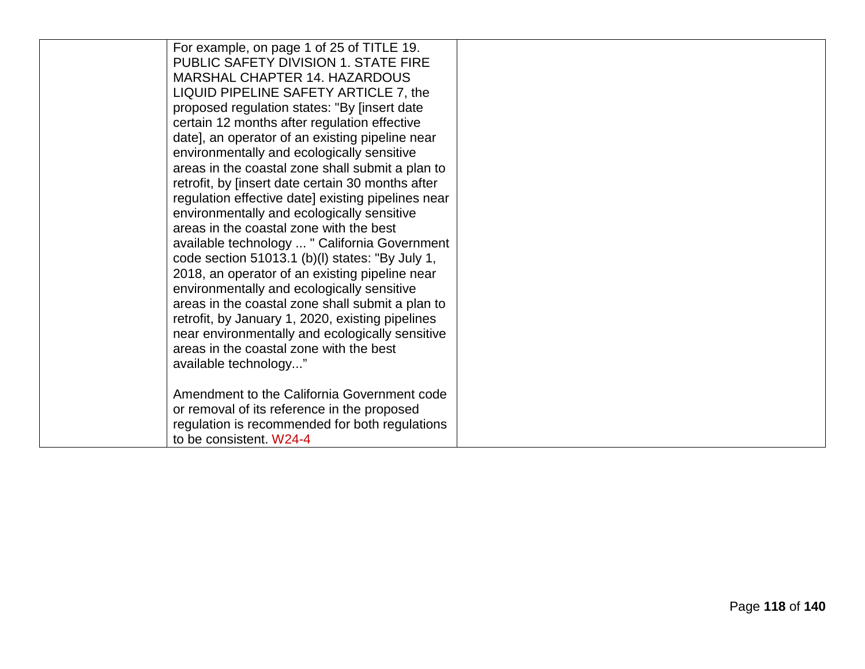| For example, on page 1 of 25 of TITLE 19.          |  |
|----------------------------------------------------|--|
| PUBLIC SAFETY DIVISION 1. STATE FIRE               |  |
| MARSHAL CHAPTER 14. HAZARDOUS                      |  |
| LIQUID PIPELINE SAFETY ARTICLE 7, the              |  |
| proposed regulation states: "By [insert date       |  |
| certain 12 months after regulation effective       |  |
| date], an operator of an existing pipeline near    |  |
| environmentally and ecologically sensitive         |  |
| areas in the coastal zone shall submit a plan to   |  |
| retrofit, by [insert date certain 30 months after  |  |
| regulation effective date] existing pipelines near |  |
| environmentally and ecologically sensitive         |  |
| areas in the coastal zone with the best            |  |
| available technology  " California Government      |  |
| code section 51013.1 (b)(l) states: "By July 1,    |  |
| 2018, an operator of an existing pipeline near     |  |
| environmentally and ecologically sensitive         |  |
| areas in the coastal zone shall submit a plan to   |  |
| retrofit, by January 1, 2020, existing pipelines   |  |
| near environmentally and ecologically sensitive    |  |
| areas in the coastal zone with the best            |  |
| available technology"                              |  |
|                                                    |  |
| Amendment to the California Government code        |  |
| or removal of its reference in the proposed        |  |
| regulation is recommended for both regulations     |  |
| to be consistent. W24-4                            |  |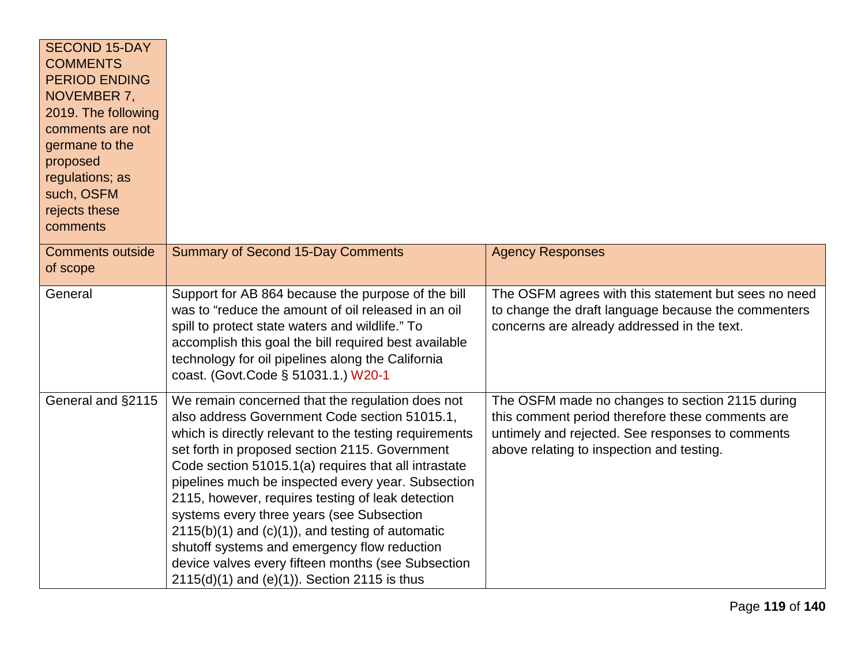| <b>SECOND 15-DAY</b><br><b>COMMENTS</b><br><b>PERIOD ENDING</b><br>NOVEMBER 7,<br>2019. The following<br>comments are not<br>germane to the<br>proposed<br>regulations; as<br>such, OSFM<br>rejects these<br>comments |                                                                                                                                                                                                                                                                                                                                                                                                                                                                                                                                                                                                                                               |                                                                                                                                                                                                      |
|-----------------------------------------------------------------------------------------------------------------------------------------------------------------------------------------------------------------------|-----------------------------------------------------------------------------------------------------------------------------------------------------------------------------------------------------------------------------------------------------------------------------------------------------------------------------------------------------------------------------------------------------------------------------------------------------------------------------------------------------------------------------------------------------------------------------------------------------------------------------------------------|------------------------------------------------------------------------------------------------------------------------------------------------------------------------------------------------------|
| <b>Comments outside</b><br>of scope                                                                                                                                                                                   | <b>Summary of Second 15-Day Comments</b>                                                                                                                                                                                                                                                                                                                                                                                                                                                                                                                                                                                                      | <b>Agency Responses</b>                                                                                                                                                                              |
| General                                                                                                                                                                                                               | Support for AB 864 because the purpose of the bill<br>was to "reduce the amount of oil released in an oil<br>spill to protect state waters and wildlife." To<br>accomplish this goal the bill required best available<br>technology for oil pipelines along the California<br>coast. (Govt.Code § 51031.1.) W20-1                                                                                                                                                                                                                                                                                                                             | The OSFM agrees with this statement but sees no need<br>to change the draft language because the commenters<br>concerns are already addressed in the text.                                           |
| General and §2115                                                                                                                                                                                                     | We remain concerned that the regulation does not<br>also address Government Code section 51015.1,<br>which is directly relevant to the testing requirements<br>set forth in proposed section 2115. Government<br>Code section 51015.1(a) requires that all intrastate<br>pipelines much be inspected every year. Subsection<br>2115, however, requires testing of leak detection<br>systems every three years (see Subsection<br>$2115(b)(1)$ and $(c)(1)$ , and testing of automatic<br>shutoff systems and emergency flow reduction<br>device valves every fifteen months (see Subsection<br>$2115(d)(1)$ and (e)(1)). Section 2115 is thus | The OSFM made no changes to section 2115 during<br>this comment period therefore these comments are<br>untimely and rejected. See responses to comments<br>above relating to inspection and testing. |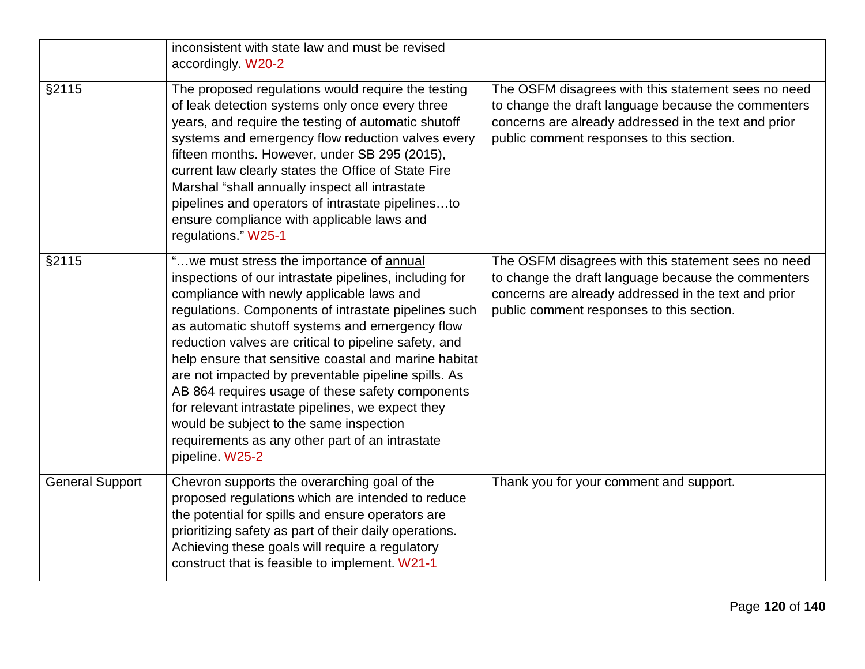|                        | inconsistent with state law and must be revised<br>accordingly. W20-2                                                                                                                                                                                                                                                                                                                                                                                                                                                                                                                                                                                         |                                                                                                                                                                                                                 |
|------------------------|---------------------------------------------------------------------------------------------------------------------------------------------------------------------------------------------------------------------------------------------------------------------------------------------------------------------------------------------------------------------------------------------------------------------------------------------------------------------------------------------------------------------------------------------------------------------------------------------------------------------------------------------------------------|-----------------------------------------------------------------------------------------------------------------------------------------------------------------------------------------------------------------|
| §2115                  | The proposed regulations would require the testing<br>of leak detection systems only once every three<br>years, and require the testing of automatic shutoff<br>systems and emergency flow reduction valves every<br>fifteen months. However, under SB 295 (2015),<br>current law clearly states the Office of State Fire<br>Marshal "shall annually inspect all intrastate<br>pipelines and operators of intrastate pipelinesto<br>ensure compliance with applicable laws and<br>regulations." W25-1                                                                                                                                                         | The OSFM disagrees with this statement sees no need<br>to change the draft language because the commenters<br>concerns are already addressed in the text and prior<br>public comment responses to this section. |
| §2115                  | "we must stress the importance of annual<br>inspections of our intrastate pipelines, including for<br>compliance with newly applicable laws and<br>regulations. Components of intrastate pipelines such<br>as automatic shutoff systems and emergency flow<br>reduction valves are critical to pipeline safety, and<br>help ensure that sensitive coastal and marine habitat<br>are not impacted by preventable pipeline spills. As<br>AB 864 requires usage of these safety components<br>for relevant intrastate pipelines, we expect they<br>would be subject to the same inspection<br>requirements as any other part of an intrastate<br>pipeline. W25-2 | The OSFM disagrees with this statement sees no need<br>to change the draft language because the commenters<br>concerns are already addressed in the text and prior<br>public comment responses to this section. |
| <b>General Support</b> | Chevron supports the overarching goal of the<br>proposed regulations which are intended to reduce<br>the potential for spills and ensure operators are<br>prioritizing safety as part of their daily operations.<br>Achieving these goals will require a regulatory<br>construct that is feasible to implement. W21-1                                                                                                                                                                                                                                                                                                                                         | Thank you for your comment and support.                                                                                                                                                                         |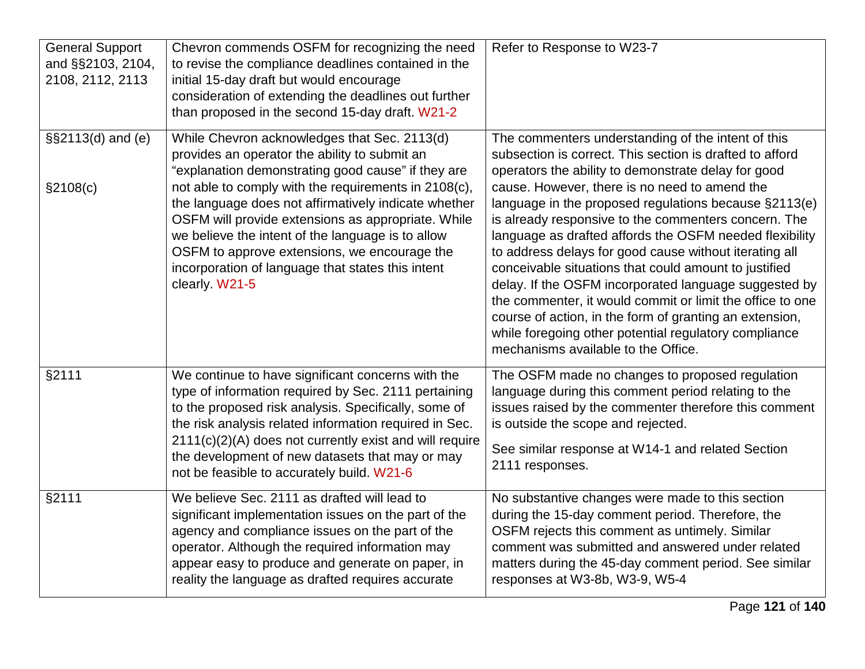| <b>General Support</b><br>and §§2103, 2104,<br>2108, 2112, 2113 | Chevron commends OSFM for recognizing the need<br>to revise the compliance deadlines contained in the<br>initial 15-day draft but would encourage<br>consideration of extending the deadlines out further<br>than proposed in the second 15-day draft. W21-2                                                                                                                                                                                                                                          | Refer to Response to W23-7                                                                                                                                                                                                                                                                                                                                                                                                                                                                                                                                                                                                                                                                                                                                                                             |
|-----------------------------------------------------------------|-------------------------------------------------------------------------------------------------------------------------------------------------------------------------------------------------------------------------------------------------------------------------------------------------------------------------------------------------------------------------------------------------------------------------------------------------------------------------------------------------------|--------------------------------------------------------------------------------------------------------------------------------------------------------------------------------------------------------------------------------------------------------------------------------------------------------------------------------------------------------------------------------------------------------------------------------------------------------------------------------------------------------------------------------------------------------------------------------------------------------------------------------------------------------------------------------------------------------------------------------------------------------------------------------------------------------|
| §§2113(d) and (e)<br>§2108(c)                                   | While Chevron acknowledges that Sec. 2113(d)<br>provides an operator the ability to submit an<br>"explanation demonstrating good cause" if they are<br>not able to comply with the requirements in 2108(c),<br>the language does not affirmatively indicate whether<br>OSFM will provide extensions as appropriate. While<br>we believe the intent of the language is to allow<br>OSFM to approve extensions, we encourage the<br>incorporation of language that states this intent<br>clearly. W21-5 | The commenters understanding of the intent of this<br>subsection is correct. This section is drafted to afford<br>operators the ability to demonstrate delay for good<br>cause. However, there is no need to amend the<br>language in the proposed regulations because §2113(e)<br>is already responsive to the commenters concern. The<br>language as drafted affords the OSFM needed flexibility<br>to address delays for good cause without iterating all<br>conceivable situations that could amount to justified<br>delay. If the OSFM incorporated language suggested by<br>the commenter, it would commit or limit the office to one<br>course of action, in the form of granting an extension,<br>while foregoing other potential regulatory compliance<br>mechanisms available to the Office. |
| §2111                                                           | We continue to have significant concerns with the<br>type of information required by Sec. 2111 pertaining<br>to the proposed risk analysis. Specifically, some of<br>the risk analysis related information required in Sec.<br>2111(c)(2)(A) does not currently exist and will require<br>the development of new datasets that may or may<br>not be feasible to accurately build. W21-6                                                                                                               | The OSFM made no changes to proposed regulation<br>language during this comment period relating to the<br>issues raised by the commenter therefore this comment<br>is outside the scope and rejected.<br>See similar response at W14-1 and related Section<br>2111 responses.                                                                                                                                                                                                                                                                                                                                                                                                                                                                                                                          |
| §2111                                                           | We believe Sec. 2111 as drafted will lead to<br>significant implementation issues on the part of the<br>agency and compliance issues on the part of the<br>operator. Although the required information may<br>appear easy to produce and generate on paper, in<br>reality the language as drafted requires accurate                                                                                                                                                                                   | No substantive changes were made to this section<br>during the 15-day comment period. Therefore, the<br>OSFM rejects this comment as untimely. Similar<br>comment was submitted and answered under related<br>matters during the 45-day comment period. See similar<br>responses at W3-8b, W3-9, W5-4                                                                                                                                                                                                                                                                                                                                                                                                                                                                                                  |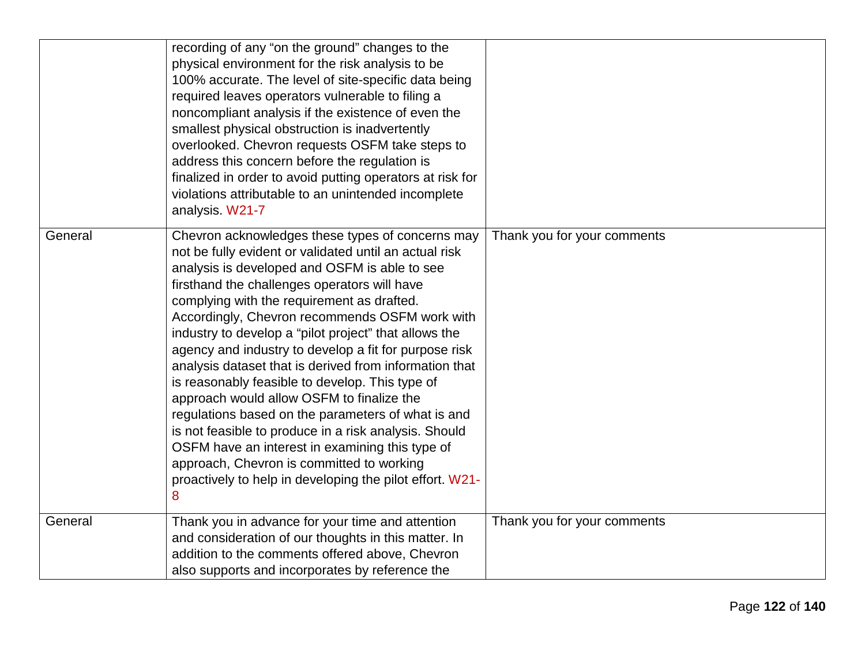|         | recording of any "on the ground" changes to the<br>physical environment for the risk analysis to be<br>100% accurate. The level of site-specific data being<br>required leaves operators vulnerable to filing a<br>noncompliant analysis if the existence of even the<br>smallest physical obstruction is inadvertently<br>overlooked. Chevron requests OSFM take steps to<br>address this concern before the regulation is<br>finalized in order to avoid putting operators at risk for<br>violations attributable to an unintended incomplete<br>analysis. W21-7                                                                                                                                                                                                                                                                                                      |                             |
|---------|-------------------------------------------------------------------------------------------------------------------------------------------------------------------------------------------------------------------------------------------------------------------------------------------------------------------------------------------------------------------------------------------------------------------------------------------------------------------------------------------------------------------------------------------------------------------------------------------------------------------------------------------------------------------------------------------------------------------------------------------------------------------------------------------------------------------------------------------------------------------------|-----------------------------|
| General | Chevron acknowledges these types of concerns may<br>not be fully evident or validated until an actual risk<br>analysis is developed and OSFM is able to see<br>firsthand the challenges operators will have<br>complying with the requirement as drafted.<br>Accordingly, Chevron recommends OSFM work with<br>industry to develop a "pilot project" that allows the<br>agency and industry to develop a fit for purpose risk<br>analysis dataset that is derived from information that<br>is reasonably feasible to develop. This type of<br>approach would allow OSFM to finalize the<br>regulations based on the parameters of what is and<br>is not feasible to produce in a risk analysis. Should<br>OSFM have an interest in examining this type of<br>approach, Chevron is committed to working<br>proactively to help in developing the pilot effort. W21-<br>8 | Thank you for your comments |
| General | Thank you in advance for your time and attention<br>and consideration of our thoughts in this matter. In<br>addition to the comments offered above, Chevron<br>also supports and incorporates by reference the                                                                                                                                                                                                                                                                                                                                                                                                                                                                                                                                                                                                                                                          | Thank you for your comments |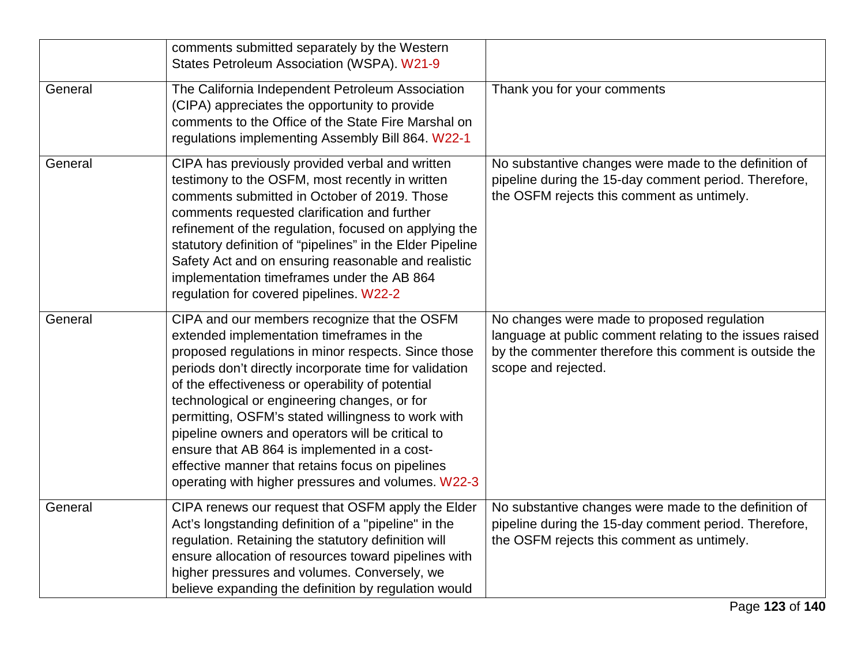|         | comments submitted separately by the Western<br>States Petroleum Association (WSPA). W21-9                                                                                                                                                                                                                                                                                                                                                                                                                                                                                          |                                                                                                                                                                                          |
|---------|-------------------------------------------------------------------------------------------------------------------------------------------------------------------------------------------------------------------------------------------------------------------------------------------------------------------------------------------------------------------------------------------------------------------------------------------------------------------------------------------------------------------------------------------------------------------------------------|------------------------------------------------------------------------------------------------------------------------------------------------------------------------------------------|
| General | The California Independent Petroleum Association<br>(CIPA) appreciates the opportunity to provide<br>comments to the Office of the State Fire Marshal on<br>regulations implementing Assembly Bill 864. W22-1                                                                                                                                                                                                                                                                                                                                                                       | Thank you for your comments                                                                                                                                                              |
| General | CIPA has previously provided verbal and written<br>testimony to the OSFM, most recently in written<br>comments submitted in October of 2019. Those<br>comments requested clarification and further<br>refinement of the regulation, focused on applying the<br>statutory definition of "pipelines" in the Elder Pipeline<br>Safety Act and on ensuring reasonable and realistic<br>implementation timeframes under the AB 864<br>regulation for covered pipelines. W22-2                                                                                                            | No substantive changes were made to the definition of<br>pipeline during the 15-day comment period. Therefore,<br>the OSFM rejects this comment as untimely.                             |
| General | CIPA and our members recognize that the OSFM<br>extended implementation timeframes in the<br>proposed regulations in minor respects. Since those<br>periods don't directly incorporate time for validation<br>of the effectiveness or operability of potential<br>technological or engineering changes, or for<br>permitting, OSFM's stated willingness to work with<br>pipeline owners and operators will be critical to<br>ensure that AB 864 is implemented in a cost-<br>effective manner that retains focus on pipelines<br>operating with higher pressures and volumes. W22-3 | No changes were made to proposed regulation<br>language at public comment relating to the issues raised<br>by the commenter therefore this comment is outside the<br>scope and rejected. |
| General | CIPA renews our request that OSFM apply the Elder<br>Act's longstanding definition of a "pipeline" in the<br>regulation. Retaining the statutory definition will<br>ensure allocation of resources toward pipelines with<br>higher pressures and volumes. Conversely, we<br>believe expanding the definition by regulation would                                                                                                                                                                                                                                                    | No substantive changes were made to the definition of<br>pipeline during the 15-day comment period. Therefore,<br>the OSFM rejects this comment as untimely.                             |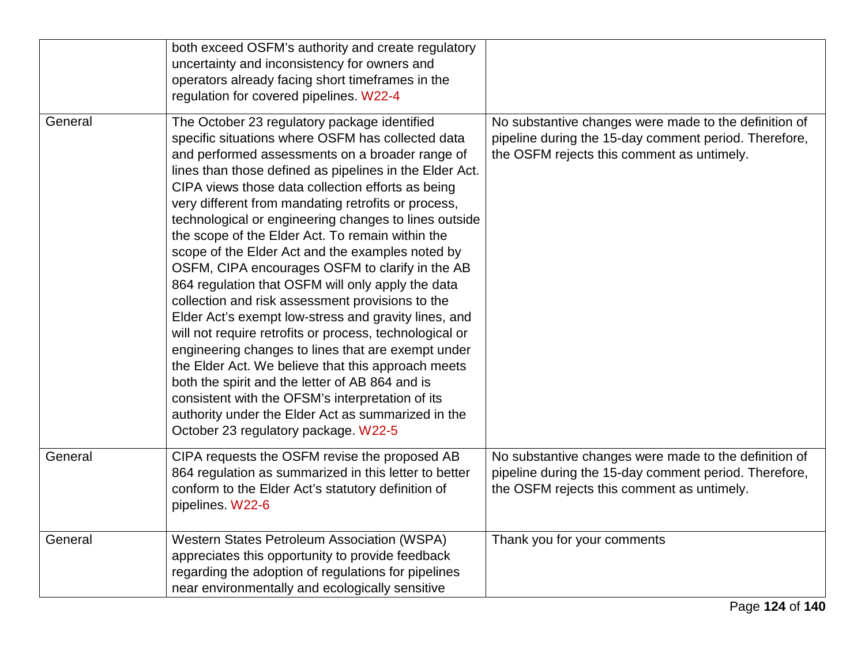|         | both exceed OSFM's authority and create regulatory<br>uncertainty and inconsistency for owners and<br>operators already facing short timeframes in the<br>regulation for covered pipelines. W22-4                                                                                                                                                                                                                                                                                                                                                                                                                                                                                                                                                                                                                                                                                                                                                                                                                                                                                            |                                                                                                                                                              |
|---------|----------------------------------------------------------------------------------------------------------------------------------------------------------------------------------------------------------------------------------------------------------------------------------------------------------------------------------------------------------------------------------------------------------------------------------------------------------------------------------------------------------------------------------------------------------------------------------------------------------------------------------------------------------------------------------------------------------------------------------------------------------------------------------------------------------------------------------------------------------------------------------------------------------------------------------------------------------------------------------------------------------------------------------------------------------------------------------------------|--------------------------------------------------------------------------------------------------------------------------------------------------------------|
| General | The October 23 regulatory package identified<br>specific situations where OSFM has collected data<br>and performed assessments on a broader range of<br>lines than those defined as pipelines in the Elder Act.<br>CIPA views those data collection efforts as being<br>very different from mandating retrofits or process,<br>technological or engineering changes to lines outside<br>the scope of the Elder Act. To remain within the<br>scope of the Elder Act and the examples noted by<br>OSFM, CIPA encourages OSFM to clarify in the AB<br>864 regulation that OSFM will only apply the data<br>collection and risk assessment provisions to the<br>Elder Act's exempt low-stress and gravity lines, and<br>will not require retrofits or process, technological or<br>engineering changes to lines that are exempt under<br>the Elder Act. We believe that this approach meets<br>both the spirit and the letter of AB 864 and is<br>consistent with the OFSM's interpretation of its<br>authority under the Elder Act as summarized in the<br>October 23 regulatory package. W22-5 | No substantive changes were made to the definition of<br>pipeline during the 15-day comment period. Therefore,<br>the OSFM rejects this comment as untimely. |
| General | CIPA requests the OSFM revise the proposed AB<br>864 regulation as summarized in this letter to better<br>conform to the Elder Act's statutory definition of<br>pipelines. W22-6                                                                                                                                                                                                                                                                                                                                                                                                                                                                                                                                                                                                                                                                                                                                                                                                                                                                                                             | No substantive changes were made to the definition of<br>pipeline during the 15-day comment period. Therefore,<br>the OSFM rejects this comment as untimely. |
| General | <b>Western States Petroleum Association (WSPA)</b><br>appreciates this opportunity to provide feedback<br>regarding the adoption of regulations for pipelines<br>near environmentally and ecologically sensitive                                                                                                                                                                                                                                                                                                                                                                                                                                                                                                                                                                                                                                                                                                                                                                                                                                                                             | Thank you for your comments                                                                                                                                  |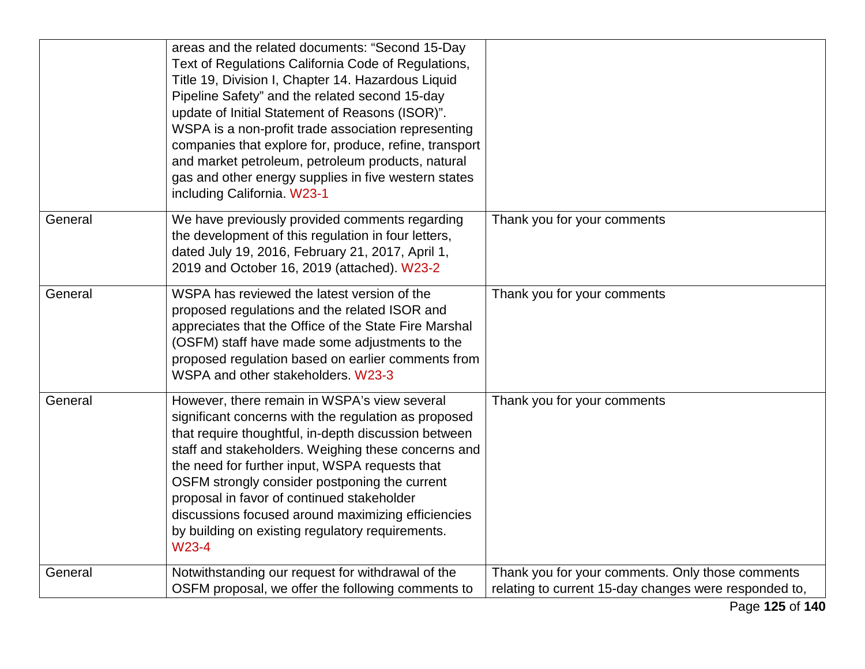|         | areas and the related documents: "Second 15-Day<br>Text of Regulations California Code of Regulations,<br>Title 19, Division I, Chapter 14. Hazardous Liquid<br>Pipeline Safety" and the related second 15-day<br>update of Initial Statement of Reasons (ISOR)".<br>WSPA is a non-profit trade association representing<br>companies that explore for, produce, refine, transport<br>and market petroleum, petroleum products, natural<br>gas and other energy supplies in five western states<br>including California. W23-1 |                                                                                                           |
|---------|--------------------------------------------------------------------------------------------------------------------------------------------------------------------------------------------------------------------------------------------------------------------------------------------------------------------------------------------------------------------------------------------------------------------------------------------------------------------------------------------------------------------------------|-----------------------------------------------------------------------------------------------------------|
| General | We have previously provided comments regarding<br>the development of this regulation in four letters,<br>dated July 19, 2016, February 21, 2017, April 1,<br>2019 and October 16, 2019 (attached). W23-2                                                                                                                                                                                                                                                                                                                       | Thank you for your comments                                                                               |
| General | WSPA has reviewed the latest version of the<br>proposed regulations and the related ISOR and<br>appreciates that the Office of the State Fire Marshal<br>(OSFM) staff have made some adjustments to the<br>proposed regulation based on earlier comments from<br>WSPA and other stakeholders. W23-3                                                                                                                                                                                                                            | Thank you for your comments                                                                               |
| General | However, there remain in WSPA's view several<br>significant concerns with the regulation as proposed<br>that require thoughtful, in-depth discussion between<br>staff and stakeholders. Weighing these concerns and<br>the need for further input, WSPA requests that<br>OSFM strongly consider postponing the current<br>proposal in favor of continued stakeholder<br>discussions focused around maximizing efficiencies<br>by building on existing regulatory requirements.<br>W23-4                                        | Thank you for your comments                                                                               |
| General | Notwithstanding our request for withdrawal of the<br>OSFM proposal, we offer the following comments to                                                                                                                                                                                                                                                                                                                                                                                                                         | Thank you for your comments. Only those comments<br>relating to current 15-day changes were responded to, |
|         |                                                                                                                                                                                                                                                                                                                                                                                                                                                                                                                                | Page 125 of 140                                                                                           |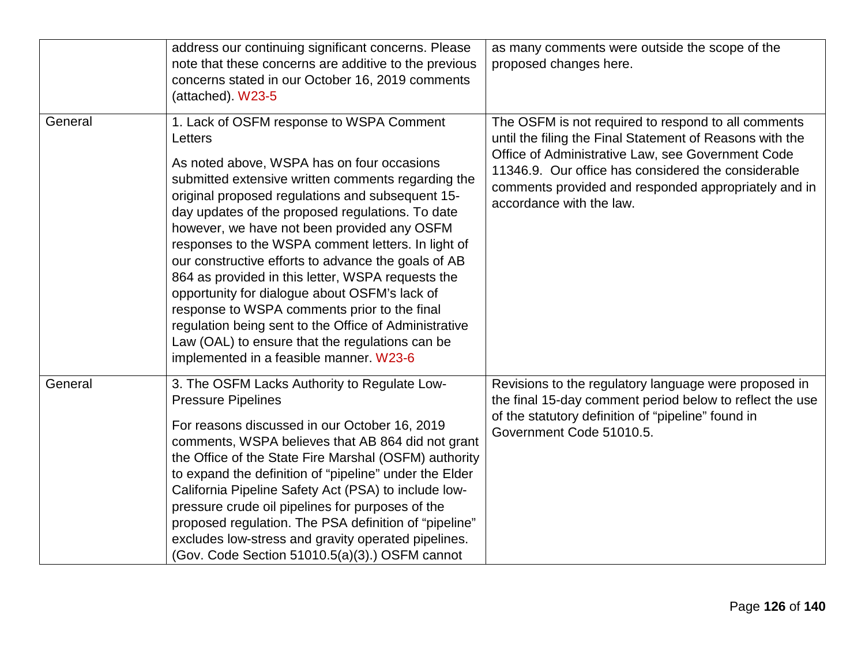|         | address our continuing significant concerns. Please<br>note that these concerns are additive to the previous<br>concerns stated in our October 16, 2019 comments<br>(attached). W23-5                                                                                                                                                                                                                                                                                                                                                                                                                                                                                                                                                    | as many comments were outside the scope of the<br>proposed changes here.                                                                                                                                                                                                                                        |
|---------|------------------------------------------------------------------------------------------------------------------------------------------------------------------------------------------------------------------------------------------------------------------------------------------------------------------------------------------------------------------------------------------------------------------------------------------------------------------------------------------------------------------------------------------------------------------------------------------------------------------------------------------------------------------------------------------------------------------------------------------|-----------------------------------------------------------------------------------------------------------------------------------------------------------------------------------------------------------------------------------------------------------------------------------------------------------------|
| General | 1. Lack of OSFM response to WSPA Comment<br>Letters<br>As noted above, WSPA has on four occasions<br>submitted extensive written comments regarding the<br>original proposed regulations and subsequent 15-<br>day updates of the proposed regulations. To date<br>however, we have not been provided any OSFM<br>responses to the WSPA comment letters. In light of<br>our constructive efforts to advance the goals of AB<br>864 as provided in this letter, WSPA requests the<br>opportunity for dialogue about OSFM's lack of<br>response to WSPA comments prior to the final<br>regulation being sent to the Office of Administrative<br>Law (OAL) to ensure that the regulations can be<br>implemented in a feasible manner. W23-6 | The OSFM is not required to respond to all comments<br>until the filing the Final Statement of Reasons with the<br>Office of Administrative Law, see Government Code<br>11346.9. Our office has considered the considerable<br>comments provided and responded appropriately and in<br>accordance with the law. |
| General | 3. The OSFM Lacks Authority to Regulate Low-<br><b>Pressure Pipelines</b><br>For reasons discussed in our October 16, 2019<br>comments, WSPA believes that AB 864 did not grant<br>the Office of the State Fire Marshal (OSFM) authority<br>to expand the definition of "pipeline" under the Elder<br>California Pipeline Safety Act (PSA) to include low-<br>pressure crude oil pipelines for purposes of the<br>proposed regulation. The PSA definition of "pipeline"<br>excludes low-stress and gravity operated pipelines.<br>(Gov. Code Section 51010.5(a)(3).) OSFM cannot                                                                                                                                                         | Revisions to the regulatory language were proposed in<br>the final 15-day comment period below to reflect the use<br>of the statutory definition of "pipeline" found in<br>Government Code 51010.5.                                                                                                             |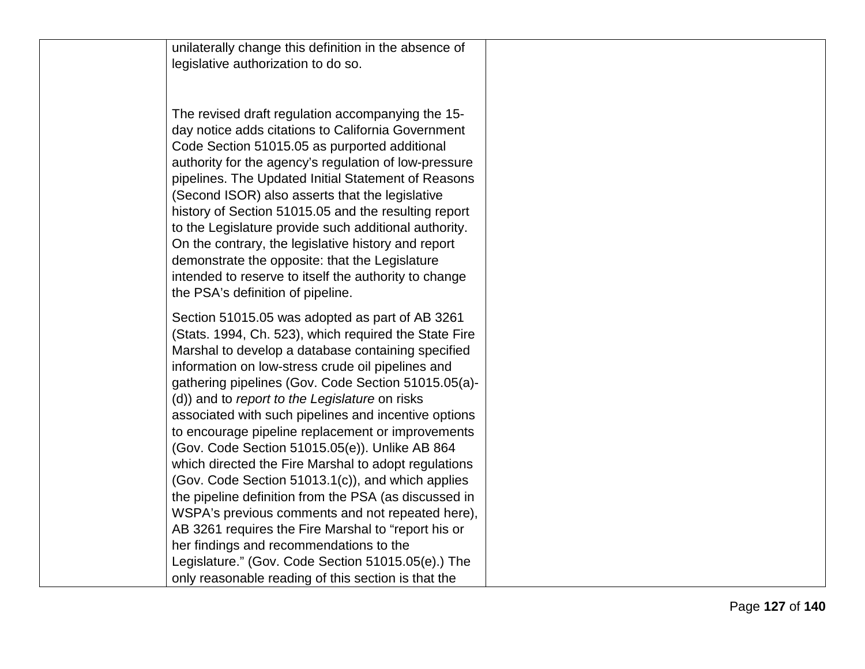unilaterally change this definition in the absence of

legislative authorization to do so.<br>The revised draft regulation accompanying the 15day notice adds citations to California Government Code Section 51015.05 as purported additional authority for the agency's regulation of low -pressure pipelines. The Updated Initial Statement of Reasons (Second ISOR) also asserts that the legislative history of Section 51015.05 and the resulting report to the Legislature provide such additional authority. On the contrary, the legislative history and report demonstrate the opposite: that the Legislature intended to reserve to itself the authority to change the PSA's definition of pipeline.

Section 51015.05 was adopted as part of AB 3261 (Stats. 1994, Ch. 523), which required the State Fire Marshal to develop a database containing specified information on low -stress crude oil pipelines and gathering pipelines (Gov. Code Section 51015.05(a) - (d)) and to *report to the Legislature* on risks associated with such pipelines and incentive options to encourage pipeline replacement or improvements (Gov. Code Section 51015.05(e)). Unlike AB 864 which directed the Fire Marshal to adopt regulations (Gov. Code Section 51013.1(c)), and which applies the pipeline definition from the PSA (as discussed in WSPA's previous comments and not repeated here), AB 3261 requires the Fire Marshal to "report his or her findings and recommendations to the Legislature." (Gov. Code Section 51015.05(e).) The only reasonable reading of this section is that the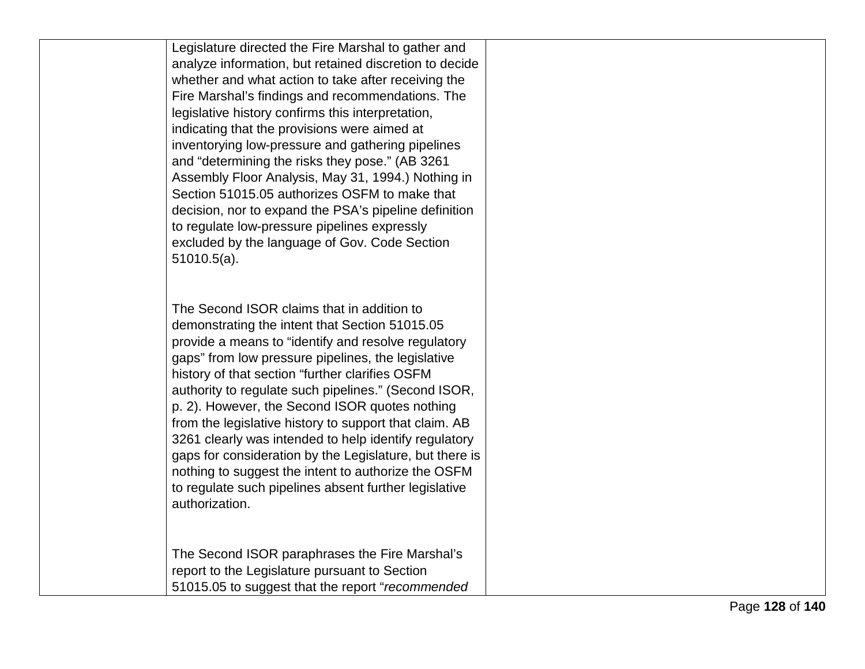Legislature directed the Fire Marshal to gather and analyze information, but retained discretion to decide whether and what action to take after receiving the Fire Marshal's findings and recommendations. The legislative history confirms this interpretation, indicating that the provisions were aimed at inventorying low -pressure and gathering pipelines and "determining the risks they pose." (AB 3261 Assembly Floor Analysis, May 31, 1994.) Nothing in Section 51015.05 authorizes OSFM to make that decision, nor to expand the PSA's pipeline definition to regulate low -pressure pipelines expressly excluded by the language of Gov. Code Section 51010.5(a).

The Second ISOR claims that in addition to demonstrating the intent that Section 51015.05 provide a means to "identify and resolve regulatory gaps" from low pressure pipelines, the legislative history of that section "further clarifies OSFM authority to regulate such pipelines." (Second ISOR, p. 2). However, the Second ISOR quotes nothing from the legislative history to support that claim. AB 3261 clearly was intended to help identify regulatory gaps for consideration by the Legislature, but there is nothing to suggest the intent to authorize the OSFM to regulate such pipelines absent further legislative authorization.

The Second ISOR paraphrases the Fire Marshal's report to the Legislature pursuant to Section 51015.05 to suggest that the report "*recommended*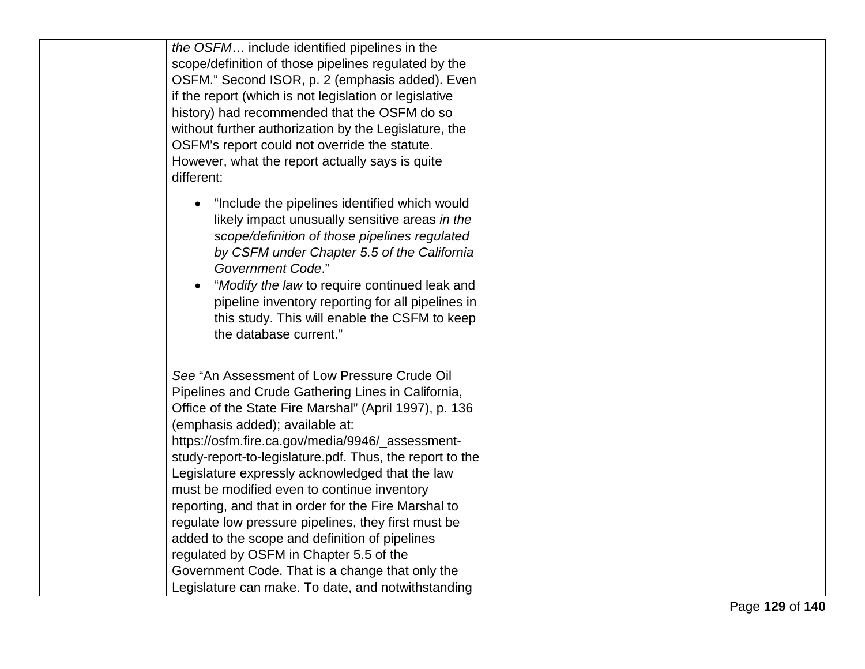*the OSFM*… include identified pipelines in the scope/definition of those pipelines regulated by the OSFM." Second ISOR, p. 2 (emphasis added). Even if the report (which is not legislation or legislative history) had recommended that the OSFM do so without further authorization by the Legislature, the OSFM's report could not override the statute. However, what the report actually says is quite different:

- "Include the pipelines identified which would likely impact unusually sensitive areas *in the scope/definition of those pipelines regulated by CSFM under Chapter 5.5 of the California Government Code*."
- "*Modify the law* to require continued leak and pipeline inventory reporting for all pipelines in this study. This will enable the CSFM to keep the database current."

*See* "An Assessment of Low Pressure Crude Oil Pipelines and Crude Gathering Lines in California, Office of the State Fire Marshal" (April 1997), p. 136 (emphasis added); available at: https://osfm.fire.ca.gov/media/9946/\_assessment study-report-to-legislature.pdf. Thus, the report to the Legislature expressly acknowledged that the law must be modified even to continue inventory reporting, and that in order for the Fire Marshal to regulate low pressure pipelines, they first must be added to the scope and definition of pipelines regulated by OSFM in Chapter 5.5 of the Government Code. That is a change that only the Legislature can make. To date, and notwithstanding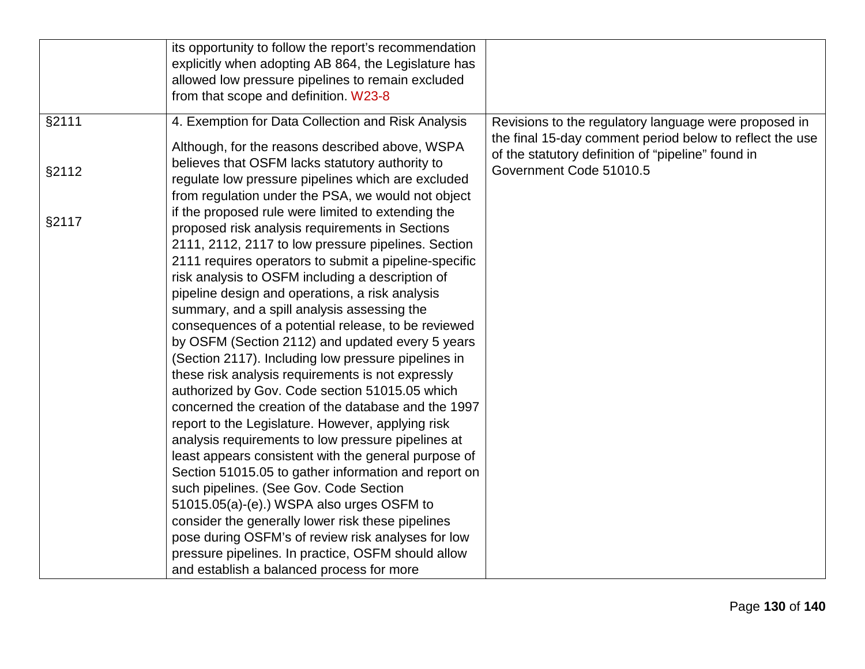|       | its opportunity to follow the report's recommendation<br>explicitly when adopting AB 864, the Legislature has<br>allowed low pressure pipelines to remain excluded<br>from that scope and definition. W23-8                                                                                                                                                                                                                                                                                                                                                                                                                                                                                                                                                                                                                                                                                                                                                                                                                                                                                                                                                                                                                                 |                                                                                                                   |
|-------|---------------------------------------------------------------------------------------------------------------------------------------------------------------------------------------------------------------------------------------------------------------------------------------------------------------------------------------------------------------------------------------------------------------------------------------------------------------------------------------------------------------------------------------------------------------------------------------------------------------------------------------------------------------------------------------------------------------------------------------------------------------------------------------------------------------------------------------------------------------------------------------------------------------------------------------------------------------------------------------------------------------------------------------------------------------------------------------------------------------------------------------------------------------------------------------------------------------------------------------------|-------------------------------------------------------------------------------------------------------------------|
| §2111 | 4. Exemption for Data Collection and Risk Analysis                                                                                                                                                                                                                                                                                                                                                                                                                                                                                                                                                                                                                                                                                                                                                                                                                                                                                                                                                                                                                                                                                                                                                                                          | Revisions to the regulatory language were proposed in<br>the final 15-day comment period below to reflect the use |
| §2112 | Although, for the reasons described above, WSPA<br>believes that OSFM lacks statutory authority to<br>regulate low pressure pipelines which are excluded<br>from regulation under the PSA, we would not object                                                                                                                                                                                                                                                                                                                                                                                                                                                                                                                                                                                                                                                                                                                                                                                                                                                                                                                                                                                                                              | of the statutory definition of "pipeline" found in<br>Government Code 51010.5                                     |
| §2117 | if the proposed rule were limited to extending the<br>proposed risk analysis requirements in Sections<br>2111, 2112, 2117 to low pressure pipelines. Section<br>2111 requires operators to submit a pipeline-specific<br>risk analysis to OSFM including a description of<br>pipeline design and operations, a risk analysis<br>summary, and a spill analysis assessing the<br>consequences of a potential release, to be reviewed<br>by OSFM (Section 2112) and updated every 5 years<br>(Section 2117). Including low pressure pipelines in<br>these risk analysis requirements is not expressly<br>authorized by Gov. Code section 51015.05 which<br>concerned the creation of the database and the 1997<br>report to the Legislature. However, applying risk<br>analysis requirements to low pressure pipelines at<br>least appears consistent with the general purpose of<br>Section 51015.05 to gather information and report on<br>such pipelines. (See Gov. Code Section<br>51015.05(a)-(e).) WSPA also urges OSFM to<br>consider the generally lower risk these pipelines<br>pose during OSFM's of review risk analyses for low<br>pressure pipelines. In practice, OSFM should allow<br>and establish a balanced process for more |                                                                                                                   |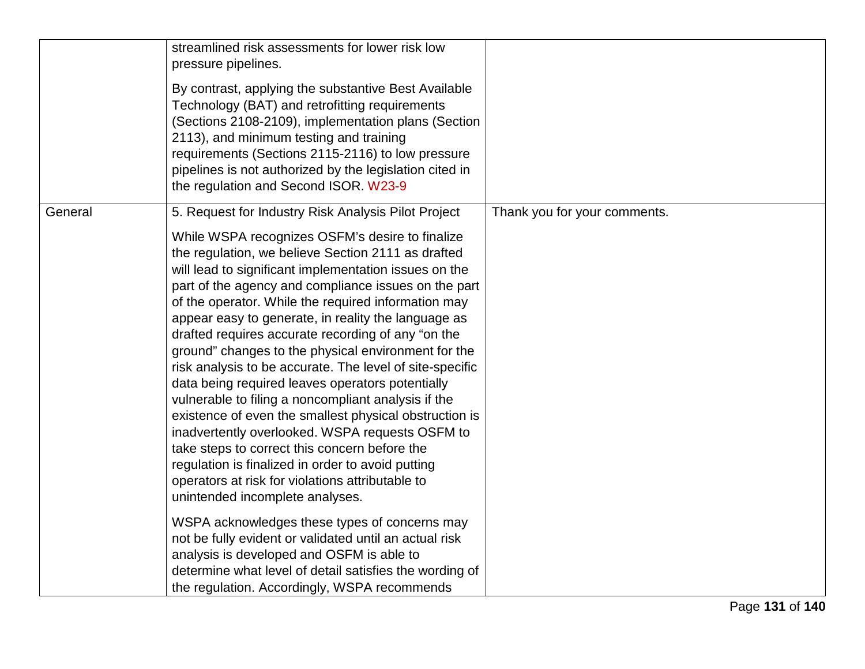|         | streamlined risk assessments for lower risk low<br>pressure pipelines.<br>By contrast, applying the substantive Best Available<br>Technology (BAT) and retrofitting requirements<br>(Sections 2108-2109), implementation plans (Section<br>2113), and minimum testing and training<br>requirements (Sections 2115-2116) to low pressure<br>pipelines is not authorized by the legislation cited in<br>the regulation and Second ISOR. W23-9                                                                                                                                                                                                                                                                                                                                                                                                                                                                                                                                                                                                                                                                                                                                                                                                                  |                              |
|---------|--------------------------------------------------------------------------------------------------------------------------------------------------------------------------------------------------------------------------------------------------------------------------------------------------------------------------------------------------------------------------------------------------------------------------------------------------------------------------------------------------------------------------------------------------------------------------------------------------------------------------------------------------------------------------------------------------------------------------------------------------------------------------------------------------------------------------------------------------------------------------------------------------------------------------------------------------------------------------------------------------------------------------------------------------------------------------------------------------------------------------------------------------------------------------------------------------------------------------------------------------------------|------------------------------|
| General | 5. Request for Industry Risk Analysis Pilot Project<br>While WSPA recognizes OSFM's desire to finalize<br>the regulation, we believe Section 2111 as drafted<br>will lead to significant implementation issues on the<br>part of the agency and compliance issues on the part<br>of the operator. While the required information may<br>appear easy to generate, in reality the language as<br>drafted requires accurate recording of any "on the<br>ground" changes to the physical environment for the<br>risk analysis to be accurate. The level of site-specific<br>data being required leaves operators potentially<br>vulnerable to filing a noncompliant analysis if the<br>existence of even the smallest physical obstruction is<br>inadvertently overlooked. WSPA requests OSFM to<br>take steps to correct this concern before the<br>regulation is finalized in order to avoid putting<br>operators at risk for violations attributable to<br>unintended incomplete analyses.<br>WSPA acknowledges these types of concerns may<br>not be fully evident or validated until an actual risk<br>analysis is developed and OSFM is able to<br>determine what level of detail satisfies the wording of<br>the regulation. Accordingly, WSPA recommends | Thank you for your comments. |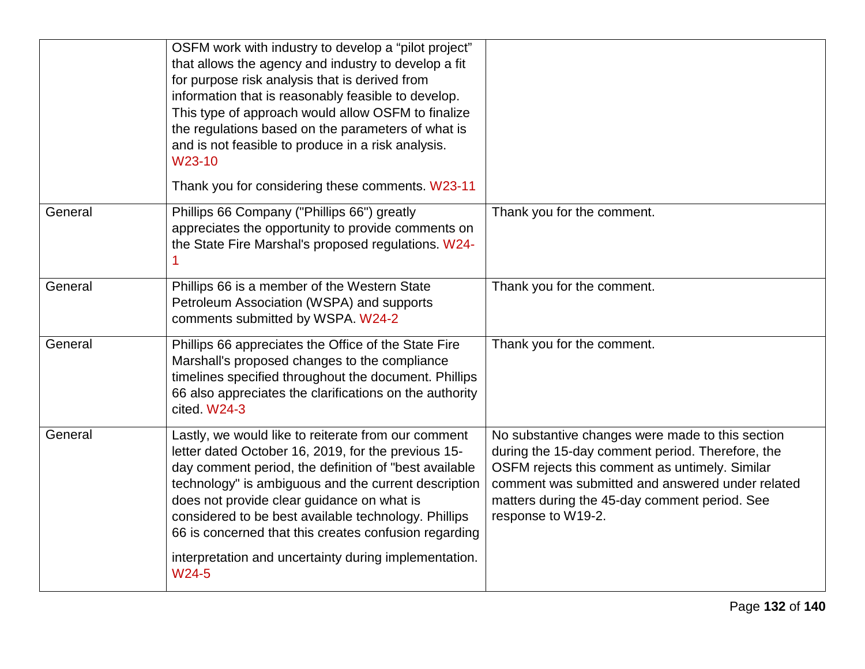|         | OSFM work with industry to develop a "pilot project"<br>that allows the agency and industry to develop a fit<br>for purpose risk analysis that is derived from<br>information that is reasonably feasible to develop.<br>This type of approach would allow OSFM to finalize<br>the regulations based on the parameters of what is<br>and is not feasible to produce in a risk analysis.<br>W23-10<br>Thank you for considering these comments. W23-11 |                                                                                                                                                                                                                                                                                   |
|---------|-------------------------------------------------------------------------------------------------------------------------------------------------------------------------------------------------------------------------------------------------------------------------------------------------------------------------------------------------------------------------------------------------------------------------------------------------------|-----------------------------------------------------------------------------------------------------------------------------------------------------------------------------------------------------------------------------------------------------------------------------------|
| General | Phillips 66 Company ("Phillips 66") greatly<br>appreciates the opportunity to provide comments on<br>the State Fire Marshal's proposed regulations. W24-                                                                                                                                                                                                                                                                                              | Thank you for the comment.                                                                                                                                                                                                                                                        |
| General | Phillips 66 is a member of the Western State<br>Petroleum Association (WSPA) and supports<br>comments submitted by WSPA. W24-2                                                                                                                                                                                                                                                                                                                        | Thank you for the comment.                                                                                                                                                                                                                                                        |
| General | Phillips 66 appreciates the Office of the State Fire<br>Marshall's proposed changes to the compliance<br>timelines specified throughout the document. Phillips<br>66 also appreciates the clarifications on the authority<br>cited. W24-3                                                                                                                                                                                                             | Thank you for the comment.                                                                                                                                                                                                                                                        |
| General | Lastly, we would like to reiterate from our comment<br>letter dated October 16, 2019, for the previous 15-<br>day comment period, the definition of "best available<br>technology" is ambiguous and the current description<br>does not provide clear guidance on what is<br>considered to be best available technology. Phillips<br>66 is concerned that this creates confusion regarding<br>interpretation and uncertainty during implementation.   | No substantive changes were made to this section<br>during the 15-day comment period. Therefore, the<br>OSFM rejects this comment as untimely. Similar<br>comment was submitted and answered under related<br>matters during the 45-day comment period. See<br>response to W19-2. |
|         | W24-5                                                                                                                                                                                                                                                                                                                                                                                                                                                 |                                                                                                                                                                                                                                                                                   |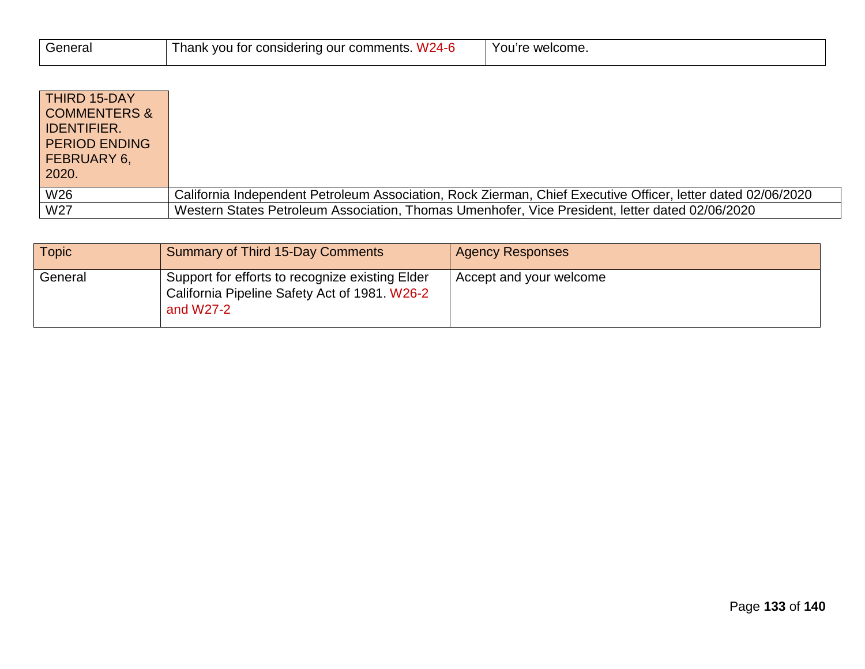| General | Thank $\sqrt{ }$<br>$W24-F$<br>: vou for considering our comments. ' | welcome.<br>You're |
|---------|----------------------------------------------------------------------|--------------------|
|         |                                                                      |                    |

| <b>THIRD 15-DAY</b><br><b>COMMENTERS &amp;</b><br><b>IDENTIFIER.</b><br><b>PERIOD ENDING</b><br><b>FEBRUARY 6,</b><br>2020. |                                                                                                              |
|-----------------------------------------------------------------------------------------------------------------------------|--------------------------------------------------------------------------------------------------------------|
| W <sub>26</sub>                                                                                                             | California Independent Petroleum Association, Rock Zierman, Chief Executive Officer, letter dated 02/06/2020 |
| W27                                                                                                                         | Western States Petroleum Association, Thomas Umenhofer, Vice President, letter dated 02/06/2020              |

| <b>Topic</b> | <b>Summary of Third 15-Day Comments</b>                                                                         | <b>Agency Responses</b> |
|--------------|-----------------------------------------------------------------------------------------------------------------|-------------------------|
| General      | Support for efforts to recognize existing Elder<br>California Pipeline Safety Act of 1981. W26-2<br>and $W27-2$ | Accept and your welcome |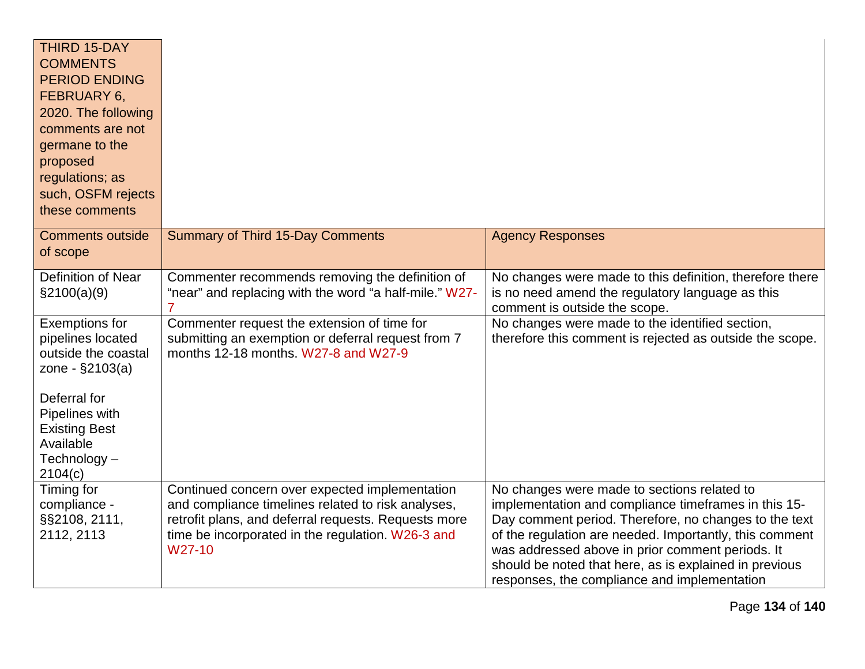| <b>THIRD 15-DAY</b><br><b>COMMENTS</b><br><b>PERIOD ENDING</b><br>FEBRUARY 6,<br>2020. The following<br>comments are not<br>germane to the<br>proposed<br>regulations; as<br>such, OSFM rejects<br>these comments |                                                                                                                                                                                                                             |                                                                                                                                                                                                                                                                                                                                                                                       |
|-------------------------------------------------------------------------------------------------------------------------------------------------------------------------------------------------------------------|-----------------------------------------------------------------------------------------------------------------------------------------------------------------------------------------------------------------------------|---------------------------------------------------------------------------------------------------------------------------------------------------------------------------------------------------------------------------------------------------------------------------------------------------------------------------------------------------------------------------------------|
| <b>Comments outside</b><br>of scope                                                                                                                                                                               | <b>Summary of Third 15-Day Comments</b>                                                                                                                                                                                     | <b>Agency Responses</b>                                                                                                                                                                                                                                                                                                                                                               |
| <b>Definition of Near</b><br>\$2100(a)(9)                                                                                                                                                                         | Commenter recommends removing the definition of<br>"near" and replacing with the word "a half-mile." W27-                                                                                                                   | No changes were made to this definition, therefore there<br>is no need amend the regulatory language as this<br>comment is outside the scope.                                                                                                                                                                                                                                         |
| <b>Exemptions for</b><br>pipelines located<br>outside the coastal<br>zone - §2103(a)<br>Deferral for<br>Pipelines with<br><b>Existing Best</b><br>Available<br>Technology-<br>2104(c)                             | Commenter request the extension of time for<br>submitting an exemption or deferral request from 7<br>months 12-18 months, W27-8 and W27-9                                                                                   | No changes were made to the identified section,<br>therefore this comment is rejected as outside the scope.                                                                                                                                                                                                                                                                           |
| Timing for<br>compliance -<br>§§2108, 2111,<br>2112, 2113                                                                                                                                                         | Continued concern over expected implementation<br>and compliance timelines related to risk analyses,<br>retrofit plans, and deferral requests. Requests more<br>time be incorporated in the regulation. W26-3 and<br>W27-10 | No changes were made to sections related to<br>implementation and compliance timeframes in this 15-<br>Day comment period. Therefore, no changes to the text<br>of the regulation are needed. Importantly, this comment<br>was addressed above in prior comment periods. It<br>should be noted that here, as is explained in previous<br>responses, the compliance and implementation |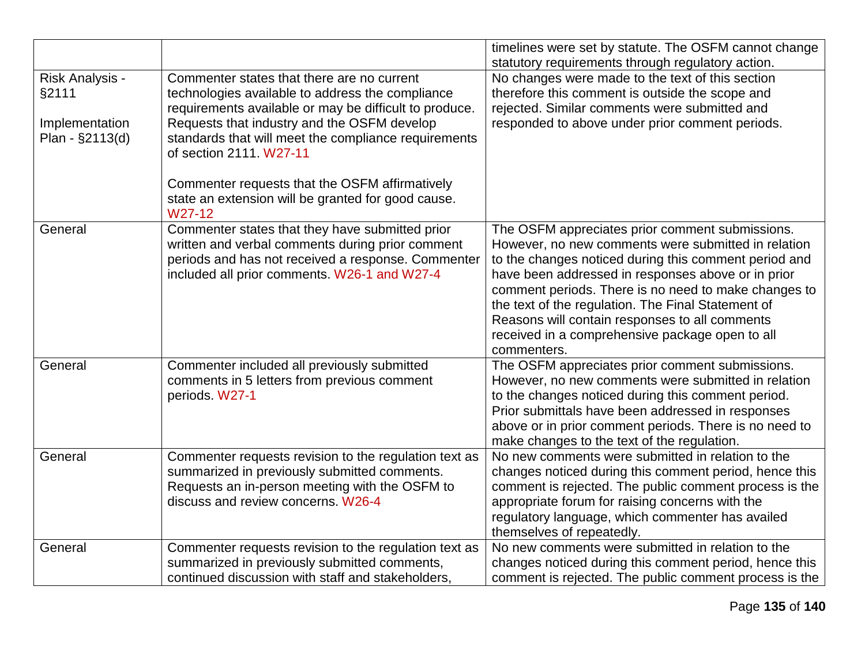|                                   |                                                        | timelines were set by statute. The OSFM cannot change<br>statutory requirements through regulatory action. |
|-----------------------------------|--------------------------------------------------------|------------------------------------------------------------------------------------------------------------|
| Risk Analysis -                   | Commenter states that there are no current             | No changes were made to the text of this section                                                           |
| §2111                             | technologies available to address the compliance       | therefore this comment is outside the scope and                                                            |
|                                   | requirements available or may be difficult to produce. | rejected. Similar comments were submitted and                                                              |
|                                   | Requests that industry and the OSFM develop            | responded to above under prior comment periods.                                                            |
| Implementation<br>Plan - §2113(d) | standards that will meet the compliance requirements   |                                                                                                            |
|                                   | of section 2111. W27-11                                |                                                                                                            |
|                                   |                                                        |                                                                                                            |
|                                   | Commenter requests that the OSFM affirmatively         |                                                                                                            |
|                                   | state an extension will be granted for good cause.     |                                                                                                            |
|                                   | W27-12                                                 |                                                                                                            |
| General                           | Commenter states that they have submitted prior        | The OSFM appreciates prior comment submissions.                                                            |
|                                   | written and verbal comments during prior comment       | However, no new comments were submitted in relation                                                        |
|                                   | periods and has not received a response. Commenter     | to the changes noticed during this comment period and                                                      |
|                                   | included all prior comments. W26-1 and W27-4           | have been addressed in responses above or in prior                                                         |
|                                   |                                                        | comment periods. There is no need to make changes to                                                       |
|                                   |                                                        | the text of the regulation. The Final Statement of                                                         |
|                                   |                                                        | Reasons will contain responses to all comments                                                             |
|                                   |                                                        | received in a comprehensive package open to all                                                            |
|                                   |                                                        | commenters.                                                                                                |
| General                           | Commenter included all previously submitted            | The OSFM appreciates prior comment submissions.                                                            |
|                                   | comments in 5 letters from previous comment            | However, no new comments were submitted in relation                                                        |
|                                   | periods. W27-1                                         | to the changes noticed during this comment period.                                                         |
|                                   |                                                        | Prior submittals have been addressed in responses                                                          |
|                                   |                                                        | above or in prior comment periods. There is no need to                                                     |
|                                   |                                                        | make changes to the text of the regulation.                                                                |
| General                           | Commenter requests revision to the regulation text as  | No new comments were submitted in relation to the                                                          |
|                                   | summarized in previously submitted comments.           | changes noticed during this comment period, hence this                                                     |
|                                   | Requests an in-person meeting with the OSFM to         | comment is rejected. The public comment process is the                                                     |
|                                   | discuss and review concerns. W26-4                     | appropriate forum for raising concerns with the                                                            |
|                                   |                                                        | regulatory language, which commenter has availed                                                           |
|                                   |                                                        | themselves of repeatedly.                                                                                  |
| General                           | Commenter requests revision to the regulation text as  | No new comments were submitted in relation to the                                                          |
|                                   | summarized in previously submitted comments,           | changes noticed during this comment period, hence this                                                     |
|                                   | continued discussion with staff and stakeholders,      | comment is rejected. The public comment process is the                                                     |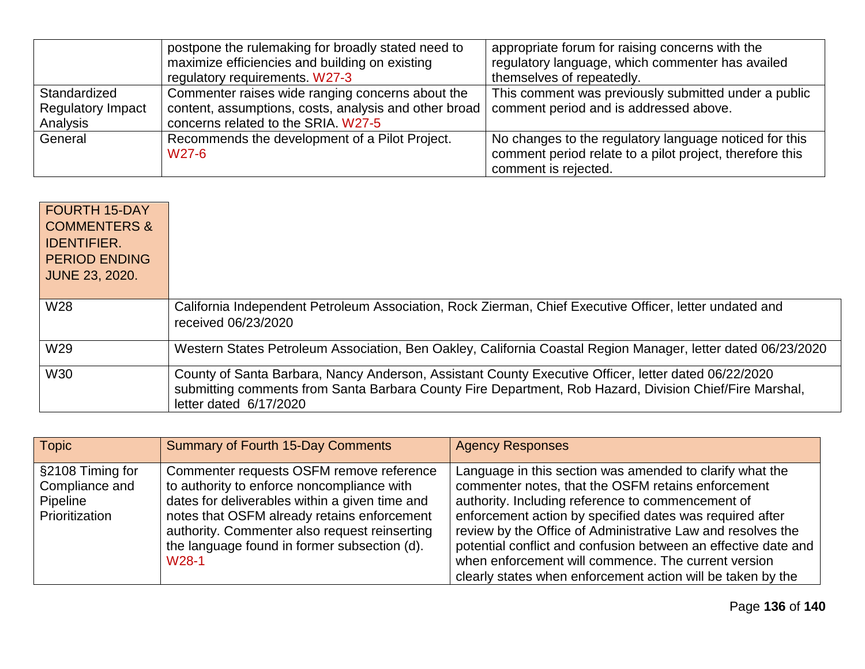|                          | postpone the rulemaking for broadly stated need to    | appropriate forum for raising concerns with the          |
|--------------------------|-------------------------------------------------------|----------------------------------------------------------|
|                          | maximize efficiencies and building on existing        | regulatory language, which commenter has availed         |
|                          | regulatory requirements. W27-3                        | themselves of repeatedly.                                |
| Standardized             | Commenter raises wide ranging concerns about the      | This comment was previously submitted under a public     |
| <b>Regulatory Impact</b> | content, assumptions, costs, analysis and other broad | comment period and is addressed above.                   |
| Analysis                 | concerns related to the SRIA. W27-5                   |                                                          |
| General                  | Recommends the development of a Pilot Project.        | No changes to the regulatory language noticed for this   |
|                          | W <sub>27</sub> -6                                    | comment period relate to a pilot project, therefore this |
|                          |                                                       | comment is rejected.                                     |

| <b>FOURTH 15-DAY</b><br><b>COMMENTERS &amp;</b><br><b>IDENTIFIER.</b><br><b>PERIOD ENDING</b><br><b>JUNE 23, 2020.</b> |                                                                                                                                                                                                                                           |
|------------------------------------------------------------------------------------------------------------------------|-------------------------------------------------------------------------------------------------------------------------------------------------------------------------------------------------------------------------------------------|
| W28                                                                                                                    | California Independent Petroleum Association, Rock Zierman, Chief Executive Officer, letter undated and<br>received 06/23/2020                                                                                                            |
| W29                                                                                                                    | Western States Petroleum Association, Ben Oakley, California Coastal Region Manager, letter dated 06/23/2020                                                                                                                              |
| <b>W30</b>                                                                                                             | County of Santa Barbara, Nancy Anderson, Assistant County Executive Officer, letter dated 06/22/2020<br>submitting comments from Santa Barbara County Fire Department, Rob Hazard, Division Chief/Fire Marshal,<br>letter dated 6/17/2020 |

| Topic                                                            | <b>Summary of Fourth 15-Day Comments</b>                                                                                                                                                                                                                                                                       | <b>Agency Responses</b>                                                                                                                                                                                                                                                                                                                                                                                                                                                                |
|------------------------------------------------------------------|----------------------------------------------------------------------------------------------------------------------------------------------------------------------------------------------------------------------------------------------------------------------------------------------------------------|----------------------------------------------------------------------------------------------------------------------------------------------------------------------------------------------------------------------------------------------------------------------------------------------------------------------------------------------------------------------------------------------------------------------------------------------------------------------------------------|
| S2108 Timing for<br>Compliance and<br>Pipeline<br>Prioritization | Commenter requests OSFM remove reference<br>to authority to enforce noncompliance with<br>dates for deliverables within a given time and<br>notes that OSFM already retains enforcement<br>authority. Commenter also request reinserting<br>the language found in former subsection (d).<br>W <sub>28</sub> -1 | Language in this section was amended to clarify what the<br>commenter notes, that the OSFM retains enforcement<br>authority. Including reference to commencement of<br>enforcement action by specified dates was required after<br>review by the Office of Administrative Law and resolves the<br>potential conflict and confusion between an effective date and<br>when enforcement will commence. The current version<br>clearly states when enforcement action will be taken by the |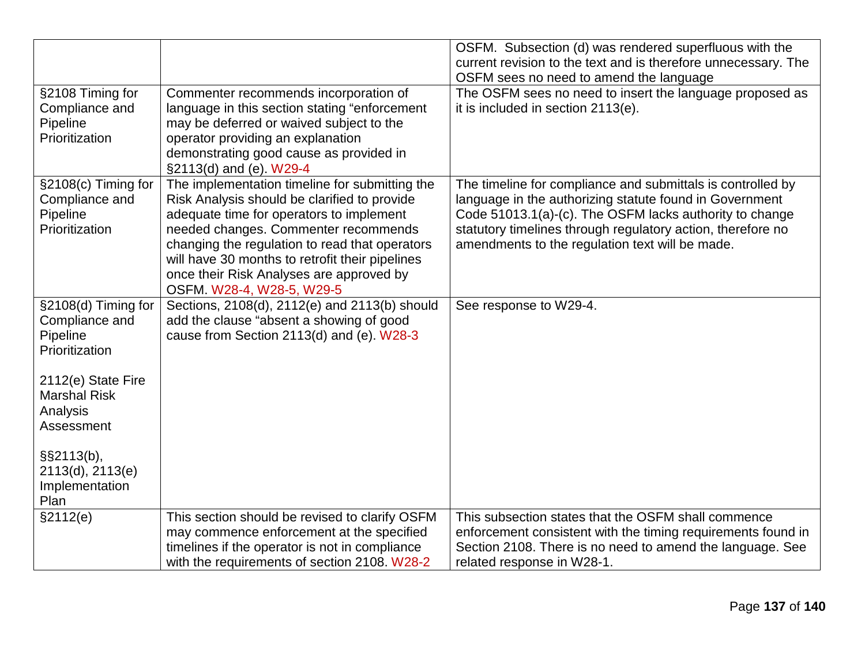|                                    |                                                 | OSFM. Subsection (d) was rendered superfluous with the         |
|------------------------------------|-------------------------------------------------|----------------------------------------------------------------|
|                                    |                                                 | current revision to the text and is therefore unnecessary. The |
|                                    |                                                 | OSFM sees no need to amend the language                        |
| §2108 Timing for                   | Commenter recommends incorporation of           | The OSFM sees no need to insert the language proposed as       |
| Compliance and                     | language in this section stating "enforcement   | it is included in section 2113(e).                             |
| Pipeline                           | may be deferred or waived subject to the        |                                                                |
| Prioritization                     | operator providing an explanation               |                                                                |
|                                    | demonstrating good cause as provided in         |                                                                |
|                                    | §2113(d) and (e). W29-4                         |                                                                |
| §2108(c) Timing for                | The implementation timeline for submitting the  | The timeline for compliance and submittals is controlled by    |
| Compliance and                     | Risk Analysis should be clarified to provide    | language in the authorizing statute found in Government        |
| Pipeline                           | adequate time for operators to implement        | Code 51013.1(a)-(c). The OSFM lacks authority to change        |
| Prioritization                     | needed changes. Commenter recommends            | statutory timelines through regulatory action, therefore no    |
|                                    | changing the regulation to read that operators  | amendments to the regulation text will be made.                |
|                                    | will have 30 months to retrofit their pipelines |                                                                |
|                                    | once their Risk Analyses are approved by        |                                                                |
|                                    | OSFM. W28-4, W28-5, W29-5                       |                                                                |
| $\overline{\S}2108$ (d) Timing for | Sections, 2108(d), 2112(e) and 2113(b) should   | See response to W29-4.                                         |
| Compliance and                     | add the clause "absent a showing of good        |                                                                |
| Pipeline                           | cause from Section 2113(d) and (e). W28-3       |                                                                |
| Prioritization                     |                                                 |                                                                |
|                                    |                                                 |                                                                |
| 2112(e) State Fire                 |                                                 |                                                                |
| <b>Marshal Risk</b>                |                                                 |                                                                |
| Analysis                           |                                                 |                                                                |
| Assessment                         |                                                 |                                                                |
|                                    |                                                 |                                                                |
| §§2113(b),                         |                                                 |                                                                |
| 2113(d), 2113(e)                   |                                                 |                                                                |
| Implementation                     |                                                 |                                                                |
| Plan                               |                                                 |                                                                |
| §2112(e)                           | This section should be revised to clarify OSFM  | This subsection states that the OSFM shall commence            |
|                                    | may commence enforcement at the specified       | enforcement consistent with the timing requirements found in   |
|                                    | timelines if the operator is not in compliance  | Section 2108. There is no need to amend the language. See      |
|                                    | with the requirements of section 2108. W28-2    | related response in W28-1.                                     |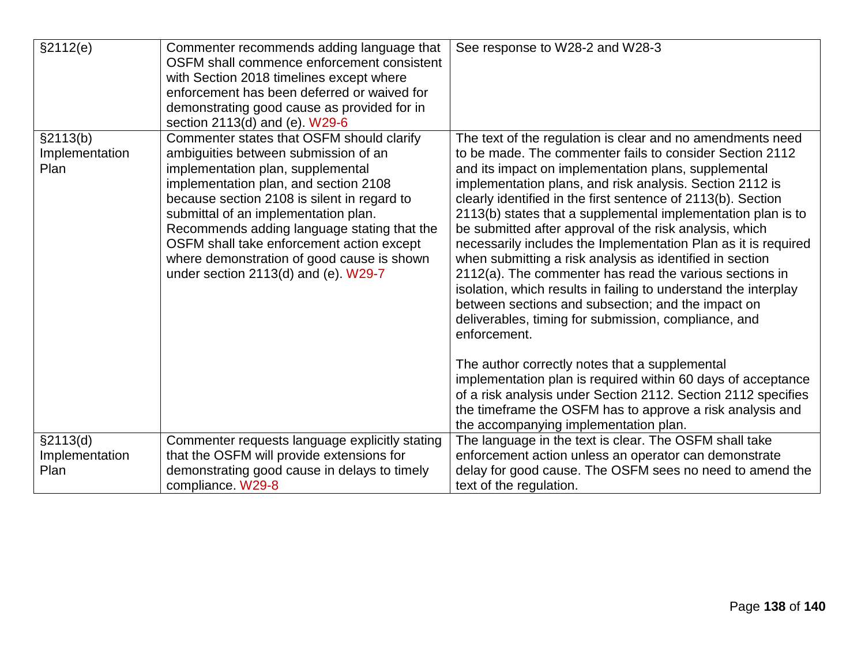| §2112(e)                           | Commenter recommends adding language that<br>OSFM shall commence enforcement consistent<br>with Section 2018 timelines except where<br>enforcement has been deferred or waived for<br>demonstrating good cause as provided for in<br>section 2113(d) and (e). W29-6                                                                                                                                                                        | See response to W28-2 and W28-3                                                                                                                                                                                                                                                                                                                                                                                                                                                                                                                                                                                                                                                                                                                                                                                                                                                                                                                                                                                                                                                                                          |
|------------------------------------|--------------------------------------------------------------------------------------------------------------------------------------------------------------------------------------------------------------------------------------------------------------------------------------------------------------------------------------------------------------------------------------------------------------------------------------------|--------------------------------------------------------------------------------------------------------------------------------------------------------------------------------------------------------------------------------------------------------------------------------------------------------------------------------------------------------------------------------------------------------------------------------------------------------------------------------------------------------------------------------------------------------------------------------------------------------------------------------------------------------------------------------------------------------------------------------------------------------------------------------------------------------------------------------------------------------------------------------------------------------------------------------------------------------------------------------------------------------------------------------------------------------------------------------------------------------------------------|
| §2113(b)<br>Implementation<br>Plan | Commenter states that OSFM should clarify<br>ambiguities between submission of an<br>implementation plan, supplemental<br>implementation plan, and section 2108<br>because section 2108 is silent in regard to<br>submittal of an implementation plan.<br>Recommends adding language stating that the<br>OSFM shall take enforcement action except<br>where demonstration of good cause is shown<br>under section $2113(d)$ and (e). W29-7 | The text of the regulation is clear and no amendments need<br>to be made. The commenter fails to consider Section 2112<br>and its impact on implementation plans, supplemental<br>implementation plans, and risk analysis. Section 2112 is<br>clearly identified in the first sentence of 2113(b). Section<br>2113(b) states that a supplemental implementation plan is to<br>be submitted after approval of the risk analysis, which<br>necessarily includes the Implementation Plan as it is required<br>when submitting a risk analysis as identified in section<br>2112(a). The commenter has read the various sections in<br>isolation, which results in failing to understand the interplay<br>between sections and subsection; and the impact on<br>deliverables, timing for submission, compliance, and<br>enforcement.<br>The author correctly notes that a supplemental<br>implementation plan is required within 60 days of acceptance<br>of a risk analysis under Section 2112. Section 2112 specifies<br>the timeframe the OSFM has to approve a risk analysis and<br>the accompanying implementation plan. |
| §2113(d)<br>Implementation<br>Plan | Commenter requests language explicitly stating<br>that the OSFM will provide extensions for<br>demonstrating good cause in delays to timely<br>compliance. W29-8                                                                                                                                                                                                                                                                           | The language in the text is clear. The OSFM shall take<br>enforcement action unless an operator can demonstrate<br>delay for good cause. The OSFM sees no need to amend the<br>text of the regulation.                                                                                                                                                                                                                                                                                                                                                                                                                                                                                                                                                                                                                                                                                                                                                                                                                                                                                                                   |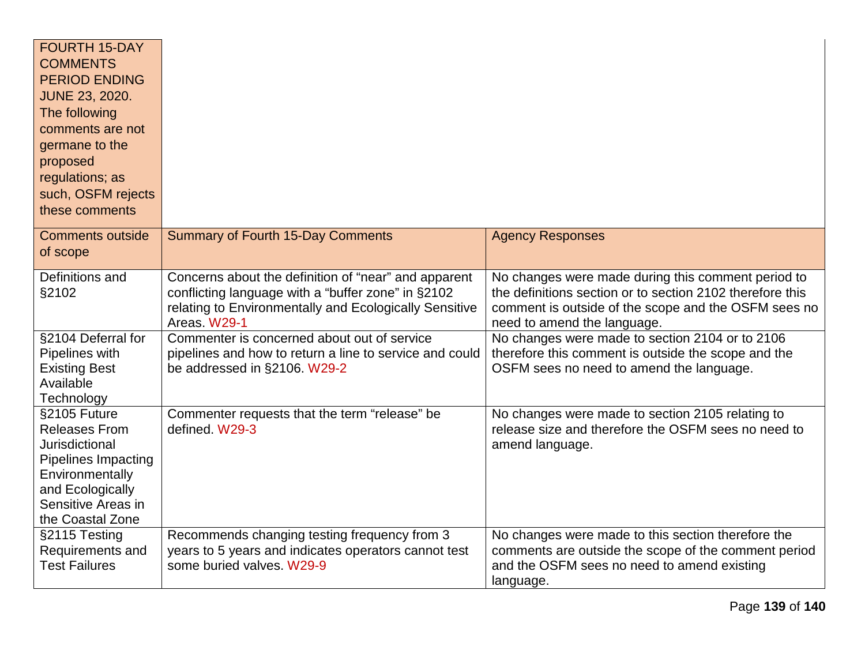| <b>FOURTH 15-DAY</b><br><b>COMMENTS</b><br><b>PERIOD ENDING</b><br><b>JUNE 23, 2020.</b><br>The following<br>comments are not<br>germane to the<br>proposed<br>regulations; as<br>such, OSFM rejects<br>these comments |                                                                                                                                                                                      |                                                                                                                                                                                                        |
|------------------------------------------------------------------------------------------------------------------------------------------------------------------------------------------------------------------------|--------------------------------------------------------------------------------------------------------------------------------------------------------------------------------------|--------------------------------------------------------------------------------------------------------------------------------------------------------------------------------------------------------|
| <b>Comments outside</b><br>of scope                                                                                                                                                                                    | <b>Summary of Fourth 15-Day Comments</b>                                                                                                                                             | <b>Agency Responses</b>                                                                                                                                                                                |
| Definitions and<br>§2102                                                                                                                                                                                               | Concerns about the definition of "near" and apparent<br>conflicting language with a "buffer zone" in §2102<br>relating to Environmentally and Ecologically Sensitive<br>Areas. W29-1 | No changes were made during this comment period to<br>the definitions section or to section 2102 therefore this<br>comment is outside of the scope and the OSFM sees no<br>need to amend the language. |
| §2104 Deferral for<br>Pipelines with<br><b>Existing Best</b><br>Available<br>Technology                                                                                                                                | Commenter is concerned about out of service<br>pipelines and how to return a line to service and could<br>be addressed in §2106. W29-2                                               | No changes were made to section 2104 or to 2106<br>therefore this comment is outside the scope and the<br>OSFM sees no need to amend the language.                                                     |
| §2105 Future<br><b>Releases From</b><br><b>Jurisdictional</b><br><b>Pipelines Impacting</b><br>Environmentally<br>and Ecologically<br>Sensitive Areas in<br>the Coastal Zone                                           | Commenter requests that the term "release" be<br>defined. W29-3                                                                                                                      | No changes were made to section 2105 relating to<br>release size and therefore the OSFM sees no need to<br>amend language.                                                                             |
| §2115 Testing<br>Requirements and<br><b>Test Failures</b>                                                                                                                                                              | Recommends changing testing frequency from 3<br>years to 5 years and indicates operators cannot test<br>some buried valves. W29-9                                                    | No changes were made to this section therefore the<br>comments are outside the scope of the comment period<br>and the OSFM sees no need to amend existing<br>language.                                 |